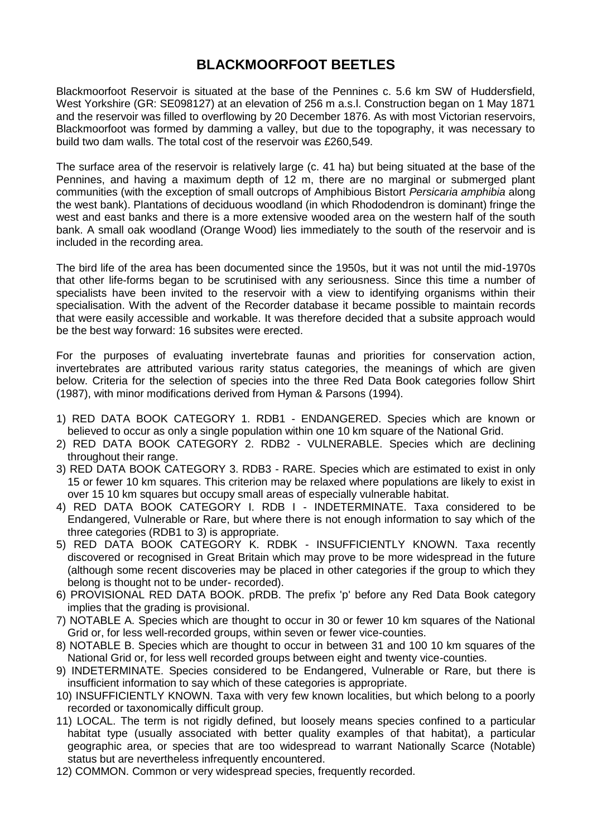# **BLACKMOORFOOT BEETLES**

Blackmoorfoot Reservoir is situated at the base of the Pennines c. 5.6 km SW of Huddersfield, West Yorkshire (GR: SE098127) at an elevation of 256 m a.s.l. Construction began on 1 May 1871 and the reservoir was filled to overflowing by 20 December 1876. As with most Victorian reservoirs, Blackmoorfoot was formed by damming a valley, but due to the topography, it was necessary to build two dam walls. The total cost of the reservoir was £260,549.

The surface area of the reservoir is relatively large (c. 41 ha) but being situated at the base of the Pennines, and having a maximum depth of 12 m, there are no marginal or submerged plant communities (with the exception of small outcrops of Amphibious Bistort *Persicaria amphibia* along the west bank). Plantations of deciduous woodland (in which Rhododendron is dominant) fringe the west and east banks and there is a more extensive wooded area on the western half of the south bank. A small oak woodland (Orange Wood) lies immediately to the south of the reservoir and is included in the recording area.

The bird life of the area has been documented since the 1950s, but it was not until the mid-1970s that other life-forms began to be scrutinised with any seriousness. Since this time a number of specialists have been invited to the reservoir with a view to identifying organisms within their specialisation. With the advent of the Recorder database it became possible to maintain records that were easily accessible and workable. It was therefore decided that a subsite approach would be the best way forward: 16 subsites were erected.

For the purposes of evaluating invertebrate faunas and priorities for conservation action, invertebrates are attributed various rarity status categories, the meanings of which are given below. Criteria for the selection of species into the three Red Data Book categories follow Shirt (1987), with minor modifications derived from Hyman & Parsons (1994).

- 1) RED DATA BOOK CATEGORY 1. RDB1 ENDANGERED. Species which are known or believed to occur as only a single population within one 10 km square of the National Grid.
- 2) RED DATA BOOK CATEGORY 2. RDB2 VULNERABLE. Species which are declining throughout their range.
- 3) RED DATA BOOK CATEGORY 3. RDB3 RARE. Species which are estimated to exist in only 15 or fewer 10 km squares. This criterion may be relaxed where populations are likely to exist in over 15 10 km squares but occupy small areas of especially vulnerable habitat.
- 4) RED DATA BOOK CATEGORY I. RDB I INDETERMINATE. Taxa considered to be Endangered, Vulnerable or Rare, but where there is not enough information to say which of the three categories (RDB1 to 3) is appropriate.
- 5) RED DATA BOOK CATEGORY K. RDBK INSUFFICIENTLY KNOWN. Taxa recently discovered or recognised in Great Britain which may prove to be more widespread in the future (although some recent discoveries may be placed in other categories if the group to which they belong is thought not to be under- recorded).
- 6) PROVISIONAL RED DATA BOOK. pRDB. The prefix 'p' before any Red Data Book category implies that the grading is provisional.
- 7) NOTABLE A. Species which are thought to occur in 30 or fewer 10 km squares of the National Grid or, for less well-recorded groups, within seven or fewer vice-counties.
- 8) NOTABLE B. Species which are thought to occur in between 31 and 100 10 km squares of the National Grid or, for less well recorded groups between eight and twenty vice-counties.
- 9) INDETERMINATE. Species considered to be Endangered, Vulnerable or Rare, but there is insufficient information to say which of these categories is appropriate.
- 10) INSUFFICIENTLY KNOWN. Taxa with very few known localities, but which belong to a poorly recorded or taxonomically difficult group.
- 11) LOCAL. The term is not rigidly defined, but loosely means species confined to a particular habitat type (usually associated with better quality examples of that habitat), a particular geographic area, or species that are too widespread to warrant Nationally Scarce (Notable) status but are nevertheless infrequently encountered.
- 12) COMMON. Common or very widespread species, frequently recorded.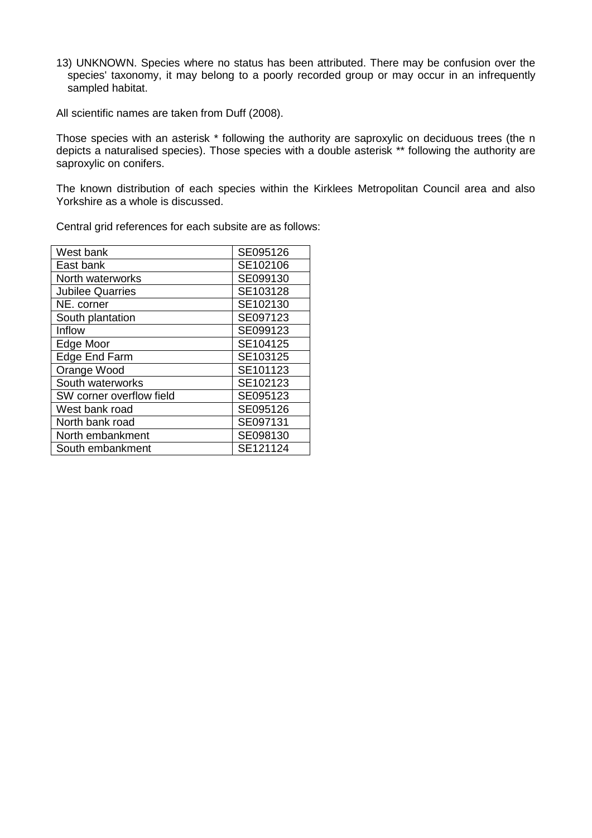13) UNKNOWN. Species where no status has been attributed. There may be confusion over the species' taxonomy, it may belong to a poorly recorded group or may occur in an infrequently sampled habitat.

All scientific names are taken from Duff (2008).

Those species with an asterisk \* following the authority are saproxylic on deciduous trees (the n depicts a naturalised species). Those species with a double asterisk \*\* following the authority are saproxylic on conifers.

The known distribution of each species within the Kirklees Metropolitan Council area and also Yorkshire as a whole is discussed.

Central grid references for each subsite are as follows:

| West bank                | SE095126 |
|--------------------------|----------|
| East bank                | SE102106 |
| North waterworks         | SE099130 |
| <b>Jubilee Quarries</b>  | SE103128 |
| NE. corner               | SE102130 |
| South plantation         | SE097123 |
| Inflow                   | SE099123 |
| Edge Moor                | SE104125 |
| Edge End Farm            | SE103125 |
| Orange Wood              | SE101123 |
| South waterworks         | SE102123 |
| SW corner overflow field | SE095123 |
| West bank road           | SE095126 |
| North bank road          | SE097131 |
| North embankment         | SE098130 |
| South embankment         | SE121124 |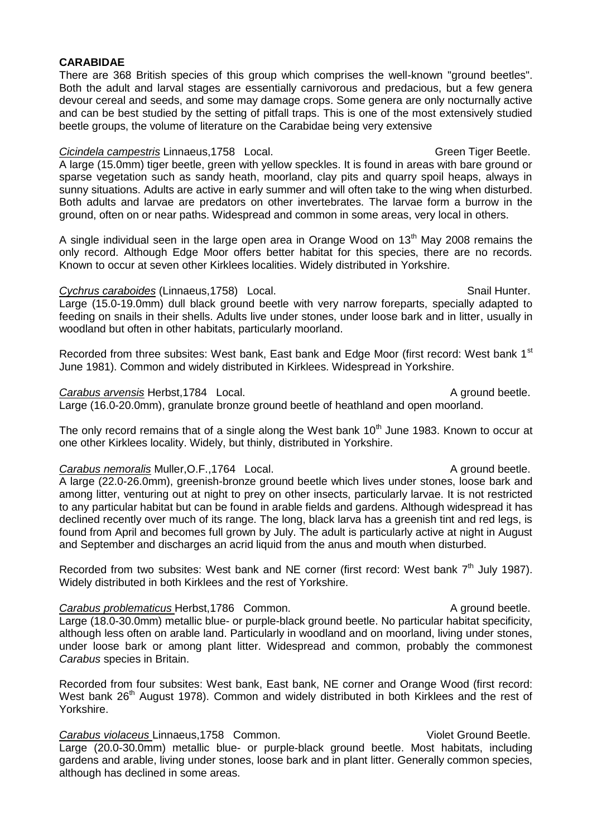# **CARABIDAE**

There are 368 British species of this group which comprises the well-known "ground beetles". Both the adult and larval stages are essentially carnivorous and predacious, but a few genera devour cereal and seeds, and some may damage crops. Some genera are only nocturnally active and can be best studied by the setting of pitfall traps. This is one of the most extensively studied beetle groups, the volume of literature on the Carabidae being very extensive

### **Cicindela campestris Linnaeus,1758** Local. Cicindela Creen Tiger Beetle. A large (15.0mm) tiger beetle, green with yellow speckles. It is found in areas with bare ground or sparse vegetation such as sandy heath, moorland, clay pits and quarry spoil heaps, always in sunny situations. Adults are active in early summer and will often take to the wing when disturbed. Both adults and larvae are predators on other invertebrates. The larvae form a burrow in the ground, often on or near paths. Widespread and common in some areas, very local in others.

A single individual seen in the large open area in Orange Wood on  $13<sup>th</sup>$  May 2008 remains the only record. Although Edge Moor offers better habitat for this species, there are no records. Known to occur at seven other Kirklees localities. Widely distributed in Yorkshire.

### **Cychrus caraboides** (Linnaeus, 1758) Local. Cychrus Constant Constants Constants Constants Constants Constants Constants Constants Constants Constants Constants Constants Constants Constants Constants Constants Constants

Large (15.0-19.0mm) dull black ground beetle with very narrow foreparts, specially adapted to feeding on snails in their shells. Adults live under stones, under loose bark and in litter, usually in woodland but often in other habitats, particularly moorland.

Recorded from three subsites: West bank, East bank and Edge Moor (first record: West bank 1st June 1981). Common and widely distributed in Kirklees. Widespread in Yorkshire.

### **Carabus arvensis** Herbst,1784 Local. **A ground beetle.** A ground beetle.

Large (16.0-20.0mm), granulate bronze ground beetle of heathland and open moorland.

The only record remains that of a single along the West bank  $10<sup>th</sup>$  June 1983. Known to occur at one other Kirklees locality. Widely, but thinly, distributed in Yorkshire.

# **Carabus nemoralis** Muller, O.F., 1764 Local. A ground beetle.

A large (22.0-26.0mm), greenish-bronze ground beetle which lives under stones, loose bark and among litter, venturing out at night to prey on other insects, particularly larvae. It is not restricted to any particular habitat but can be found in arable fields and gardens. Although widespread it has declined recently over much of its range. The long, black larva has a greenish tint and red legs, is found from April and becomes full grown by July. The adult is particularly active at night in August and September and discharges an acrid liquid from the anus and mouth when disturbed.

Recorded from two subsites: West bank and NE corner (first record: West bank  $7<sup>th</sup>$  July 1987). Widely distributed in both Kirklees and the rest of Yorkshire.

## **Carabus problematicus Herbst,1786 Common.** Carabus A ground beetle.

Large (18.0-30.0mm) metallic blue- or purple-black ground beetle. No particular habitat specificity, although less often on arable land. Particularly in woodland and on moorland, living under stones, under loose bark or among plant litter. Widespread and common, probably the commonest *Carabus* species in Britain.

Recorded from four subsites: West bank, East bank, NE corner and Orange Wood (first record: West bank 26<sup>th</sup> August 1978). Common and widely distributed in both Kirklees and the rest of Yorkshire.

### **Carabus violaceus Linnaeus, 1758 Common.** Carabus violet Ground Beetle.

Large (20.0-30.0mm) metallic blue- or purple-black ground beetle. Most habitats, including gardens and arable, living under stones, loose bark and in plant litter. Generally common species, although has declined in some areas.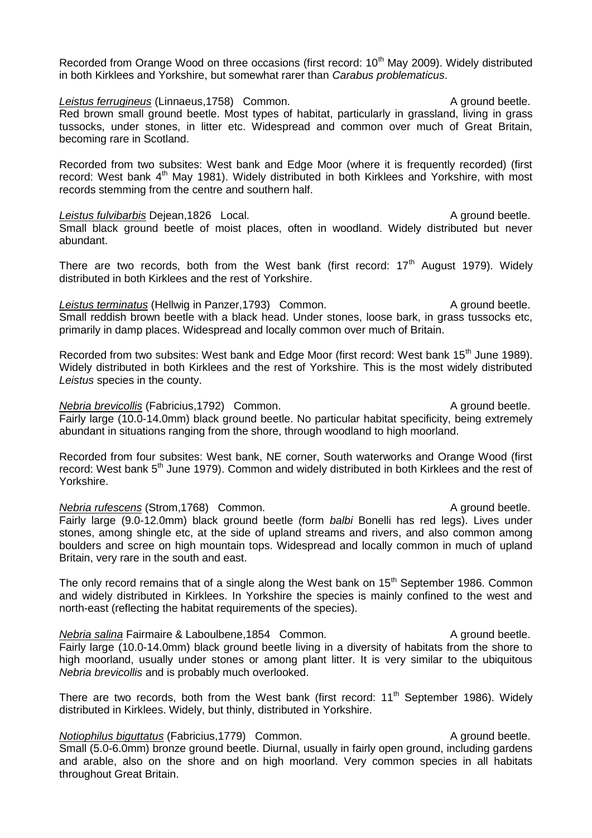Recorded from Orange Wood on three occasions (first record: 10<sup>th</sup> May 2009). Widely distributed in both Kirklees and Yorkshire, but somewhat rarer than *Carabus problematicus*.

**Leistus ferrugineus** (Linnaeus, 1758) Common. A ground beetle. Red brown small ground beetle. Most types of habitat, particularly in grassland, living in grass tussocks, under stones, in litter etc. Widespread and common over much of Great Britain, becoming rare in Scotland.

Recorded from two subsites: West bank and Edge Moor (where it is frequently recorded) (first record: West bank 4<sup>th</sup> May 1981). Widely distributed in both Kirklees and Yorkshire, with most records stemming from the centre and southern half.

Leistus fulvibarbis Dejean,1826 Local. A ground beetle. Small black ground beetle of moist places, often in woodland. Widely distributed but never abundant.

There are two records, both from the West bank (first record:  $17<sup>th</sup>$  August 1979). Widely distributed in both Kirklees and the rest of Yorkshire.

*Leistus terminatus* (Hellwig in Panzer, 1793) Common. A ground beetle. Small reddish brown beetle with a black head. Under stones, loose bark, in grass tussocks etc, primarily in damp places. Widespread and locally common over much of Britain.

Recorded from two subsites: West bank and Edge Moor (first record: West bank 15<sup>th</sup> June 1989). Widely distributed in both Kirklees and the rest of Yorkshire. This is the most widely distributed *Leistus* species in the county.

*Nebria brevicollis* (Fabricius,1792) Common. A ground beetle. Fairly large (10.0-14.0mm) black ground beetle. No particular habitat specificity, being extremely abundant in situations ranging from the shore, through woodland to high moorland.

Recorded from four subsites: West bank, NE corner, South waterworks and Orange Wood (first record: West bank 5<sup>th</sup> June 1979). Common and widely distributed in both Kirklees and the rest of Yorkshire.

*Nebria rufescens* (Strom, 1768) Common. A ground beetle. Fairly large (9.0-12.0mm) black ground beetle (form *balbi* Bonelli has red legs). Lives under stones, among shingle etc, at the side of upland streams and rivers, and also common among boulders and scree on high mountain tops. Widespread and locally common in much of upland Britain, very rare in the south and east.

The only record remains that of a single along the West bank on  $15<sup>th</sup>$  September 1986. Common and widely distributed in Kirklees. In Yorkshire the species is mainly confined to the west and north-east (reflecting the habitat requirements of the species).

*Nebria salina* Fairmaire & Laboulbene.1854 Common. A ground beetle. Fairly large (10.0-14.0mm) black ground beetle living in a diversity of habitats from the shore to high moorland, usually under stones or among plant litter. It is very similar to the ubiquitous *Nebria brevicollis* and is probably much overlooked.

There are two records, both from the West bank (first record:  $11<sup>th</sup>$  September 1986). Widely distributed in Kirklees. Widely, but thinly, distributed in Yorkshire.

*Notiophilus biguttatus* (Fabricius, 1779) Common. A ground beetle. Small (5.0-6.0mm) bronze ground beetle. Diurnal, usually in fairly open ground, including gardens and arable, also on the shore and on high moorland. Very common species in all habitats throughout Great Britain.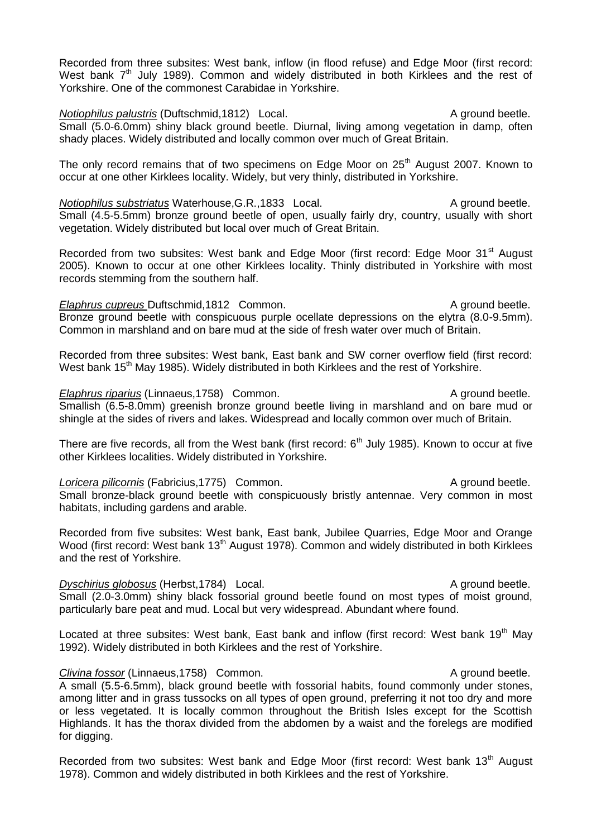Recorded from three subsites: West bank, inflow (in flood refuse) and Edge Moor (first record: West bank  $7<sup>th</sup>$  July 1989). Common and widely distributed in both Kirklees and the rest of Yorkshire. One of the commonest Carabidae in Yorkshire.

*Notiophilus palustris* (Duftschmid,1812) Local. A ground beetle. Small (5.0-6.0mm) shiny black ground beetle. Diurnal, living among vegetation in damp, often shady places. Widely distributed and locally common over much of Great Britain.

The only record remains that of two specimens on Edge Moor on 25<sup>th</sup> August 2007. Known to occur at one other Kirklees locality. Widely, but very thinly, distributed in Yorkshire.

*Notiophilus substriatus* Waterhouse, G.R., 1833 Local. A ground beetle. Small (4.5-5.5mm) bronze ground beetle of open, usually fairly dry, country, usually with short vegetation. Widely distributed but local over much of Great Britain.

Recorded from two subsites: West bank and Edge Moor (first record: Edge Moor 31<sup>st</sup> August 2005). Known to occur at one other Kirklees locality. Thinly distributed in Yorkshire with most records stemming from the southern half.

*Elaphrus cupreus* Duftschmid, 1812 Common. A ground beetle. Bronze ground beetle with conspicuous purple ocellate depressions on the elytra (8.0-9.5mm). Common in marshland and on bare mud at the side of fresh water over much of Britain.

Recorded from three subsites: West bank, East bank and SW corner overflow field (first record: West bank 15<sup>th</sup> May 1985). Widely distributed in both Kirklees and the rest of Yorkshire.

#### *Elaphrus riparius* (Linnaeus, 1758) Common. A ground beetle.

Smallish (6.5-8.0mm) greenish bronze ground beetle living in marshland and on bare mud or shingle at the sides of rivers and lakes. Widespread and locally common over much of Britain.

There are five records, all from the West bank (first record:  $6<sup>th</sup>$  July 1985). Known to occur at five other Kirklees localities. Widely distributed in Yorkshire.

#### **Loricera pilicornis (Fabricius, 1775)** Common. A ground beetle.

Small bronze-black ground beetle with conspicuously bristly antennae. Very common in most habitats, including gardens and arable.

Recorded from five subsites: West bank, East bank, Jubilee Quarries, Edge Moor and Orange Wood (first record: West bank 13<sup>th</sup> August 1978). Common and widely distributed in both Kirklees and the rest of Yorkshire.

# *Dyschirius globosus* (Herbst,1784) Local. A ground beetle.

Small (2.0-3.0mm) shiny black fossorial ground beetle found on most types of moist ground, particularly bare peat and mud. Local but very widespread. Abundant where found.

Located at three subsites: West bank, East bank and inflow (first record: West bank 19<sup>th</sup> May 1992). Widely distributed in both Kirklees and the rest of Yorkshire.

#### **Clivina fossor (Linnaeus, 1758)** Common. A ground beetle.

A small (5.5-6.5mm), black ground beetle with fossorial habits, found commonly under stones, among litter and in grass tussocks on all types of open ground, preferring it not too dry and more or less vegetated. It is locally common throughout the British Isles except for the Scottish Highlands. It has the thorax divided from the abdomen by a waist and the forelegs are modified for digging.

Recorded from two subsites: West bank and Edge Moor (first record: West bank 13<sup>th</sup> August 1978). Common and widely distributed in both Kirklees and the rest of Yorkshire.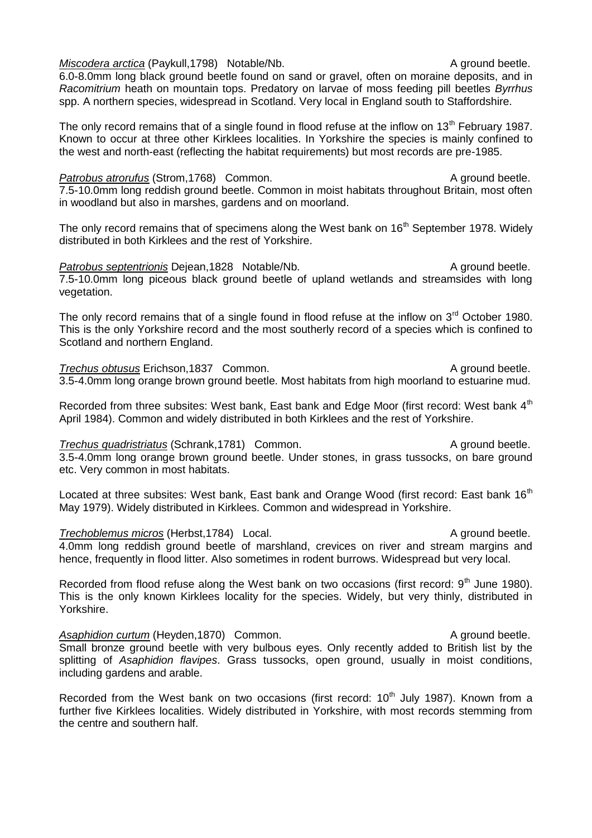*Miscodera arctica* (Paykull,1798) Notable/Nb. A ground beetle.

6.0-8.0mm long black ground beetle found on sand or gravel, often on moraine deposits, and in *Racomitrium* heath on mountain tops. Predatory on larvae of moss feeding pill beetles *Byrrhus* spp. A northern species, widespread in Scotland. Very local in England south to Staffordshire.

The only record remains that of a single found in flood refuse at the inflow on 13<sup>th</sup> February 1987. Known to occur at three other Kirklees localities. In Yorkshire the species is mainly confined to the west and north-east (reflecting the habitat requirements) but most records are pre-1985.

#### **Patrobus atrorufus (Strom, 1768)** Common. A ground beetle.

7.5-10.0mm long reddish ground beetle. Common in moist habitats throughout Britain, most often

in woodland but also in marshes, gardens and on moorland.

The only record remains that of specimens along the West bank on 16<sup>th</sup> September 1978. Widely distributed in both Kirklees and the rest of Yorkshire.

*Patrobus septentrionis* Dejean,1828 Notable/Nb. A ground beetle. 7.5-10.0mm long piceous black ground beetle of upland wetlands and streamsides with long vegetation.

The only record remains that of a single found in flood refuse at the inflow on 3<sup>rd</sup> October 1980. This is the only Yorkshire record and the most southerly record of a species which is confined to Scotland and northern England.

**Trechus obtusus Erichson,1837 Common.** A ground beetle. 3.5-4.0mm long orange brown ground beetle. Most habitats from high moorland to estuarine mud.

Recorded from three subsites: West bank, East bank and Edge Moor (first record: West bank 4<sup>th</sup> April 1984). Common and widely distributed in both Kirklees and the rest of Yorkshire.

#### **Trechus quadristriatus (Schrank, 1781)** Common. A ground beetle.

3.5-4.0mm long orange brown ground beetle. Under stones, in grass tussocks, on bare ground etc. Very common in most habitats.

Located at three subsites: West bank, East bank and Orange Wood (first record: East bank 16<sup>th</sup> May 1979). Widely distributed in Kirklees. Common and widespread in Yorkshire.

#### *Trechoblemus micros* (Herbst, 1784) Local. A ground beetle. 4.0mm long reddish ground beetle of marshland, crevices on river and stream margins and hence, frequently in flood litter. Also sometimes in rodent burrows. Widespread but very local.

Recorded from flood refuse along the West bank on two occasions (first record:  $9<sup>th</sup>$  June 1980). This is the only known Kirklees locality for the species. Widely, but very thinly, distributed in Yorkshire.

Asaphidion curtum (Heyden, 1870) Common. A ground beetle. Small bronze ground beetle with very bulbous eyes. Only recently added to British list by the splitting of *Asaphidion flavipes*. Grass tussocks, open ground, usually in moist conditions, including gardens and arable.

Recorded from the West bank on two occasions (first record:  $10<sup>th</sup>$  July 1987). Known from a further five Kirklees localities. Widely distributed in Yorkshire, with most records stemming from the centre and southern half.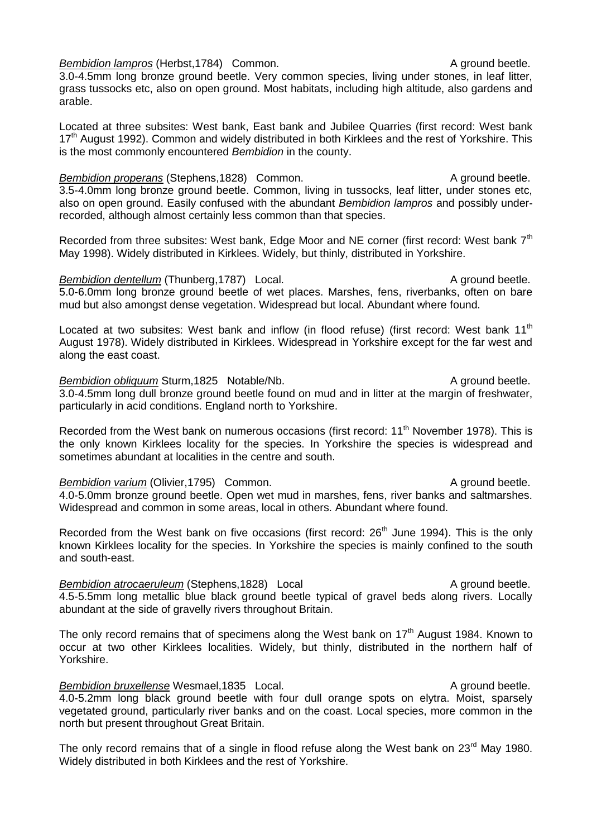*Bembidion lampros* (Herbst, 1784) Common. A ground beetle.

3.0-4.5mm long bronze ground beetle. Very common species, living under stones, in leaf litter, grass tussocks etc, also on open ground. Most habitats, including high altitude, also gardens and arable.

Located at three subsites: West bank, East bank and Jubilee Quarries (first record: West bank 17<sup>th</sup> August 1992). Common and widely distributed in both Kirklees and the rest of Yorkshire. This is the most commonly encountered *Bembidion* in the county.

*Bembidion properans* (Stephens, 1828) Common. A ground beetle. 3.5-4.0mm long bronze ground beetle. Common, living in tussocks, leaf litter, under stones etc, also on open ground. Easily confused with the abundant *Bembidion lampros* and possibly underrecorded, although almost certainly less common than that species.

Recorded from three subsites: West bank, Edge Moor and NE corner (first record: West bank 7<sup>th</sup> May 1998). Widely distributed in Kirklees. Widely, but thinly, distributed in Yorkshire.

*Bembidion dentellum* (Thunberg, 1787) Local. A ground beetle. 5.0-6.0mm long bronze ground beetle of wet places. Marshes, fens, riverbanks, often on bare mud but also amongst dense vegetation. Widespread but local. Abundant where found.

Located at two subsites: West bank and inflow (in flood refuse) (first record: West bank 11<sup>th</sup> August 1978). Widely distributed in Kirklees. Widespread in Yorkshire except for the far west and along the east coast.

*Bembidion obliquum* Sturm,1825 Notable/Nb. A ground beetle. 3.0-4.5mm long dull bronze ground beetle found on mud and in litter at the margin of freshwater, particularly in acid conditions. England north to Yorkshire.

Recorded from the West bank on numerous occasions (first record: 11<sup>th</sup> November 1978). This is the only known Kirklees locality for the species. In Yorkshire the species is widespread and sometimes abundant at localities in the centre and south.

#### *Bembidion varium* (Olivier, 1795) Common. A ground beetle.

4.0-5.0mm bronze ground beetle. Open wet mud in marshes, fens, river banks and saltmarshes. Widespread and common in some areas, local in others. Abundant where found.

Recorded from the West bank on five occasions (first record:  $26<sup>th</sup>$  June 1994). This is the only known Kirklees locality for the species. In Yorkshire the species is mainly confined to the south and south-east.

*Bembidion atrocaeruleum* (Stephens, 1828) Local **A** Ground beetle. 4.5-5.5mm long metallic blue black ground beetle typical of gravel beds along rivers. Locally abundant at the side of gravelly rivers throughout Britain.

The only record remains that of specimens along the West bank on  $17<sup>th</sup>$  August 1984. Known to occur at two other Kirklees localities. Widely, but thinly, distributed in the northern half of Yorkshire.

#### **Bembidion bruxellense Wesmael,1835 Local.** A ground beetle.

4.0-5.2mm long black ground beetle with four dull orange spots on elytra. Moist, sparsely vegetated ground, particularly river banks and on the coast. Local species, more common in the north but present throughout Great Britain.

The only record remains that of a single in flood refuse along the West bank on 23<sup>rd</sup> May 1980. Widely distributed in both Kirklees and the rest of Yorkshire.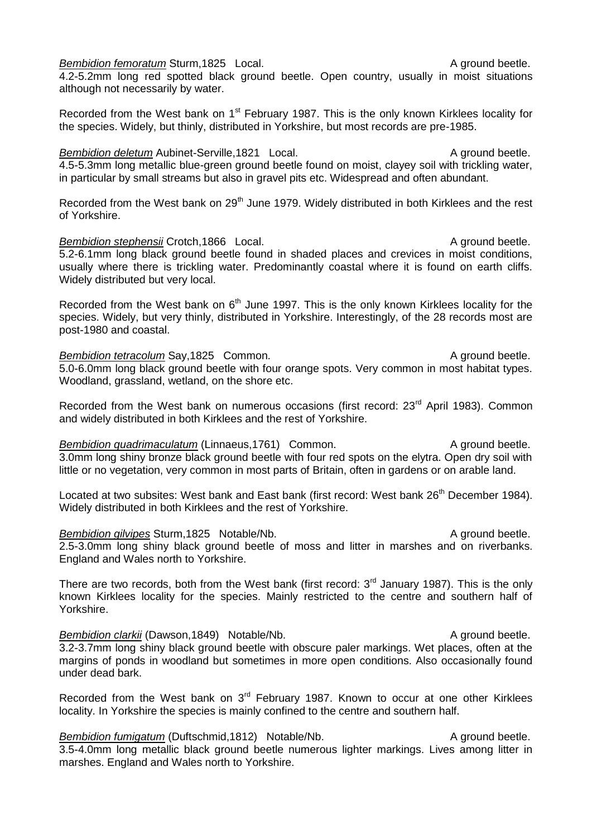*Bembidion femoratum* Sturm,1825 Local. A ground beetle.

4.2-5.2mm long red spotted black ground beetle. Open country, usually in moist situations although not necessarily by water.

Recorded from the West bank on 1<sup>st</sup> February 1987. This is the only known Kirklees locality for the species. Widely, but thinly, distributed in Yorkshire, but most records are pre-1985.

*Bembidion deletum* Aubinet-Serville,1821 Local. A ground beetle. 4.5-5.3mm long metallic blue-green ground beetle found on moist, clayey soil with trickling water, in particular by small streams but also in gravel pits etc. Widespread and often abundant.

Recorded from the West bank on 29<sup>th</sup> June 1979. Widely distributed in both Kirklees and the rest of Yorkshire.

**Bembidion stephensii Crotch,1866** Local. A ground beetle. 5.2-6.1mm long black ground beetle found in shaded places and crevices in moist conditions, usually where there is trickling water. Predominantly coastal where it is found on earth cliffs. Widely distributed but very local.

Recorded from the West bank on  $6<sup>th</sup>$  June 1997. This is the only known Kirklees locality for the species. Widely, but very thinly, distributed in Yorkshire. Interestingly, of the 28 records most are post-1980 and coastal.

**Bembidion tetracolum Say,1825 Common.** A ground beetle. 5.0-6.0mm long black ground beetle with four orange spots. Very common in most habitat types. Woodland, grassland, wetland, on the shore etc.

Recorded from the West bank on numerous occasions (first record: 23<sup>rd</sup> April 1983). Common and widely distributed in both Kirklees and the rest of Yorkshire.

*Bembidion quadrimaculatum* (Linnaeus, 1761) Common. A ground beetle. 3.0mm long shiny bronze black ground beetle with four red spots on the elytra. Open dry soil with little or no vegetation, very common in most parts of Britain, often in gardens or on arable land.

Located at two subsites: West bank and East bank (first record: West bank 26<sup>th</sup> December 1984). Widely distributed in both Kirklees and the rest of Yorkshire.

*Bembidion gilvipes* Sturm,1825 Notable/Nb. A ground beetle. 2.5-3.0mm long shiny black ground beetle of moss and litter in marshes and on riverbanks. England and Wales north to Yorkshire.

There are two records, both from the West bank (first record:  $3<sup>rd</sup>$  January 1987). This is the only known Kirklees locality for the species. Mainly restricted to the centre and southern half of Yorkshire.

*Bembidion clarkii* (Dawson,1849) Notable/Nb. A ground beetle. 3.2-3.7mm long shiny black ground beetle with obscure paler markings. Wet places, often at the margins of ponds in woodland but sometimes in more open conditions. Also occasionally found under dead bark.

Recorded from the West bank on 3<sup>rd</sup> February 1987. Known to occur at one other Kirklees locality. In Yorkshire the species is mainly confined to the centre and southern half.

**Bembidion fumigatum** (Duftschmid, 1812) Notable/Nb. A ground beetle. 3.5-4.0mm long metallic black ground beetle numerous lighter markings. Lives among litter in marshes. England and Wales north to Yorkshire.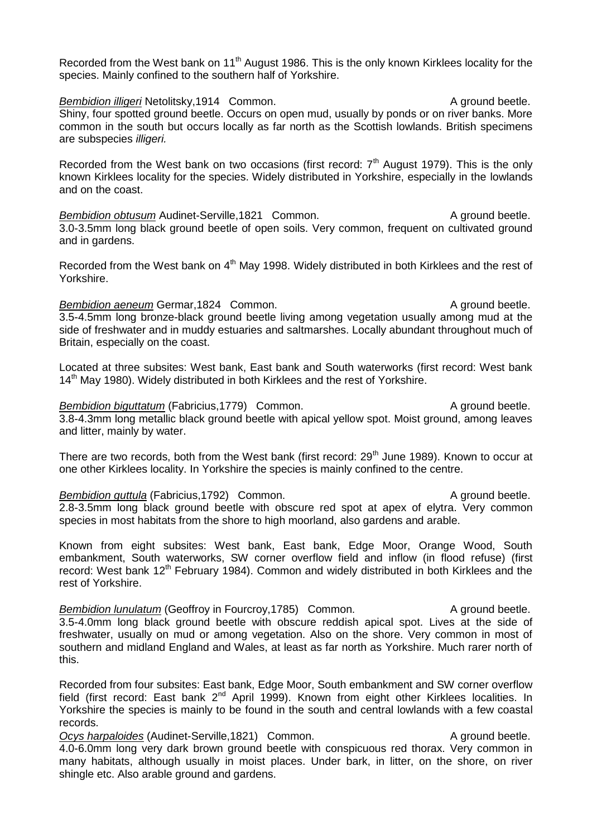Recorded from the West bank on 11<sup>th</sup> August 1986. This is the only known Kirklees locality for the species. Mainly confined to the southern half of Yorkshire.

**Bembidion illigeri** Netolitsky,1914 Common. A ground beetle. Shiny, four spotted ground beetle. Occurs on open mud, usually by ponds or on river banks. More common in the south but occurs locally as far north as the Scottish lowlands. British specimens are subspecies *illigeri.*

Recorded from the West bank on two occasions (first record:  $7<sup>th</sup>$  August 1979). This is the only known Kirklees locality for the species. Widely distributed in Yorkshire, especially in the lowlands and on the coast.

*Bembidion obtusum* Audinet-Serville,1821 Common. A ground beetle. 3.0-3.5mm long black ground beetle of open soils. Very common, frequent on cultivated ground and in gardens.

Recorded from the West bank on  $4<sup>th</sup>$  May 1998. Widely distributed in both Kirklees and the rest of Yorkshire.

**Bembidion aeneum Germar, 1824 Common.** A ground beetle. 3.5-4.5mm long bronze-black ground beetle living among vegetation usually among mud at the side of freshwater and in muddy estuaries and saltmarshes. Locally abundant throughout much of Britain, especially on the coast.

Located at three subsites: West bank, East bank and South waterworks (first record: West bank 14<sup>th</sup> May 1980). Widely distributed in both Kirklees and the rest of Yorkshire.

*Bembidion biguttatum* (Fabricius, 1779) Common. A ground beetle. 3.8-4.3mm long metallic black ground beetle with apical yellow spot. Moist ground, among leaves and litter, mainly by water.

There are two records, both from the West bank (first record: 29<sup>th</sup> June 1989). Known to occur at one other Kirklees locality. In Yorkshire the species is mainly confined to the centre.

*Bembidion guttula* (Fabricius,1792) Common. A ground beetle. 2.8-3.5mm long black ground beetle with obscure red spot at apex of elytra. Very common species in most habitats from the shore to high moorland, also gardens and arable.

Known from eight subsites: West bank, East bank, Edge Moor, Orange Wood, South embankment, South waterworks, SW corner overflow field and inflow (in flood refuse) (first record: West bank 12<sup>th</sup> February 1984). Common and widely distributed in both Kirklees and the rest of Yorkshire.

*Bembidion lunulatum* (Geoffroy in Fourcroy, 1785) Common. A ground beetle. 3.5-4.0mm long black ground beetle with obscure reddish apical spot. Lives at the side of freshwater, usually on mud or among vegetation. Also on the shore. Very common in most of southern and midland England and Wales, at least as far north as Yorkshire. Much rarer north of this.

Recorded from four subsites: East bank, Edge Moor, South embankment and SW corner overflow field (first record: East bank  $2^{nd}$  April 1999). Known from eight other Kirklees localities. In Yorkshire the species is mainly to be found in the south and central lowlands with a few coastal records.

**Ocys harpaloides** (Audinet-Serville,1821) Common. A ground beetle. 4.0-6.0mm long very dark brown ground beetle with conspicuous red thorax. Very common in many habitats, although usually in moist places. Under bark, in litter, on the shore, on river shingle etc. Also arable ground and gardens.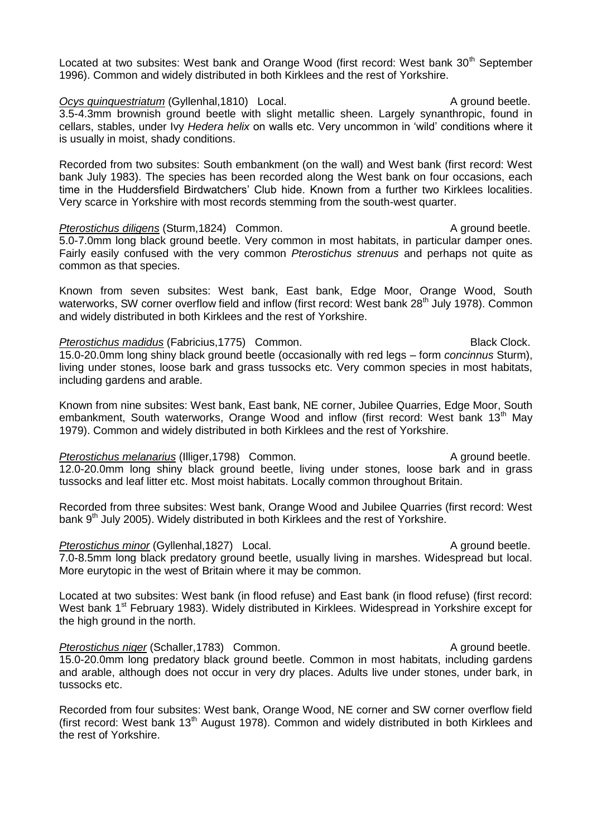Located at two subsites: West bank and Orange Wood (first record: West bank 30<sup>th</sup> September 1996). Common and widely distributed in both Kirklees and the rest of Yorkshire.

**Ocys quinquestriatum** (Gyllenhal,1810) Local. A ground beetle. 3.5-4.3mm brownish ground beetle with slight metallic sheen. Largely synanthropic, found in cellars, stables, under Ivy *Hedera helix* on walls etc. Very uncommon in 'wild' conditions where it is usually in moist, shady conditions.

Recorded from two subsites: South embankment (on the wall) and West bank (first record: West bank July 1983). The species has been recorded along the West bank on four occasions, each time in the Huddersfield Birdwatchers' Club hide. Known from a further two Kirklees localities. Very scarce in Yorkshire with most records stemming from the south-west quarter.

#### *Pterostichus diligens* (Sturm,1824) Common. A ground beetle. 5.0-7.0mm long black ground beetle. Very common in most habitats, in particular damper ones. Fairly easily confused with the very common *Pterostichus strenuus* and perhaps not quite as common as that species.

Known from seven subsites: West bank, East bank, Edge Moor, Orange Wood, South waterworks, SW corner overflow field and inflow (first record: West bank 28<sup>th</sup> July 1978). Common and widely distributed in both Kirklees and the rest of Yorkshire.

#### Pterostichus madidus (Fabricius, 1775) Common. **Black Clock.** Black Clock.

15.0-20.0mm long shiny black ground beetle (occasionally with red legs – form *concinnus* Sturm), living under stones, loose bark and grass tussocks etc. Very common species in most habitats, including gardens and arable.

Known from nine subsites: West bank, East bank, NE corner, Jubilee Quarries, Edge Moor, South embankment, South waterworks, Orange Wood and inflow (first record: West bank 13<sup>th</sup> May 1979). Common and widely distributed in both Kirklees and the rest of Yorkshire.

### *Pterostichus melanarius* (Illiger,1798) Common. A ground beetle.

# 12.0-20.0mm long shiny black ground beetle, living under stones, loose bark and in grass tussocks and leaf litter etc. Most moist habitats. Locally common throughout Britain.

Recorded from three subsites: West bank, Orange Wood and Jubilee Quarries (first record: West bank 9<sup>th</sup> July 2005). Widely distributed in both Kirklees and the rest of Yorkshire.

### *Pterostichus minor* (Gyllenhal,1827) Local. A ground beetle.

7.0-8.5mm long black predatory ground beetle, usually living in marshes. Widespread but local. More eurytopic in the west of Britain where it may be common.

Located at two subsites: West bank (in flood refuse) and East bank (in flood refuse) (first record: West bank 1<sup>st</sup> February 1983). Widely distributed in Kirklees. Widespread in Yorkshire except for the high ground in the north.

*Pterostichus niger* (Schaller, 1783) Common. A ground beetle. 15.0-20.0mm long predatory black ground beetle. Common in most habitats, including gardens and arable, although does not occur in very dry places. Adults live under stones, under bark, in tussocks etc.

Recorded from four subsites: West bank, Orange Wood, NE corner and SW corner overflow field (first record: West bank 13<sup>th</sup> August 1978). Common and widely distributed in both Kirklees and the rest of Yorkshire.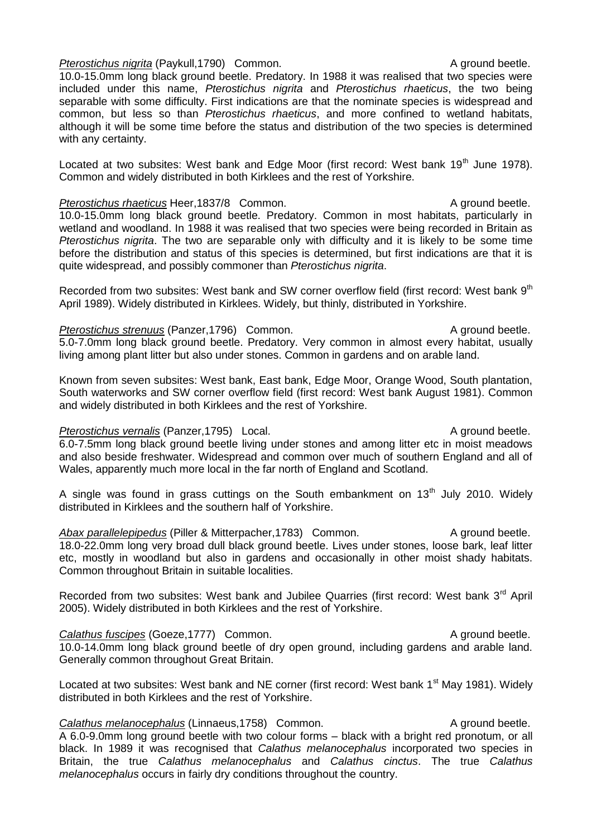#### *Pterostichus nigrita* (Paykull, 1790) Common. A ground beetle.

10.0-15.0mm long black ground beetle. Predatory. In 1988 it was realised that two species were included under this name, *Pterostichus nigrita* and *Pterostichus rhaeticus*, the two being separable with some difficulty. First indications are that the nominate species is widespread and common, but less so than *Pterostichus rhaeticus*, and more confined to wetland habitats, although it will be some time before the status and distribution of the two species is determined with any certainty.

Located at two subsites: West bank and Edge Moor (first record: West bank 19<sup>th</sup> June 1978). Common and widely distributed in both Kirklees and the rest of Yorkshire.

#### *Pterostichus rhaeticus* Heer, 1837/8 Common. A ground beetle.

10.0-15.0mm long black ground beetle. Predatory. Common in most habitats, particularly in wetland and woodland. In 1988 it was realised that two species were being recorded in Britain as *Pterostichus nigrita*. The two are separable only with difficulty and it is likely to be some time before the distribution and status of this species is determined, but first indications are that it is quite widespread, and possibly commoner than *Pterostichus nigrita*.

Recorded from two subsites: West bank and SW corner overflow field (first record: West bank 9<sup>th</sup>) April 1989). Widely distributed in Kirklees. Widely, but thinly, distributed in Yorkshire.

#### *Pterostichus strenuus* (Panzer, 1796) Common. A ground beetle.

5.0-7.0mm long black ground beetle. Predatory. Very common in almost every habitat, usually living among plant litter but also under stones. Common in gardens and on arable land.

Known from seven subsites: West bank, East bank, Edge Moor, Orange Wood, South plantation, South waterworks and SW corner overflow field (first record: West bank August 1981). Common and widely distributed in both Kirklees and the rest of Yorkshire.

# *Pterostichus vernalis* (Panzer, 1795) Local. A ground beetle.

6.0-7.5mm long black ground beetle living under stones and among litter etc in moist meadows and also beside freshwater. Widespread and common over much of southern England and all of Wales, apparently much more local in the far north of England and Scotland.

A single was found in grass cuttings on the South embankment on  $13<sup>th</sup>$  July 2010. Widely distributed in Kirklees and the southern half of Yorkshire.

Abax parallelepipedus (Piller & Mitterpacher, 1783) Common. A ground beetle. 18.0-22.0mm long very broad dull black ground beetle. Lives under stones, loose bark, leaf litter etc, mostly in woodland but also in gardens and occasionally in other moist shady habitats. Common throughout Britain in suitable localities.

Recorded from two subsites: West bank and Jubilee Quarries (first record: West bank 3<sup>rd</sup> April 2005). Widely distributed in both Kirklees and the rest of Yorkshire.

# **Calathus fuscipes** (Goeze, 1777) Common. Calathus **A** ground beetle.

10.0-14.0mm long black ground beetle of dry open ground, including gardens and arable land. Generally common throughout Great Britain.

Located at two subsites: West bank and NE corner (first record: West bank 1<sup>st</sup> May 1981). Widely distributed in both Kirklees and the rest of Yorkshire.

# **Calathus melanocephalus** (Linnaeus, 1758) Common. A ground beetle.

A 6.0-9.0mm long ground beetle with two colour forms – black with a bright red pronotum, or all black. In 1989 it was recognised that *Calathus melanocephalus* incorporated two species in Britain, the true *Calathus melanocephalus* and *Calathus cinctus*. The true *Calathus melanocephalus* occurs in fairly dry conditions throughout the country.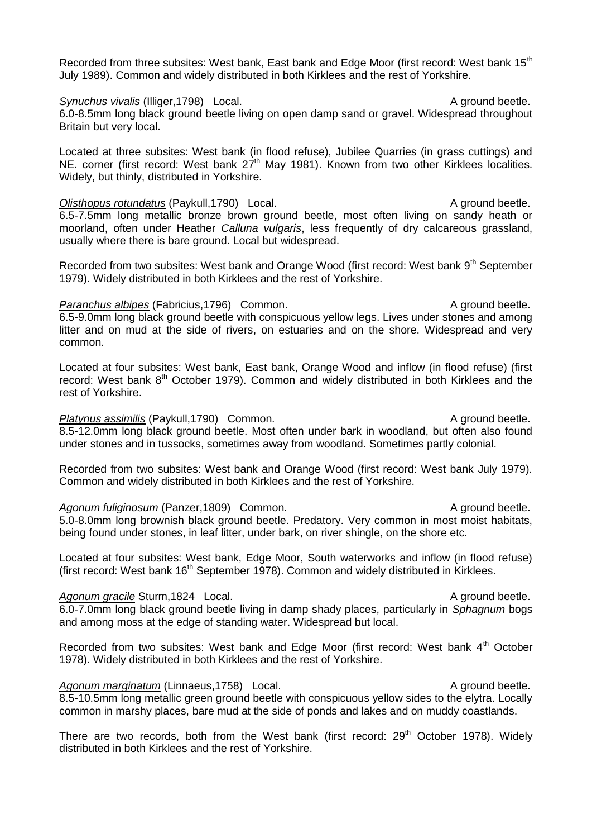Recorded from three subsites: West bank, East bank and Edge Moor (first record: West bank 15<sup>th</sup>) July 1989). Common and widely distributed in both Kirklees and the rest of Yorkshire.

**Synuchus vivalis** (Illiger,1798) Local. A ground beetle. 6.0-8.5mm long black ground beetle living on open damp sand or gravel. Widespread throughout Britain but very local.

Located at three subsites: West bank (in flood refuse), Jubilee Quarries (in grass cuttings) and NE. corner (first record: West bank  $27<sup>th</sup>$  May 1981). Known from two other Kirklees localities. Widely, but thinly, distributed in Yorkshire.

*Olisthopus rotundatus* (Paykull,1790) Local. A ground beetle. 6.5-7.5mm long metallic bronze brown ground beetle, most often living on sandy heath or moorland, often under Heather *Calluna vulgaris*, less frequently of dry calcareous grassland, usually where there is bare ground. Local but widespread.

Recorded from two subsites: West bank and Orange Wood (first record: West bank 9<sup>th</sup> September 1979). Widely distributed in both Kirklees and the rest of Yorkshire.

# *Paranchus albipes* (Fabricius,1796) Common. A ground beetle.

6.5-9.0mm long black ground beetle with conspicuous yellow legs. Lives under stones and among litter and on mud at the side of rivers, on estuaries and on the shore. Widespread and very common.

Located at four subsites: West bank, East bank, Orange Wood and inflow (in flood refuse) (first record: West bank 8<sup>th</sup> October 1979). Common and widely distributed in both Kirklees and the rest of Yorkshire.

*Platynus assimilis* (Paykull,1790) Common. A ground beetle. 8.5-12.0mm long black ground beetle. Most often under bark in woodland, but often also found under stones and in tussocks, sometimes away from woodland. Sometimes partly colonial.

Recorded from two subsites: West bank and Orange Wood (first record: West bank July 1979). Common and widely distributed in both Kirklees and the rest of Yorkshire.

Agonum fuliginosum (Panzer,1809) Common. A ground beetle. 5.0-8.0mm long brownish black ground beetle. Predatory. Very common in most moist habitats, being found under stones, in leaf litter, under bark, on river shingle, on the shore etc.

Located at four subsites: West bank, Edge Moor, South waterworks and inflow (in flood refuse) (first record: West bank  $16<sup>th</sup>$  September 1978). Common and widely distributed in Kirklees.

Agonum gracile Sturm,1824 Local. A ground beetle. 6.0-7.0mm long black ground beetle living in damp shady places, particularly in *Sphagnum* bogs and among moss at the edge of standing water. Widespread but local.

Recorded from two subsites: West bank and Edge Moor (first record: West bank 4<sup>th</sup> October 1978). Widely distributed in both Kirklees and the rest of Yorkshire.

### Agonum marginatum (Linnaeus, 1758) Local. A ground beetle.

8.5-10.5mm long metallic green ground beetle with conspicuous yellow sides to the elytra. Locally

There are two records, both from the West bank (first record:  $29<sup>th</sup>$  October 1978). Widely distributed in both Kirklees and the rest of Yorkshire.

common in marshy places, bare mud at the side of ponds and lakes and on muddy coastlands.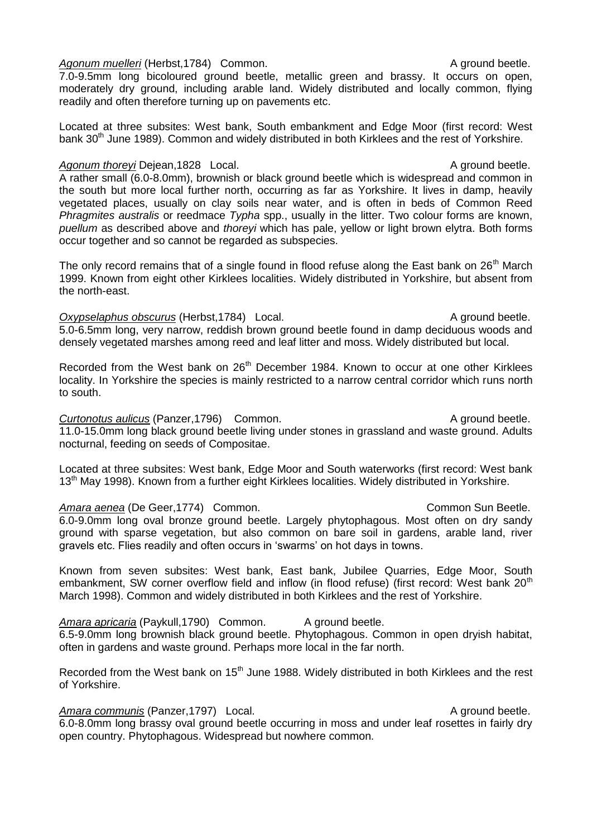7.0-9.5mm long bicoloured ground beetle, metallic green and brassy. It occurs on open, moderately dry ground, including arable land. Widely distributed and locally common, flying readily and often therefore turning up on pavements etc.

Located at three subsites: West bank, South embankment and Edge Moor (first record: West bank 30<sup>th</sup> June 1989). Common and widely distributed in both Kirklees and the rest of Yorkshire.

# Agonum thoreyi Dejean, 1828 Local. A ground beetle.

A rather small (6.0-8.0mm), brownish or black ground beetle which is widespread and common in the south but more local further north, occurring as far as Yorkshire. It lives in damp, heavily vegetated places, usually on clay soils near water, and is often in beds of Common Reed *Phragmites australis* or reedmace *Typha* spp., usually in the litter. Two colour forms are known, *puellum* as described above and *thoreyi* which has pale, yellow or light brown elytra. Both forms occur together and so cannot be regarded as subspecies.

The only record remains that of a single found in flood refuse along the East bank on 26<sup>th</sup> March 1999. Known from eight other Kirklees localities. Widely distributed in Yorkshire, but absent from the north-east.

*Oxypselaphus obscurus* (Herbst, 1784) Local. A ground beetle. 5.0-6.5mm long, very narrow, reddish brown ground beetle found in damp deciduous woods and densely vegetated marshes among reed and leaf litter and moss. Widely distributed but local.

Recorded from the West bank on 26<sup>th</sup> December 1984. Known to occur at one other Kirklees locality. In Yorkshire the species is mainly restricted to a narrow central corridor which runs north to south.

# **Curtonotus aulicus** (Panzer, 1796) Common. Curtonotus A ground beetle.

11.0-15.0mm long black ground beetle living under stones in grassland and waste ground. Adults nocturnal, feeding on seeds of Compositae.

Located at three subsites: West bank, Edge Moor and South waterworks (first record: West bank 13<sup>th</sup> May 1998). Known from a further eight Kirklees localities. Widely distributed in Yorkshire.

# Amara aenea (De Geer, 1774) Common. **Common Sun Beetle.** Common Sun Beetle.

6.0-9.0mm long oval bronze ground beetle. Largely phytophagous. Most often on dry sandy ground with sparse vegetation, but also common on bare soil in gardens, arable land, river gravels etc. Flies readily and often occurs in 'swarms' on hot days in towns.

Known from seven subsites: West bank, East bank, Jubilee Quarries, Edge Moor, South embankment. SW corner overflow field and inflow (in flood refuse) (first record: West bank 20<sup>th</sup> March 1998). Common and widely distributed in both Kirklees and the rest of Yorkshire.

Amara apricaria (Paykull,1790) Common. A ground beetle. 6.5-9.0mm long brownish black ground beetle. Phytophagous. Common in open dryish habitat, often in gardens and waste ground. Perhaps more local in the far north.

Recorded from the West bank on 15<sup>th</sup> June 1988. Widely distributed in both Kirklees and the rest of Yorkshire.

# Amara communis (Panzer, 1797) Local. A ground beetle.

6.0-8.0mm long brassy oval ground beetle occurring in moss and under leaf rosettes in fairly dry open country. Phytophagous. Widespread but nowhere common.

# Agonum muelleri (Herbst,1784) Common. A ground beetle.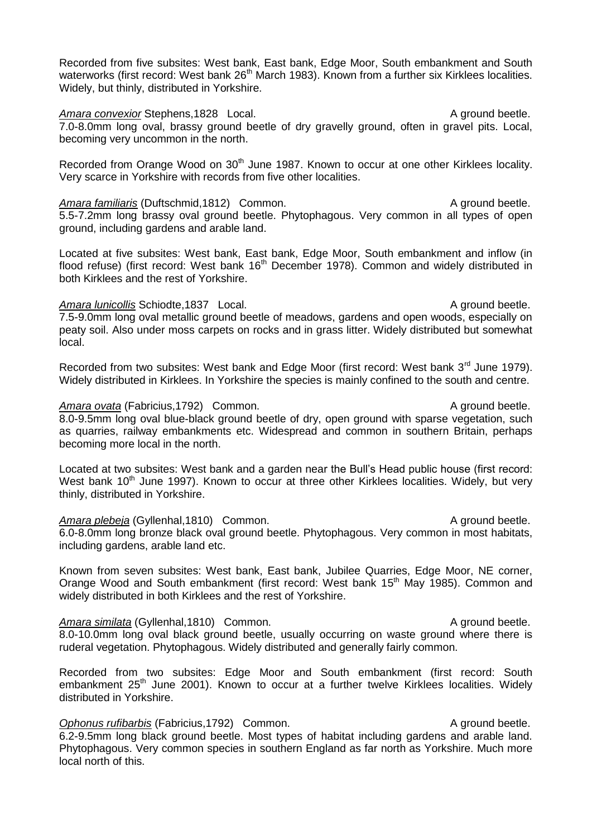Recorded from five subsites: West bank, East bank, Edge Moor, South embankment and South waterworks (first record: West bank 26<sup>th</sup> March 1983). Known from a further six Kirklees localities. Widely, but thinly, distributed in Yorkshire.

Amara convexior Stephens,1828 Local. A ground beetle. 7.0-8.0mm long oval, brassy ground beetle of dry gravelly ground, often in gravel pits. Local, becoming very uncommon in the north.

Recorded from Orange Wood on 30<sup>th</sup> June 1987. Known to occur at one other Kirklees locality. Very scarce in Yorkshire with records from five other localities.

*Amara familiaris* (Duftschmid, 1812) Common. A ground beetle. 5.5-7.2mm long brassy oval ground beetle. Phytophagous. Very common in all types of open ground, including gardens and arable land.

Located at five subsites: West bank, East bank, Edge Moor, South embankment and inflow (in flood refuse) (first record: West bank  $16<sup>th</sup>$  December 1978). Common and widely distributed in both Kirklees and the rest of Yorkshire.

#### Amara *lunicollis* Schiodte,1837 Local. A ground beetle.

7.5-9.0mm long oval metallic ground beetle of meadows, gardens and open woods, especially on peaty soil. Also under moss carpets on rocks and in grass litter. Widely distributed but somewhat local.

Recorded from two subsites: West bank and Edge Moor (first record: West bank 3<sup>rd</sup> June 1979). Widely distributed in Kirklees. In Yorkshire the species is mainly confined to the south and centre.

#### Amara ovata (Fabricius, 1792) Common. A ground beetle.

8.0-9.5mm long oval blue-black ground beetle of dry, open ground with sparse vegetation, such as quarries, railway embankments etc. Widespread and common in southern Britain, perhaps becoming more local in the north.

Located at two subsites: West bank and a garden near the Bull's Head public house (first record: West bank 10<sup>th</sup> June 1997). Known to occur at three other Kirklees localities. Widely, but very thinly, distributed in Yorkshire.

Amara plebeja (Gyllenhal,1810) Common. A ground beetle. 6.0-8.0mm long bronze black oval ground beetle. Phytophagous. Very common in most habitats, including gardens, arable land etc.

Known from seven subsites: West bank, East bank, Jubilee Quarries, Edge Moor, NE corner, Orange Wood and South embankment (first record: West bank 15<sup>th</sup> May 1985). Common and widely distributed in both Kirklees and the rest of Yorkshire.

Amara similata (Gyllenhal,1810) Common. A ground beetle. 8.0-10.0mm long oval black ground beetle, usually occurring on waste ground where there is ruderal vegetation. Phytophagous. Widely distributed and generally fairly common.

Recorded from two subsites: Edge Moor and South embankment (first record: South embankment 25<sup>th</sup> June 2001). Known to occur at a further twelve Kirklees localities. Widely distributed in Yorkshire.

#### **Ophonus rufibarbis** (Fabricius, 1792) Common. A ground beetle. 6.2-9.5mm long black ground beetle. Most types of habitat including gardens and arable land. Phytophagous. Very common species in southern England as far north as Yorkshire. Much more local north of this.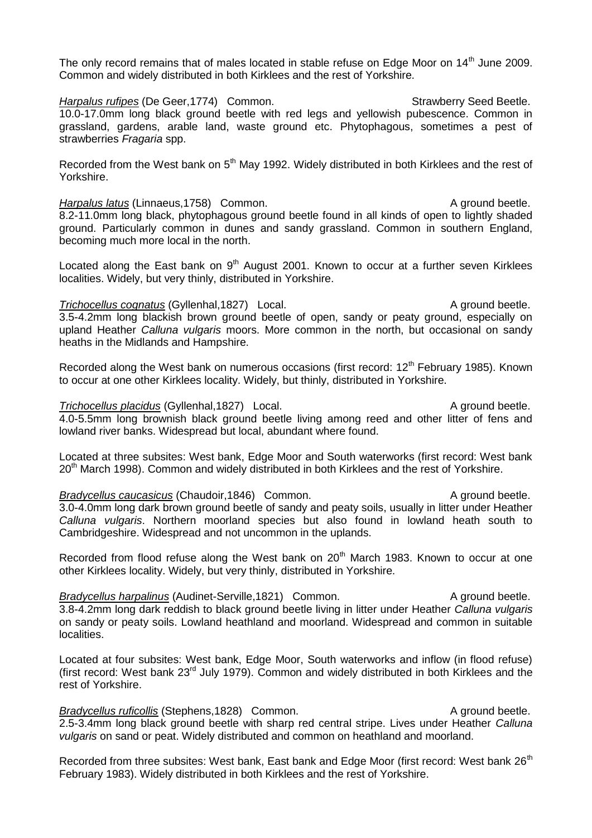The only record remains that of males located in stable refuse on Edge Moor on 14<sup>th</sup> June 2009. Common and widely distributed in both Kirklees and the rest of Yorkshire.

**Harpalus rufipes** (De Geer, 1774) Common. Strawberry Seed Beetle. 10.0-17.0mm long black ground beetle with red legs and yellowish pubescence. Common in grassland, gardens, arable land, waste ground etc. Phytophagous, sometimes a pest of strawberries *Fragaria* spp.

Recorded from the West bank on 5<sup>th</sup> May 1992. Widely distributed in both Kirklees and the rest of Yorkshire.

*Harpalus latus* (Linnaeus, 1758) Common. A ground beetle. 8.2-11.0mm long black, phytophagous ground beetle found in all kinds of open to lightly shaded ground. Particularly common in dunes and sandy grassland. Common in southern England, becoming much more local in the north.

Located along the East bank on  $9<sup>th</sup>$  August 2001. Known to occur at a further seven Kirklees localities. Widely, but very thinly, distributed in Yorkshire.

*Trichocellus cognatus* (Gyllenhal, 1827) Local. A ground beetle. 3.5-4.2mm long blackish brown ground beetle of open, sandy or peaty ground, especially on upland Heather *Calluna vulgaris* moors. More common in the north, but occasional on sandy heaths in the Midlands and Hampshire.

Recorded along the West bank on numerous occasions (first record: 12<sup>th</sup> February 1985). Known to occur at one other Kirklees locality. Widely, but thinly, distributed in Yorkshire.

#### *Trichocellus placidus* (Gyllenhal,1827) Local. A ground beetle. 4.0-5.5mm long brownish black ground beetle living among reed and other litter of fens and

lowland river banks. Widespread but local, abundant where found. Located at three subsites: West bank, Edge Moor and South waterworks (first record: West bank

 $20<sup>m</sup>$  March 1998). Common and widely distributed in both Kirklees and the rest of Yorkshire.

*Bradycellus caucasicus* (Chaudoir, 1846) Common. A ground beetle. 3.0-4.0mm long dark brown ground beetle of sandy and peaty soils, usually in litter under Heather *Calluna vulgaris*. Northern moorland species but also found in lowland heath south to Cambridgeshire. Widespread and not uncommon in the uplands.

Recorded from flood refuse along the West bank on 20<sup>th</sup> March 1983. Known to occur at one other Kirklees locality. Widely, but very thinly, distributed in Yorkshire.

**Bradycellus harpalinus** (Audinet-Serville, 1821) Common. A ground beetle. 3.8-4.2mm long dark reddish to black ground beetle living in litter under Heather *Calluna vulgaris* on sandy or peaty soils. Lowland heathland and moorland. Widespread and common in suitable localities.

Located at four subsites: West bank, Edge Moor, South waterworks and inflow (in flood refuse) (first record: West bank 23rd July 1979). Common and widely distributed in both Kirklees and the rest of Yorkshire.

**Bradycellus ruficollis** (Stephens,1828) Common. A ground beetle. 2.5-3.4mm long black ground beetle with sharp red central stripe. Lives under Heather *Calluna vulgaris* on sand or peat. Widely distributed and common on heathland and moorland.

Recorded from three subsites: West bank, East bank and Edge Moor (first record: West bank 26<sup>th</sup>) February 1983). Widely distributed in both Kirklees and the rest of Yorkshire.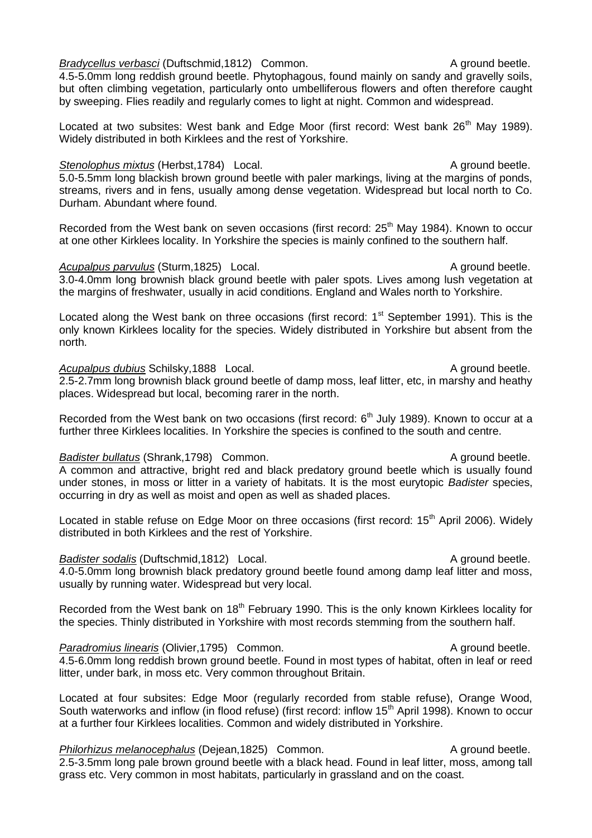*Bradycellus verbasci* (Duftschmid, 1812) Common. A ground beetle. 4.5-5.0mm long reddish ground beetle. Phytophagous, found mainly on sandy and gravelly soils, but often climbing vegetation, particularly onto umbelliferous flowers and often therefore caught by sweeping. Flies readily and regularly comes to light at night. Common and widespread.

Located at two subsites: West bank and Edge Moor (first record: West bank 26<sup>th</sup> May 1989). Widely distributed in both Kirklees and the rest of Yorkshire.

#### **Stenolophus mixtus** (Herbst,1784) Local. A ground beetle.

5.0-5.5mm long blackish brown ground beetle with paler markings, living at the margins of ponds, streams, rivers and in fens, usually among dense vegetation. Widespread but local north to Co. Durham. Abundant where found.

Recorded from the West bank on seven occasions (first record: 25<sup>th</sup> May 1984). Known to occur at one other Kirklees locality. In Yorkshire the species is mainly confined to the southern half.

#### Acupalpus parvulus (Sturm, 1825) Local. A ground beetle.

3.0-4.0mm long brownish black ground beetle with paler spots. Lives among lush vegetation at the margins of freshwater, usually in acid conditions. England and Wales north to Yorkshire.

Located along the West bank on three occasions (first record:  $1<sup>st</sup>$  September 1991). This is the only known Kirklees locality for the species. Widely distributed in Yorkshire but absent from the north.

### Acupalpus dubius Schilsky,1888 Local. A ground beetle.

2.5-2.7mm long brownish black ground beetle of damp moss, leaf litter, etc, in marshy and heathy places. Widespread but local, becoming rarer in the north.

Recorded from the West bank on two occasions (first record:  $6<sup>th</sup>$  July 1989). Known to occur at a further three Kirklees localities. In Yorkshire the species is confined to the south and centre.

### **Badister bullatus** (Shrank,1798) Common. A ground beetle.

A common and attractive, bright red and black predatory ground beetle which is usually found under stones, in moss or litter in a variety of habitats. It is the most eurytopic *Badister* species, occurring in dry as well as moist and open as well as shaded places.

Located in stable refuse on Edge Moor on three occasions (first record: 15<sup>th</sup> April 2006). Widely distributed in both Kirklees and the rest of Yorkshire.

#### *Badister sodalis* (Duftschmid,1812) Local. A ground beetle.

4.0-5.0mm long brownish black predatory ground beetle found among damp leaf litter and moss, usually by running water. Widespread but very local.

Recorded from the West bank on 18<sup>th</sup> February 1990. This is the only known Kirklees locality for the species. Thinly distributed in Yorkshire with most records stemming from the southern half.

#### *Paradromius linearis* (Olivier, 1795) Common. A ground beetle.

4.5-6.0mm long reddish brown ground beetle. Found in most types of habitat, often in leaf or reed litter, under bark, in moss etc. Very common throughout Britain.

Located at four subsites: Edge Moor (regularly recorded from stable refuse), Orange Wood, South waterworks and inflow (in flood refuse) (first record: inflow 15<sup>th</sup> April 1998). Known to occur at a further four Kirklees localities. Common and widely distributed in Yorkshire.

*Philorhizus melanocephalus* (Dejean, 1825) Common. A ground beetle. 2.5-3.5mm long pale brown ground beetle with a black head. Found in leaf litter, moss, among tall grass etc. Very common in most habitats, particularly in grassland and on the coast.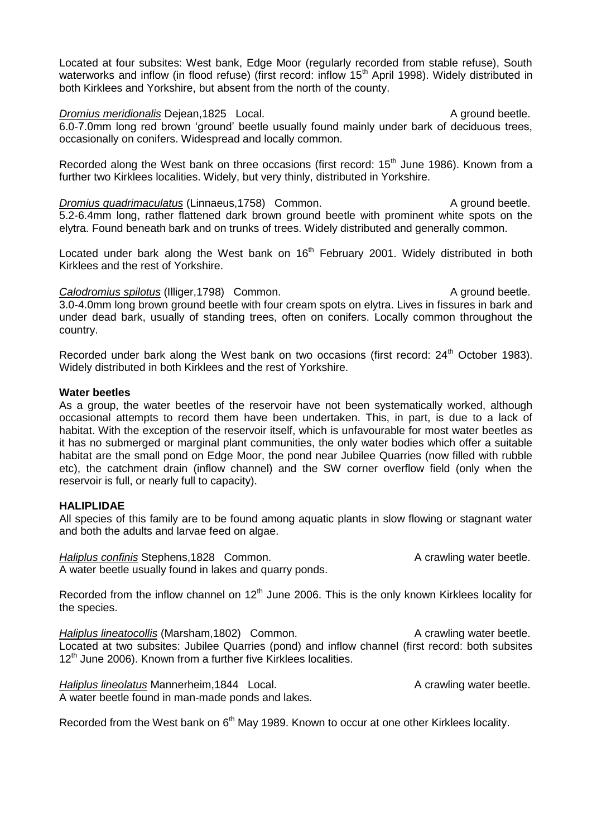Located at four subsites: West bank, Edge Moor (regularly recorded from stable refuse), South waterworks and inflow (in flood refuse) (first record: inflow 15<sup>th</sup> April 1998). Widely distributed in both Kirklees and Yorkshire, but absent from the north of the county.

*Dromius meridionalis* Dejean,1825 Local. A ground beetle. 6.0-7.0mm long red brown 'ground' beetle usually found mainly under bark of deciduous trees, occasionally on conifers. Widespread and locally common.

Recorded along the West bank on three occasions (first record: 15<sup>th</sup> June 1986). Known from a further two Kirklees localities. Widely, but very thinly, distributed in Yorkshire.

*Dromius quadrimaculatus* (Linnaeus, 1758) Common. A ground beetle. 5.2-6.4mm long, rather flattened dark brown ground beetle with prominent white spots on the elytra. Found beneath bark and on trunks of trees. Widely distributed and generally common.

Located under bark along the West bank on 16<sup>th</sup> February 2001. Widely distributed in both Kirklees and the rest of Yorkshire.

*Calodromius spilotus* (Illiger, 1798) Common. A ground beetle. 3.0-4.0mm long brown ground beetle with four cream spots on elytra. Lives in fissures in bark and under dead bark, usually of standing trees, often on conifers. Locally common throughout the country.

Recorded under bark along the West bank on two occasions (first record:  $24<sup>th</sup>$  October 1983). Widely distributed in both Kirklees and the rest of Yorkshire.

#### **Water beetles**

As a group, the water beetles of the reservoir have not been systematically worked, although occasional attempts to record them have been undertaken. This, in part, is due to a lack of habitat. With the exception of the reservoir itself, which is unfavourable for most water beetles as it has no submerged or marginal plant communities, the only water bodies which offer a suitable habitat are the small pond on Edge Moor, the pond near Jubilee Quarries (now filled with rubble etc), the catchment drain (inflow channel) and the SW corner overflow field (only when the reservoir is full, or nearly full to capacity).

### **HALIPLIDAE**

All species of this family are to be found among aquatic plants in slow flowing or stagnant water and both the adults and larvae feed on algae.

*Haliplus confinis* Stephens,1828 Common. A crawling water beetle. A water beetle usually found in lakes and quarry ponds.

Recorded from the inflow channel on 12<sup>th</sup> June 2006. This is the only known Kirklees locality for the species.

*Haliplus lineatocollis* (Marsham, 1802) Common. A crawling water beetle. Located at two subsites: Jubilee Quarries (pond) and inflow channel (first record: both subsites 12<sup>th</sup> June 2006). Known from a further five Kirklees localities.

*Haliplus lineolatus* Mannerheim, 1844 Local. A crawling water beetle. A water beetle found in man-made ponds and lakes.

Recorded from the West bank on  $6<sup>th</sup>$  May 1989. Known to occur at one other Kirklees locality.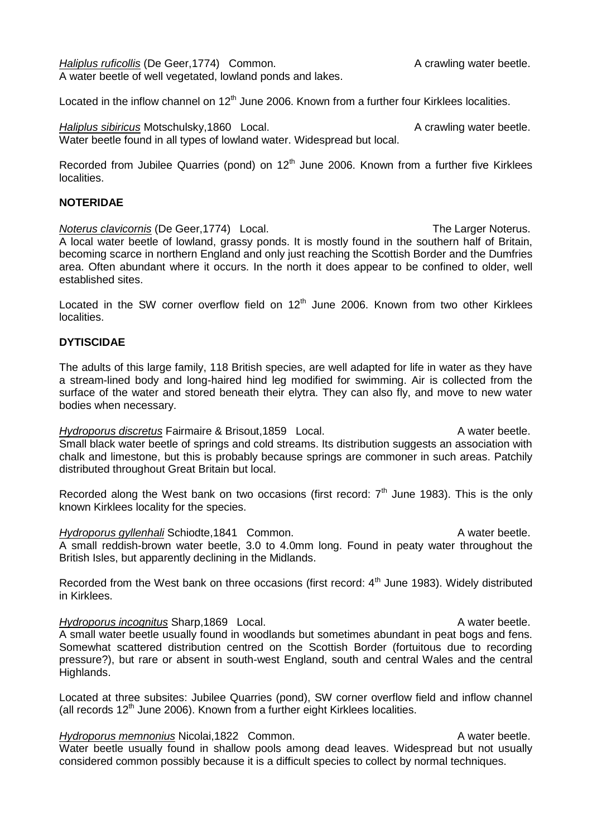*Haliplus ruficollis* (De Geer, 1774) Common. A crawling water beetle. A water beetle of well vegetated, lowland ponds and lakes.

Located in the inflow channel on  $12<sup>th</sup>$  June 2006. Known from a further four Kirklees localities.

*Haliplus sibiricus* Motschulsky, 1860 Local. A crawling water beetle. Water beetle found in all types of lowland water. Widespread but local.

Recorded from Jubilee Quarries (pond) on  $12<sup>th</sup>$  June 2006. Known from a further five Kirklees localities.

#### **NOTERIDAE**

*Noterus clavicornis* (De Geer, 1774) Local. The Larger Noterus. A local water beetle of lowland, grassy ponds. It is mostly found in the southern half of Britain, becoming scarce in northern England and only just reaching the Scottish Border and the Dumfries area. Often abundant where it occurs. In the north it does appear to be confined to older, well established sites.

Located in the SW corner overflow field on  $12<sup>th</sup>$  June 2006. Known from two other Kirklees localities.

### **DYTISCIDAE**

The adults of this large family, 118 British species, are well adapted for life in water as they have a stream-lined body and long-haired hind leg modified for swimming. Air is collected from the surface of the water and stored beneath their elytra. They can also fly, and move to new water bodies when necessary.

*Hydroporus discretus* Fairmaire & Brisout,1859 Local. A water beetle. Small black water beetle of springs and cold streams. Its distribution suggests an association with chalk and limestone, but this is probably because springs are commoner in such areas. Patchily distributed throughout Great Britain but local.

Recorded along the West bank on two occasions (first record:  $7<sup>th</sup>$  June 1983). This is the only known Kirklees locality for the species.

*Hydroporus gyllenhali* Schiodte,1841 Common. A water beetle. A small reddish-brown water beetle, 3.0 to 4.0mm long. Found in peaty water throughout the British Isles, but apparently declining in the Midlands.

Recorded from the West bank on three occasions (first record:  $4<sup>th</sup>$  June 1983). Widely distributed in Kirklees.

#### *Hydroporus incognitus* Sharp,1869 Local. A water beetle. A small water beetle usually found in woodlands but sometimes abundant in peat bogs and fens. Somewhat scattered distribution centred on the Scottish Border (fortuitous due to recording pressure?), but rare or absent in south-west England, south and central Wales and the central Highlands.

Located at three subsites: Jubilee Quarries (pond), SW corner overflow field and inflow channel (all records  $12<sup>th</sup>$  June 2006). Known from a further eight Kirklees localities.

#### *Hydroporus memnonius* Nicolai,1822 Common. A water beetle.

Water beetle usually found in shallow pools among dead leaves. Widespread but not usually considered common possibly because it is a difficult species to collect by normal techniques.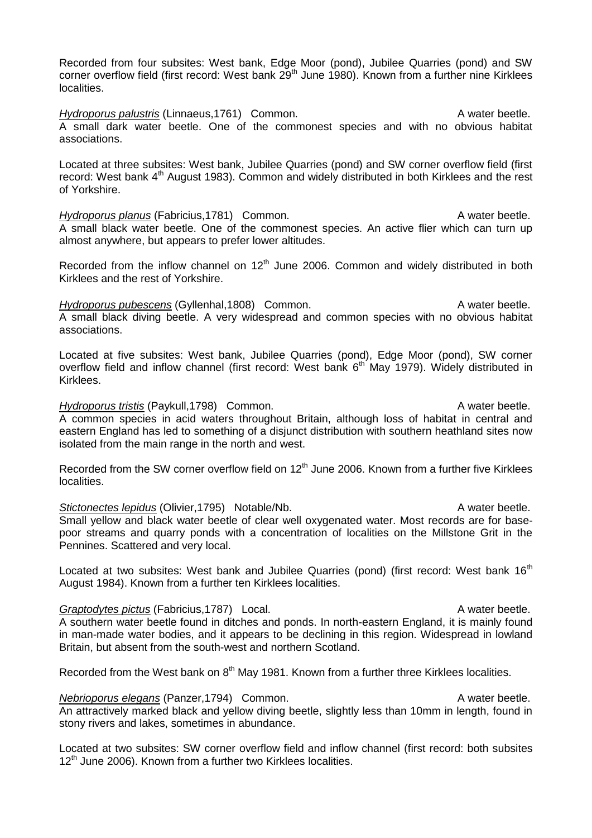Recorded from four subsites: West bank, Edge Moor (pond), Jubilee Quarries (pond) and SW corner overflow field (first record: West bank 29<sup>th</sup> June 1980). Known from a further nine Kirklees localities.

*Hydroporus palustris* (Linnaeus, 1761) Common. A water beetle. A small dark water beetle. One of the commonest species and with no obvious habitat associations.

Located at three subsites: West bank, Jubilee Quarries (pond) and SW corner overflow field (first record: West bank  $4<sup>th</sup>$  August 1983). Common and widely distributed in both Kirklees and the rest of Yorkshire.

*Hydroporus planus* (Fabricius, 1781) Common. A water beetle. A small black water beetle. One of the commonest species. An active flier which can turn up almost anywhere, but appears to prefer lower altitudes.

Recorded from the inflow channel on  $12<sup>th</sup>$  June 2006. Common and widely distributed in both Kirklees and the rest of Yorkshire.

*Hydroporus pubescens* (Gyllenhal,1808) Common. A water beetle. A small black diving beetle. A very widespread and common species with no obvious habitat associations.

Located at five subsites: West bank, Jubilee Quarries (pond), Edge Moor (pond), SW corner overflow field and inflow channel (first record: West bank 6<sup>th</sup> May 1979). Widely distributed in Kirklees.

#### *Hydroporus tristis* (Paykull,1798) Common. A water beetle.

A common species in acid waters throughout Britain, although loss of habitat in central and eastern England has led to something of a disjunct distribution with southern heathland sites now isolated from the main range in the north and west.

Recorded from the SW corner overflow field on  $12<sup>th</sup>$  June 2006. Known from a further five Kirklees localities.

**Stictonectes lepidus** (Olivier, 1795) Notable/Nb. A water beetle. Small yellow and black water beetle of clear well oxygenated water. Most records are for basepoor streams and quarry ponds with a concentration of localities on the Millstone Grit in the Pennines. Scattered and very local.

Located at two subsites: West bank and Jubilee Quarries (pond) (first record: West bank  $16<sup>th</sup>$ August 1984). Known from a further ten Kirklees localities.

#### **Graptodytes pictus** (Fabricius, 1787) Local. **A** water beetle. A southern water beetle found in ditches and ponds. In north-eastern England, it is mainly found in man-made water bodies, and it appears to be declining in this region. Widespread in lowland Britain, but absent from the south-west and northern Scotland.

Recorded from the West bank on  $8<sup>th</sup>$  May 1981. Known from a further three Kirklees localities.

*Nebrioporus elegans* (Panzer, 1794) Common. A water beetle. An attractively marked black and yellow diving beetle, slightly less than 10mm in length, found in stony rivers and lakes, sometimes in abundance.

Located at two subsites: SW corner overflow field and inflow channel (first record: both subsites  $12<sup>th</sup>$  June 2006). Known from a further two Kirklees localities.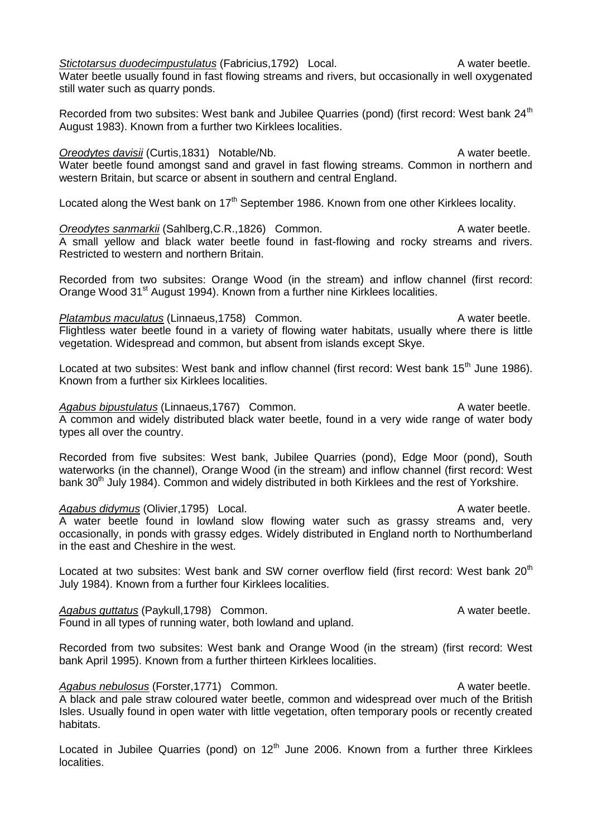*Stictotarsus duodecimpustulatus* (Fabricius, 1792) Local. A water beetle. Water beetle usually found in fast flowing streams and rivers, but occasionally in well oxygenated still water such as quarry ponds.

Recorded from two subsites: West bank and Jubilee Quarries (pond) (first record: West bank 24<sup>th</sup> August 1983). Known from a further two Kirklees localities.

*Oreodytes davisii* (Curtis,1831) Notable/Nb. A water beetle. Water beetle found amongst sand and gravel in fast flowing streams. Common in northern and western Britain, but scarce or absent in southern and central England.

Located along the West bank on  $17<sup>th</sup>$  September 1986. Known from one other Kirklees locality.

**Oreodytes sanmarkii** (Sahlberg, C.R., 1826) Common. A water beetle. A small yellow and black water beetle found in fast-flowing and rocky streams and rivers. Restricted to western and northern Britain.

Recorded from two subsites: Orange Wood (in the stream) and inflow channel (first record: Orange Wood 31<sup>st</sup> August 1994). Known from a further nine Kirklees localities.

*Platambus maculatus* (Linnaeus, 1758) Common. A water beetle. Flightless water beetle found in a variety of flowing water habitats, usually where there is little vegetation. Widespread and common, but absent from islands except Skye.

Located at two subsites: West bank and inflow channel (first record: West bank 15<sup>th</sup> June 1986). Known from a further six Kirklees localities.

Agabus bipustulatus (Linnaeus, 1767) Common. A water beetle. A common and widely distributed black water beetle, found in a very wide range of water body types all over the country.

Recorded from five subsites: West bank, Jubilee Quarries (pond), Edge Moor (pond), South waterworks (in the channel), Orange Wood (in the stream) and inflow channel (first record: West bank 30<sup>th</sup> July 1984). Common and widely distributed in both Kirklees and the rest of Yorkshire.

### Agabus didymus (Olivier, 1795) Local. A water beetle.

A water beetle found in lowland slow flowing water such as grassy streams and, very occasionally, in ponds with grassy edges. Widely distributed in England north to Northumberland in the east and Cheshire in the west.

Located at two subsites: West bank and SW corner overflow field (first record: West bank 20<sup>th</sup> July 1984). Known from a further four Kirklees localities.

Agabus guttatus (Paykull,1798) Common. A water beetle. Found in all types of running water, both lowland and upland.

Recorded from two subsites: West bank and Orange Wood (in the stream) (first record: West bank April 1995). Known from a further thirteen Kirklees localities.

Agabus nebulosus (Forster, 1771) Common. A water beetle. A black and pale straw coloured water beetle, common and widespread over much of the British Isles. Usually found in open water with little vegetation, often temporary pools or recently created habitats.

Located in Jubilee Quarries (pond) on  $12<sup>th</sup>$  June 2006. Known from a further three Kirklees localities.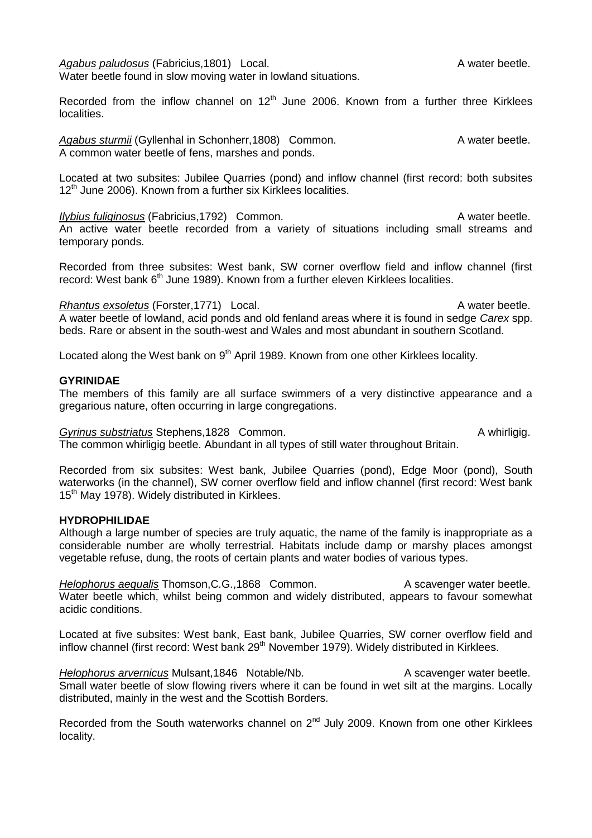Agabus paludosus (Fabricius, 1801) Local. A water beetle. Water beetle found in slow moving water in lowland situations.

Recorded from the inflow channel on  $12<sup>th</sup>$  June 2006. Known from a further three Kirklees localities.

Agabus sturmii (Gyllenhal in Schonherr,1808) Common. A water beetle. A common water beetle of fens, marshes and ponds.

Located at two subsites: Jubilee Quarries (pond) and inflow channel (first record: both subsites  $12<sup>th</sup>$  June 2006). Known from a further six Kirklees localities.

*Ilybius fuliginosus* (Fabricius, 1792) Common. A water beetle. An active water beetle recorded from a variety of situations including small streams and temporary ponds.

Recorded from three subsites: West bank, SW corner overflow field and inflow channel (first record: West bank 6<sup>th</sup> June 1989). Known from a further eleven Kirklees localities.

#### *Rhantus exsoletus* (Forster, 1771) Local. A water beetle.

A water beetle of lowland, acid ponds and old fenland areas where it is found in sedge *Carex* spp. beds. Rare or absent in the south-west and Wales and most abundant in southern Scotland.

Located along the West bank on 9<sup>th</sup> April 1989. Known from one other Kirklees locality.

#### **GYRINIDAE**

The members of this family are all surface swimmers of a very distinctive appearance and a gregarious nature, often occurring in large congregations.

**Gyrinus substriatus Stephens.1828 Common.** A whirligig.

The common whirligig beetle. Abundant in all types of still water throughout Britain.

Recorded from six subsites: West bank, Jubilee Quarries (pond), Edge Moor (pond), South waterworks (in the channel), SW corner overflow field and inflow channel (first record: West bank 15<sup>th</sup> May 1978). Widely distributed in Kirklees.

#### **HYDROPHILIDAE**

Although a large number of species are truly aquatic, the name of the family is inappropriate as a considerable number are wholly terrestrial. Habitats include damp or marshy places amongst vegetable refuse, dung, the roots of certain plants and water bodies of various types.

*Helophorus aequalis* Thomson, C.G., 1868 Common. A scavenger water beetle. Water beetle which, whilst being common and widely distributed, appears to favour somewhat acidic conditions.

Located at five subsites: West bank, East bank, Jubilee Quarries, SW corner overflow field and inflow channel (first record: West bank  $29<sup>th</sup>$  November 1979). Widely distributed in Kirklees.

*Helophorus arvernicus* Mulsant,1846 Notable/Nb. A scavenger water beetle. Small water beetle of slow flowing rivers where it can be found in wet silt at the margins. Locally distributed, mainly in the west and the Scottish Borders.

Recorded from the South waterworks channel on 2<sup>nd</sup> July 2009. Known from one other Kirklees locality.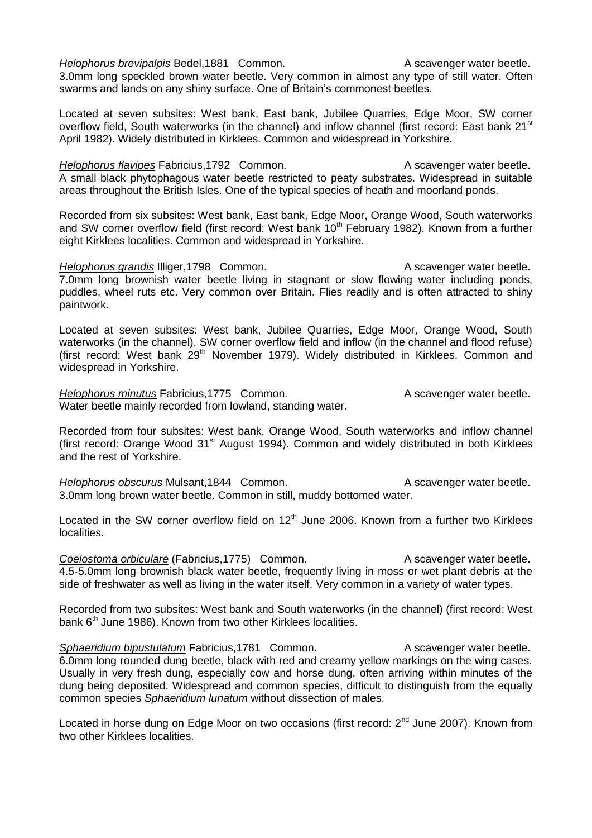*Helophorus brevipalpis* Bedel, 1881 Common. A scavenger water beetle. 3.0mm long speckled brown water beetle. Very common in almost any type of still water. Often swarms and lands on any shiny surface. One of Britain's commonest beetles.

Located at seven subsites: West bank, East bank, Jubilee Quarries, Edge Moor, SW corner overflow field, South waterworks (in the channel) and inflow channel (first record: East bank 21<sup>st</sup> April 1982). Widely distributed in Kirklees. Common and widespread in Yorkshire.

*Helophorus flavipes* Fabricius,1792 Common. A scavenger water beetle. A small black phytophagous water beetle restricted to peaty substrates. Widespread in suitable areas throughout the British Isles. One of the typical species of heath and moorland ponds.

Recorded from six subsites: West bank, East bank, Edge Moor, Orange Wood, South waterworks and SW corner overflow field (first record: West bank  $10<sup>th</sup>$  February 1982). Known from a further eight Kirklees localities. Common and widespread in Yorkshire.

*Helophorus grandis* Illiger, 1798 Common. A scavenger water beetle. 7.0mm long brownish water beetle living in stagnant or slow flowing water including ponds, puddles, wheel ruts etc. Very common over Britain. Flies readily and is often attracted to shiny paintwork.

Located at seven subsites: West bank, Jubilee Quarries, Edge Moor, Orange Wood, South waterworks (in the channel), SW corner overflow field and inflow (in the channel and flood refuse) (first record: West bank 29th November 1979). Widely distributed in Kirklees. Common and widespread in Yorkshire.

*Helophorus minutus* Fabricius,1775 Common. A scavenger water beetle. Water beetle mainly recorded from lowland, standing water.

Recorded from four subsites: West bank, Orange Wood, South waterworks and inflow channel (first record: Orange Wood 31st August 1994). Common and widely distributed in both Kirklees and the rest of Yorkshire.

*Helophorus obscurus* Mulsant, 1844 Common. A scavenger water beetle. 3.0mm long brown water beetle. Common in still, muddy bottomed water.

Located in the SW corner overflow field on  $12<sup>th</sup>$  June 2006. Known from a further two Kirklees localities.

**Coelostoma orbiculare (Fabricius, 1775)** Common. A scavenger water beetle. 4.5-5.0mm long brownish black water beetle, frequently living in moss or wet plant debris at the side of freshwater as well as living in the water itself. Very common in a variety of water types.

Recorded from two subsites: West bank and South waterworks (in the channel) (first record: West bank  $6<sup>th</sup>$  June 1986). Known from two other Kirklees localities.

**Sphaeridium bipustulatum Fabricius,1781 Common.** A scavenger water beetle. 6.0mm long rounded dung beetle, black with red and creamy yellow markings on the wing cases. Usually in very fresh dung, especially cow and horse dung, often arriving within minutes of the dung being deposited. Widespread and common species, difficult to distinguish from the equally common species *Sphaeridium lunatum* without dissection of males.

Located in horse dung on Edge Moor on two occasions (first record: 2<sup>nd</sup> June 2007). Known from two other Kirklees localities.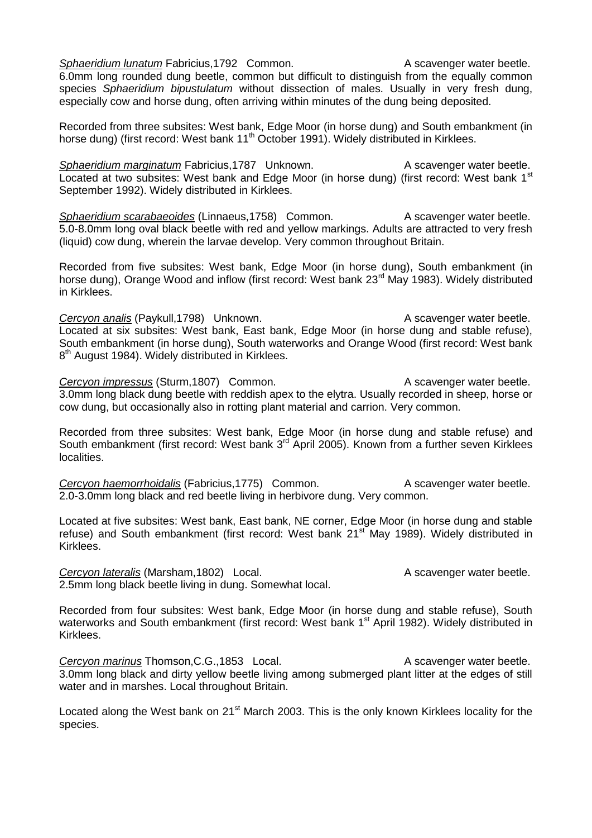**Sphaeridium lunatum Fabricius,1792 Common.** A scavenger water beetle. 6.0mm long rounded dung beetle, common but difficult to distinguish from the equally common species *Sphaeridium bipustulatum* without dissection of males. Usually in very fresh dung, especially cow and horse dung, often arriving within minutes of the dung being deposited.

Recorded from three subsites: West bank, Edge Moor (in horse dung) and South embankment (in horse dung) (first record: West bank 11<sup>th</sup> October 1991). Widely distributed in Kirklees.

**Sphaeridium marginatum Fabricius,1787** Unknown. A scavenger water beetle. Located at two subsites: West bank and Edge Moor (in horse dung) (first record: West bank 1<sup>st</sup> September 1992). Widely distributed in Kirklees.

*Sphaeridium scarabaeoides* (Linnaeus, 1758) Common. A scavenger water beetle. 5.0-8.0mm long oval black beetle with red and yellow markings. Adults are attracted to very fresh (liquid) cow dung, wherein the larvae develop. Very common throughout Britain.

Recorded from five subsites: West bank, Edge Moor (in horse dung), South embankment (in horse dung), Orange Wood and inflow (first record: West bank 23<sup>rd</sup> May 1983). Widely distributed in Kirklees.

**Cercyon analis** (Paykull,1798) Unknown. A scavenger water beetle. Located at six subsites: West bank, East bank, Edge Moor (in horse dung and stable refuse), South embankment (in horse dung), South waterworks and Orange Wood (first record: West bank 8<sup>th</sup> August 1984). Widely distributed in Kirklees.

**Cercyon impressus** (Sturm,1807) Common. A scavenger water beetle. 3.0mm long black dung beetle with reddish apex to the elytra. Usually recorded in sheep, horse or cow dung, but occasionally also in rotting plant material and carrion. Very common.

Recorded from three subsites: West bank, Edge Moor (in horse dung and stable refuse) and South embankment (first record: West bank 3<sup>rd</sup> April 2005). Known from a further seven Kirklees localities.

**Cercyon haemorrhoidalis** (Fabricius, 1775) Common. A scavenger water beetle. 2.0-3.0mm long black and red beetle living in herbivore dung. Very common.

Located at five subsites: West bank, East bank, NE corner, Edge Moor (in horse dung and stable refuse) and South embankment (first record: West bank  $21<sup>st</sup>$  May 1989). Widely distributed in Kirklees.

**Cercyon lateralis** (Marsham, 1802) Local. A scavenger water beetle. 2.5mm long black beetle living in dung. Somewhat local.

Recorded from four subsites: West bank, Edge Moor (in horse dung and stable refuse), South waterworks and South embankment (first record: West bank 1<sup>st</sup> April 1982). Widely distributed in Kirklees.

**Cercyon marinus Thomson, C.G., 1853** Local. A scavenger water beetle. 3.0mm long black and dirty yellow beetle living among submerged plant litter at the edges of still water and in marshes. Local throughout Britain.

Located along the West bank on 21<sup>st</sup> March 2003. This is the only known Kirklees locality for the species.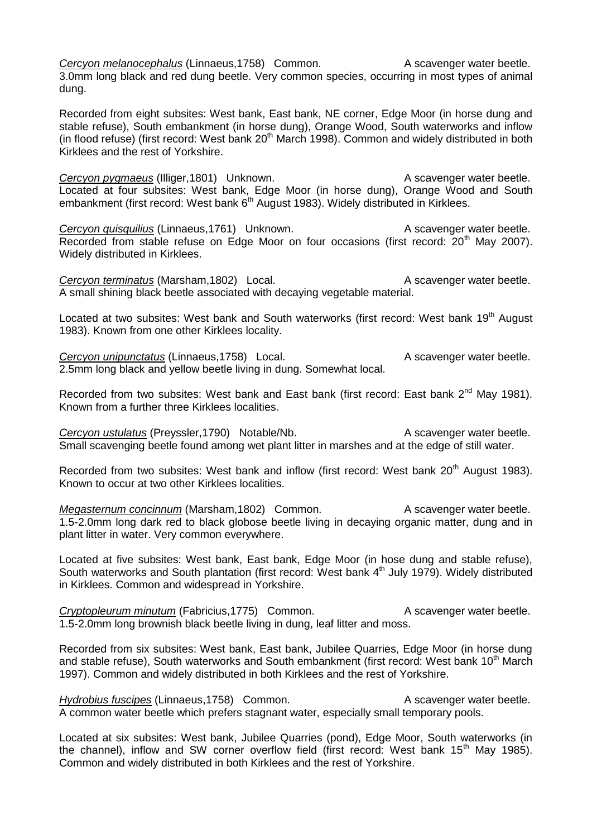**Cercyon melanocephalus (Linnaeus, 1758)** Common. A scavenger water beetle. 3.0mm long black and red dung beetle. Very common species, occurring in most types of animal dung.

Recorded from eight subsites: West bank, East bank, NE corner, Edge Moor (in horse dung and stable refuse), South embankment (in horse dung), Orange Wood, South waterworks and inflow (in flood refuse) (first record: West bank  $20<sup>th</sup>$  March 1998). Common and widely distributed in both Kirklees and the rest of Yorkshire.

**Cercyon pygmaeus** (Illiger, 1801) Unknown. A scavenger water beetle. Located at four subsites: West bank, Edge Moor (in horse dung), Orange Wood and South embankment (first record: West bank 6<sup>th</sup> August 1983). Widely distributed in Kirklees.

**Cercyon quisquilius** (Linnaeus, 1761) Unknown. A scavenger water beetle. Recorded from stable refuse on Edge Moor on four occasions (first record:  $20<sup>th</sup>$  May 2007). Widely distributed in Kirklees.

**Cercyon terminatus** (Marsham,1802) Local. A scavenger water beetle. A small shining black beetle associated with decaying vegetable material.

Located at two subsites: West bank and South waterworks (first record: West bank 19<sup>th</sup> August 1983). Known from one other Kirklees locality.

**Cercyon unipunctatus** (Linnaeus, 1758) Local. A scavenger water beetle. 2.5mm long black and yellow beetle living in dung. Somewhat local.

Recorded from two subsites: West bank and East bank (first record: East bank 2<sup>nd</sup> May 1981). Known from a further three Kirklees localities.

*Cercyon ustulatus* (Preyssler, 1790) Notable/Nb. A scavenger water beetle. Small scavenging beetle found among wet plant litter in marshes and at the edge of still water.

Recorded from two subsites: West bank and inflow (first record: West bank 20<sup>th</sup> August 1983). Known to occur at two other Kirklees localities.

*Megasternum concinnum* (Marsham, 1802) Common. A scavenger water beetle. 1.5-2.0mm long dark red to black globose beetle living in decaying organic matter, dung and in plant litter in water. Very common everywhere.

Located at five subsites: West bank, East bank, Edge Moor (in hose dung and stable refuse), South waterworks and South plantation (first record: West bank 4<sup>th</sup> July 1979). Widely distributed in Kirklees. Common and widespread in Yorkshire.

**Cryptopleurum minutum** (Fabricius, 1775) Common. A scavenger water beetle. 1.5-2.0mm long brownish black beetle living in dung, leaf litter and moss.

Recorded from six subsites: West bank, East bank, Jubilee Quarries, Edge Moor (in horse dung and stable refuse), South waterworks and South embankment (first record: West bank 10<sup>th</sup> March 1997). Common and widely distributed in both Kirklees and the rest of Yorkshire.

*Hydrobius fuscipes* (Linnaeus, 1758) Common. A scavenger water beetle. A common water beetle which prefers stagnant water, especially small temporary pools.

Located at six subsites: West bank, Jubilee Quarries (pond), Edge Moor, South waterworks (in the channel), inflow and SW corner overflow field (first record: West bank 15<sup>th</sup> May 1985). Common and widely distributed in both Kirklees and the rest of Yorkshire.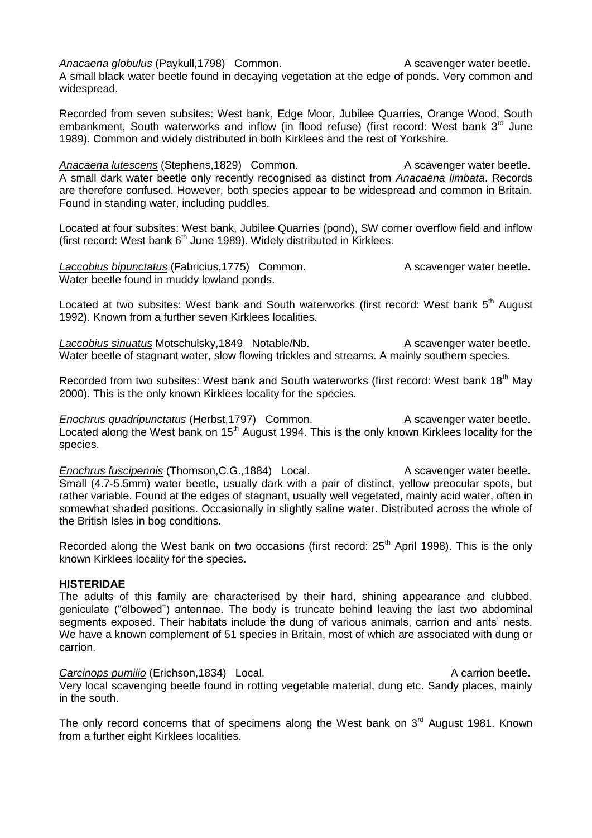*Anacaena globulus* (Paykull, 1798) Common. A scavenger water beetle.

A small black water beetle found in decaying vegetation at the edge of ponds. Very common and widespread.

Recorded from seven subsites: West bank, Edge Moor, Jubilee Quarries, Orange Wood, South embankment, South waterworks and inflow (in flood refuse) (first record: West bank 3<sup>rd</sup> June 1989). Common and widely distributed in both Kirklees and the rest of Yorkshire.

Anacaena lutescens (Stephens,1829) Common. A scavenger water beetle. A small dark water beetle only recently recognised as distinct from *Anacaena limbata*. Records are therefore confused. However, both species appear to be widespread and common in Britain. Found in standing water, including puddles.

Located at four subsites: West bank, Jubilee Quarries (pond), SW corner overflow field and inflow (first record: West bank  $6<sup>th</sup>$  June 1989). Widely distributed in Kirklees.

**Laccobius bipunctatus** (Fabricius,1775) Common. A scavenger water beetle. Water beetle found in muddy lowland ponds.

Located at two subsites: West bank and South waterworks (first record: West bank 5<sup>th</sup> August 1992). Known from a further seven Kirklees localities.

Laccobius sinuatus Motschulsky, 1849 Notable/Nb. A scavenger water beetle. Water beetle of stagnant water, slow flowing trickles and streams. A mainly southern species.

Recorded from two subsites: West bank and South waterworks (first record: West bank 18<sup>th</sup> May 2000). This is the only known Kirklees locality for the species.

*Enochrus quadripunctatus* (Herbst, 1797) Common. A scavenger water beetle. Located along the West bank on 15<sup>th</sup> August 1994. This is the only known Kirklees locality for the species.

*Enochrus fuscipennis* (Thomson, C.G., 1884) Local. A scavenger water beetle. Small (4.7-5.5mm) water beetle, usually dark with a pair of distinct, yellow preocular spots, but rather variable. Found at the edges of stagnant, usually well vegetated, mainly acid water, often in somewhat shaded positions. Occasionally in slightly saline water. Distributed across the whole of the British Isles in bog conditions.

Recorded along the West bank on two occasions (first record:  $25<sup>th</sup>$  April 1998). This is the only known Kirklees locality for the species.

#### **HISTERIDAE**

The adults of this family are characterised by their hard, shining appearance and clubbed, geniculate ("elbowed") antennae. The body is truncate behind leaving the last two abdominal segments exposed. Their habitats include the dung of various animals, carrion and ants' nests. We have a known complement of 51 species in Britain, most of which are associated with dung or carrion.

**Carcinops pumilio** (Erichson,1834) Local. A carrion beetle. Very local scavenging beetle found in rotting vegetable material, dung etc. Sandy places, mainly in the south.

The only record concerns that of specimens along the West bank on  $3<sup>rd</sup>$  August 1981. Known from a further eight Kirklees localities.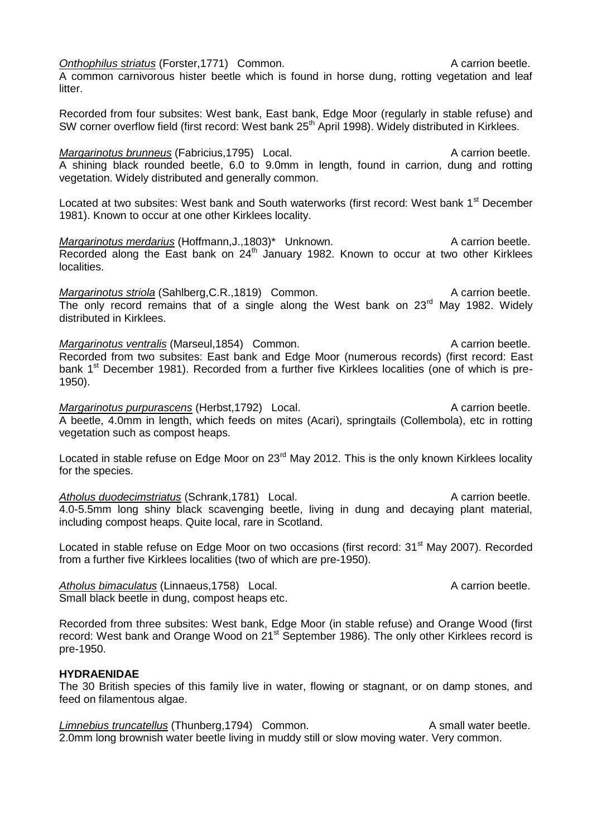**Onthophilus striatus (Forster,1771)** Common. **A carrion beetle.** A carrion beetle.

A common carnivorous hister beetle which is found in horse dung, rotting vegetation and leaf litter.

Recorded from four subsites: West bank, East bank, Edge Moor (regularly in stable refuse) and SW corner overflow field (first record: West bank 25<sup>th</sup> April 1998). Widely distributed in Kirklees.

*Margarinotus brunneus* (Fabricius, 1795) Local. A carrion beetle. A shining black rounded beetle, 6.0 to 9.0mm in length, found in carrion, dung and rotting vegetation. Widely distributed and generally common.

Located at two subsites: West bank and South waterworks (first record: West bank 1<sup>st</sup> December 1981). Known to occur at one other Kirklees locality.

*Margarinotus merdarius* (Hoffmann, J., 1803)<sup>\*</sup> Unknown. A carrion beetle. Recorded along the East bank on  $24<sup>th</sup>$  January 1982. Known to occur at two other Kirklees localities.

*Margarinotus striola* (Sahlberg, C.R., 1819) Common. A carrion beetle. The only record remains that of a single along the West bank on  $23<sup>rd</sup>$  May 1982. Widely distributed in Kirklees.

*Margarinotus ventralis* (Marseul, 1854) Common. A carrion beetle. Recorded from two subsites: East bank and Edge Moor (numerous records) (first record: East bank  $1<sup>st</sup>$  December 1981). Recorded from a further five Kirklees localities (one of which is pre-1950).

*Margarinotus purpurascens* (Herbst, 1792) Local. A carrion beetle. A beetle, 4.0mm in length, which feeds on mites (Acari), springtails (Collembola), etc in rotting vegetation such as compost heaps.

Located in stable refuse on Edge Moor on 23<sup>rd</sup> May 2012. This is the only known Kirklees locality for the species.

Atholus duodecimstriatus (Schrank,1781) Local. A carrion beetle. 4.0-5.5mm long shiny black scavenging beetle, living in dung and decaying plant material, including compost heaps. Quite local, rare in Scotland.

Located in stable refuse on Edge Moor on two occasions (first record: 31<sup>st</sup> May 2007). Recorded from a further five Kirklees localities (two of which are pre-1950).

Atholus bimaculatus (Linnaeus, 1758) Local. A carrion beetle. Small black beetle in dung, compost heaps etc.

Recorded from three subsites: West bank, Edge Moor (in stable refuse) and Orange Wood (first record: West bank and Orange Wood on 21<sup>st</sup> September 1986). The only other Kirklees record is pre-1950.

### **HYDRAENIDAE**

The 30 British species of this family live in water, flowing or stagnant, or on damp stones, and feed on filamentous algae.

*Limnebius truncatellus* (Thunberg, 1794) Common. A small water beetle. 2.0mm long brownish water beetle living in muddy still or slow moving water. Very common.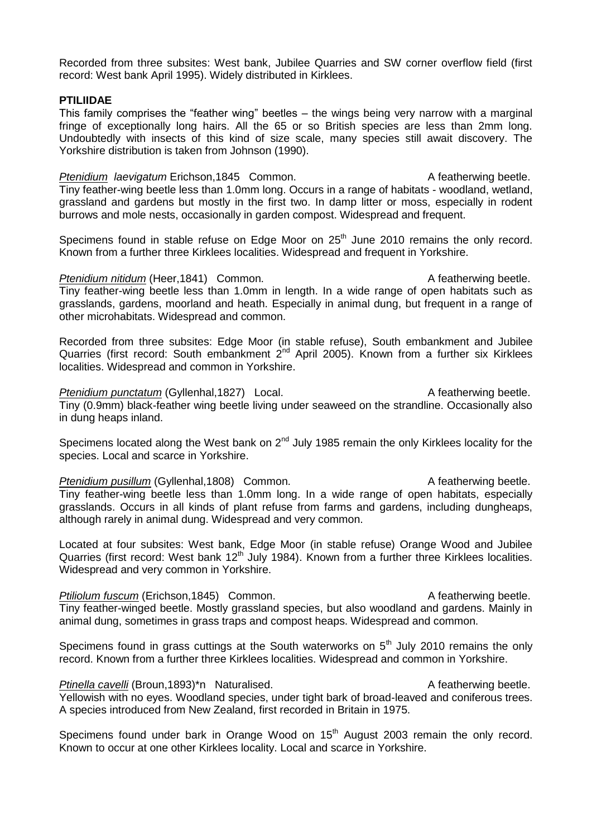Recorded from three subsites: West bank, Jubilee Quarries and SW corner overflow field (first record: West bank April 1995). Widely distributed in Kirklees.

#### **PTILIIDAE**

This family comprises the "feather wing" beetles – the wings being very narrow with a marginal fringe of exceptionally long hairs. All the 65 or so British species are less than 2mm long. Undoubtedly with insects of this kind of size scale, many species still await discovery. The Yorkshire distribution is taken from Johnson (1990).

**Ptenidium** laevigatum Erichson,1845 Common. A featherwing beetle. Tiny feather-wing beetle less than 1.0mm long. Occurs in a range of habitats - woodland, wetland, grassland and gardens but mostly in the first two. In damp litter or moss, especially in rodent burrows and mole nests, occasionally in garden compost. Widespread and frequent.

Specimens found in stable refuse on Edge Moor on  $25<sup>th</sup>$  June 2010 remains the only record. Known from a further three Kirklees localities. Widespread and frequent in Yorkshire.

*Ptenidium nitidum* (Heer, 1841) Common. A featherwing beetle. Tiny feather-wing beetle less than 1.0mm in length. In a wide range of open habitats such as grasslands, gardens, moorland and heath. Especially in animal dung, but frequent in a range of other microhabitats. Widespread and common.

Recorded from three subsites: Edge Moor (in stable refuse), South embankment and Jubilee Quarries (first record: South embankment  $2^{nd}$  April 2005). Known from a further six Kirklees localities. Widespread and common in Yorkshire.

Ptenidium punctatum (Gyllenhal,1827) Local. A featherwing beetle. Tiny (0.9mm) black-feather wing beetle living under seaweed on the strandline. Occasionally also in dung heaps inland.

Specimens located along the West bank on  $2<sup>nd</sup>$  July 1985 remain the only Kirklees locality for the species. Local and scarce in Yorkshire.

**Ptenidium pusillum (Gyllenhal,1808)** Common. A featherwing beetle. Tiny feather-wing beetle less than 1.0mm long. In a wide range of open habitats, especially grasslands. Occurs in all kinds of plant refuse from farms and gardens, including dungheaps, although rarely in animal dung. Widespread and very common.

Located at four subsites: West bank, Edge Moor (in stable refuse) Orange Wood and Jubilee Quarries (first record: West bank  $12<sup>th</sup>$  July 1984). Known from a further three Kirklees localities. Widespread and very common in Yorkshire.

**Ptiliolum fuscum** (Erichson,1845) Common. A featherwing beetle. Tiny feather-winged beetle. Mostly grassland species, but also woodland and gardens. Mainly in animal dung, sometimes in grass traps and compost heaps. Widespread and common.

Specimens found in grass cuttings at the South waterworks on  $5<sup>th</sup>$  July 2010 remains the only record. Known from a further three Kirklees localities. Widespread and common in Yorkshire.

*Ptinella cavelli* (Broun,1893)\*n Naturalised. A featherwing beetle. Yellowish with no eyes. Woodland species, under tight bark of broad-leaved and coniferous trees. A species introduced from New Zealand, first recorded in Britain in 1975.

Specimens found under bark in Orange Wood on 15<sup>th</sup> August 2003 remain the only record. Known to occur at one other Kirklees locality. Local and scarce in Yorkshire.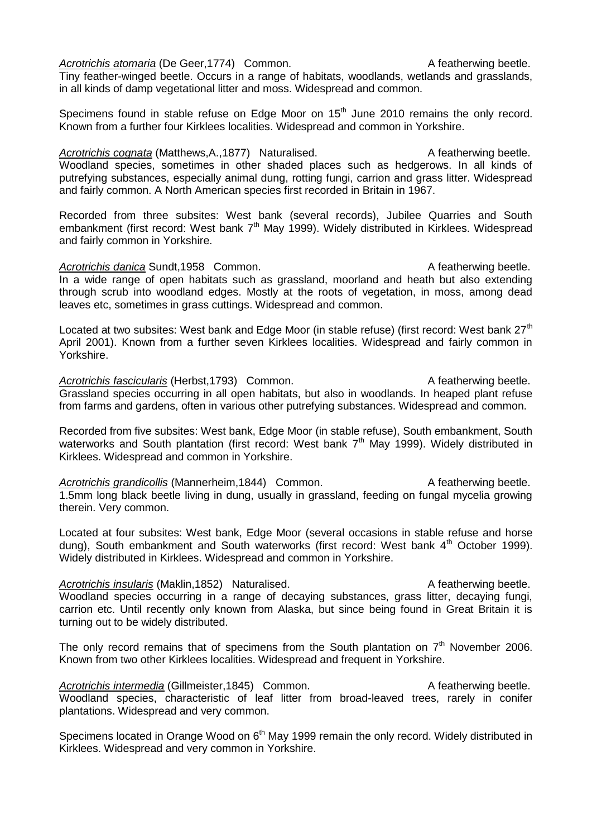Acrotrichis atomaria (De Geer, 1774) Common. A featherwing beetle.

Tiny feather-winged beetle. Occurs in a range of habitats, woodlands, wetlands and grasslands, in all kinds of damp vegetational litter and moss. Widespread and common.

Specimens found in stable refuse on Edge Moor on  $15<sup>th</sup>$  June 2010 remains the only record. Known from a further four Kirklees localities. Widespread and common in Yorkshire.

Acrotrichis cognata (Matthews, A., 1877) Naturalised. A featherwing beetle. Woodland species, sometimes in other shaded places such as hedgerows. In all kinds of putrefying substances, especially animal dung, rotting fungi, carrion and grass litter. Widespread and fairly common. A North American species first recorded in Britain in 1967.

Recorded from three subsites: West bank (several records), Jubilee Quarries and South embankment (first record: West bank  $7<sup>th</sup>$  May 1999). Widely distributed in Kirklees. Widespread and fairly common in Yorkshire.

*Acrotrichis danica* Sundt,1958 Common. A featherwing beetle. In a wide range of open habitats such as grassland, moorland and heath but also extending through scrub into woodland edges. Mostly at the roots of vegetation, in moss, among dead leaves etc, sometimes in grass cuttings. Widespread and common.

Located at two subsites: West bank and Edge Moor (in stable refuse) (first record: West bank  $27<sup>th</sup>$ April 2001). Known from a further seven Kirklees localities. Widespread and fairly common in Yorkshire.

Acrotrichis fascicularis (Herbst, 1793) Common. A featherwing beetle. Grassland species occurring in all open habitats, but also in woodlands. In heaped plant refuse from farms and gardens, often in various other putrefying substances. Widespread and common.

Recorded from five subsites: West bank, Edge Moor (in stable refuse), South embankment, South waterworks and South plantation (first record: West bank 7<sup>th</sup> May 1999). Widely distributed in Kirklees. Widespread and common in Yorkshire.

Acrotrichis grandicollis (Mannerheim, 1844) Common. A featherwing beetle. 1.5mm long black beetle living in dung, usually in grassland, feeding on fungal mycelia growing therein. Very common.

Located at four subsites: West bank, Edge Moor (several occasions in stable refuse and horse dung), South embankment and South waterworks (first record: West bank  $4<sup>th</sup>$  October 1999). Widely distributed in Kirklees. Widespread and common in Yorkshire.

Acrotrichis insularis (Maklin,1852) Naturalised. A featherwing beetle. Woodland species occurring in a range of decaying substances, grass litter, decaying fungi, carrion etc. Until recently only known from Alaska, but since being found in Great Britain it is turning out to be widely distributed.

The only record remains that of specimens from the South plantation on  $7<sup>th</sup>$  November 2006. Known from two other Kirklees localities. Widespread and frequent in Yorkshire.

Acrotrichis intermedia (Gillmeister, 1845) Common. A featherwing beetle. Woodland species, characteristic of leaf litter from broad-leaved trees, rarely in conifer plantations. Widespread and very common.

Specimens located in Orange Wood on 6<sup>th</sup> May 1999 remain the only record. Widely distributed in Kirklees. Widespread and very common in Yorkshire.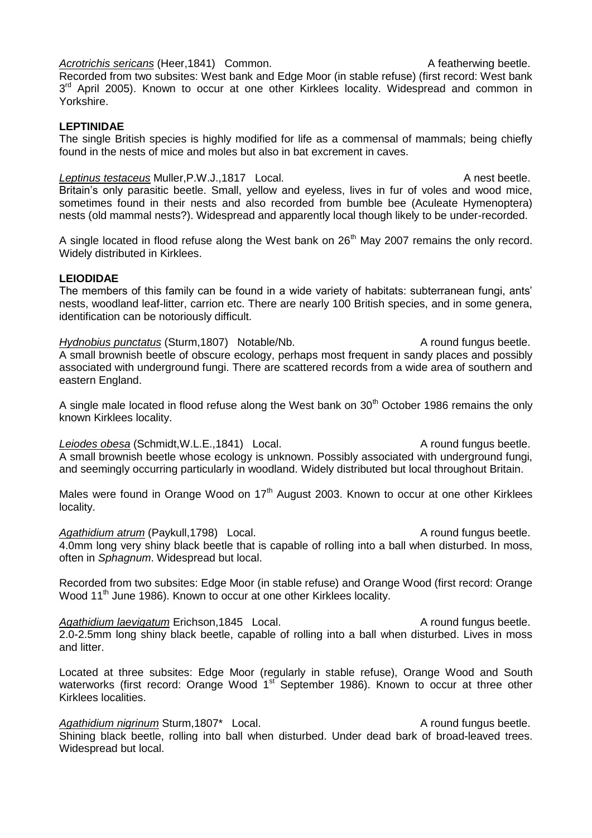Recorded from two subsites: West bank and Edge Moor (in stable refuse) (first record: West bank 3<sup>rd</sup> April 2005). Known to occur at one other Kirklees locality. Widespread and common in Yorkshire.

#### **LEPTINIDAE**

The single British species is highly modified for life as a commensal of mammals; being chiefly found in the nests of mice and moles but also in bat excrement in caves.

**Leptinus testaceus Muller, P.W.J., 1817 Local.** A nest beetle. Britain's only parasitic beetle. Small, yellow and eyeless, lives in fur of voles and wood mice, sometimes found in their nests and also recorded from bumble bee (Aculeate Hymenoptera) nests (old mammal nests?). Widespread and apparently local though likely to be under-recorded.

A single located in flood refuse along the West bank on  $26<sup>th</sup>$  May 2007 remains the only record. Widely distributed in Kirklees.

#### **LEIODIDAE**

The members of this family can be found in a wide variety of habitats: subterranean fungi, ants' nests, woodland leaf-litter, carrion etc. There are nearly 100 British species, and in some genera, identification can be notoriously difficult.

*Hydnobius punctatus* (Sturm, 1807) Notable/Nb. A round fungus beetle. A small brownish beetle of obscure ecology, perhaps most frequent in sandy places and possibly associated with underground fungi. There are scattered records from a wide area of southern and eastern England.

A single male located in flood refuse along the West bank on  $30<sup>th</sup>$  October 1986 remains the only known Kirklees locality.

Leiodes obesa (Schmidt, W.L.E., 1841) Local. A round fungus beetle. A small brownish beetle whose ecology is unknown. Possibly associated with underground fungi, and seemingly occurring particularly in woodland. Widely distributed but local throughout Britain.

Males were found in Orange Wood on 17<sup>th</sup> August 2003. Known to occur at one other Kirklees locality.

Agathidium atrum (Paykull,1798) Local. A round fungus beetle. 4.0mm long very shiny black beetle that is capable of rolling into a ball when disturbed. In moss, often in *Sphagnum*. Widespread but local.

Recorded from two subsites: Edge Moor (in stable refuse) and Orange Wood (first record: Orange Wood 11<sup>th</sup> June 1986). Known to occur at one other Kirklees locality.

Agathidium laevigatum Erichson,1845 Local. A round fungus beetle. 2.0-2.5mm long shiny black beetle, capable of rolling into a ball when disturbed. Lives in moss and litter.

Located at three subsites: Edge Moor (regularly in stable refuse), Orange Wood and South waterworks (first record: Orange Wood 1<sup>st</sup> September 1986). Known to occur at three other Kirklees localities.

Agathidium nigrinum Sturm,1807<sup>\*</sup> Local. A round fungus beetle. Shining black beetle, rolling into ball when disturbed. Under dead bark of broad-leaved trees. Widespread but local.

#### *Acrotrichis sericans* (Heer, 1841) Common. A featherwing beetle.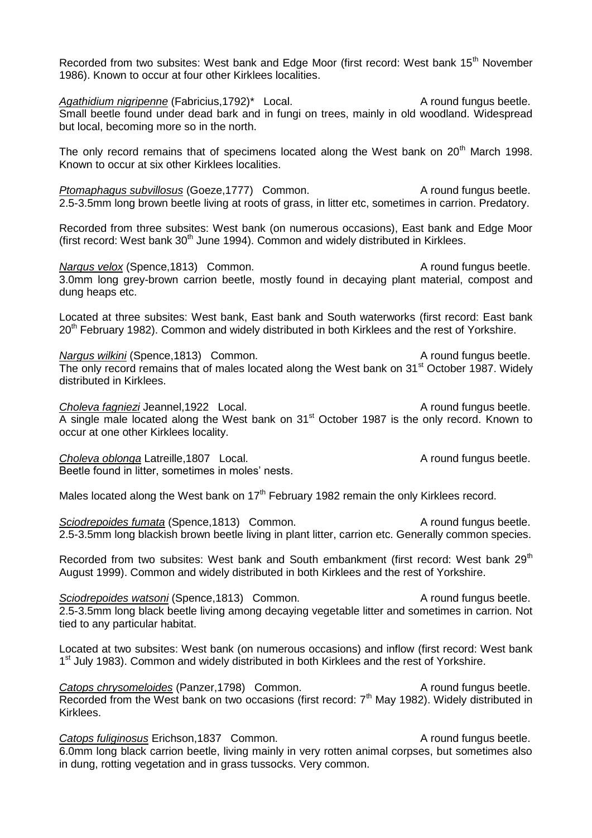Recorded from two subsites: West bank and Edge Moor (first record: West bank 15<sup>th</sup> November 1986). Known to occur at four other Kirklees localities.

Agathidium nigripenne (Fabricius, 1792)<sup>\*</sup> Local. A round fungus beetle. Small beetle found under dead bark and in fungi on trees, mainly in old woodland. Widespread but local, becoming more so in the north.

The only record remains that of specimens located along the West bank on  $20<sup>th</sup>$  March 1998. Known to occur at six other Kirklees localities.

*Ptomaphagus subvillosus* (Goeze, 1777) Common. A round fungus beetle. 2.5-3.5mm long brown beetle living at roots of grass, in litter etc, sometimes in carrion. Predatory.

Recorded from three subsites: West bank (on numerous occasions), East bank and Edge Moor (first record: West bank  $30<sup>th</sup>$  June 1994). Common and widely distributed in Kirklees.

*Nargus velox* (Spence, 1813) Common. A round fungus beetle. 3.0mm long grey-brown carrion beetle, mostly found in decaying plant material, compost and dung heaps etc.

Located at three subsites: West bank, East bank and South waterworks (first record: East bank 20<sup>th</sup> February 1982). Common and widely distributed in both Kirklees and the rest of Yorkshire.

*Nargus wilkini* (Spence, 1813) Common. A round fungus beetle. The only record remains that of males located along the West bank on 31<sup>st</sup> October 1987. Widely distributed in Kirklees.

**Choleva fagniezi** Jeannel,1922 Local. A round fungus beetle. A single male located along the West bank on 31<sup>st</sup> October 1987 is the only record. Known to occur at one other Kirklees locality.

**Choleva oblonga Latreille, 1807** Local. A round fungus beetle. Beetle found in litter, sometimes in moles' nests.

Males located along the West bank on  $17<sup>th</sup>$  February 1982 remain the only Kirklees record.

*Sciodrepoides fumata* (Spence, 1813) Common. A round fungus beetle. 2.5-3.5mm long blackish brown beetle living in plant litter, carrion etc. Generally common species.

Recorded from two subsites: West bank and South embankment (first record: West bank 29<sup>th</sup> August 1999). Common and widely distributed in both Kirklees and the rest of Yorkshire.

**Sciodrepoides watsoni** (Spence, 1813) Common. A round fungus beetle. 2.5-3.5mm long black beetle living among decaying vegetable litter and sometimes in carrion. Not tied to any particular habitat.

Located at two subsites: West bank (on numerous occasions) and inflow (first record: West bank 1<sup>st</sup> July 1983). Common and widely distributed in both Kirklees and the rest of Yorkshire.

**Catops chrysomeloides** (Panzer, 1798) Common. A round fungus beetle. Recorded from the West bank on two occasions (first record:  $7<sup>th</sup>$  May 1982). Widely distributed in Kirklees.

**Catops fuliginosus Erichson, 1837 Common.** A round fungus beetle. 6.0mm long black carrion beetle, living mainly in very rotten animal corpses, but sometimes also in dung, rotting vegetation and in grass tussocks. Very common.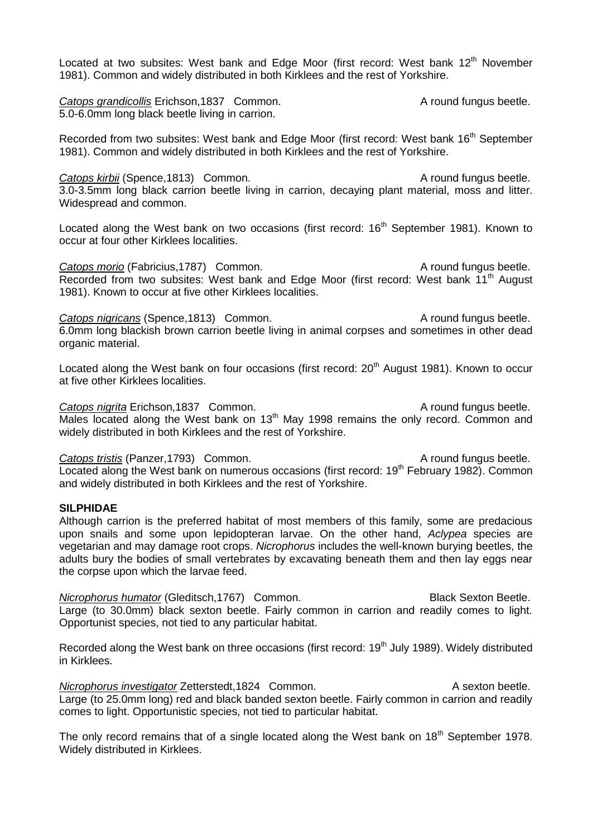Located at two subsites: West bank and Edge Moor (first record: West bank 12<sup>th</sup> November 1981). Common and widely distributed in both Kirklees and the rest of Yorkshire.

**Catops grandicollis** Erichson,1837 Common. **A** round fungus beetle. 5.0-6.0mm long black beetle living in carrion.

Recorded from two subsites: West bank and Edge Moor (first record: West bank 16<sup>th</sup> September 1981). Common and widely distributed in both Kirklees and the rest of Yorkshire.

**Catops kirbii** (Spence, 1813) Common. A round fungus beetle. 3.0-3.5mm long black carrion beetle living in carrion, decaying plant material, moss and litter. Widespread and common.

Located along the West bank on two occasions (first record: 16<sup>th</sup> September 1981). Known to occur at four other Kirklees localities.

**Catops morio** (Fabricius, 1787) Common. A round fungus beetle. Recorded from two subsites: West bank and Edge Moor (first record: West bank 11<sup>th</sup> August 1981). Known to occur at five other Kirklees localities.

**Catops nigricans (Spence, 1813)** Common. A round fungus beetle. 6.0mm long blackish brown carrion beetle living in animal corpses and sometimes in other dead organic material.

Located along the West bank on four occasions (first record: 20<sup>th</sup> August 1981). Known to occur at five other Kirklees localities.

**Catops nigrita** Erichson,1837 Common. A round fungus beetle. Males located along the West bank on  $13<sup>th</sup>$  May 1998 remains the only record. Common and widely distributed in both Kirklees and the rest of Yorkshire.

**Catops tristis (Panzer, 1793) Common.** Common. A round fungus beetle. Located along the West bank on numerous occasions (first record: 19<sup>th</sup> February 1982). Common and widely distributed in both Kirklees and the rest of Yorkshire.

#### **SILPHIDAE**

Although carrion is the preferred habitat of most members of this family, some are predacious upon snails and some upon lepidopteran larvae. On the other hand, *Aclypea* species are vegetarian and may damage root crops. *Nicrophorus* includes the well-known burying beetles, the adults bury the bodies of small vertebrates by excavating beneath them and then lay eggs near the corpse upon which the larvae feed.

*Nicrophorus humator* (Gleditsch,1767) Common. Black Sexton Beetle. Large (to 30.0mm) black sexton beetle. Fairly common in carrion and readily comes to light. Opportunist species, not tied to any particular habitat.

Recorded along the West bank on three occasions (first record: 19<sup>th</sup> July 1989). Widely distributed in Kirklees.

*Nicrophorus investigator* Zetterstedt,1824 Common. A sexton beetle. Large (to 25.0mm long) red and black banded sexton beetle. Fairly common in carrion and readily comes to light. Opportunistic species, not tied to particular habitat.

The only record remains that of a single located along the West bank on  $18<sup>th</sup>$  September 1978. Widely distributed in Kirklees.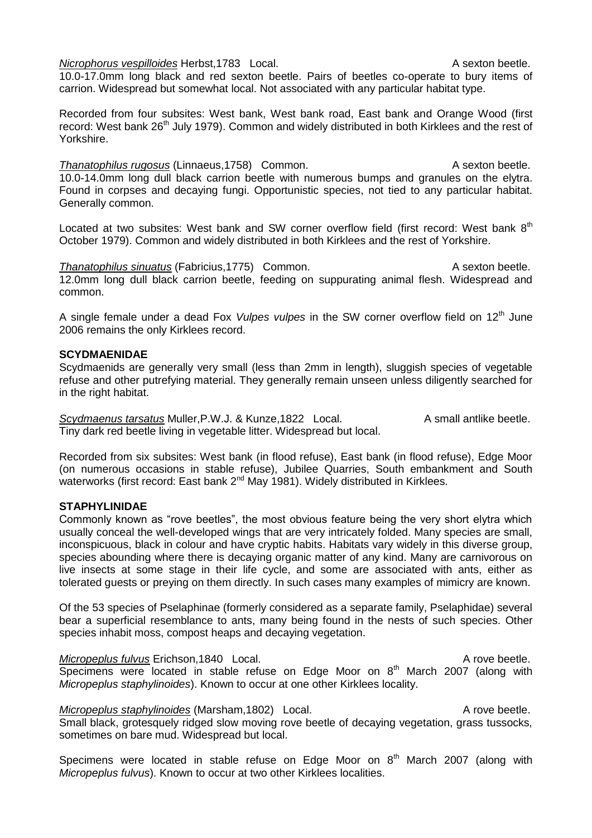*Nicrophorus vespilloides* Herbst, 1783 Local. A sexton beetle.

10.0-17.0mm long black and red sexton beetle. Pairs of beetles co-operate to bury items of carrion. Widespread but somewhat local. Not associated with any particular habitat type.

Recorded from four subsites: West bank, West bank road, East bank and Orange Wood (first record: West bank 26<sup>th</sup> July 1979). Common and widely distributed in both Kirklees and the rest of Yorkshire.

**Thanatophilus rugosus** (Linnaeus, 1758) Common. A sexton beetle. 10.0-14.0mm long dull black carrion beetle with numerous bumps and granules on the elytra. Found in corpses and decaying fungi. Opportunistic species, not tied to any particular habitat. Generally common.

Located at two subsites: West bank and SW corner overflow field (first record: West bank  $8<sup>th</sup>$ October 1979). Common and widely distributed in both Kirklees and the rest of Yorkshire.

**Thanatophilus sinuatus (Fabricius, 1775)** Common. A sexton beetle. 12.0mm long dull black carrion beetle, feeding on suppurating animal flesh. Widespread and common.

A single female under a dead Fox *Vulpes vulpes* in the SW corner overflow field on 12<sup>th</sup> June 2006 remains the only Kirklees record.

#### **SCYDMAENIDAE**

Scydmaenids are generally very small (less than 2mm in length), sluggish species of vegetable refuse and other putrefying material. They generally remain unseen unless diligently searched for in the right habitat.

**Scydmaenus tarsatus** Muller, P.W.J. & Kunze, 1822 Local. A small antlike beetle. Tiny dark red beetle living in vegetable litter. Widespread but local.

Recorded from six subsites: West bank (in flood refuse), East bank (in flood refuse), Edge Moor (on numerous occasions in stable refuse), Jubilee Quarries, South embankment and South waterworks (first record: East bank 2<sup>nd</sup> May 1981). Widely distributed in Kirklees.

#### **STAPHYLINIDAE**

Commonly known as "rove beetles", the most obvious feature being the very short elytra which usually conceal the well-developed wings that are very intricately folded. Many species are small, inconspicuous, black in colour and have cryptic habits. Habitats vary widely in this diverse group, species abounding where there is decaying organic matter of any kind. Many are carnivorous on live insects at some stage in their life cycle, and some are associated with ants, either as tolerated guests or preying on them directly. In such cases many examples of mimicry are known.

Of the 53 species of Pselaphinae (formerly considered as a separate family, Pselaphidae) several bear a superficial resemblance to ants, many being found in the nests of such species. Other species inhabit moss, compost heaps and decaying vegetation.

*Micropeplus fulvus* Erichson,1840 Local. A rove beetle. Specimens were located in stable refuse on Edge Moor on  $8<sup>th</sup>$  March 2007 (along with *Micropeplus staphylinoides*). Known to occur at one other Kirklees locality.

*Micropeplus staphylinoides* (Marsham, 1802) Local. A rove beetle. Small black, grotesquely ridged slow moving rove beetle of decaying vegetation, grass tussocks, sometimes on bare mud. Widespread but local.

Specimens were located in stable refuse on Edge Moor on  $8<sup>th</sup>$  March 2007 (along with *Micropeplus fulvus*). Known to occur at two other Kirklees localities.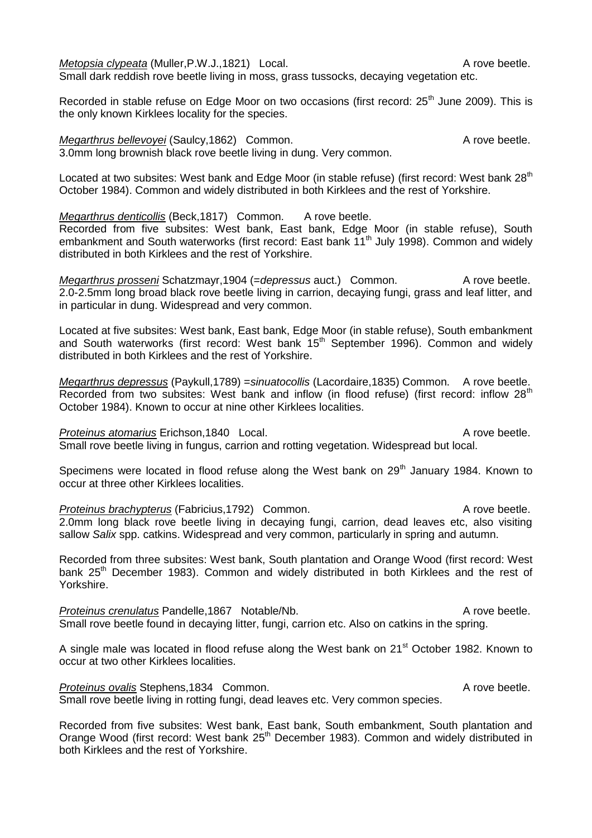*Metopsia clypeata* (Muller, P.W. J., 1821) Local. A rove beetle. Small dark reddish rove beetle living in moss, grass tussocks, decaying vegetation etc.

Recorded in stable refuse on Edge Moor on two occasions (first record: 25<sup>th</sup> June 2009). This is the only known Kirklees locality for the species.

*Megarthrus bellevoyei* (Saulcy, 1862) Common. A rove beetle. 3.0mm long brownish black rove beetle living in dung. Very common.

Located at two subsites: West bank and Edge Moor (in stable refuse) (first record: West bank 28<sup>th</sup> October 1984). Common and widely distributed in both Kirklees and the rest of Yorkshire.

*Megarthrus denticollis* (Beck, 1817) Common. A rove beetle.

Recorded from five subsites: West bank, East bank, Edge Moor (in stable refuse), South embankment and South waterworks (first record: East bank 11<sup>th</sup> July 1998). Common and widely distributed in both Kirklees and the rest of Yorkshire.

*Megarthrus prosseni* Schatzmayr, 1904 (=*depressus* auct.) Common. A rove beetle. 2.0-2.5mm long broad black rove beetle living in carrion, decaying fungi, grass and leaf litter, and in particular in dung. Widespread and very common.

Located at five subsites: West bank, East bank, Edge Moor (in stable refuse), South embankment and South waterworks (first record: West bank  $15<sup>th</sup>$  September 1996). Common and widely distributed in both Kirklees and the rest of Yorkshire.

*Megarthrus depressus* (Paykull,1789) =*sinuatocollis* (Lacordaire,1835) Common. A rove beetle. Recorded from two subsites: West bank and inflow (in flood refuse) (first record: inflow 28<sup>th</sup> October 1984). Known to occur at nine other Kirklees localities.

**Proteinus atomarius Erichson,1840 Local.** A rove beetle. Small rove beetle living in fungus, carrion and rotting vegetation. Widespread but local.

Specimens were located in flood refuse along the West bank on 29<sup>th</sup> January 1984. Known to occur at three other Kirklees localities.

**Proteinus brachypterus (Fabricius, 1792) Common.** A rove beetle. 2.0mm long black rove beetle living in decaying fungi, carrion, dead leaves etc, also visiting sallow *Salix* spp. catkins. Widespread and very common, particularly in spring and autumn.

Recorded from three subsites: West bank, South plantation and Orange Wood (first record: West bank 25<sup>th</sup> December 1983). Common and widely distributed in both Kirklees and the rest of Yorkshire.

**Proteinus crenulatus Pandelle, 1867 Notable/Nb.** A rove beetle. Small rove beetle found in decaying litter, fungi, carrion etc. Also on catkins in the spring.

A single male was located in flood refuse along the West bank on 21<sup>st</sup> October 1982. Known to occur at two other Kirklees localities.

**Proteinus ovalis Stephens,1834 Common.** Common and Common and Community A rove beetle. Small rove beetle living in rotting fungi, dead leaves etc. Very common species.

Recorded from five subsites: West bank, East bank, South embankment, South plantation and Orange Wood (first record: West bank 25<sup>th</sup> December 1983). Common and widely distributed in both Kirklees and the rest of Yorkshire.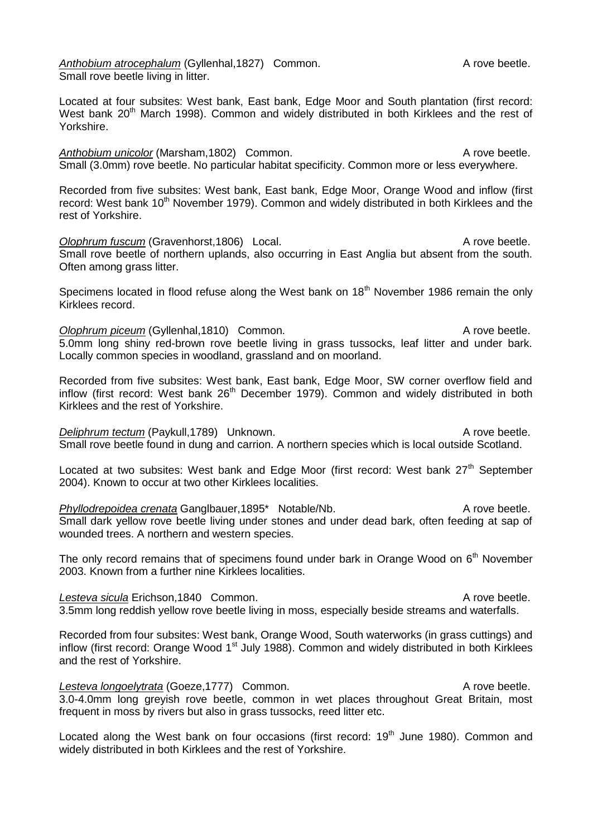Anthobium atrocephalum (Gyllenhal, 1827) Common. **A Common and Algebra** A rove beetle. Small rove beetle living in litter.

Located at four subsites: West bank, East bank, Edge Moor and South plantation (first record: West bank 20<sup>th</sup> March 1998). Common and widely distributed in both Kirklees and the rest of Yorkshire.

Anthobium unicolor (Marsham, 1802) Common. **A** rove beetle. Small (3.0mm) rove beetle. No particular habitat specificity. Common more or less everywhere.

Recorded from five subsites: West bank, East bank, Edge Moor, Orange Wood and inflow (first record: West bank 10<sup>th</sup> November 1979). Common and widely distributed in both Kirklees and the rest of Yorkshire.

**Olophrum fuscum** (Gravenhorst,1806) Local. A rove beetle. Small rove beetle of northern uplands, also occurring in East Anglia but absent from the south. Often among grass litter.

Specimens located in flood refuse along the West bank on  $18<sup>th</sup>$  November 1986 remain the only Kirklees record.

*Olophrum piceum* (Gyllenhal,1810) Common. A rove beetle. 5.0mm long shiny red-brown rove beetle living in grass tussocks, leaf litter and under bark. Locally common species in woodland, grassland and on moorland.

Recorded from five subsites: West bank, East bank, Edge Moor, SW corner overflow field and inflow (first record: West bank  $26<sup>th</sup>$  December 1979). Common and widely distributed in both Kirklees and the rest of Yorkshire.

*Deliphrum tectum* (Paykull,1789) Unknown. A rove beetle. Small rove beetle found in dung and carrion. A northern species which is local outside Scotland.

Located at two subsites: West bank and Edge Moor (first record: West bank 27<sup>th</sup> September 2004). Known to occur at two other Kirklees localities.

*Phyllodrepoidea crenata* Ganglbauer, 1895<sup>\*</sup> Notable/Nb. A rove beetle. Small dark yellow rove beetle living under stones and under dead bark, often feeding at sap of wounded trees. A northern and western species.

The only record remains that of specimens found under bark in Orange Wood on  $6<sup>th</sup>$  November 2003. Known from a further nine Kirklees localities.

Lesteva sicula Erichson,1840 Common. A rove beetle. 3.5mm long reddish yellow rove beetle living in moss, especially beside streams and waterfalls.

Recorded from four subsites: West bank, Orange Wood, South waterworks (in grass cuttings) and inflow (first record: Orange Wood 1<sup>st</sup> July 1988). Common and widely distributed in both Kirklees and the rest of Yorkshire.

#### Lesteva longoelytrata (Goeze, 1777) Common. A rove beetle.

3.0-4.0mm long greyish rove beetle, common in wet places throughout Great Britain, most frequent in moss by rivers but also in grass tussocks, reed litter etc.

Located along the West bank on four occasions (first record: 19<sup>th</sup> June 1980). Common and widely distributed in both Kirklees and the rest of Yorkshire.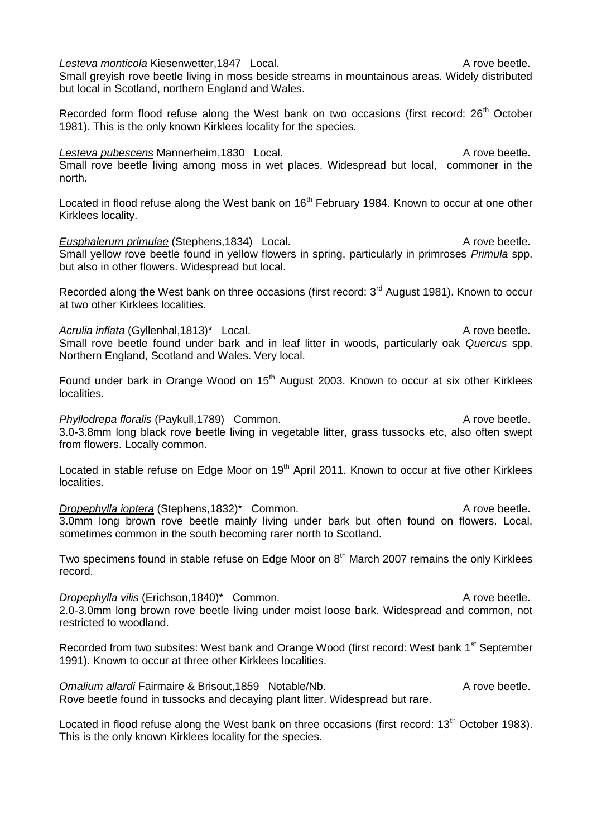**Lesteva monticola Kiesenwetter, 1847 Local.** A rove beetle. Small greyish rove beetle living in moss beside streams in mountainous areas. Widely distributed but local in Scotland, northern England and Wales.

Recorded form flood refuse along the West bank on two occasions (first record:  $26<sup>th</sup>$  October 1981). This is the only known Kirklees locality for the species.

#### Lesteva pubescens Mannerheim,1830 Local. A rove beetle. Small rove beetle living among moss in wet places. Widespread but local, commoner in the north.

Located in flood refuse along the West bank on 16<sup>th</sup> February 1984. Known to occur at one other Kirklees locality.

**Eusphalerum primulae** (Stephens, 1834) Local. A rove beetle. Small yellow rove beetle found in yellow flowers in spring, particularly in primroses *Primula* spp. but also in other flowers. Widespread but local.

Recorded along the West bank on three occasions (first record: 3<sup>rd</sup> August 1981). Known to occur at two other Kirklees localities.

Acrulia inflata (Gyllenhal,1813)<sup>\*</sup> Local. A rove beetle. Small rove beetle found under bark and in leaf litter in woods, particularly oak *Quercus* spp. Northern England, Scotland and Wales. Very local.

Found under bark in Orange Wood on 15<sup>th</sup> August 2003. Known to occur at six other Kirklees localities.

### *Phyllodrepa floralis* (Paykull,1789) Common. A rove beetle. 3.0-3.8mm long black rove beetle living in vegetable litter, grass tussocks etc, also often swept from flowers. Locally common.

Located in stable refuse on Edge Moor on 19<sup>th</sup> April 2011. Known to occur at five other Kirklees localities.

**Dropephylla ioptera** (Stephens,1832)\* Common. A rove beetle. 3.0mm long brown rove beetle mainly living under bark but often found on flowers. Local, sometimes common in the south becoming rarer north to Scotland.

Two specimens found in stable refuse on Edge Moor on  $8<sup>th</sup>$  March 2007 remains the only Kirklees record.

**Dropephylla vilis** (Erichson,1840)\* Common. A rove beetle. 2.0-3.0mm long brown rove beetle living under moist loose bark. Widespread and common, not restricted to woodland.

Recorded from two subsites: West bank and Orange Wood (first record: West bank 1<sup>st</sup> September 1991). Known to occur at three other Kirklees localities.

**Omalium allardi** Fairmaire & Brisout, 1859 Notable/Nb. A rove beetle. Rove beetle found in tussocks and decaying plant litter. Widespread but rare.

Located in flood refuse along the West bank on three occasions (first record: 13<sup>th</sup> October 1983). This is the only known Kirklees locality for the species.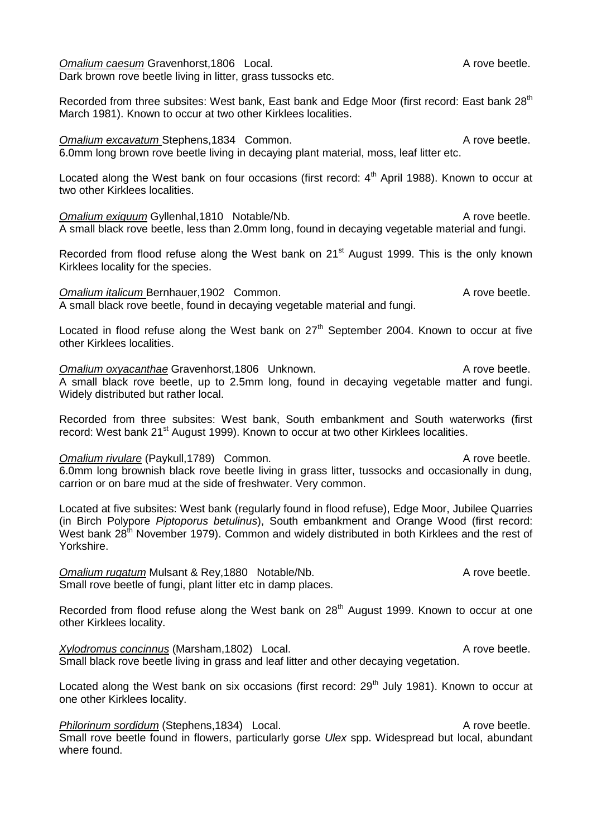**Omalium caesum Gravenhorst,1806 Local.** A rove beetle. Dark brown rove beetle living in litter, grass tussocks etc.

Recorded from three subsites: West bank, East bank and Edge Moor (first record: East bank 28<sup>th</sup> March 1981). Known to occur at two other Kirklees localities.

#### **Omalium excavatum Stephens,1834 Common.** Common and the state of the Stephens A rove beetle.

Located along the West bank on four occasions (first record:  $4<sup>th</sup>$  April 1988). Known to occur at two other Kirklees localities.

**Omalium exiguum Gyllenhal,1810 Notable/Nb.** A rove beetle. A small black rove beetle, less than 2.0mm long, found in decaying vegetable material and fungi.

Recorded from flood refuse along the West bank on 21<sup>st</sup> August 1999. This is the only known Kirklees locality for the species.

*Omalium italicum Bernhauer,1902 Common.* A rove beetle. A small black rove beetle, found in decaying vegetable material and fungi.

Located in flood refuse along the West bank on 27<sup>th</sup> September 2004. Known to occur at five other Kirklees localities.

**Omalium oxyacanthae Gravenhorst,1806** Unknown. A rove beetle. A small black rove beetle, up to 2.5mm long, found in decaying vegetable matter and fungi. Widely distributed but rather local.

Recorded from three subsites: West bank, South embankment and South waterworks (first record: West bank 21<sup>st</sup> August 1999). Known to occur at two other Kirklees localities.

*Omalium rivulare* (Paykull, 1789) Common. A rove beetle. 6.0mm long brownish black rove beetle living in grass litter, tussocks and occasionally in dung, carrion or on bare mud at the side of freshwater. Very common.

Located at five subsites: West bank (regularly found in flood refuse), Edge Moor, Jubilee Quarries (in Birch Polypore *Piptoporus betulinus*), South embankment and Orange Wood (first record: West bank 28<sup>th</sup> November 1979). Common and widely distributed in both Kirklees and the rest of Yorkshire.

*Omalium rugatum* Mulsant & Rev, 1880 Notable/Nb. A rove beetle. Small rove beetle of fungi, plant litter etc in damp places.

Recorded from flood refuse along the West bank on 28<sup>th</sup> August 1999. Known to occur at one other Kirklees locality.

*Xylodromus concinnus* (Marsham,1802) Local. A rove beetle. Small black rove beetle living in grass and leaf litter and other decaying vegetation.

Located along the West bank on six occasions (first record: 29<sup>th</sup> July 1981). Known to occur at one other Kirklees locality.

**Philorinum sordidum (Stephens, 1834)** Local. A rove beetle. Small rove beetle found in flowers, particularly gorse *Ulex* spp. Widespread but local, abundant where found.

6.0mm long brown rove beetle living in decaying plant material, moss, leaf litter etc.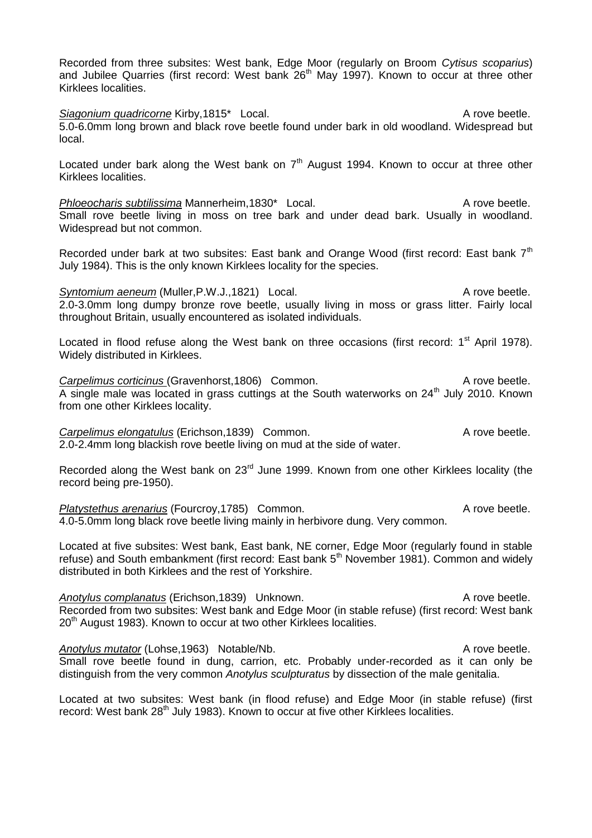Recorded from three subsites: West bank, Edge Moor (regularly on Broom *Cytisus scoparius*) and Jubilee Quarries (first record: West bank 26<sup>th</sup> May 1997). Known to occur at three other Kirklees localities.

**Siagonium quadricorne Kirby,1815\*** Local. A rove beetle. 5.0-6.0mm long brown and black rove beetle found under bark in old woodland. Widespread but local.

Located under bark along the West bank on  $7<sup>th</sup>$  August 1994. Known to occur at three other Kirklees localities.

*Phloeocharis subtilissima* Mannerheim, 1830<sup>\*</sup> Local. A rove beetle. Small rove beetle living in moss on tree bark and under dead bark. Usually in woodland. Widespread but not common.

Recorded under bark at two subsites: East bank and Orange Wood (first record: East bank  $7<sup>th</sup>$ July 1984). This is the only known Kirklees locality for the species.

*Syntomium aeneum* (Muller, P.W.J., 1821) Local. A rove beetle. 2.0-3.0mm long dumpy bronze rove beetle, usually living in moss or grass litter. Fairly local throughout Britain, usually encountered as isolated individuals.

Located in flood refuse along the West bank on three occasions (first record:  $1<sup>st</sup>$  April 1978). Widely distributed in Kirklees.

**Carpelimus corticinus (Gravenhorst,1806)** Common. A rove beetle.  $\overline{A}$  single male was located in grass cuttings at the South waterworks on 24<sup>th</sup> July 2010. Known from one other Kirklees locality.

**Carpelimus elongatulus (Erichson, 1839)** Common. A rove beetle. 2.0-2.4mm long blackish rove beetle living on mud at the side of water.

Recorded along the West bank on 23<sup>rd</sup> June 1999. Known from one other Kirklees locality (the record being pre-1950).

*Platystethus arenarius* (Fourcroy, 1785) Common. A rove beetle. 4.0-5.0mm long black rove beetle living mainly in herbivore dung. Very common.

Located at five subsites: West bank, East bank, NE corner, Edge Moor (regularly found in stable refuse) and South embankment (first record: East bank 5<sup>th</sup> November 1981). Common and widely distributed in both Kirklees and the rest of Yorkshire.

Anotylus complanatus (Erichson,1839) Unknown. A rove beetle. Recorded from two subsites: West bank and Edge Moor (in stable refuse) (first record: West bank  $20<sup>th</sup>$  August 1983). Known to occur at two other Kirklees localities.

Anotylus mutator (Lohse,1963) Notable/Nb. A rove beetle. Small rove beetle found in dung, carrion, etc. Probably under-recorded as it can only be distinguish from the very common *Anotylus sculpturatus* by dissection of the male genitalia.

Located at two subsites: West bank (in flood refuse) and Edge Moor (in stable refuse) (first record: West bank 28<sup>th</sup> July 1983). Known to occur at five other Kirklees localities.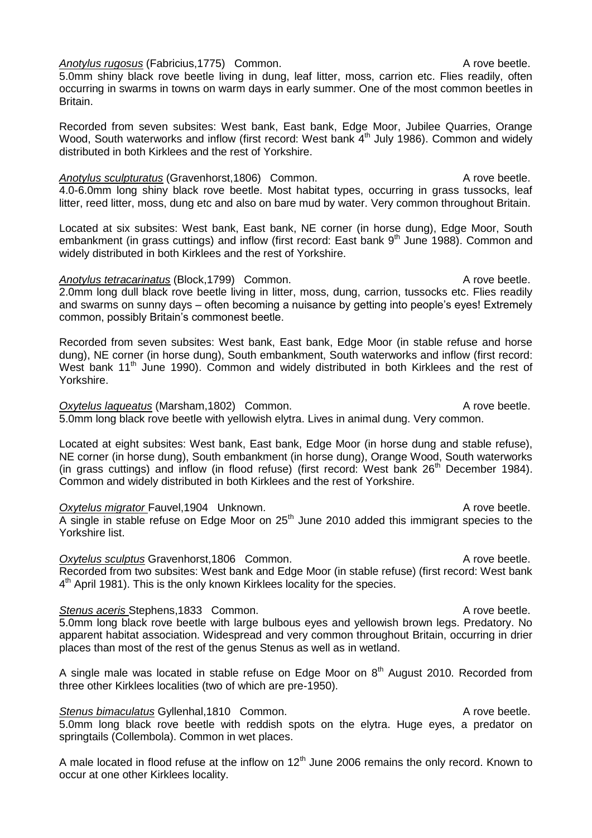*Anotylus rugosus* (Fabricius,1775) Common. A rove beetle.

5.0mm shiny black rove beetle living in dung, leaf litter, moss, carrion etc. Flies readily, often occurring in swarms in towns on warm days in early summer. One of the most common beetles in Britain.

Recorded from seven subsites: West bank, East bank, Edge Moor, Jubilee Quarries, Orange Wood, South waterworks and inflow (first record: West bank 4<sup>th</sup> July 1986). Common and widely distributed in both Kirklees and the rest of Yorkshire.

Anotylus sculpturatus (Gravenhorst, 1806) Common. A rove beetle. 4.0-6.0mm long shiny black rove beetle. Most habitat types, occurring in grass tussocks, leaf litter, reed litter, moss, dung etc and also on bare mud by water. Very common throughout Britain.

Located at six subsites: West bank, East bank, NE corner (in horse dung), Edge Moor, South embankment (in grass cuttings) and inflow (first record: East bank 9<sup>th</sup> June 1988). Common and widely distributed in both Kirklees and the rest of Yorkshire.

*Anotylus tetracarinatus* (Block,1799) Common. A rove beetle. 2.0mm long dull black rove beetle living in litter, moss, dung, carrion, tussocks etc. Flies readily and swarms on sunny days – often becoming a nuisance by getting into people's eyes! Extremely common, possibly Britain's commonest beetle.

Recorded from seven subsites: West bank, East bank, Edge Moor (in stable refuse and horse dung), NE corner (in horse dung), South embankment, South waterworks and inflow (first record: West bank 11<sup>th</sup> June 1990). Common and widely distributed in both Kirklees and the rest of Yorkshire.

**Oxytelus laqueatus** (Marsham,1802) Common. A rove beetle. 5.0mm long black rove beetle with yellowish elytra. Lives in animal dung. Very common.

Located at eight subsites: West bank, East bank, Edge Moor (in horse dung and stable refuse), NE corner (in horse dung), South embankment (in horse dung), Orange Wood, South waterworks (in grass cuttings) and inflow (in flood refuse) (first record: West bank 26<sup>th</sup> December 1984). Common and widely distributed in both Kirklees and the rest of Yorkshire.

**Oxytelus migrator Fauvel, 1904** Unknown. A rove beetle.  $\overline{A}$  single in stable refuse on Edge Moor on 25<sup>th</sup> June 2010 added this immigrant species to the Yorkshire list.

**Oxytelus sculptus Gravenhorst,1806 Common.** A rove beetle. Recorded from two subsites: West bank and Edge Moor (in stable refuse) (first record: West bank 4<sup>th</sup> April 1981). This is the only known Kirklees locality for the species.

# **Stenus aceris Stephens,1833 Common.** Common. A rove beetle.

5.0mm long black rove beetle with large bulbous eyes and yellowish brown legs. Predatory. No apparent habitat association. Widespread and very common throughout Britain, occurring in drier places than most of the rest of the genus Stenus as well as in wetland.

A single male was located in stable refuse on Edge Moor on  $8<sup>th</sup>$  August 2010. Recorded from three other Kirklees localities (two of which are pre-1950).

**Stenus bimaculatus Gyllenhal,1810 Common.** A rove beetle. 5.0mm long black rove beetle with reddish spots on the elytra. Huge eyes, a predator on springtails (Collembola). Common in wet places.

A male located in flood refuse at the inflow on  $12<sup>th</sup>$  June 2006 remains the only record. Known to occur at one other Kirklees locality.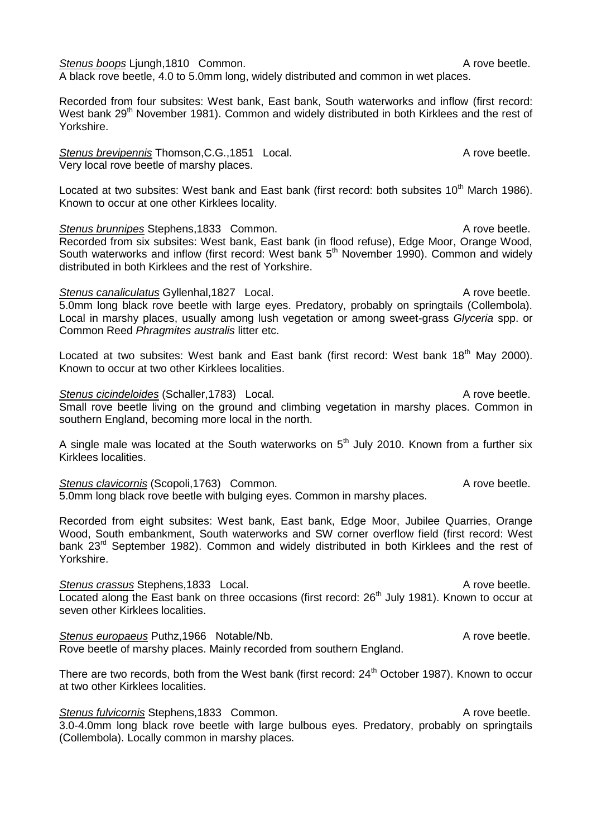**Stenus boops Liungh, 1810 Common.** A rove beetle.

A black rove beetle, 4.0 to 5.0mm long, widely distributed and common in wet places.

Recorded from four subsites: West bank, East bank, South waterworks and inflow (first record: West bank 29<sup>th</sup> November 1981). Common and widely distributed in both Kirklees and the rest of Yorkshire.

**Stenus brevipennis Thomson, C.G., 1851 Local.** A rove beetle. Very local rove beetle of marshy places.

Located at two subsites: West bank and East bank (first record: both subsites 10<sup>th</sup> March 1986). Known to occur at one other Kirklees locality.

**Stenus brunnipes** Stephens,1833 Common. A rove beetle. Recorded from six subsites: West bank, East bank (in flood refuse), Edge Moor, Orange Wood, South waterworks and inflow (first record: West bank  $5<sup>th</sup>$  November 1990). Common and widely distributed in both Kirklees and the rest of Yorkshire.

**Stenus canaliculatus Gyllenhal,1827 Local.** A rove beetle. 5.0mm long black rove beetle with large eyes. Predatory, probably on springtails (Collembola). Local in marshy places, usually among lush vegetation or among sweet-grass *Glyceria* spp. or Common Reed *Phragmites australis* litter etc.

Located at two subsites: West bank and East bank (first record: West bank 18<sup>th</sup> May 2000). Known to occur at two other Kirklees localities.

**Stenus cicindeloides** (Schaller, 1783) Local. A rove beetle. Small rove beetle living on the ground and climbing vegetation in marshy places. Common in southern England, becoming more local in the north.

A single male was located at the South waterworks on  $5<sup>th</sup>$  July 2010. Known from a further six Kirklees localities.

**Stenus clavicornis (Scopoli,1763)** Common. A rove beetle. 5.0mm long black rove beetle with bulging eyes. Common in marshy places.

Recorded from eight subsites: West bank, East bank, Edge Moor, Jubilee Quarries, Orange Wood, South embankment, South waterworks and SW corner overflow field (first record: West bank 23<sup>rd</sup> September 1982). Common and widely distributed in both Kirklees and the rest of Yorkshire.

**Stenus crassus Stephens,1833 Local.** A rove beetle. Located along the East bank on three occasions (first record:  $26<sup>th</sup>$  July 1981). Known to occur at seven other Kirklees localities.

**Stenus europaeus** Puthz,1966 Notable/Nb. A rove beetle. Rove beetle of marshy places. Mainly recorded from southern England.

There are two records, both from the West bank (first record: 24<sup>th</sup> October 1987). Known to occur at two other Kirklees localities.

**Stenus fulvicornis Stephens,1833 Common.** A rove beetle. 3.0-4.0mm long black rove beetle with large bulbous eyes. Predatory, probably on springtails (Collembola). Locally common in marshy places.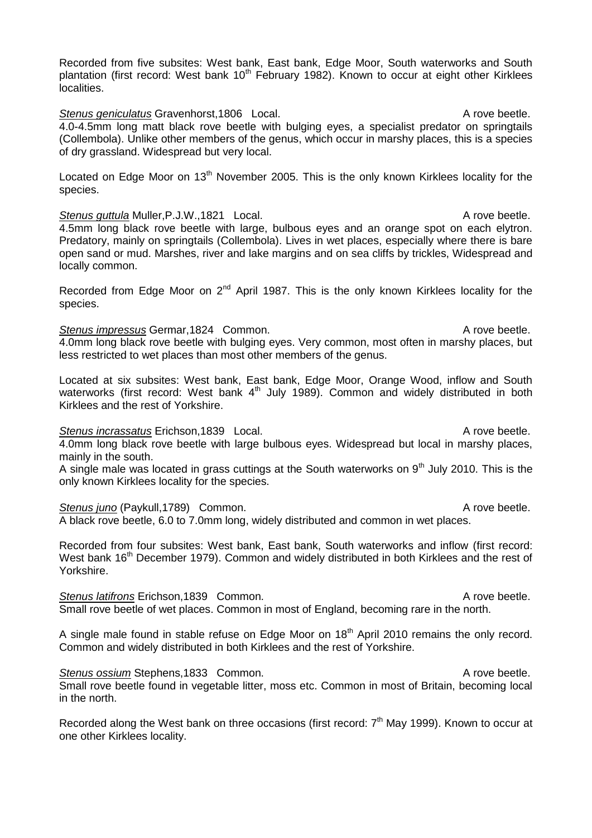Recorded from five subsites: West bank, East bank, Edge Moor, South waterworks and South plantation (first record: West bank  $10<sup>th</sup>$  February 1982). Known to occur at eight other Kirklees localities.

**Stenus geniculatus Gravenhorst, 1806** Local. **A rove beetle.** A rove beetle. 4.0-4.5mm long matt black rove beetle with bulging eyes, a specialist predator on springtails (Collembola). Unlike other members of the genus, which occur in marshy places, this is a species of dry grassland. Widespread but very local.

Located on Edge Moor on 13<sup>th</sup> November 2005. This is the only known Kirklees locality for the species.

**Stenus guttula Muller, P.J.W., 1821 Local.** A rove beetle. 4.5mm long black rove beetle with large, bulbous eyes and an orange spot on each elytron. Predatory, mainly on springtails (Collembola). Lives in wet places, especially where there is bare open sand or mud. Marshes, river and lake margins and on sea cliffs by trickles, Widespread and locally common.

Recorded from Edge Moor on  $2<sup>nd</sup>$  April 1987. This is the only known Kirklees locality for the species.

**Stenus impressus Germar, 1824 Common.** Common and the common of the control of the control of the control of the control of the control of the control of the control of the control of the control of the control of the con 4.0mm long black rove beetle with bulging eyes. Very common, most often in marshy places, but less restricted to wet places than most other members of the genus.

Located at six subsites: West bank, East bank, Edge Moor, Orange Wood, inflow and South waterworks (first record: West bank 4<sup>th</sup> July 1989). Common and widely distributed in both Kirklees and the rest of Yorkshire.

### **Stenus incrassatus Erichson,1839 Local.** A rove beetle.

4.0mm long black rove beetle with large bulbous eyes. Widespread but local in marshy places, mainly in the south.

A single male was located in grass cuttings at the South waterworks on  $9<sup>th</sup>$  July 2010. This is the only known Kirklees locality for the species.

# **Stenus juno** (Paykull,1789) Common. A rove beetle.

in the north.

A black rove beetle, 6.0 to 7.0mm long, widely distributed and common in wet places.

Recorded from four subsites: West bank, East bank, South waterworks and inflow (first record: West bank 16<sup>th</sup> December 1979). Common and widely distributed in both Kirklees and the rest of Yorkshire.

**Stenus latifrons** Erichson,1839 Common. A rove beetle. Small rove beetle of wet places. Common in most of England, becoming rare in the north.

A single male found in stable refuse on Edge Moor on 18<sup>th</sup> April 2010 remains the only record. Common and widely distributed in both Kirklees and the rest of Yorkshire.

**Stenus ossium Stephens.1833 Common.** A rove beetle. Small rove beetle found in vegetable litter, moss etc. Common in most of Britain, becoming local

Recorded along the West bank on three occasions (first record:  $7<sup>th</sup>$  May 1999). Known to occur at one other Kirklees locality.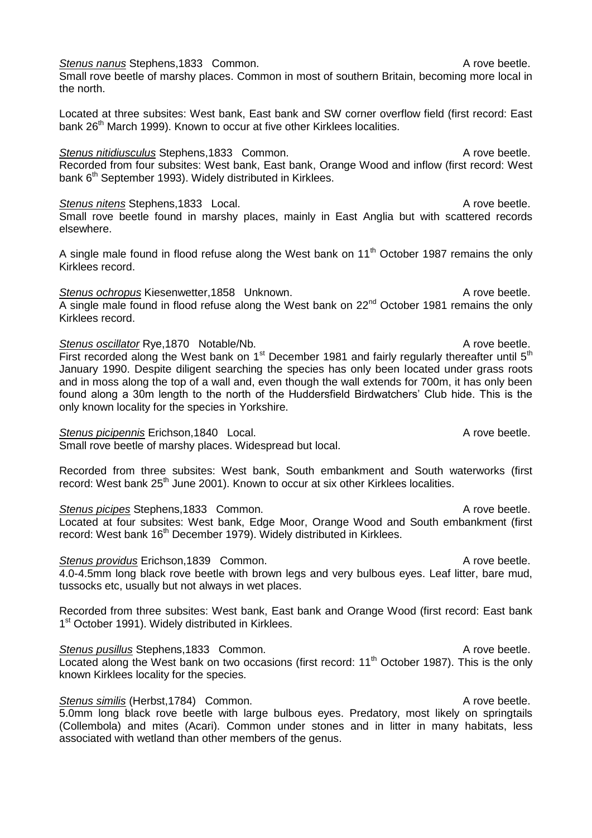**Stenus nanus Stephens,1833 Common.** Common and Common and Common A rove beetle.

Small rove beetle of marshy places. Common in most of southern Britain, becoming more local in the north.

Located at three subsites: West bank, East bank and SW corner overflow field (first record: East bank 26<sup>th</sup> March 1999). Known to occur at five other Kirklees localities.

**Stenus nitidiusculus** Stephens,1833 Common. A rove beetle. Recorded from four subsites: West bank, East bank, Orange Wood and inflow (first record: West bank  $6<sup>th</sup>$  September 1993). Widely distributed in Kirklees.

*Stenus nitens* Stephens,1833 Local. A rove beetle. Small rove beetle found in marshy places, mainly in East Anglia but with scattered records elsewhere.

A single male found in flood refuse along the West bank on  $11<sup>th</sup>$  October 1987 remains the only Kirklees record.

**Stenus ochropus Kiesenwetter,1858 Unknown.** A rove beetle.  $\overline{A}$  single male found in flood refuse along the West bank on 22<sup>nd</sup> October 1981 remains the only Kirklees record.

**Stenus oscillator Rye, 1870 Notable/Nb.** A rove beetle. First recorded along the West bank on  $1<sup>st</sup>$  December 1981 and fairly regularly thereafter until  $5<sup>th</sup>$ January 1990. Despite diligent searching the species has only been located under grass roots and in moss along the top of a wall and, even though the wall extends for 700m, it has only been found along a 30m length to the north of the Huddersfield Birdwatchers' Club hide. This is the only known locality for the species in Yorkshire.

*Stenus picipennis* Erichson,1840 Local. A rove beetle. Small rove beetle of marshy places. Widespread but local.

Recorded from three subsites: West bank, South embankment and South waterworks (first record: West bank 25<sup>th</sup> June 2001). Known to occur at six other Kirklees localities.

**Stenus picipes** Stephens,1833 Common. A rove beetle. Located at four subsites: West bank, Edge Moor, Orange Wood and South embankment (first record: West bank 16<sup>th</sup> December 1979). Widely distributed in Kirklees.

# **Stenus providus Erichson,1839 Common.** Common and Common A rove beetle.

4.0-4.5mm long black rove beetle with brown legs and very bulbous eyes. Leaf litter, bare mud, tussocks etc, usually but not always in wet places.

Recorded from three subsites: West bank, East bank and Orange Wood (first record: East bank 1<sup>st</sup> October 1991). Widely distributed in Kirklees.

**Stenus pusillus Stephens,1833 Common.** A rove beetle.  $\overline{\text{Local}}$  along the West bank on two occasions (first record: 11<sup>th</sup> October 1987). This is the only known Kirklees locality for the species.

**Stenus similis (Herbst,1784)** Common. **A** rove beetle. 5.0mm long black rove beetle with large bulbous eyes. Predatory, most likely on springtails (Collembola) and mites (Acari). Common under stones and in litter in many habitats, less associated with wetland than other members of the genus.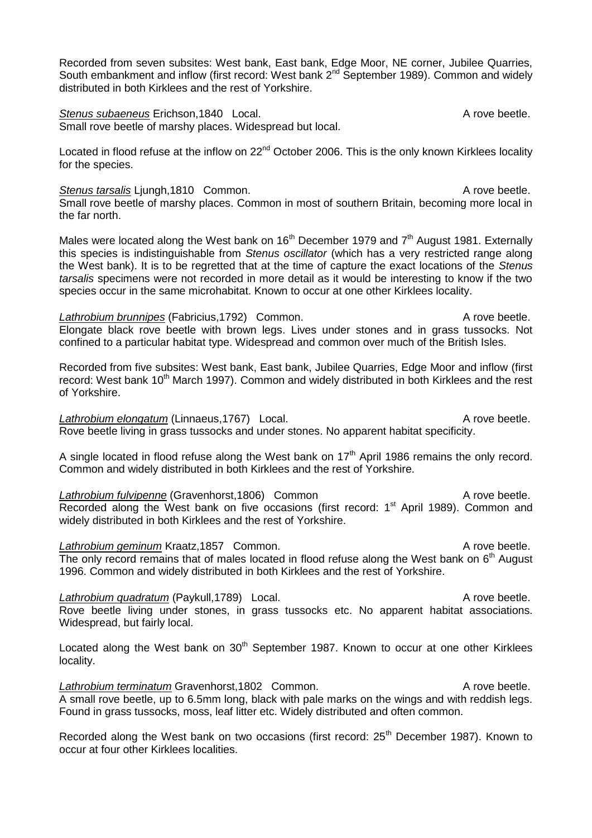Recorded from seven subsites: West bank, East bank, Edge Moor, NE corner, Jubilee Quarries, South embankment and inflow (first record: West bank 2<sup>nd</sup> September 1989). Common and widely distributed in both Kirklees and the rest of Yorkshire.

**Stenus subaeneus Erichson,1840 Local.** A rove beetle. Small rove beetle of marshy places. Widespread but local.

Located in flood refuse at the inflow on  $22^{nd}$  October 2006. This is the only known Kirklees locality for the species.

# **Stenus tarsalis** Ljungh,1810 Common. A rove beetle.

Small rove beetle of marshy places. Common in most of southern Britain, becoming more local in the far north.

Males were located along the West bank on  $16<sup>th</sup>$  December 1979 and  $7<sup>th</sup>$  August 1981. Externally this species is indistinguishable from *Stenus oscillator* (which has a very restricted range along the West bank). It is to be regretted that at the time of capture the exact locations of the *Stenus tarsalis* specimens were not recorded in more detail as it would be interesting to know if the two species occur in the same microhabitat. Known to occur at one other Kirklees locality.

**Lathrobium brunnipes** (Fabricius, 1792) Common. A rove beetle. Elongate black rove beetle with brown legs. Lives under stones and in grass tussocks. Not confined to a particular habitat type. Widespread and common over much of the British Isles.

Recorded from five subsites: West bank, East bank, Jubilee Quarries, Edge Moor and inflow (first record: West bank 10<sup>th</sup> March 1997). Common and widely distributed in both Kirklees and the rest of Yorkshire.

**Lathrobium elongatum** (Linnaeus, 1767) Local. A rove beetle. Rove beetle living in grass tussocks and under stones. No apparent habitat specificity.

A single located in flood refuse along the West bank on  $17<sup>th</sup>$  April 1986 remains the only record. Common and widely distributed in both Kirklees and the rest of Yorkshire.

**Lathrobium fulvipenne** (Gravenhorst, 1806) Common A rove beetle. Recorded along the West bank on five occasions (first record:  $1<sup>st</sup>$  April 1989). Common and widely distributed in both Kirklees and the rest of Yorkshire.

Lathrobium geminum Kraatz, 1857 Common. **A** rove beetle. The only record remains that of males located in flood refuse along the West bank on  $6<sup>th</sup>$  August 1996. Common and widely distributed in both Kirklees and the rest of Yorkshire.

*Lathrobium quadratum* (Paykull,1789) Local. A rove beetle. Rove beetle living under stones, in grass tussocks etc. No apparent habitat associations. Widespread, but fairly local.

Located along the West bank on  $30<sup>th</sup>$  September 1987. Known to occur at one other Kirklees locality.

Lathrobium terminatum Gravenhorst,1802 Common. A rove beetle. A small rove beetle, up to 6.5mm long, black with pale marks on the wings and with reddish legs. Found in grass tussocks, moss, leaf litter etc. Widely distributed and often common.

Recorded along the West bank on two occasions (first record:  $25<sup>th</sup>$  December 1987). Known to occur at four other Kirklees localities.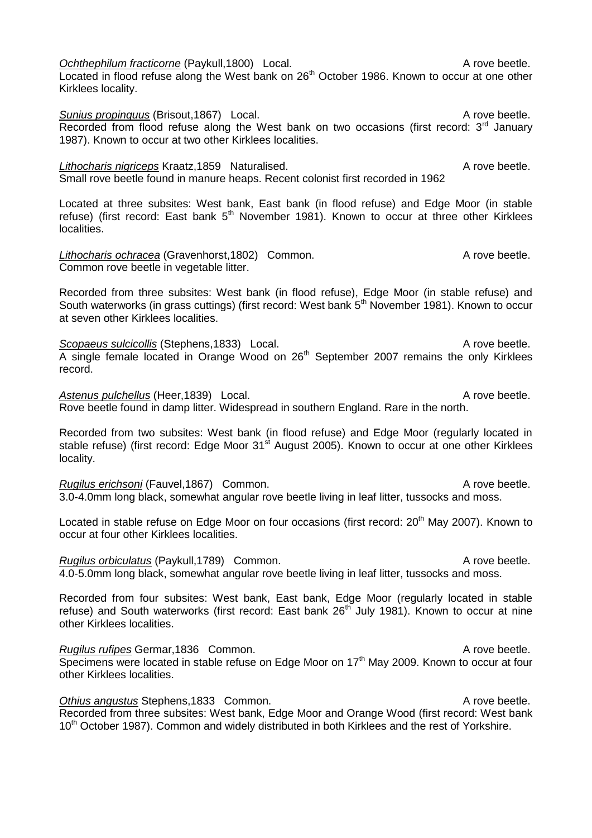*Ochthephilum fracticorne* (Paykull,1800) Local. A rove beetle. Located in flood refuse along the West bank on 26<sup>th</sup> October 1986. Known to occur at one other Kirklees locality.

**Sunius propinquus (Brisout,1867)** Local. A rove beetle. Recorded from flood refuse along the West bank on two occasions (first record:  $3<sup>rd</sup>$  January 1987). Known to occur at two other Kirklees localities.

*Lithocharis nigriceps* Kraatz,1859 Naturalised. A rove beetle. Small rove beetle found in manure heaps. Recent colonist first recorded in 1962

Located at three subsites: West bank, East bank (in flood refuse) and Edge Moor (in stable refuse) (first record: East bank  $5<sup>th</sup>$  November 1981). Known to occur at three other Kirklees localities.

Lithocharis ochracea (Gravenhorst,1802) Common. A rove beetle. Common rove beetle in vegetable litter.

Recorded from three subsites: West bank (in flood refuse), Edge Moor (in stable refuse) and South waterworks (in grass cuttings) (first record: West bank 5<sup>th</sup> November 1981). Known to occur at seven other Kirklees localities.

**Scopaeus sulcicollis (Stephens,1833)** Local. A rove beetle. A single female located in Orange Wood on 26<sup>th</sup> September 2007 remains the only Kirklees record.

Astenus pulchellus (Heer, 1839) Local. A rove beetle. Rove beetle found in damp litter. Widespread in southern England. Rare in the north.

Recorded from two subsites: West bank (in flood refuse) and Edge Moor (regularly located in stable refuse) (first record: Edge Moor 31<sup>st</sup> August 2005). Known to occur at one other Kirklees locality.

*Rugilus erichsoni* (Fauvel, 1867) Common. A rove beetle. 3.0-4.0mm long black, somewhat angular rove beetle living in leaf litter, tussocks and moss.

Located in stable refuse on Edge Moor on four occasions (first record: 20<sup>th</sup> May 2007). Known to occur at four other Kirklees localities.

*Rugilus orbiculatus* (Paykull,1789) Common. A rove beetle. 4.0-5.0mm long black, somewhat angular rove beetle living in leaf litter, tussocks and moss.

Recorded from four subsites: West bank, East bank, Edge Moor (regularly located in stable refuse) and South waterworks (first record: East bank  $26<sup>th</sup>$  July 1981). Known to occur at nine other Kirklees localities.

*Rugilus rufipes* Germar, 1836 Common. A rove beetle. Specimens were located in stable refuse on Edge Moor on 17<sup>th</sup> May 2009. Known to occur at four other Kirklees localities.

**Othius angustus Stephens.1833 Common.** Common and the common of the contract of the contract of the contract of the contract of the contract of the contract of the contract of the contract of the contract of the contract Recorded from three subsites: West bank, Edge Moor and Orange Wood (first record: West bank 10<sup>th</sup> October 1987). Common and widely distributed in both Kirklees and the rest of Yorkshire.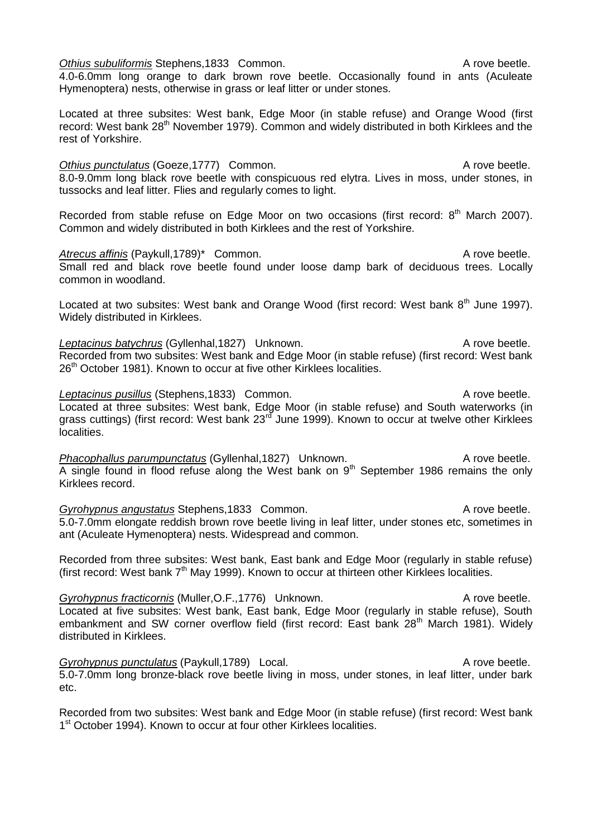**Othius punctulatus** (Goeze, 1777) Common. A rove beetle. 8.0-9.0mm long black rove beetle with conspicuous red elytra. Lives in moss, under stones, in tussocks and leaf litter. Flies and regularly comes to light. Recorded from stable refuse on Edge Moor on two occasions (first record: 8<sup>th</sup> March 2007). Common and widely distributed in both Kirklees and the rest of Yorkshire. Atrecus affinis (Paykull,1789)<sup>\*</sup> Common. A rove beetle. Small red and black rove beetle found under loose damp bark of deciduous trees. Locally common in woodland. Located at two subsites: West bank and Orange Wood (first record: West bank 8<sup>th</sup> June 1997). Widely distributed in Kirklees. Leptacinus batychrus (Gyllenhal, 1827) Unknown. A rove beetle. Recorded from two subsites: West bank and Edge Moor (in stable refuse) (first record: West bank 26<sup>th</sup> October 1981). Known to occur at five other Kirklees localities. **Leptacinus pusillus** (Stephens, 1833) Common. A rove beetle. Located at three subsites: West bank, Edge Moor (in stable refuse) and South waterworks (in grass cuttings) (first record: West bank 23<sup>rd</sup> June 1999). Known to occur at twelve other Kirklees localities. *Phacophallus parumpunctatus* (Gyllenhal,1827) Unknown. A rove beetle. A single found in flood refuse along the West bank on  $9<sup>th</sup>$  September 1986 remains the only Kirklees record.

*Gyrohypnus angustatus* Stephens, 1833 Common. A rove beetle. 5.0-7.0mm elongate reddish brown rove beetle living in leaf litter, under stones etc, sometimes in ant (Aculeate Hymenoptera) nests. Widespread and common.

Recorded from three subsites: West bank, East bank and Edge Moor (regularly in stable refuse) (first record: West bank  $7<sup>th</sup>$  May 1999). Known to occur at thirteen other Kirklees localities.

*Gyrohypnus fracticornis* (Muller, O.F., 1776) Unknown. A rove beetle. Located at five subsites: West bank, East bank, Edge Moor (regularly in stable refuse), South embankment and SW corner overflow field (first record: East bank  $28<sup>th</sup>$  March 1981). Widely distributed in Kirklees.

*Gyrohypnus punctulatus* (Paykull, 1789) Local. A rove beetle. 5.0-7.0mm long bronze-black rove beetle living in moss, under stones, in leaf litter, under bark etc.

Recorded from two subsites: West bank and Edge Moor (in stable refuse) (first record: West bank 1<sup>st</sup> October 1994). Known to occur at four other Kirklees localities.

# 4.0-6.0mm long orange to dark brown rove beetle. Occasionally found in ants (Aculeate Hymenoptera) nests, otherwise in grass or leaf litter or under stones.

Located at three subsites: West bank, Edge Moor (in stable refuse) and Orange Wood (first record: West bank 28<sup>th</sup> November 1979). Common and widely distributed in both Kirklees and the rest of Yorkshire.

*Othius subuliformis* Stephens,1833 Common. A rove beetle.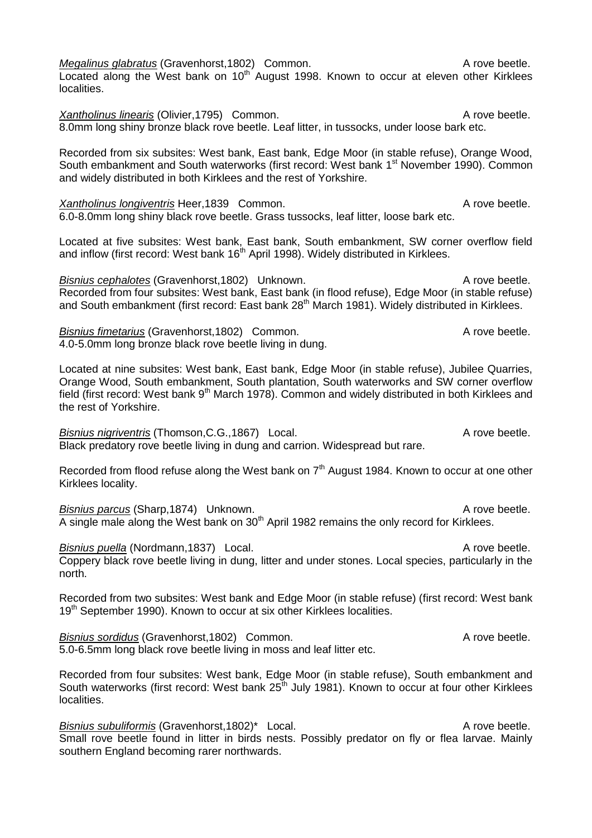*Megalinus glabratus* (Gravenhorst, 1802) Common. A rove beetle.  $L$ ocated along the West bank on 10<sup>th</sup> August 1998. Known to occur at eleven other Kirklees localities.

*Xantholinus linearis* (Olivier, 1795) Common. A rove beetle. 8.0mm long shiny bronze black rove beetle. Leaf litter, in tussocks, under loose bark etc.

Recorded from six subsites: West bank, East bank, Edge Moor (in stable refuse), Orange Wood, South embankment and South waterworks (first record: West bank 1<sup>st</sup> November 1990). Common and widely distributed in both Kirklees and the rest of Yorkshire.

*Xantholinus longiventris* Heer,1839 Common. A rove beetle. 6.0-8.0mm long shiny black rove beetle. Grass tussocks, leaf litter, loose bark etc.

Located at five subsites: West bank, East bank, South embankment, SW corner overflow field and inflow (first record: West bank  $16<sup>th</sup>$  April 1998). Widely distributed in Kirklees.

*Bisnius cephalotes* (Gravenhorst,1802) Unknown. A rove beetle. Recorded from four subsites: West bank, East bank (in flood refuse), Edge Moor (in stable refuse) and South embankment (first record: East bank 28<sup>th</sup> March 1981). Widely distributed in Kirklees.

*Bisnius fimetarius* (Gravenhorst, 1802) Common. A rove beetle. 4.0-5.0mm long bronze black rove beetle living in dung.

Located at nine subsites: West bank, East bank, Edge Moor (in stable refuse), Jubilee Quarries, Orange Wood, South embankment, South plantation, South waterworks and SW corner overflow field (first record: West bank 9<sup>th</sup> March 1978). Common and widely distributed in both Kirklees and the rest of Yorkshire.

*Bisnius nigriventris* (Thomson, C.G., 1867) Local. A rove beetle. Black predatory rove beetle living in dung and carrion. Widespread but rare.

Recorded from flood refuse along the West bank on  $7<sup>th</sup>$  August 1984. Known to occur at one other Kirklees locality.

**Bisnius parcus (Sharp, 1874)** Unknown. A rove beetle. A single male along the West bank on  $30<sup>th</sup>$  April 1982 remains the only record for Kirklees.

**Bisnius puella** (Nordmann,1837) Local. A rove beetle. Coppery black rove beetle living in dung, litter and under stones. Local species, particularly in the north.

Recorded from two subsites: West bank and Edge Moor (in stable refuse) (first record: West bank 19<sup>th</sup> September 1990). Known to occur at six other Kirklees localities.

*Bisnius sordidus* (Gravenhorst, 1802) Common. A rove beetle. 5.0-6.5mm long black rove beetle living in moss and leaf litter etc.

Recorded from four subsites: West bank, Edge Moor (in stable refuse), South embankment and South waterworks (first record: West bank  $25<sup>th</sup>$  July 1981). Known to occur at four other Kirklees localities.

*Bisnius subuliformis* (Gravenhorst,1802)<sup>\*</sup> Local. A rove beetle. Small rove beetle found in litter in birds nests. Possibly predator on fly or flea larvae. Mainly southern England becoming rarer northwards.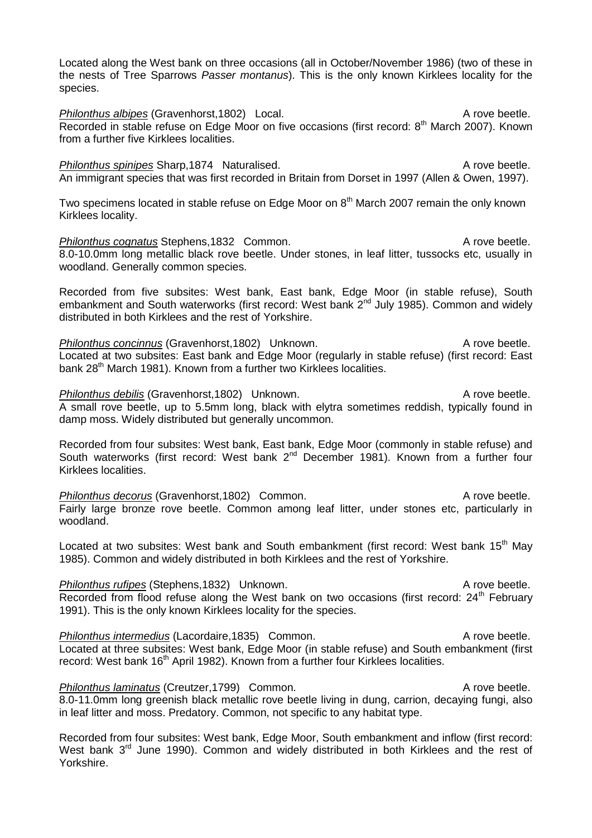Located along the West bank on three occasions (all in October/November 1986) (two of these in the nests of Tree Sparrows *Passer montanus*). This is the only known Kirklees locality for the species.

*Philonthus albipes* (Gravenhorst,1802) Local. A rove beetle. Recorded in stable refuse on Edge Moor on five occasions (first record: 8<sup>th</sup> March 2007). Known from a further five Kirklees localities.

**Philonthus spinipes Sharp, 1874 Naturalised.** A rove beetle. An immigrant species that was first recorded in Britain from Dorset in 1997 (Allen & Owen, 1997).

Two specimens located in stable refuse on Edge Moor on  $8<sup>th</sup>$  March 2007 remain the only known Kirklees locality.

**Philonthus cognatus Stephens,1832 Common.** A rove beetle. 8.0-10.0mm long metallic black rove beetle. Under stones, in leaf litter, tussocks etc, usually in woodland. Generally common species.

Recorded from five subsites: West bank, East bank, Edge Moor (in stable refuse), South embankment and South waterworks (first record: West bank 2<sup>nd</sup> July 1985). Common and widely distributed in both Kirklees and the rest of Yorkshire.

*Philonthus concinnus* (Gravenhorst,1802) Unknown. A rove beetle. Located at two subsites: East bank and Edge Moor (regularly in stable refuse) (first record: East bank 28<sup>th</sup> March 1981). Known from a further two Kirklees localities.

*Philonthus debilis* (Gravenhorst,1802) Unknown. A rove beetle. A small rove beetle, up to 5.5mm long, black with elytra sometimes reddish, typically found in damp moss. Widely distributed but generally uncommon.

Recorded from four subsites: West bank, East bank, Edge Moor (commonly in stable refuse) and South waterworks (first record: West bank 2<sup>nd</sup> December 1981). Known from a further four Kirklees localities.

*Philonthus decorus* (Gravenhorst, 1802) Common. A rove beetle. Fairly large bronze rove beetle. Common among leaf litter, under stones etc, particularly in woodland.

Located at two subsites: West bank and South embankment (first record: West bank 15<sup>th</sup> May 1985). Common and widely distributed in both Kirklees and the rest of Yorkshire.

**Philonthus rufipes (Stephens,1832) Unknown.** A rove beetle. Recorded from flood refuse along the West bank on two occasions (first record: 24<sup>th</sup> Februarv 1991). This is the only known Kirklees locality for the species.

**Philonthus intermedius** (Lacordaire, 1835) Common. A rove beetle. Located at three subsites: West bank, Edge Moor (in stable refuse) and South embankment (first record: West bank 16<sup>th</sup> April 1982). Known from a further four Kirklees localities.

*Philonthus laminatus* (Creutzer, 1799) Common. A rove beetle. 8.0-11.0mm long greenish black metallic rove beetle living in dung, carrion, decaying fungi, also in leaf litter and moss. Predatory. Common, not specific to any habitat type.

Recorded from four subsites: West bank, Edge Moor, South embankment and inflow (first record: West bank 3<sup>rd</sup> June 1990). Common and widely distributed in both Kirklees and the rest of Yorkshire.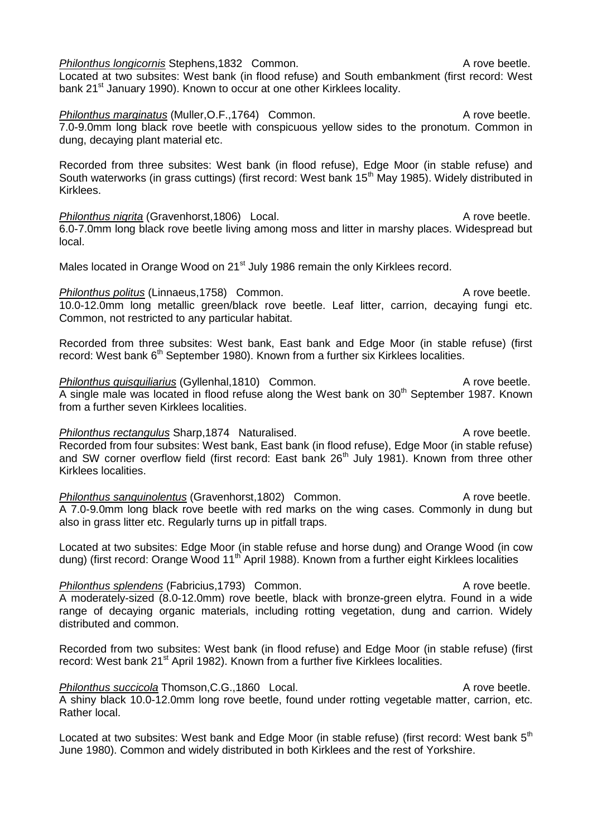*Philonthus longicornis* Stephens, 1832 Common. A rove beetle. Located at two subsites: West bank (in flood refuse) and South embankment (first record: West bank 21<sup>st</sup> January 1990). Known to occur at one other Kirklees locality.

*Philonthus marginatus* (Muller, O.F., 1764) Common. A rove beetle. 7.0-9.0mm long black rove beetle with conspicuous yellow sides to the pronotum. Common in dung, decaying plant material etc.

Recorded from three subsites: West bank (in flood refuse), Edge Moor (in stable refuse) and South waterworks (in grass cuttings) (first record: West bank 15<sup>th</sup> May 1985). Widely distributed in Kirklees.

*Philonthus nigrita* (Gravenhorst,1806) Local. A rove beetle. 6.0-7.0mm long black rove beetle living among moss and litter in marshy places. Widespread but local.

Males located in Orange Wood on 21<sup>st</sup> July 1986 remain the only Kirklees record.

**Philonthus politus** (Linnaeus, 1758) Common. A rove beetle. 10.0-12.0mm long metallic green/black rove beetle. Leaf litter, carrion, decaying fungi etc. Common, not restricted to any particular habitat.

Recorded from three subsites: West bank, East bank and Edge Moor (in stable refuse) (first record: West bank  $6<sup>th</sup>$  September 1980). Known from a further six Kirklees localities.

*Philonthus quisquiliarius* (Gyllenhal,1810) Common. A rove beetle. A single male was located in flood refuse along the West bank on  $30<sup>th</sup>$  September 1987. Known from a further seven Kirklees localities.

*Philonthus rectangulus* Sharp,1874 Naturalised. A rove beetle. Recorded from four subsites: West bank, East bank (in flood refuse), Edge Moor (in stable refuse) and SW corner overflow field (first record: East bank 26<sup>th</sup> July 1981). Known from three other Kirklees localities.

*Philonthus sanguinolentus* (Gravenhorst, 1802) Common. A rove beetle. A 7.0-9.0mm long black rove beetle with red marks on the wing cases. Commonly in dung but also in grass litter etc. Regularly turns up in pitfall traps.

Located at two subsites: Edge Moor (in stable refuse and horse dung) and Orange Wood (in cow dung) (first record: Orange Wood 11<sup>th</sup> April 1988). Known from a further eight Kirklees localities

*Philonthus splendens* (Fabricius, 1793) Common. A rove beetle. A moderately-sized (8.0-12.0mm) rove beetle, black with bronze-green elytra. Found in a wide range of decaying organic materials, including rotting vegetation, dung and carrion. Widely distributed and common.

Recorded from two subsites: West bank (in flood refuse) and Edge Moor (in stable refuse) (first record: West bank 21<sup>st</sup> April 1982). Known from a further five Kirklees localities.

*Philonthus succicola* Thomson, C.G., 1860 Local. A rove beetle. A shiny black 10.0-12.0mm long rove beetle, found under rotting vegetable matter, carrion, etc. Rather local.

Located at two subsites: West bank and Edge Moor (in stable refuse) (first record: West bank 5<sup>th</sup> June 1980). Common and widely distributed in both Kirklees and the rest of Yorkshire.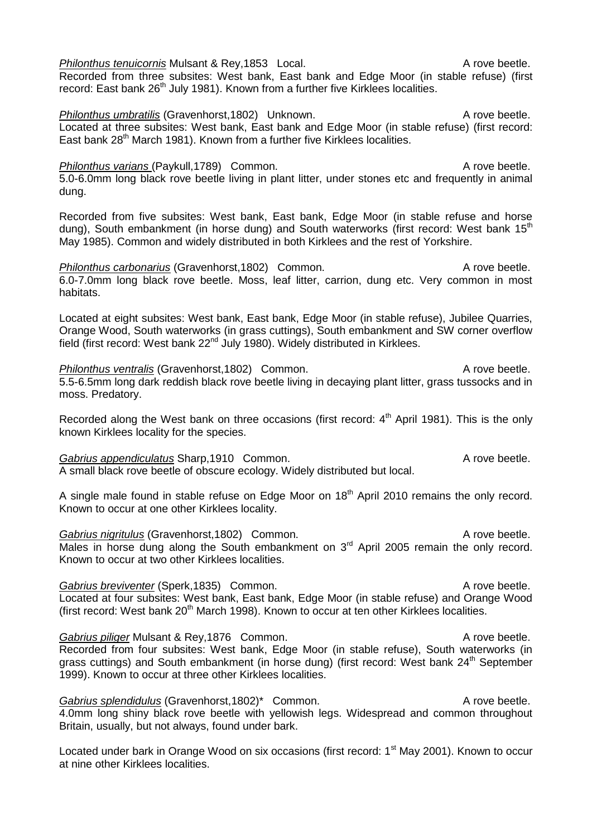*Philonthus tenuicornis* Mulsant & Rev.1853 Local. A rove beetle. Recorded from three subsites: West bank, East bank and Edge Moor (in stable refuse) (first record: East bank 26<sup>th</sup> July 1981). Known from a further five Kirklees localities.

*Philonthus umbratilis* (Gravenhorst, 1802) Unknown. A rove beetle. Located at three subsites: West bank, East bank and Edge Moor (in stable refuse) (first record: East bank  $28<sup>th</sup>$  March 1981). Known from a further five Kirklees localities.

*Philonthus varians* (Paykull,1789) Common. A rove beetle.

5.0-6.0mm long black rove beetle living in plant litter, under stones etc and frequently in animal dung.

Recorded from five subsites: West bank, East bank, Edge Moor (in stable refuse and horse dung), South embankment (in horse dung) and South waterworks (first record: West bank 15<sup>th</sup> May 1985). Common and widely distributed in both Kirklees and the rest of Yorkshire.

**Philonthus carbonarius** (Gravenhorst, 1802) Common. A rove beetle. 6.0-7.0mm long black rove beetle. Moss, leaf litter, carrion, dung etc. Very common in most habitats.

Located at eight subsites: West bank, East bank, Edge Moor (in stable refuse), Jubilee Quarries, Orange Wood, South waterworks (in grass cuttings), South embankment and SW corner overflow field (first record: West bank 22<sup>nd</sup> July 1980). Widely distributed in Kirklees.

*Philonthus ventralis* (Gravenhorst,1802) Common. A rove beetle. 5.5-6.5mm long dark reddish black rove beetle living in decaying plant litter, grass tussocks and in moss. Predatory.

Recorded along the West bank on three occasions (first record:  $4<sup>th</sup>$  April 1981). This is the only known Kirklees locality for the species.

Gabrius appendiculatus Sharp,1910 Common. **A** rove beetle. A small black rove beetle of obscure ecology. Widely distributed but local.

A single male found in stable refuse on Edge Moor on 18<sup>th</sup> April 2010 remains the only record. Known to occur at one other Kirklees locality.

Gabrius nigritulus (Gravenhorst, 1802) Common. A rove beetle. Males in horse dung along the South embankment on  $3<sup>rd</sup>$  April 2005 remain the only record. Known to occur at two other Kirklees localities.

Gabrius breviventer (Sperk,1835) Common. **A** rove beetle. Located at four subsites: West bank, East bank, Edge Moor (in stable refuse) and Orange Wood (first record: West bank  $20<sup>th</sup>$  March 1998). Known to occur at ten other Kirklees localities.

Gabrius piliger Mulsant & Rey, 1876 Common. A rove beetle. Recorded from four subsites: West bank, Edge Moor (in stable refuse), South waterworks (in grass cuttings) and South embankment (in horse dung) (first record: West bank  $24<sup>th</sup>$  September 1999). Known to occur at three other Kirklees localities.

Gabrius splendidulus (Gravenhorst,1802)<sup>\*</sup> Common. A rove beetle. 4.0mm long shiny black rove beetle with yellowish legs. Widespread and common throughout Britain, usually, but not always, found under bark.

Located under bark in Orange Wood on six occasions (first record: 1<sup>st</sup> May 2001). Known to occur at nine other Kirklees localities.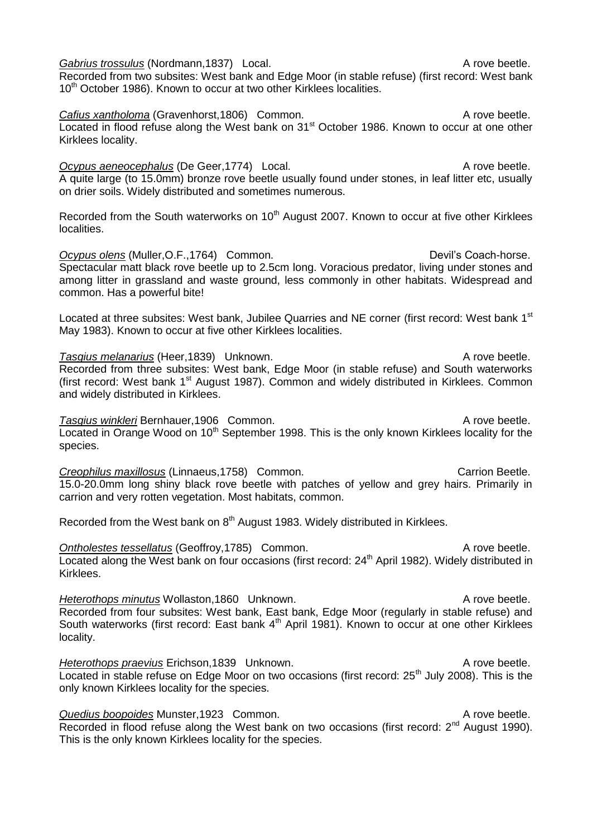Gabrius trossulus (Nordmann, 1837) Local. A rove beetle. Recorded from two subsites: West bank and Edge Moor (in stable refuse) (first record: West bank 10<sup>th</sup> October 1986). Known to occur at two other Kirklees localities.

**Cafius xantholoma (Gravenhorst,1806) Common.** A rove beetle. Located in flood refuse along the West bank on 31<sup>st</sup> October 1986. Known to occur at one other Kirklees locality.

**Ocypus aeneocephalus** (De Geer, 1774) Local. A rove beetle. A quite large (to 15.0mm) bronze rove beetle usually found under stones, in leaf litter etc, usually on drier soils. Widely distributed and sometimes numerous.

Recorded from the South waterworks on 10<sup>th</sup> August 2007. Known to occur at five other Kirklees localities.

Ocypus olens (Muller, O.F., 1764) Common. Devil's Coach-horse. Spectacular matt black rove beetle up to 2.5cm long. Voracious predator, living under stones and among litter in grassland and waste ground, less commonly in other habitats. Widespread and common. Has a powerful bite!

Located at three subsites: West bank, Jubilee Quarries and NE corner (first record: West bank 1<sup>st</sup> May 1983). Known to occur at five other Kirklees localities.

**Tasgius melanarius (Heer, 1839)** Unknown. A rove beetle. Recorded from three subsites: West bank, Edge Moor (in stable refuse) and South waterworks (first record: West bank 1<sup>st</sup> August 1987). Common and widely distributed in Kirklees. Common and widely distributed in Kirklees.

**Tasgius winkleri Bernhauer, 1906** Common. A rove beetle. Located in Orange Wood on 10<sup>th</sup> September 1998. This is the only known Kirklees locality for the species.

**Creophilus maxillosus (Linnaeus, 1758)** Common. Carrion Beetle. 15.0-20.0mm long shiny black rove beetle with patches of yellow and grey hairs. Primarily in carrion and very rotten vegetation. Most habitats, common.

Recorded from the West bank on  $8<sup>th</sup>$  August 1983. Widely distributed in Kirklees.

**Ontholestes tessellatus** (Geoffroy, 1785) Common. A rove beetle. Located along the West bank on four occasions (first record:  $24<sup>th</sup>$  April 1982). Widely distributed in Kirklees.

*Heterothops minutus* Wollaston,1860 Unknown. A rove beetle. Recorded from four subsites: West bank, East bank, Edge Moor (regularly in stable refuse) and South waterworks (first record: East bank 4<sup>th</sup> April 1981). Known to occur at one other Kirklees locality.

*Heterothops praevius* Erichson,1839 Unknown. A rove beetle. Located in stable refuse on Edge Moor on two occasions (first record:  $25<sup>th</sup>$  July 2008). This is the only known Kirklees locality for the species.

**Quedius boopoides Munster,1923 Common.** A rove beetle. Recorded in flood refuse along the West bank on two occasions (first record: 2<sup>nd</sup> August 1990). This is the only known Kirklees locality for the species.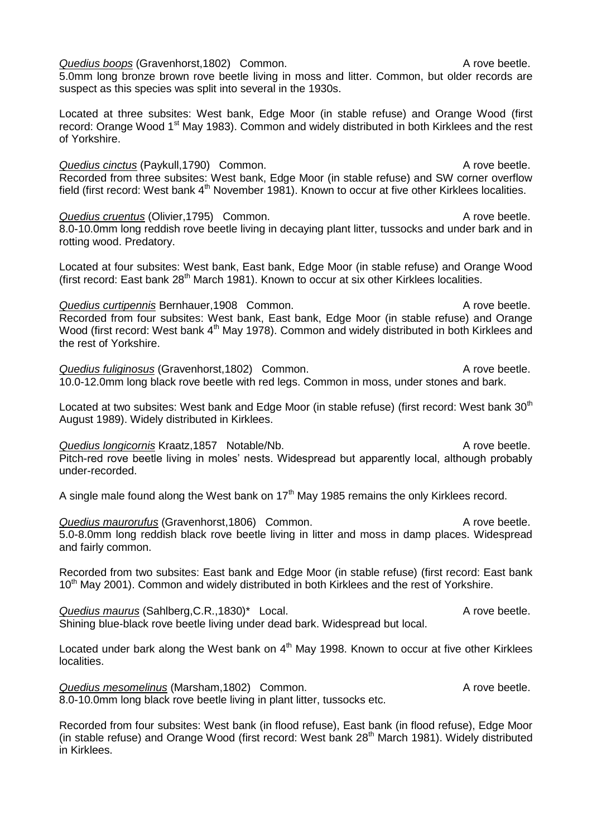**Quedius boops** (Gravenhorst, 1802) Common. A rove beetle. 5.0mm long bronze brown rove beetle living in moss and litter. Common, but older records are

suspect as this species was split into several in the 1930s.

Located at three subsites: West bank, Edge Moor (in stable refuse) and Orange Wood (first record: Orange Wood 1<sup>st</sup> May 1983). Common and widely distributed in both Kirklees and the rest of Yorkshire.

**Quedius cinctus** (Paykull,1790) Common. A rove beetle. Recorded from three subsites: West bank, Edge Moor (in stable refuse) and SW corner overflow field (first record: West bank 4<sup>th</sup> November 1981). Known to occur at five other Kirklees localities.

**Quedius cruentus (Olivier, 1795)** Common. Common Common Common A rove beetle. 8.0-10.0mm long reddish rove beetle living in decaying plant litter, tussocks and under bark and in rotting wood. Predatory.

Located at four subsites: West bank, East bank, Edge Moor (in stable refuse) and Orange Wood (first record: East bank 28<sup>th</sup> March 1981). Known to occur at six other Kirklees localities.

**Quedius curtipennis Bernhauer, 1908 Common.** A rove beetle. Recorded from four subsites: West bank, East bank, Edge Moor (in stable refuse) and Orange Wood (first record: West bank 4<sup>th</sup> May 1978). Common and widely distributed in both Kirklees and the rest of Yorkshire.

**Quedius fuliginosus (Gravenhorst, 1802)** Common. A rove beetle. 10.0-12.0mm long black rove beetle with red legs. Common in moss, under stones and bark.

Located at two subsites: West bank and Edge Moor (in stable refuse) (first record: West bank 30<sup>th</sup> August 1989). Widely distributed in Kirklees.

**Quedius longicornis Kraatz,1857 Notable/Nb.** A rove beetle. Pitch-red rove beetle living in moles' nests. Widespread but apparently local, although probably under-recorded.

A single male found along the West bank on  $17<sup>th</sup>$  May 1985 remains the only Kirklees record.

**Quedius maurorufus (Gravenhorst, 1806)** Common. A rove beetle. 5.0-8.0mm long reddish black rove beetle living in litter and moss in damp places. Widespread and fairly common.

Recorded from two subsites: East bank and Edge Moor (in stable refuse) (first record: East bank 10<sup>th</sup> May 2001). Common and widely distributed in both Kirklees and the rest of Yorkshire.

*Quedius maurus* (Sahlberg, C.R., 1830)\* Local. A rove beetle. Shining blue-black rove beetle living under dead bark. Widespread but local.

Located under bark along the West bank on  $4<sup>th</sup>$  May 1998. Known to occur at five other Kirklees localities.

*Quedius mesomelinus* (Marsham, 1802) Common. A rove beetle. 8.0-10.0mm long black rove beetle living in plant litter, tussocks etc.

Recorded from four subsites: West bank (in flood refuse), East bank (in flood refuse), Edge Moor (in stable refuse) and Orange Wood (first record: West bank  $28<sup>th</sup>$  March 1981). Widely distributed in Kirklees.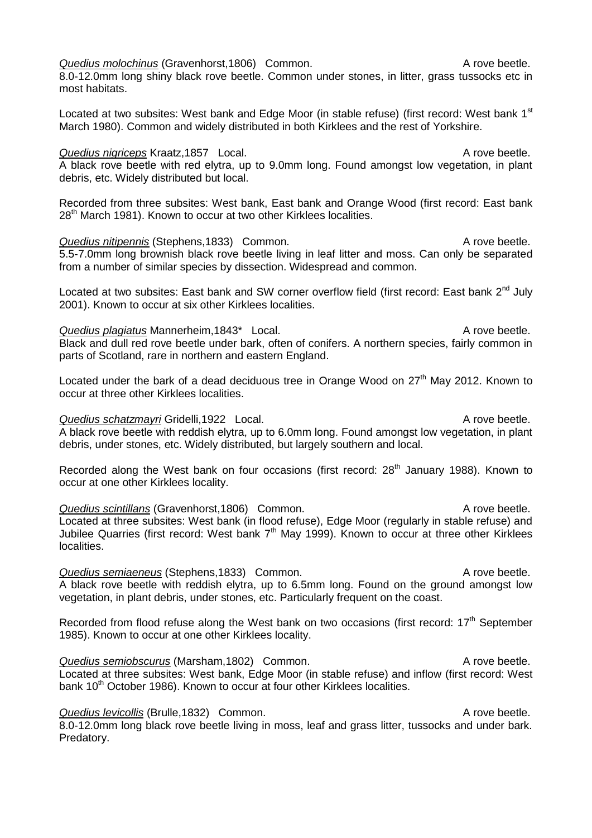*Quedius molochinus* (Gravenhorst, 1806) Common. A rove beetle.

8.0-12.0mm long shiny black rove beetle. Common under stones, in litter, grass tussocks etc in most habitats.

Located at two subsites: West bank and Edge Moor (in stable refuse) (first record: West bank  $1<sup>st</sup>$ March 1980). Common and widely distributed in both Kirklees and the rest of Yorkshire.

# **Quedius nigriceps** Kraatz, 1857 Local. A rove beetle.

A black rove beetle with red elytra, up to 9.0mm long. Found amongst low vegetation, in plant debris, etc. Widely distributed but local.

Recorded from three subsites: West bank, East bank and Orange Wood (first record: East bank 28<sup>th</sup> March 1981). Known to occur at two other Kirklees localities.

*Quedius nitipennis* (Stephens,1833) Common. A rove beetle. 5.5-7.0mm long brownish black rove beetle living in leaf litter and moss. Can only be separated from a number of similar species by dissection. Widespread and common.

Located at two subsites: East bank and SW corner overflow field (first record: East bank  $2<sup>nd</sup>$  July 2001). Known to occur at six other Kirklees localities.

*Quedius plagiatus* Mannerheim,1843<sup>\*</sup> Local. A rove beetle. Black and dull red rove beetle under bark, often of conifers. A northern species, fairly common in parts of Scotland, rare in northern and eastern England.

Located under the bark of a dead deciduous tree in Orange Wood on 27<sup>th</sup> May 2012. Known to occur at three other Kirklees localities.

# *Quedius schatzmayri* Gridelli,1922 Local. A rove beetle.

A black rove beetle with reddish elytra, up to 6.0mm long. Found amongst low vegetation, in plant debris, under stones, etc. Widely distributed, but largely southern and local.

Recorded along the West bank on four occasions (first record:  $28<sup>th</sup>$  January 1988). Known to occur at one other Kirklees locality.

**Quedius scintillans** (Gravenhorst,1806) Common. A rove beetle. Located at three subsites: West bank (in flood refuse), Edge Moor (regularly in stable refuse) and Jubilee Quarries (first record: West bank  $7<sup>th</sup>$  May 1999). Known to occur at three other Kirklees localities.

**Quedius semiaeneus (Stephens,1833) Common. A rove beetle.** A rove beetle. A black rove beetle with reddish elytra, up to 6.5mm long. Found on the ground amongst low vegetation, in plant debris, under stones, etc. Particularly frequent on the coast.

Recorded from flood refuse along the West bank on two occasions (first record:  $17<sup>th</sup>$  September 1985). Known to occur at one other Kirklees locality.

*Quedius semiobscurus* (Marsham, 1802) Common. A rove beetle. Located at three subsites: West bank, Edge Moor (in stable refuse) and inflow (first record: West bank 10<sup>th</sup> October 1986). Known to occur at four other Kirklees localities.

**Quedius levicollis (Brulle,1832) Common.** Common and Common A rove beetle. 8.0-12.0mm long black rove beetle living in moss, leaf and grass litter, tussocks and under bark. Predatory.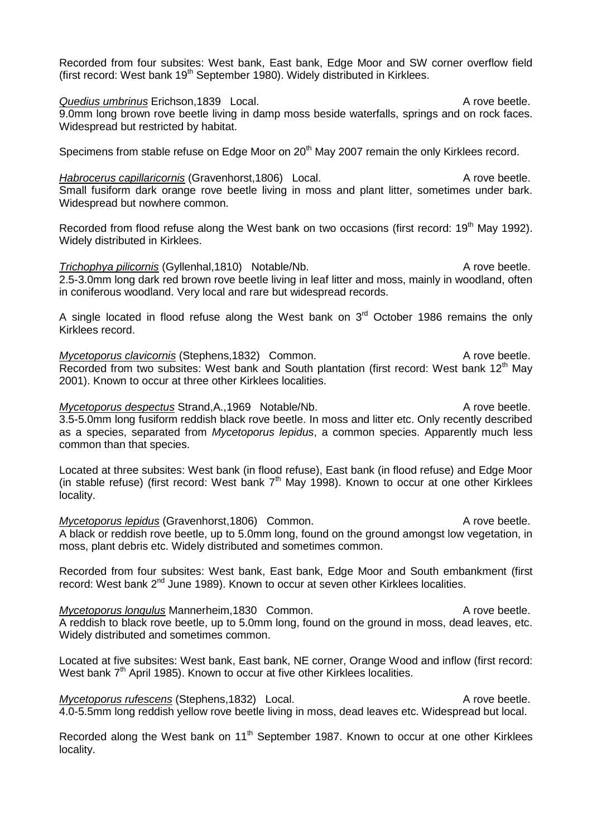Recorded from four subsites: West bank, East bank, Edge Moor and SW corner overflow field (first record: West bank  $19<sup>th</sup>$  September 1980). Widely distributed in Kirklees.

**Quedius umbrinus** Erichson,1839 Local. A rove beetle. 9.0mm long brown rove beetle living in damp moss beside waterfalls, springs and on rock faces. Widespread but restricted by habitat.

Specimens from stable refuse on Edge Moor on 20<sup>th</sup> May 2007 remain the only Kirklees record.

*Habrocerus capillaricornis* (Gravenhorst, 1806) Local. A rove beetle. Small fusiform dark orange rove beetle living in moss and plant litter, sometimes under bark. Widespread but nowhere common.

Recorded from flood refuse along the West bank on two occasions (first record:  $19<sup>th</sup>$  May 1992). Widely distributed in Kirklees.

*Trichophya pilicornis* (Gyllenhal, 1810) Notable/Nb. A rove beetle. 2.5-3.0mm long dark red brown rove beetle living in leaf litter and moss, mainly in woodland, often in coniferous woodland. Very local and rare but widespread records.

A single located in flood refuse along the West bank on  $3<sup>rd</sup>$  October 1986 remains the only Kirklees record.

*Mycetoporus clavicornis* (Stephens,1832) Common. A rove beetle. Recorded from two subsites: West bank and South plantation (first record: West bank 12<sup>th</sup> Mav 2001). Known to occur at three other Kirklees localities.

*Mycetoporus despectus* Strand,A.,1969 Notable/Nb. A rove beetle. 3.5-5.0mm long fusiform reddish black rove beetle. In moss and litter etc. Only recently described as a species, separated from *Mycetoporus lepidus*, a common species. Apparently much less common than that species.

Located at three subsites: West bank (in flood refuse), East bank (in flood refuse) and Edge Moor (in stable refuse) (first record: West bank  $7<sup>th</sup>$  May 1998). Known to occur at one other Kirklees locality.

*Mycetoporus lepidus* (Gravenhorst, 1806) Common. A rove beetle. A black or reddish rove beetle, up to 5.0mm long, found on the ground amongst low vegetation, in moss, plant debris etc. Widely distributed and sometimes common.

Recorded from four subsites: West bank, East bank, Edge Moor and South embankment (first record: West bank  $2^{nd}$  June 1989). Known to occur at seven other Kirklees localities.

*Mycetoporus longulus* Mannerheim,1830 Common. A rove beetle. A reddish to black rove beetle, up to 5.0mm long, found on the ground in moss, dead leaves, etc. Widely distributed and sometimes common.

Located at five subsites: West bank, East bank, NE corner, Orange Wood and inflow (first record: West bank 7<sup>th</sup> April 1985). Known to occur at five other Kirklees localities.

*Mycetoporus rufescens* (Stephens, 1832) Local. A rove beetle. 4.0-5.5mm long reddish yellow rove beetle living in moss, dead leaves etc. Widespread but local.

Recorded along the West bank on 11<sup>th</sup> September 1987. Known to occur at one other Kirklees locality.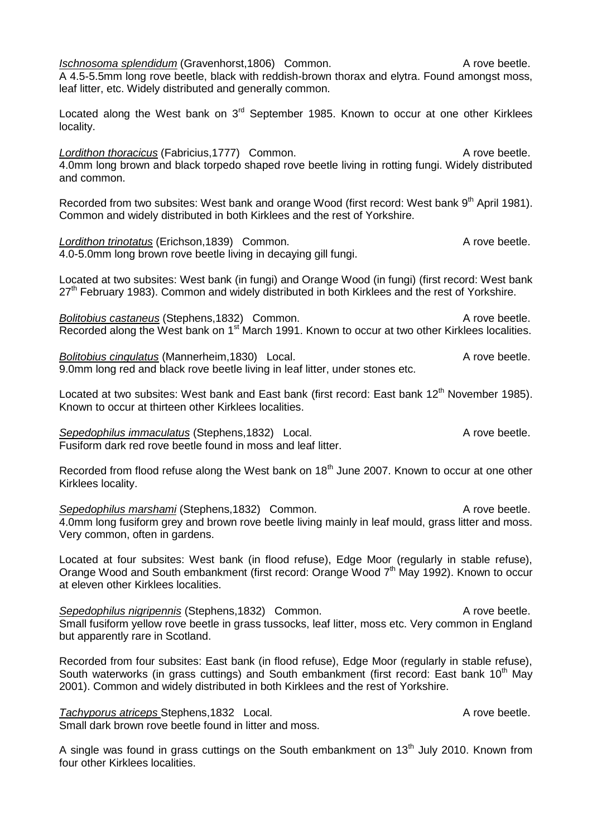| Ischnosoma splendidum (Gravenhorst, 1806) Common.<br>A rove beetle.<br>A 4.5-5.5mm long rove beetle, black with reddish-brown thorax and elytra. Found amongst moss,<br>leaf litter, etc. Widely distributed and generally common.                                                               |  |
|--------------------------------------------------------------------------------------------------------------------------------------------------------------------------------------------------------------------------------------------------------------------------------------------------|--|
| Located along the West bank on 3 <sup>rd</sup> September 1985. Known to occur at one other Kirklees<br>locality.                                                                                                                                                                                 |  |
| Lordithon thoracicus (Fabricius, 1777) Common.<br>A rove beetle.<br>4.0mm long brown and black torpedo shaped rove beetle living in rotting fungi. Widely distributed<br>and common.                                                                                                             |  |
| Recorded from two subsites: West bank and orange Wood (first record: West bank 9 <sup>th</sup> April 1981).<br>Common and widely distributed in both Kirklees and the rest of Yorkshire.                                                                                                         |  |
| A rove beetle.<br>Lordithon trinotatus (Erichson, 1839) Common.<br>4.0-5.0mm long brown rove beetle living in decaying gill fungi.                                                                                                                                                               |  |
| Located at two subsites: West bank (in fungi) and Orange Wood (in fungi) (first record: West bank<br>27 <sup>th</sup> February 1983). Common and widely distributed in both Kirklees and the rest of Yorkshire.                                                                                  |  |
| <b>Bolitobius castaneus (Stephens, 1832) Common.</b><br>A rove beetle.<br>Recorded along the West bank on 1 <sup>st</sup> March 1991. Known to occur at two other Kirklees localities.                                                                                                           |  |
| <b>Bolitobius cingulatus (Mannerheim, 1830)</b> Local.<br>A rove beetle.<br>9.0mm long red and black rove beetle living in leaf litter, under stones etc.                                                                                                                                        |  |
| Located at two subsites: West bank and East bank (first record: East bank 12 <sup>th</sup> November 1985).<br>Known to occur at thirteen other Kirklees localities.                                                                                                                              |  |
| Sepedophilus immaculatus (Stephens, 1832) Local.<br>A rove beetle.<br>Fusiform dark red rove beetle found in moss and leaf litter.                                                                                                                                                               |  |
| Recorded from flood refuse along the West bank on 18 <sup>th</sup> June 2007. Known to occur at one other<br>Kirklees locality.                                                                                                                                                                  |  |
| Sepedophilus marshami (Stephens, 1832) Common.<br>A rove beetle.<br>4.0mm long fusiform grey and brown rove beetle living mainly in leaf mould, grass litter and moss.<br>Very common, often in gardens.                                                                                         |  |
| Located at four subsites: West bank (in flood refuse), Edge Moor (regularly in stable refuse),<br>Orange Wood and South embankment (first record: Orange Wood 7 <sup>th</sup> May 1992). Known to occur<br>at eleven other Kirklees localities.                                                  |  |
| Sepedophilus nigripennis (Stephens, 1832) Common.<br>A rove beetle.<br>Small fusiform yellow rove beetle in grass tussocks, leaf litter, moss etc. Very common in England<br>but apparently rare in Scotland.                                                                                    |  |
| Recorded from four subsites: East bank (in flood refuse), Edge Moor (regularly in stable refuse),<br>South waterworks (in grass cuttings) and South embankment (first record: East bank 10 <sup>th</sup> May<br>2001). Common and widely distributed in both Kirklees and the rest of Yorkshire. |  |
| A rove beetle.<br>Tachyporus atriceps Stephens, 1832 Local.<br>Small dark brown rove beetle found in litter and moss.                                                                                                                                                                            |  |
| A single was found in grass cuttings on the South embankment on 13 <sup>th</sup> July 2010. Known from<br>four other Kirklees localities.                                                                                                                                                        |  |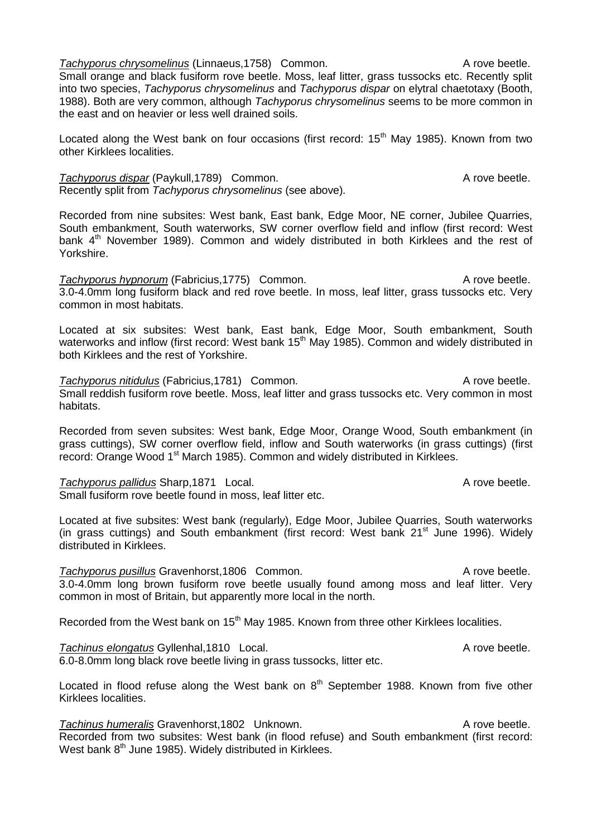**Tachyporus chrysomelinus (Linnaeus, 1758)** Common. A rove beetle. Small orange and black fusiform rove beetle. Moss, leaf litter, grass tussocks etc. Recently split into two species, *Tachyporus chrysomelinus* and *Tachyporus dispar* on elytral chaetotaxy (Booth, 1988). Both are very common, although *Tachyporus chrysomelinus* seems to be more common in the east and on heavier or less well drained soils.

Located along the West bank on four occasions (first record: 15<sup>th</sup> May 1985). Known from two other Kirklees localities.

### *Tachyporus dispar* (Paykull,1789) Common. A rove beetle. Recently split from *Tachyporus chrysomelinus* (see above)*.*

Recorded from nine subsites: West bank, East bank, Edge Moor, NE corner, Jubilee Quarries, South embankment, South waterworks, SW corner overflow field and inflow (first record: West bank  $4<sup>th</sup>$  November 1989). Common and widely distributed in both Kirklees and the rest of Yorkshire.

*Tachyporus hypnorum* (Fabricius, 1775) Common. A rove beetle. 3.0-4.0mm long fusiform black and red rove beetle. In moss, leaf litter, grass tussocks etc. Very common in most habitats.

Located at six subsites: West bank, East bank, Edge Moor, South embankment, South waterworks and inflow (first record: West bank 15<sup>th</sup> May 1985). Common and widely distributed in both Kirklees and the rest of Yorkshire.

*Tachyporus nitidulus* (Fabricius, 1781) Common. A rove beetle. Small reddish fusiform rove beetle. Moss, leaf litter and grass tussocks etc. Very common in most habitats.

Recorded from seven subsites: West bank, Edge Moor, Orange Wood, South embankment (in grass cuttings), SW corner overflow field, inflow and South waterworks (in grass cuttings) (first record: Orange Wood 1<sup>st</sup> March 1985). Common and widely distributed in Kirklees.

### **Tachyporus pallidus Sharp,1871** Local. A rove beetle.

Small fusiform rove beetle found in moss, leaf litter etc.

Located at five subsites: West bank (regularly), Edge Moor, Jubilee Quarries, South waterworks (in grass cuttings) and South embankment (first record: West bank 21<sup>st</sup> June 1996). Widely distributed in Kirklees.

*Tachyporus pusillus* Gravenhorst,1806 Common. A rove beetle. 3.0-4.0mm long brown fusiform rove beetle usually found among moss and leaf litter. Very common in most of Britain, but apparently more local in the north.

Recorded from the West bank on 15<sup>th</sup> May 1985. Known from three other Kirklees localities.

**Tachinus elongatus Gyllenhal,1810** Local. Tachinus extends to a prove beetle.

6.0-8.0mm long black rove beetle living in grass tussocks, litter etc.

Located in flood refuse along the West bank on 8<sup>th</sup> September 1988. Known from five other Kirklees localities.

**Tachinus humeralis Gravenhorst,1802 Unknown.** A rove beetle. Recorded from two subsites: West bank (in flood refuse) and South embankment (first record: West bank  $8<sup>th</sup>$  June 1985). Widely distributed in Kirklees.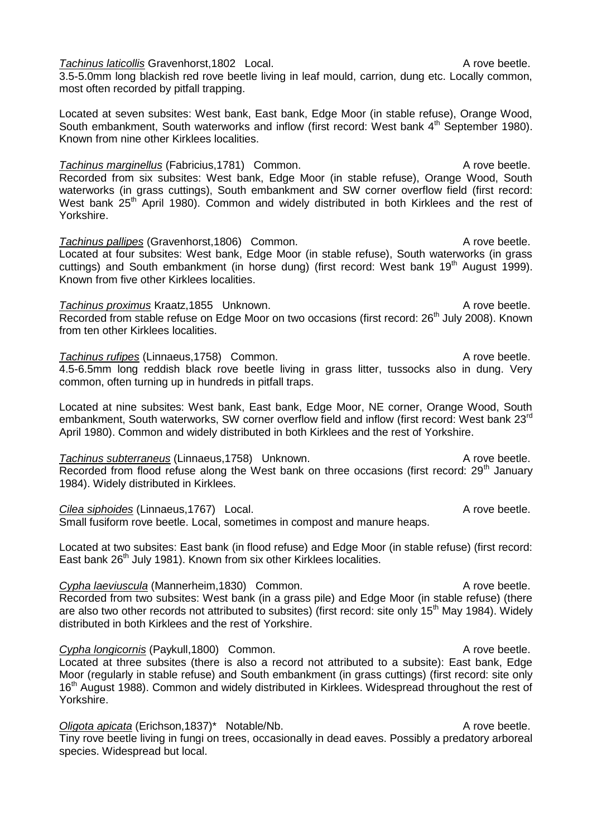**Tachinus laticollis Gravenhorst,1802 Local.** A rove beetle. 3.5-5.0mm long blackish red rove beetle living in leaf mould, carrion, dung etc. Locally common, most often recorded by pitfall trapping.

Located at seven subsites: West bank, East bank, Edge Moor (in stable refuse), Orange Wood, South embankment, South waterworks and inflow (first record: West bank 4<sup>th</sup> September 1980). Known from nine other Kirklees localities.

*Tachinus marginellus* (Fabricius, 1781) Common. A rove beetle. Recorded from six subsites: West bank, Edge Moor (in stable refuse), Orange Wood, South waterworks (in grass cuttings), South embankment and SW corner overflow field (first record: West bank 25<sup>th</sup> April 1980). Common and widely distributed in both Kirklees and the rest of Yorkshire.

**Tachinus pallipes** (Gravenhorst,1806) Common. A rove beetle. Located at four subsites: West bank, Edge Moor (in stable refuse), South waterworks (in grass cuttings) and South embankment (in horse dung) (first record: West bank 19<sup>th</sup> August 1999). Known from five other Kirklees localities.

**Tachinus proximus Kraatz, 1855 Unknown.** A rove beetle. Recorded from stable refuse on Edge Moor on two occasions (first record:  $26<sup>th</sup>$  July 2008). Known from ten other Kirklees localities.

**Tachinus rufipes (Linnaeus, 1758)** Common. A rove beetle. 4.5-6.5mm long reddish black rove beetle living in grass litter, tussocks also in dung. Very common, often turning up in hundreds in pitfall traps.

Located at nine subsites: West bank, East bank, Edge Moor, NE corner, Orange Wood, South embankment, South waterworks, SW corner overflow field and inflow (first record: West bank 23<sup>rd</sup> April 1980). Common and widely distributed in both Kirklees and the rest of Yorkshire.

*Tachinus subterraneus* (Linnaeus, 1758) Unknown. A rove beetle. Recorded from flood refuse along the West bank on three occasions (first record: 29<sup>th</sup> January 1984). Widely distributed in Kirklees.

**Cilea siphoides (Linnaeus, 1767)** Local. A rove beetle.

Small fusiform rove beetle. Local, sometimes in compost and manure heaps.

Located at two subsites: East bank (in flood refuse) and Edge Moor (in stable refuse) (first record: East bank  $26<sup>th</sup>$  July 1981). Known from six other Kirklees localities.

*Cypha laeviuscula* (Mannerheim,1830) Common. A rove beetle. Recorded from two subsites: West bank (in a grass pile) and Edge Moor (in stable refuse) (there are also two other records not attributed to subsites) (first record: site only 15<sup>th</sup> May 1984). Widely distributed in both Kirklees and the rest of Yorkshire.

*Cypha longicornis* (Paykull,1800) Common. A rove beetle. Located at three subsites (there is also a record not attributed to a subsite): East bank, Edge Moor (regularly in stable refuse) and South embankment (in grass cuttings) (first record: site only 16<sup>th</sup> August 1988). Common and widely distributed in Kirklees. Widespread throughout the rest of Yorkshire.

*Oligota apicata* (Erichson,1837)\* Notable/Nb. A rove beetle. Tiny rove beetle living in fungi on trees, occasionally in dead eaves. Possibly a predatory arboreal species. Widespread but local.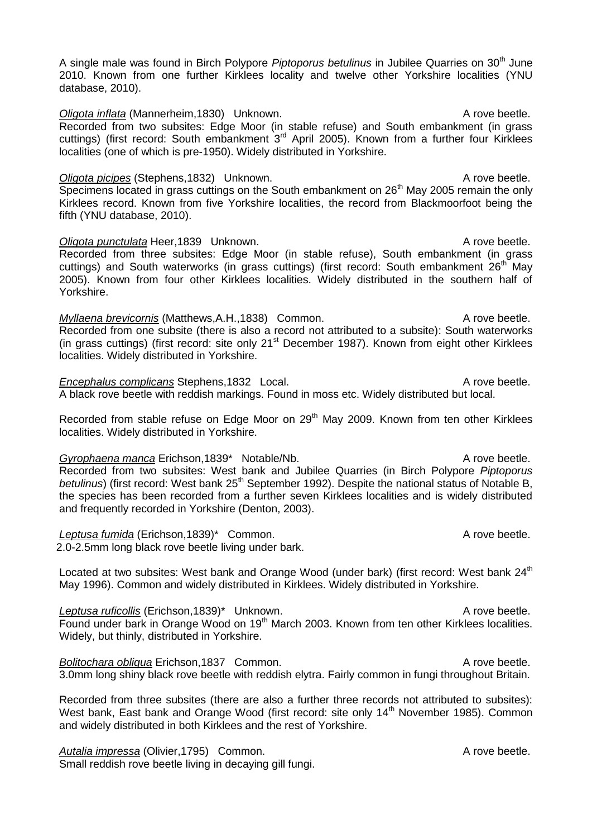A single male was found in Birch Polypore *Piptoporus betulinus* in Jubilee Quarries on 30<sup>th</sup> June 2010. Known from one further Kirklees locality and twelve other Yorkshire localities (YNU database, 2010).

*Oligota inflata* (Mannerheim, 1830) Unknown. A rove beetle. Recorded from two subsites: Edge Moor (in stable refuse) and South embankment (in grass cuttings) (first record: South embankment 3<sup>rd</sup> April 2005). Known from a further four Kirklees localities (one of which is pre-1950). Widely distributed in Yorkshire.

*Oligota picipes* (Stephens, 1832) Unknown. A rove beetle. Specimens located in grass cuttings on the South embankment on 26<sup>th</sup> May 2005 remain the only Kirklees record. Known from five Yorkshire localities, the record from Blackmoorfoot being the fifth (YNU database, 2010).

**Oligota punctulata** Heer, 1839 Unknown. A rove beetle. Recorded from three subsites: Edge Moor (in stable refuse), South embankment (in grass cuttings) and South waterworks (in grass cuttings) (first record: South embankment 26<sup>th</sup> May 2005). Known from four other Kirklees localities. Widely distributed in the southern half of Yorkshire.

*Myllaena brevicornis* (Matthews, A.H., 1838) Common. A rove beetle. Recorded from one subsite (there is also a record not attributed to a subsite): South waterworks (in grass cuttings) (first record: site only  $21<sup>st</sup>$  December 1987). Known from eight other Kirklees localities. Widely distributed in Yorkshire.

*Encephalus complicans* Stephens,1832 Local. A rove beetle. A black rove beetle with reddish markings. Found in moss etc. Widely distributed but local.

Recorded from stable refuse on Edge Moor on 29<sup>th</sup> May 2009. Known from ten other Kirklees localities. Widely distributed in Yorkshire.

*Gyrophaena manca* Erichson,1839\* Notable/Nb. **A** rove beetle.

Recorded from two subsites: West bank and Jubilee Quarries (in Birch Polypore *Piptoporus*  betulinus) (first record: West bank 25<sup>th</sup> September 1992). Despite the national status of Notable B, the species has been recorded from a further seven Kirklees localities and is widely distributed and frequently recorded in Yorkshire (Denton, 2003).

Leptusa fumida (Erichson,1839)\* Common. A rove beetle. 2.0-2.5mm long black rove beetle living under bark.

Located at two subsites: West bank and Orange Wood (under bark) (first record: West bank 24<sup>th</sup> May 1996). Common and widely distributed in Kirklees. Widely distributed in Yorkshire.

Leptusa ruficollis (Erichson,1839)<sup>\*</sup> Unknown. A rove beetle. Found under bark in Orange Wood on 19<sup>th</sup> March 2003. Known from ten other Kirklees localities. Widely, but thinly, distributed in Yorkshire.

**Bolitochara obliqua Erichson,1837 Common.** A rove beetle. 3.0mm long shiny black rove beetle with reddish elytra. Fairly common in fungi throughout Britain.

Recorded from three subsites (there are also a further three records not attributed to subsites): West bank, East bank and Orange Wood (first record: site only 14<sup>th</sup> November 1985). Common and widely distributed in both Kirklees and the rest of Yorkshire.

Autalia impressa (Olivier, 1795) Common. A rove beetle. Small reddish rove beetle living in decaying gill fungi.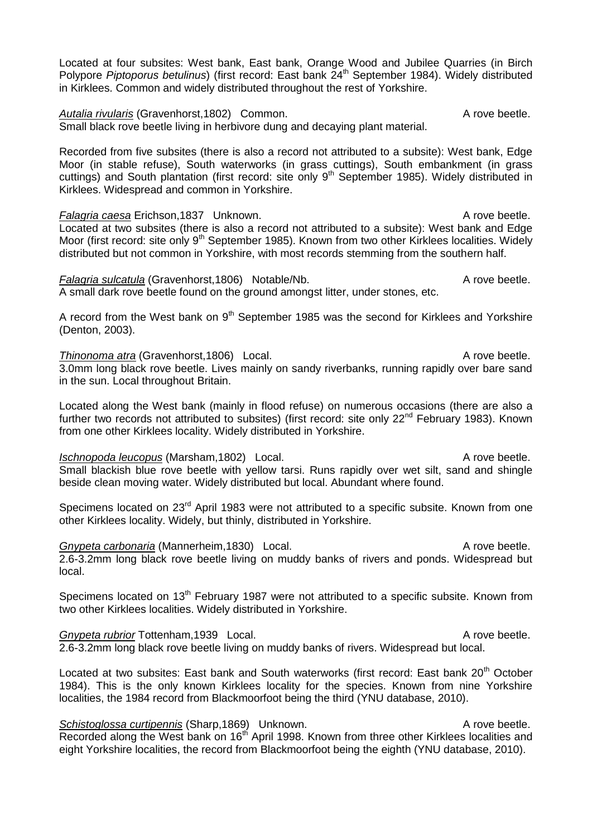Located at four subsites: West bank, East bank, Orange Wood and Jubilee Quarries (in Birch Polypore *Piptoporus betulinus*) (first record: East bank  $24<sup>th</sup>$  September 1984). Widely distributed in Kirklees. Common and widely distributed throughout the rest of Yorkshire.

Autalia rivularis (Gravenhorst, 1802) Common. A rove beetle. Small black rove beetle living in herbivore dung and decaying plant material.

Recorded from five subsites (there is also a record not attributed to a subsite): West bank, Edge Moor (in stable refuse), South waterworks (in grass cuttings), South embankment (in grass cuttings) and South plantation (first record: site only 9<sup>th</sup> September 1985). Widely distributed in Kirklees. Widespread and common in Yorkshire.

**Falagria caesa Erichson,1837 Unknown.** A rove beetle. Located at two subsites (there is also a record not attributed to a subsite): West bank and Edge Moor (first record: site only 9<sup>th</sup> September 1985). Known from two other Kirklees localities. Widely distributed but not common in Yorkshire, with most records stemming from the southern half.

*Falagria sulcatula* (Gravenhorst,1806) Notable/Nb. A rove beetle. A small dark rove beetle found on the ground amongst litter, under stones, etc.

A record from the West bank on  $9<sup>th</sup>$  September 1985 was the second for Kirklees and Yorkshire (Denton, 2003).

*Thinonoma atra* (Gravenhorst,1806) Local. A rove beetle. 3.0mm long black rove beetle. Lives mainly on sandy riverbanks, running rapidly over bare sand in the sun. Local throughout Britain.

Located along the West bank (mainly in flood refuse) on numerous occasions (there are also a further two records not attributed to subsites) (first record: site only 22<sup>nd</sup> February 1983). Known from one other Kirklees locality. Widely distributed in Yorkshire.

*Ischnopoda leucopus* (Marsham, 1802) Local. A rove beetle. Small blackish blue rove beetle with yellow tarsi. Runs rapidly over wet silt, sand and shingle beside clean moving water. Widely distributed but local. Abundant where found.

Specimens located on 23<sup>rd</sup> April 1983 were not attributed to a specific subsite. Known from one other Kirklees locality. Widely, but thinly, distributed in Yorkshire.

*Gnypeta carbonaria* (Mannerheim, 1830) Local. A rove beetle. 2.6-3.2mm long black rove beetle living on muddy banks of rivers and ponds. Widespread but local.

Specimens located on 13<sup>th</sup> February 1987 were not attributed to a specific subsite. Known from two other Kirklees localities. Widely distributed in Yorkshire.

**Gnypeta rubrior Tottenham,1939 Local.** Communication of the A rove beetle. 2.6-3.2mm long black rove beetle living on muddy banks of rivers. Widespread but local.

Located at two subsites: East bank and South waterworks (first record: East bank 20<sup>th</sup> October 1984). This is the only known Kirklees locality for the species. Known from nine Yorkshire localities, the 1984 record from Blackmoorfoot being the third (YNU database, 2010).

**Schistoglossa curtipennis (Sharp, 1869)** Unknown. A rove beetle. Recorded along the West bank on 16<sup>th</sup> April 1998. Known from three other Kirklees localities and eight Yorkshire localities, the record from Blackmoorfoot being the eighth (YNU database, 2010).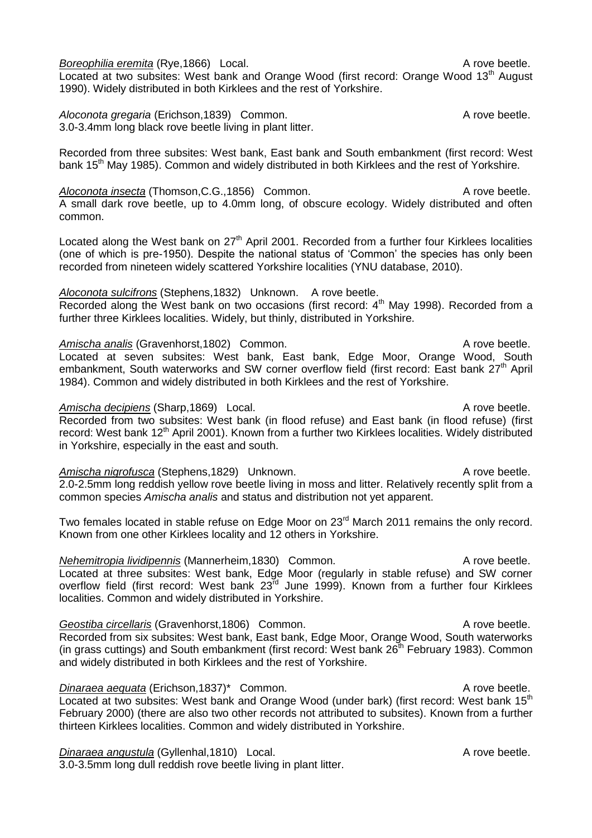**Boreophilia eremita** (Rye, 1866) Local. A rove beetle.

Located at two subsites: West bank and Orange Wood (first record: Orange Wood 13<sup>th</sup> August 1990). Widely distributed in both Kirklees and the rest of Yorkshire.

*Aloconota gregaria* (Erichson,1839) Common. A rove beetle. 3.0-3.4mm long black rove beetle living in plant litter.

Recorded from three subsites: West bank, East bank and South embankment (first record: West bank 15<sup>th</sup> May 1985). Common and widely distributed in both Kirklees and the rest of Yorkshire.

Aloconota insecta (Thomson, C.G., 1856) Common. A rove beetle. A small dark rove beetle, up to 4.0mm long, of obscure ecology. Widely distributed and often common.

Located along the West bank on  $27<sup>th</sup>$  April 2001. Recorded from a further four Kirklees localities (one of which is pre-1950). Despite the national status of 'Common' the species has only been recorded from nineteen widely scattered Yorkshire localities (YNU database, 2010).

*Aloconota sulcifrons* (Stephens,1832) Unknown. A rove beetle. Recorded along the West bank on two occasions (first record:  $4<sup>th</sup>$  May 1998). Recorded from a further three Kirklees localities. Widely, but thinly, distributed in Yorkshire.

Amischa analis (Gravenhorst,1802) Common. A rove beetle. Located at seven subsites: West bank, East bank, Edge Moor, Orange Wood, South embankment, South waterworks and SW corner overflow field (first record: East bank  $27<sup>th</sup>$  April 1984). Common and widely distributed in both Kirklees and the rest of Yorkshire.

# Amischa decipiens (Sharp,1869) Local. A rove beetle.

Recorded from two subsites: West bank (in flood refuse) and East bank (in flood refuse) (first record: West bank 12<sup>th</sup> April 2001). Known from a further two Kirklees localities. Widely distributed in Yorkshire, especially in the east and south.

Amischa nigrofusca (Stephens,1829) Unknown. A rove beetle. 2.0-2.5mm long reddish yellow rove beetle living in moss and litter. Relatively recently split from a common species *Amischa analis* and status and distribution not yet apparent.

Two females located in stable refuse on Edge Moor on 23<sup>rd</sup> March 2011 remains the only record. Known from one other Kirklees locality and 12 others in Yorkshire.

*Nehemitropia lividipennis* (Mannerheim,1830) Common. A rove beetle. Located at three subsites: West bank, Edge Moor (regularly in stable refuse) and SW corner overflow field (first record: West bank  $23<sup>rd</sup>$  June 1999). Known from a further four Kirklees localities. Common and widely distributed in Yorkshire.

Geostiba circellaris (Gravenhorst,1806) Common. A rove beetle. Recorded from six subsites: West bank, East bank, Edge Moor, Orange Wood, South waterworks (in grass cuttings) and South embankment (first record: West bank  $26<sup>th</sup>$  February 1983). Common and widely distributed in both Kirklees and the rest of Yorkshire.

*Dinaraea aequata* (Erichson,1837)\* Common. A rove beetle. Located at two subsites: West bank and Orange Wood (under bark) (first record: West bank 15<sup>th</sup> February 2000) (there are also two other records not attributed to subsites). Known from a further thirteen Kirklees localities. Common and widely distributed in Yorkshire.

*Dinaraea angustula* (Gyllenhal,1810) Local. A rove beetle.

3.0-3.5mm long dull reddish rove beetle living in plant litter.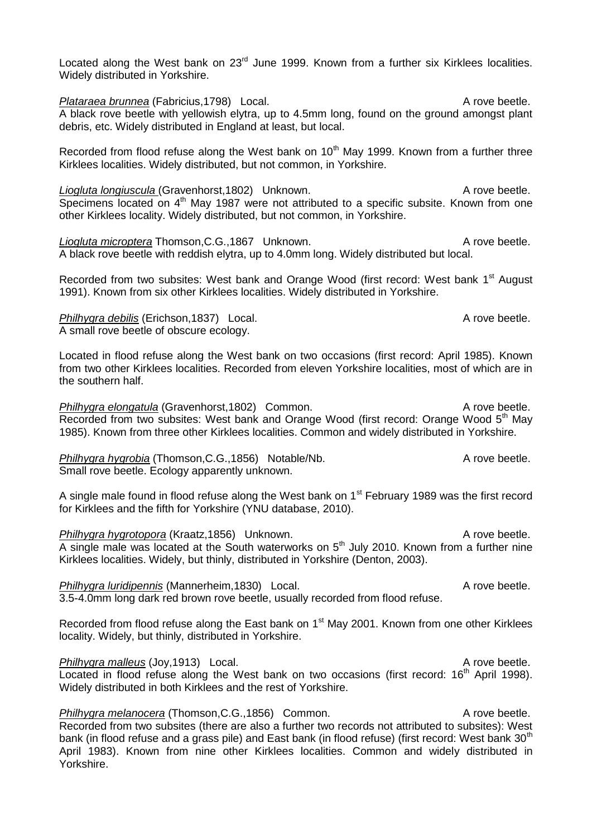Located along the West bank on 23<sup>rd</sup> June 1999. Known from a further six Kirklees localities. Widely distributed in Yorkshire.

*Plataraea brunnea* (Fabricius,1798) Local. A rove beetle. A black rove beetle with yellowish elytra, up to 4.5mm long, found on the ground amongst plant debris, etc. Widely distributed in England at least, but local.

Recorded from flood refuse along the West bank on  $10<sup>th</sup>$  May 1999. Known from a further three Kirklees localities. Widely distributed, but not common, in Yorkshire.

*Liogluta longiuscula* (Gravenhorst, 1802) Unknown. A rove beetle. Specimens located on  $4<sup>th</sup>$  May 1987 were not attributed to a specific subsite. Known from one other Kirklees locality. Widely distributed, but not common, in Yorkshire.

**Liogluta microptera** Thomson, C.G., 1867 Unknown. A rove beetle. A black rove beetle with reddish elytra, up to 4.0mm long. Widely distributed but local.

Recorded from two subsites: West bank and Orange Wood (first record: West bank 1<sup>st</sup> August 1991). Known from six other Kirklees localities. Widely distributed in Yorkshire.

*Philhygra debilis* (Erichson,1837) Local. A rove beetle. A small rove beetle of obscure ecology.

Located in flood refuse along the West bank on two occasions (first record: April 1985). Known from two other Kirklees localities. Recorded from eleven Yorkshire localities, most of which are in the southern half.

**Philhygra elongatula** (Gravenhorst,1802) Common. A rove beetle. Recorded from two subsites: West bank and Orange Wood (first record: Orange Wood 5<sup>th</sup> May 1985). Known from three other Kirklees localities. Common and widely distributed in Yorkshire.

*Philhygra hygrobia* (Thomson, C.G., 1856) Notable/Nb. A rove beetle. Small rove beetle. Ecology apparently unknown.

A single male found in flood refuse along the West bank on  $1<sup>st</sup>$  February 1989 was the first record for Kirklees and the fifth for Yorkshire (YNU database, 2010).

**Philhygra hygrotopora** (Kraatz, 1856) Unknown. A rove beetle. A single male was located at the South waterworks on  $5<sup>th</sup>$  July 2010. Known from a further nine Kirklees localities. Widely, but thinly, distributed in Yorkshire (Denton, 2003).

*Philhygra luridipennis* (Mannerheim, 1830) Local. A rove beetle. 3.5-4.0mm long dark red brown rove beetle, usually recorded from flood refuse.

Recorded from flood refuse along the East bank on 1<sup>st</sup> May 2001. Known from one other Kirklees locality. Widely, but thinly, distributed in Yorkshire.

*Philhygra malleus* (Joy, 1913) Local. A rove beetle. Located in flood refuse along the West bank on two occasions (first record:  $16<sup>th</sup>$  April 1998). Widely distributed in both Kirklees and the rest of Yorkshire.

*Philhygra melanocera* (Thomson,C.G.,1856) Common. A rove beetle. Recorded from two subsites (there are also a further two records not attributed to subsites): West bank (in flood refuse and a grass pile) and East bank (in flood refuse) (first record: West bank 30<sup>th</sup> April 1983). Known from nine other Kirklees localities. Common and widely distributed in Yorkshire.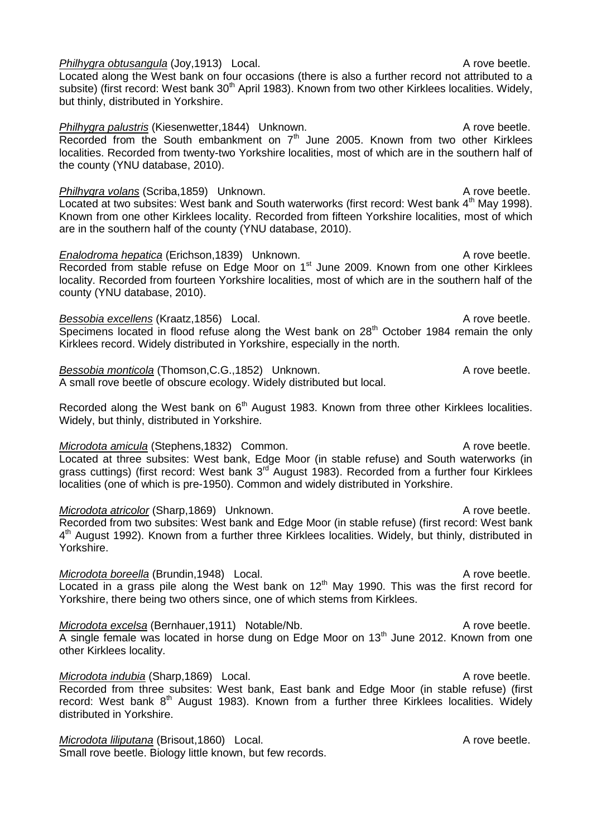but thinly, distributed in Yorkshire. *Philhygra palustris* (Kiesenwetter, 1844) Unknown. A rove beetle. Recorded from the South embankment on 7<sup>th</sup> June 2005. Known from two other Kirklees localities. Recorded from twenty-two Yorkshire localities, most of which are in the southern half of the county (YNU database, 2010). *Philhygra volans* (Scriba, 1859) Unknown. A rove beetle. Located at two subsites: West bank and South waterworks (first record: West bank 4<sup>th</sup> May 1998). Known from one other Kirklees locality. Recorded from fifteen Yorkshire localities, most of which are in the southern half of the county (YNU database, 2010). *Enalodroma hepatica* (Erichson,1839) Unknown. A rove beetle. Recorded from stable refuse on Edge Moor on 1<sup>st</sup> June 2009. Known from one other Kirklees locality. Recorded from fourteen Yorkshire localities, most of which are in the southern half of the county (YNU database, 2010). *Bessobia excellens* (Kraatz, 1856) Local. A rove beetle. Specimens located in flood refuse along the West bank on  $28<sup>th</sup>$  October 1984 remain the only Kirklees record. Widely distributed in Yorkshire, especially in the north. *Bessobia monticola* (Thomson, C.G., 1852) Unknown. A more has a rove beetle. A small rove beetle of obscure ecology. Widely distributed but local. Recorded along the West bank on  $6<sup>th</sup>$  August 1983. Known from three other Kirklees localities.

subsite) (first record: West bank 30<sup>th</sup> April 1983). Known from two other Kirklees localities. Widely,

*Microdota amicula* (Stephens.1832) Common. A rove beetle. Located at three subsites: West bank, Edge Moor (in stable refuse) and South waterworks (in grass cuttings) (first record: West bank 3<sup>rd August 1983).</sup> Recorded from a further four Kirklees localities (one of which is pre-1950). Common and widely distributed in Yorkshire.

### *Microdota atricolor* (Sharp, 1869) Unknown. A rove beetle. Recorded from two subsites: West bank and Edge Moor (in stable refuse) (first record: West bank 4<sup>th</sup> August 1992). Known from a further three Kirklees localities. Widely, but thinly, distributed in Yorkshire.

*Microdota boreella* (Brundin,1948) Local. A rove beetle. Located in a grass pile along the West bank on  $12<sup>th</sup>$  May 1990. This was the first record for Yorkshire, there being two others since, one of which stems from Kirklees.

*Microdota excelsa* (Bernhauer, 1911) Notable/Nb. A rove beetle. A single female was located in horse dung on Edge Moor on 13<sup>th</sup> June 2012. Known from one other Kirklees locality.

*Microdota indubia* (Sharp,1869) Local. A rove beetle. Recorded from three subsites: West bank, East bank and Edge Moor (in stable refuse) (first record: West bank  $8<sup>th</sup>$  August 1983). Known from a further three Kirklees localities. Widely distributed in Yorkshire.

*Microdota liliputana* (Brisout, 1860) Local. A rove beetle. Small rove beetle. Biology little known, but few records.

Widely, but thinly, distributed in Yorkshire.

*Philhygra obtusangula* (Joy.1913) Local. A rove beetle. Located along the West bank on four occasions (there is also a further record not attributed to a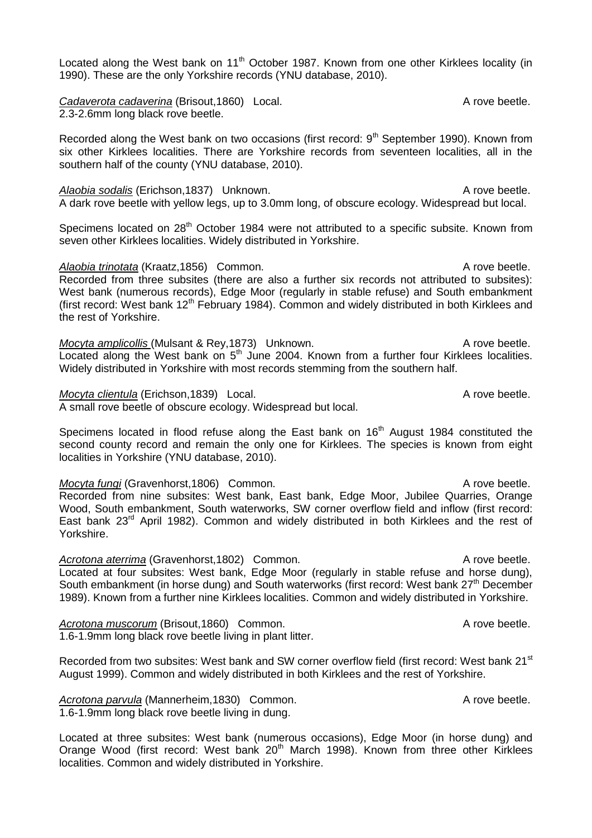Located along the West bank on 11<sup>th</sup> October 1987. Known from one other Kirklees locality (in 1990). These are the only Yorkshire records (YNU database, 2010).

**Cadaverota cadaverina** (Brisout, 1860) Local. Cadaverota cadaverina (Brisout, 1860) Local. 2.3-2.6mm long black rove beetle.

Recorded along the West bank on two occasions (first record:  $9<sup>th</sup>$  September 1990). Known from six other Kirklees localities. There are Yorkshire records from seventeen localities, all in the southern half of the county (YNU database, 2010).

Alaobia sodalis (Erichson,1837) Unknown. A rove beetle. A dark rove beetle with yellow legs, up to 3.0mm long, of obscure ecology. Widespread but local.

Specimens located on 28<sup>th</sup> October 1984 were not attributed to a specific subsite. Known from seven other Kirklees localities. Widely distributed in Yorkshire.

*Alaobia trinotata* (Kraatz,1856) Common. A rove beetle. Recorded from three subsites (there are also a further six records not attributed to subsites): West bank (numerous records), Edge Moor (regularly in stable refuse) and South embankment (first record: West bank  $12<sup>th</sup>$  February 1984). Common and widely distributed in both Kirklees and the rest of Yorkshire.

*Mocyta amplicollis* (Mulsant & Rey, 1873) Unknown. A rove beetle. Located along the West bank on  $5<sup>th</sup>$  June 2004. Known from a further four Kirklees localities. Widely distributed in Yorkshire with most records stemming from the southern half.

*Mocyta clientula* (Erichson,1839) Local. A rove beetle.

A small rove beetle of obscure ecology. Widespread but local.

Specimens located in flood refuse along the East bank on 16<sup>th</sup> August 1984 constituted the second county record and remain the only one for Kirklees. The species is known from eight localities in Yorkshire (YNU database, 2010).

*Mocyta fungi* (Gravenhorst,1806) Common. A rove beetle. Recorded from nine subsites: West bank, East bank, Edge Moor, Jubilee Quarries, Orange Wood, South embankment, South waterworks, SW corner overflow field and inflow (first record: East bank 23<sup>rd</sup> April 1982). Common and widely distributed in both Kirklees and the rest of Yorkshire.

Acrotona aterrima (Gravenhorst,1802) Common. A rove beetle. Located at four subsites: West bank, Edge Moor (regularly in stable refuse and horse dung), South embankment (in horse dung) and South waterworks (first record: West bank 27<sup>th</sup> December 1989). Known from a further nine Kirklees localities. Common and widely distributed in Yorkshire.

**Acrotona muscorum** (Brisout,1860) Common. A rove beetle. 1.6-1.9mm long black rove beetle living in plant litter.

Recorded from two subsites: West bank and SW corner overflow field (first record: West bank 21<sup>st</sup> August 1999). Common and widely distributed in both Kirklees and the rest of Yorkshire.

Acrotona parvula (Mannerheim,1830) Common. A rove beetle. 1.6-1.9mm long black rove beetle living in dung.

Located at three subsites: West bank (numerous occasions), Edge Moor (in horse dung) and Orange Wood (first record: West bank 20<sup>th</sup> March 1998). Known from three other Kirklees localities. Common and widely distributed in Yorkshire.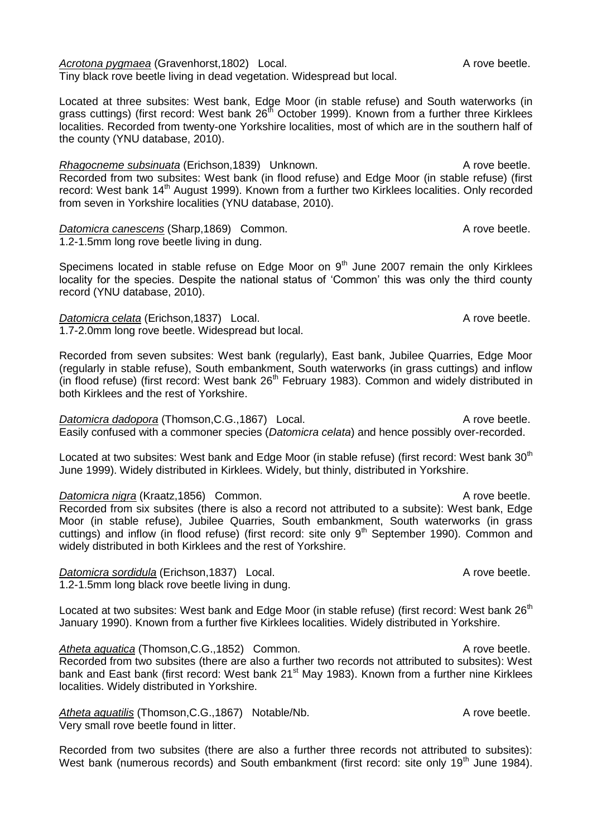Acrotona pygmaea (Gravenhorst,1802) Local. A rove beetle. Tiny black rove beetle living in dead vegetation. Widespread but local.

Located at three subsites: West bank, Edge Moor (in stable refuse) and South waterworks (in grass cuttings) (first record: West bank 26<sup>th</sup> October 1999). Known from a further three Kirklees localities. Recorded from twenty-one Yorkshire localities, most of which are in the southern half of the county (YNU database, 2010).

*Rhagocneme subsinuata* (Erichson,1839) Unknown. A rove beetle. Recorded from two subsites: West bank (in flood refuse) and Edge Moor (in stable refuse) (first record: West bank 14<sup>th</sup> August 1999). Known from a further two Kirklees localities. Only recorded from seven in Yorkshire localities (YNU database, 2010).

**Datomicra canescens** (Sharp,1869) Common. A rove beetle. 1.2-1.5mm long rove beetle living in dung.

Specimens located in stable refuse on Edge Moor on  $9<sup>th</sup>$  June 2007 remain the only Kirklees locality for the species. Despite the national status of 'Common' this was only the third county record (YNU database, 2010).

**Datomicra celata** (Erichson,1837) Local. A rove beetle. 1.7-2.0mm long rove beetle. Widespread but local.

Recorded from seven subsites: West bank (regularly), East bank, Jubilee Quarries, Edge Moor (regularly in stable refuse), South embankment, South waterworks (in grass cuttings) and inflow (in flood refuse) (first record: West bank  $26<sup>th</sup>$  February 1983). Common and widely distributed in both Kirklees and the rest of Yorkshire.

*Datomicra dadopora* (Thomson, C.G., 1867) Local. A rove beetle. Easily confused with a commoner species (*Datomicra celata*) and hence possibly over-recorded.

Located at two subsites: West bank and Edge Moor (in stable refuse) (first record: West bank 30<sup>th</sup> June 1999). Widely distributed in Kirklees. Widely, but thinly, distributed in Yorkshire.

*Datomicra nigra* (Kraatz, 1856) Common. A rove beetle. Recorded from six subsites (there is also a record not attributed to a subsite): West bank, Edge Moor (in stable refuse), Jubilee Quarries, South embankment, South waterworks (in grass cuttings) and inflow (in flood refuse) (first record: site only  $9<sup>th</sup>$  September 1990). Common and widely distributed in both Kirklees and the rest of Yorkshire.

*Datomicra sordidula* (Erichson,1837) Local. A rove beetle. 1.2-1.5mm long black rove beetle living in dung.

Located at two subsites: West bank and Edge Moor (in stable refuse) (first record: West bank 26<sup>th</sup> January 1990). Known from a further five Kirklees localities. Widely distributed in Yorkshire.

Atheta aquatica (Thomson, C.G., 1852) Common. A rove beetle. Recorded from two subsites (there are also a further two records not attributed to subsites): West bank and East bank (first record: West bank 21<sup>st</sup> May 1983). Known from a further nine Kirklees localities. Widely distributed in Yorkshire.

Atheta aquatilis (Thomson, C.G., 1867) Notable/Nb. A rove beetle. Very small rove beetle found in litter.

Recorded from two subsites (there are also a further three records not attributed to subsites): West bank (numerous records) and South embankment (first record: site only 19<sup>th</sup> June 1984).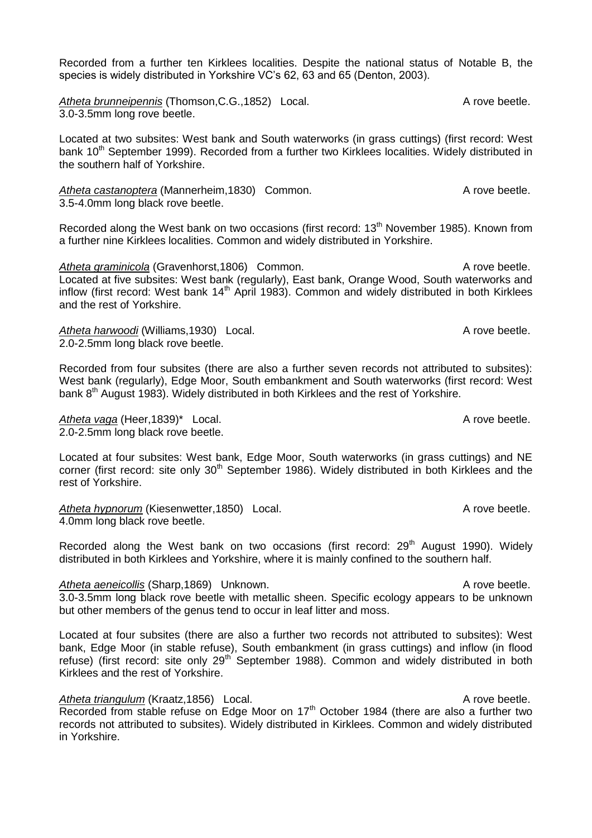Recorded from a further ten Kirklees localities. Despite the national status of Notable B, the species is widely distributed in Yorkshire VC's 62, 63 and 65 (Denton, 2003).

Atheta brunneipennis (Thomson, C.G., 1852) Local. A rove beetle. 3.0-3.5mm long rove beetle.

Located at two subsites: West bank and South waterworks (in grass cuttings) (first record: West bank 10<sup>th</sup> September 1999). Recorded from a further two Kirklees localities. Widely distributed in the southern half of Yorkshire.

Atheta castanoptera (Mannerheim, 1830) Common. A rove beetle. 3.5-4.0mm long black rove beetle.

Recorded along the West bank on two occasions (first record:  $13<sup>th</sup>$  November 1985). Known from a further nine Kirklees localities. Common and widely distributed in Yorkshire.

*Atheta graminicola* (Gravenhorst, 1806) Common. A rove beetle. Located at five subsites: West bank (regularly), East bank, Orange Wood, South waterworks and inflow (first record: West bank 14<sup>th</sup> April 1983). Common and widely distributed in both Kirklees and the rest of Yorkshire.

Atheta harwoodi (Williams,1930) Local. A rove beetle. 2.0-2.5mm long black rove beetle.

Recorded from four subsites (there are also a further seven records not attributed to subsites): West bank (regularly), Edge Moor, South embankment and South waterworks (first record: West bank 8<sup>th</sup> August 1983). Widely distributed in both Kirklees and the rest of Yorkshire.

Atheta vaga (Heer, 1839)<sup>\*</sup> Local. A rove beetle. 2.0-2.5mm long black rove beetle.

Located at four subsites: West bank, Edge Moor, South waterworks (in grass cuttings) and NE corner (first record: site only 30<sup>th</sup> September 1986). Widely distributed in both Kirklees and the rest of Yorkshire.

Atheta hypnorum (Kiesenwetter, 1850) Local. A rove beetle. 4.0mm long black rove beetle.

Recorded along the West bank on two occasions (first record:  $29<sup>th</sup>$  August 1990). Widely distributed in both Kirklees and Yorkshire, where it is mainly confined to the southern half.

Atheta aeneicollis (Sharp,1869) Unknown. A rove beetle. 3.0-3.5mm long black rove beetle with metallic sheen. Specific ecology appears to be unknown but other members of the genus tend to occur in leaf litter and moss.

Located at four subsites (there are also a further two records not attributed to subsites): West bank, Edge Moor (in stable refuse), South embankment (in grass cuttings) and inflow (in flood refuse) (first record: site only 29<sup>th</sup> September 1988). Common and widely distributed in both Kirklees and the rest of Yorkshire.

Atheta triangulum (Kraatz, 1856) Local. A rove beetle. Recorded from stable refuse on Edge Moor on  $17<sup>th</sup>$  October 1984 (there are also a further two records not attributed to subsites). Widely distributed in Kirklees. Common and widely distributed in Yorkshire.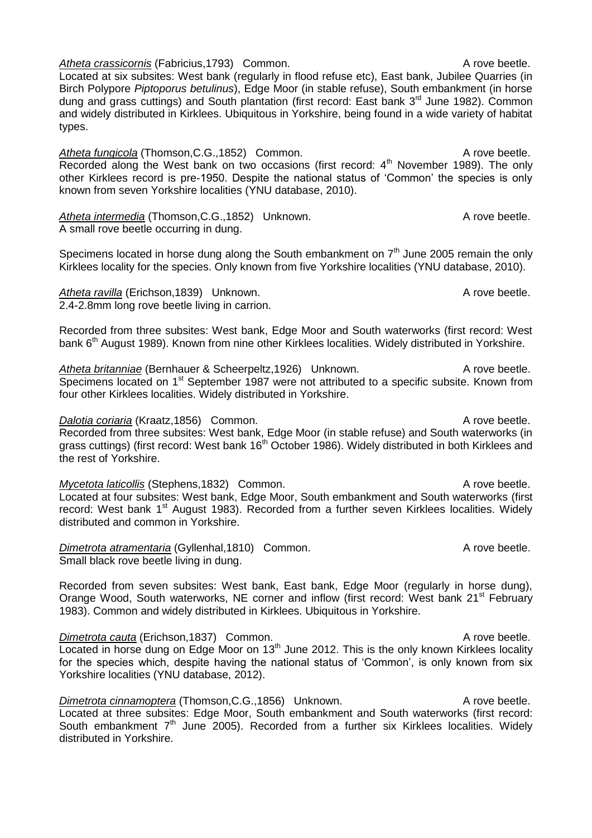*Atheta crassicornis* (Fabricius, 1793) Common. A metal and the crassicornis of the control of the crassic or a rove beetle. Located at six subsites: West bank (regularly in flood refuse etc), East bank, Jubilee Quarries (in Birch Polypore *Piptoporus betulinus*), Edge Moor (in stable refuse), South embankment (in horse dung and grass cuttings) and South plantation (first record: East bank 3<sup>rd</sup> June 1982). Common and widely distributed in Kirklees. Ubiquitous in Yorkshire, being found in a wide variety of habitat types.

Atheta fungicola (Thomson, C.G., 1852) Common. A rove beetle. Recorded along the West bank on two occasions (first record:  $4<sup>th</sup>$  November 1989). The only other Kirklees record is pre-1950. Despite the national status of 'Common' the species is only known from seven Yorkshire localities (YNU database, 2010).

Atheta intermedia (Thomson, C.G., 1852) Unknown. A rove beetle. A small rove beetle occurring in dung.

Specimens located in horse dung along the South embankment on  $7<sup>th</sup>$  June 2005 remain the only Kirklees locality for the species. Only known from five Yorkshire localities (YNU database, 2010).

Atheta ravilla (Erichson,1839) Unknown. A rove beetle. 2.4-2.8mm long rove beetle living in carrion.

Recorded from three subsites: West bank, Edge Moor and South waterworks (first record: West bank 6<sup>th</sup> August 1989). Known from nine other Kirklees localities. Widely distributed in Yorkshire.

Atheta britanniae (Bernhauer & Scheerpeltz, 1926) Unknown. A rove beetle. Specimens located on 1<sup>st</sup> September 1987 were not attributed to a specific subsite. Known from four other Kirklees localities. Widely distributed in Yorkshire.

*Dalotia coriaria* (Kraatz,1856) Common. A rove beetle. Recorded from three subsites: West bank, Edge Moor (in stable refuse) and South waterworks (in grass cuttings) (first record: West bank 16<sup>th</sup> October 1986). Widely distributed in both Kirklees and the rest of Yorkshire.

*Mycetota laticollis* (Stephens,1832) Common. A rove beetle. Located at four subsites: West bank, Edge Moor, South embankment and South waterworks (first record: West bank 1<sup>st</sup> August 1983). Recorded from a further seven Kirklees localities. Widely distributed and common in Yorkshire.

**Dimetrota atramentaria** (Gyllenhal,1810) Common. A rove beetle. Small black rove beetle living in dung.

Recorded from seven subsites: West bank, East bank, Edge Moor (regularly in horse dung), Orange Wood, South waterworks, NE corner and inflow (first record: West bank 21<sup>st</sup> February 1983). Common and widely distributed in Kirklees. Ubiquitous in Yorkshire.

**Dimetrota cauta (Erichson,1837) Common.** A rove beetle. Located in horse dung on Edge Moor on 13<sup>th</sup> June 2012. This is the only known Kirklees locality for the species which, despite having the national status of 'Common', is only known from six Yorkshire localities (YNU database, 2012).

*Dimetrota cinnamoptera* (Thomson, C.G., 1856) Unknown. A rove beetle. Located at three subsites: Edge Moor, South embankment and South waterworks (first record: South embankment  $7<sup>th</sup>$  June 2005). Recorded from a further six Kirklees localities. Widely distributed in Yorkshire.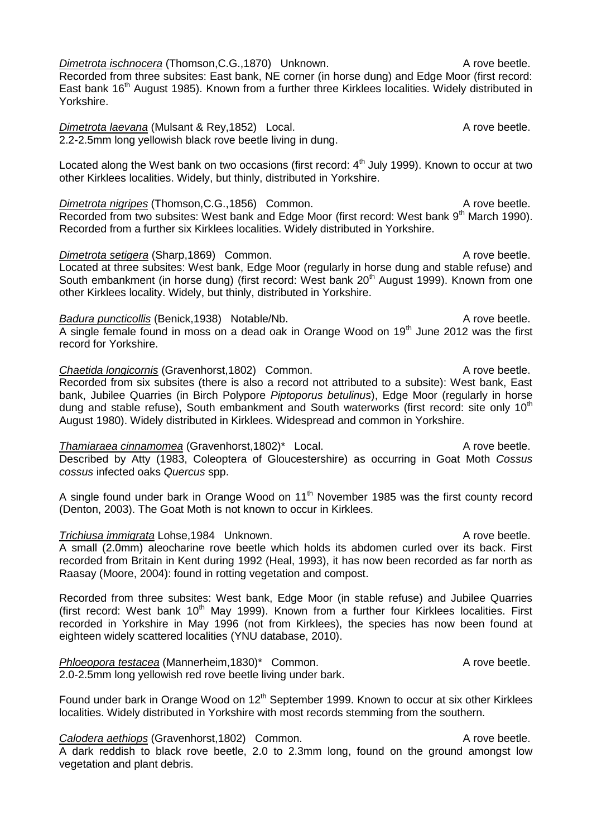*Dimetrota ischnocera* (Thomson, C.G., 1870) Unknown. A metro a sette of the A rove beetle. Recorded from three subsites: East bank, NE corner (in horse dung) and Edge Moor (first record: East bank 16<sup>th</sup> August 1985). Known from a further three Kirklees localities. Widely distributed in Yorkshire.

*Dimetrota laevana* (Mulsant & Rey, 1852) Local. A rove beetle. 2.2-2.5mm long yellowish black rove beetle living in dung.

Located along the West bank on two occasions (first record: 4<sup>th</sup> July 1999). Known to occur at two other Kirklees localities. Widely, but thinly, distributed in Yorkshire.

*Dimetrota nigripes* (Thomson, C.G., 1856) Common. A rove beetle. Recorded from two subsites: West bank and Edge Moor (first record: West bank 9<sup>th</sup> March 1990). Recorded from a further six Kirklees localities. Widely distributed in Yorkshire.

*Dimetrota setigera* (Sharp, 1869) Common. A rove beetle. Located at three subsites: West bank, Edge Moor (regularly in horse dung and stable refuse) and South embankment (in horse dung) (first record: West bank 20<sup>th</sup> August 1999). Known from one other Kirklees locality. Widely, but thinly, distributed in Yorkshire.

**Badura puncticollis (Benick,1938) Notable/Nb.** A rove beetle. A single female found in moss on a dead oak in Orange Wood on  $19<sup>th</sup>$  June 2012 was the first record for Yorkshire.

**Chaetida Iongicornis** (Gravenhorst, 1802) Common. A rove beetle. Recorded from six subsites (there is also a record not attributed to a subsite): West bank, East bank, Jubilee Quarries (in Birch Polypore *Piptoporus betulinus*), Edge Moor (regularly in horse dung and stable refuse), South embankment and South waterworks (first record: site only 10<sup>th</sup> August 1980). Widely distributed in Kirklees. Widespread and common in Yorkshire.

*Thamiaraea cinnamomea* (Gravenhorst,1802)\* Local. A rove beetle. Described by Atty (1983, Coleoptera of Gloucestershire) as occurring in Goat Moth *Cossus cossus* infected oaks *Quercus* spp.

A single found under bark in Orange Wood on 11<sup>th</sup> November 1985 was the first county record (Denton, 2003). The Goat Moth is not known to occur in Kirklees.

**Trichiusa immigrata** Lohse,1984 Unknown. A rove beetle.

A small (2.0mm) aleocharine rove beetle which holds its abdomen curled over its back. First recorded from Britain in Kent during 1992 (Heal, 1993), it has now been recorded as far north as Raasay (Moore, 2004): found in rotting vegetation and compost.

Recorded from three subsites: West bank, Edge Moor (in stable refuse) and Jubilee Quarries (first record: West bank  $10<sup>th</sup>$  May 1999). Known from a further four Kirklees localities. First recorded in Yorkshire in May 1996 (not from Kirklees), the species has now been found at eighteen widely scattered localities (YNU database, 2010).

*Phloeopora testacea* (Mannerheim, 1830)\* Common. A rove beetle. 2.0-2.5mm long yellowish red rove beetle living under bark.

Found under bark in Orange Wood on  $12<sup>th</sup>$  September 1999. Known to occur at six other Kirklees localities. Widely distributed in Yorkshire with most records stemming from the southern.

**Calodera aethiops** (Gravenhorst, 1802) Common. A rove beetle.

A dark reddish to black rove beetle, 2.0 to 2.3mm long, found on the ground amongst low vegetation and plant debris.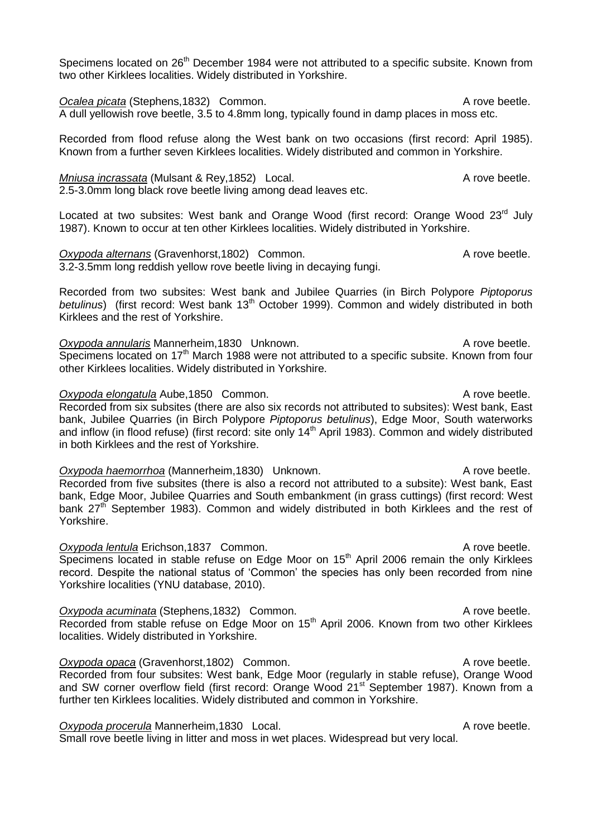Specimens located on 26<sup>th</sup> December 1984 were not attributed to a specific subsite. Known from two other Kirklees localities. Widely distributed in Yorkshire.

**Ocalea picata** (Stephens,1832) Common. A rove beetle. A dull yellowish rove beetle, 3.5 to 4.8mm long, typically found in damp places in moss etc.

Recorded from flood refuse along the West bank on two occasions (first record: April 1985). Known from a further seven Kirklees localities. Widely distributed and common in Yorkshire.

#### *Mniusa incrassata* (Mulsant & Rey, 1852) Local. A rove beetle. 2.5-3.0mm long black rove beetle living among dead leaves etc.

Located at two subsites: West bank and Orange Wood (first record: Orange Wood 23<sup>rd</sup> July 1987). Known to occur at ten other Kirklees localities. Widely distributed in Yorkshire.

**Oxypoda alternans (Gravenhorst, 1802) Common.** A rove beetle. 3.2-3.5mm long reddish yellow rove beetle living in decaying fungi.

Recorded from two subsites: West bank and Jubilee Quarries (in Birch Polypore *Piptoporus*  betulinus) (first record: West bank 13<sup>th</sup> October 1999). Common and widely distributed in both Kirklees and the rest of Yorkshire.

**Oxypoda annularis Mannerheim,1830 Unknown.** A rove beetle. Specimens located on 17<sup>th</sup> March 1988 were not attributed to a specific subsite. Known from four other Kirklees localities. Widely distributed in Yorkshire.

#### **Oxypoda elongatula** Aube,1850 Common. A rove beetle. Recorded from six subsites (there are also six records not attributed to subsites): West bank, East bank, Jubilee Quarries (in Birch Polypore *Piptoporus betulinus*), Edge Moor, South waterworks and inflow (in flood refuse) (first record: site only 14<sup>th</sup> April 1983). Common and widely distributed in both Kirklees and the rest of Yorkshire.

*Oxypoda haemorrhoa* (Mannerheim, 1830) Unknown. A rove beetle. Recorded from five subsites (there is also a record not attributed to a subsite): West bank, East bank, Edge Moor, Jubilee Quarries and South embankment (in grass cuttings) (first record: West bank 27<sup>th</sup> September 1983). Common and widely distributed in both Kirklees and the rest of Yorkshire.

**Oxypoda lentula** Erichson,1837 Common. A rove beetle. Specimens located in stable refuse on Edge Moor on  $15<sup>th</sup>$  April 2006 remain the only Kirklees record. Despite the national status of 'Common' the species has only been recorded from nine Yorkshire localities (YNU database, 2010).

**Oxypoda acuminata** (Stephens,1832) Common. A rove beetle. Recorded from stable refuse on Edge Moor on 15<sup>th</sup> April 2006. Known from two other Kirklees localities. Widely distributed in Yorkshire.

*Oxypoda opaca* (Gravenhorst, 1802) Common. A rove beetle. Recorded from four subsites: West bank, Edge Moor (regularly in stable refuse), Orange Wood and SW corner overflow field (first record: Orange Wood 21<sup>st</sup> September 1987). Known from a further ten Kirklees localities. Widely distributed and common in Yorkshire.

### **Oxypoda procerula Mannerheim,1830 Local.** A rove beetle.

Small rove beetle living in litter and moss in wet places. Widespread but very local.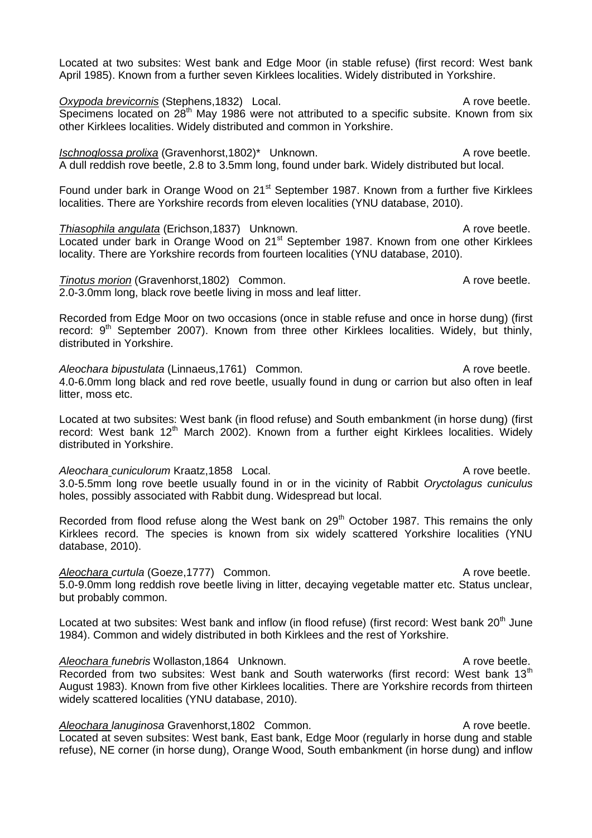Located at two subsites: West bank and Edge Moor (in stable refuse) (first record: West bank April 1985). Known from a further seven Kirklees localities. Widely distributed in Yorkshire.

**Oxypoda brevicornis** (Stephens,1832) Local. A rove beetle. Specimens located on  $28<sup>th</sup>$  May 1986 were not attributed to a specific subsite. Known from six other Kirklees localities. Widely distributed and common in Yorkshire.

*Ischnoglossa prolixa* (Gravenhorst, 1802)<sup>\*</sup> Unknown. A rove beetle. A dull reddish rove beetle, 2.8 to 3.5mm long, found under bark. Widely distributed but local.

Found under bark in Orange Wood on 21<sup>st</sup> September 1987. Known from a further five Kirklees localities. There are Yorkshire records from eleven localities (YNU database, 2010).

**Thiasophila angulata** (Erichson,1837) Unknown. A rove beetle. Located under bark in Orange Wood on 21<sup>st</sup> September 1987. Known from one other Kirklees locality. There are Yorkshire records from fourteen localities (YNU database, 2010).

**Tinotus morion** (Gravenhorst,1802) Common. A rove beetle.

2.0-3.0mm long, black rove beetle living in moss and leaf litter.

Recorded from Edge Moor on two occasions (once in stable refuse and once in horse dung) (first record:  $9<sup>th</sup>$  September 2007). Known from three other Kirklees localities. Widely, but thinly, distributed in Yorkshire.

Aleochara bipustulata (Linnaeus, 1761) Common. A rove beetle. 4.0-6.0mm long black and red rove beetle, usually found in dung or carrion but also often in leaf litter, moss etc.

Located at two subsites: West bank (in flood refuse) and South embankment (in horse dung) (first record: West bank 12<sup>th</sup> March 2002). Known from a further eight Kirklees localities. Widely distributed in Yorkshire.

*Aleochara cuniculorum* Kraatz,1858 Local. A rove beetle. 3.0-5.5mm long rove beetle usually found in or in the vicinity of Rabbit *Oryctolagus cuniculus* holes, possibly associated with Rabbit dung. Widespread but local.

Recorded from flood refuse along the West bank on 29<sup>th</sup> October 1987. This remains the only Kirklees record. The species is known from six widely scattered Yorkshire localities (YNU database, 2010).

*Aleochara curtula* (Goeze, 1777) Common. A rove beetle. 5.0-9.0mm long reddish rove beetle living in litter, decaying vegetable matter etc. Status unclear, but probably common.

Located at two subsites: West bank and inflow (in flood refuse) (first record: West bank  $20<sup>th</sup>$  June 1984). Common and widely distributed in both Kirklees and the rest of Yorkshire.

Aleochara funebris Wollaston.1864 Unknown. A rove beetle. Recorded from two subsites: West bank and South waterworks (first record: West bank 13<sup>th</sup> August 1983). Known from five other Kirklees localities. There are Yorkshire records from thirteen widely scattered localities (YNU database, 2010).

Aleochara lanuginosa Gravenhorst,1802 Common. **A COVID-19 Common.** A rove beetle. Located at seven subsites: West bank, East bank, Edge Moor (regularly in horse dung and stable refuse), NE corner (in horse dung), Orange Wood, South embankment (in horse dung) and inflow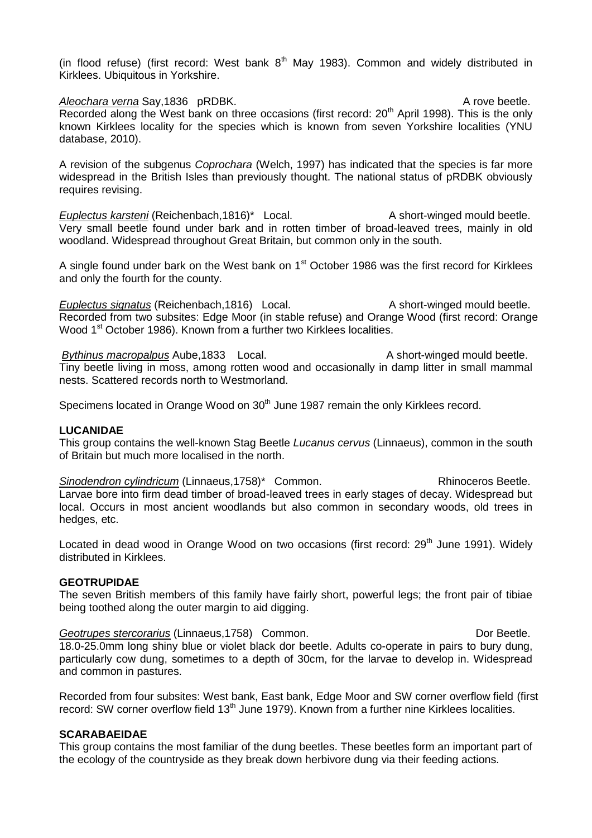(in flood refuse) (first record: West bank  $8<sup>th</sup>$  May 1983). Common and widely distributed in Kirklees. Ubiquitous in Yorkshire.

Aleochara verna Say,1836 pRDBK. A rove beetle. Recorded along the West bank on three occasions (first record:  $20<sup>th</sup>$  April 1998). This is the only known Kirklees locality for the species which is known from seven Yorkshire localities (YNU database, 2010).

A revision of the subgenus *Coprochara* (Welch, 1997) has indicated that the species is far more widespread in the British Isles than previously thought. The national status of pRDBK obviously requires revising.

*Euplectus karsteni* (Reichenbach,1816)\* Local. A short-winged mould beetle. Very small beetle found under bark and in rotten timber of broad-leaved trees, mainly in old woodland. Widespread throughout Great Britain, but common only in the south.

A single found under bark on the West bank on 1<sup>st</sup> October 1986 was the first record for Kirklees and only the fourth for the county.

*Euplectus signatus* (Reichenbach, 1816) Local. A short-winged mould beetle. Recorded from two subsites: Edge Moor (in stable refuse) and Orange Wood (first record: Orange Wood 1<sup>st</sup> October 1986). Known from a further two Kirklees localities.

*Bythinus macropalpus* Aube, 1833 Local. A short-winged mould beetle. Tiny beetle living in moss, among rotten wood and occasionally in damp litter in small mammal nests. Scattered records north to Westmorland.

Specimens located in Orange Wood on 30<sup>th</sup> June 1987 remain the only Kirklees record.

### **LUCANIDAE**

This group contains the well-known Stag Beetle *Lucanus cervus* (Linnaeus), common in the south of Britain but much more localised in the north.

**Sinodendron cylindricum (Linnaeus, 1758)\*** Common. Rhinoceros Beetle. Larvae bore into firm dead timber of broad-leaved trees in early stages of decay. Widespread but local. Occurs in most ancient woodlands but also common in secondary woods, old trees in hedges, etc.

Located in dead wood in Orange Wood on two occasions (first record: 29<sup>th</sup> June 1991). Widelv distributed in Kirklees.

# **GEOTRUPIDAE**

The seven British members of this family have fairly short, powerful legs; the front pair of tibiae being toothed along the outer margin to aid digging.

**Geotrupes stercorarius (Linnaeus, 1758)** Common. **Common Construction Construction Construction** Dor Beetle. 18.0-25.0mm long shiny blue or violet black dor beetle. Adults co-operate in pairs to bury dung, particularly cow dung, sometimes to a depth of 30cm, for the larvae to develop in. Widespread and common in pastures.

Recorded from four subsites: West bank, East bank, Edge Moor and SW corner overflow field (first record: SW corner overflow field 13<sup>th</sup> June 1979). Known from a further nine Kirklees localities.

### **SCARABAEIDAE**

This group contains the most familiar of the dung beetles. These beetles form an important part of the ecology of the countryside as they break down herbivore dung via their feeding actions.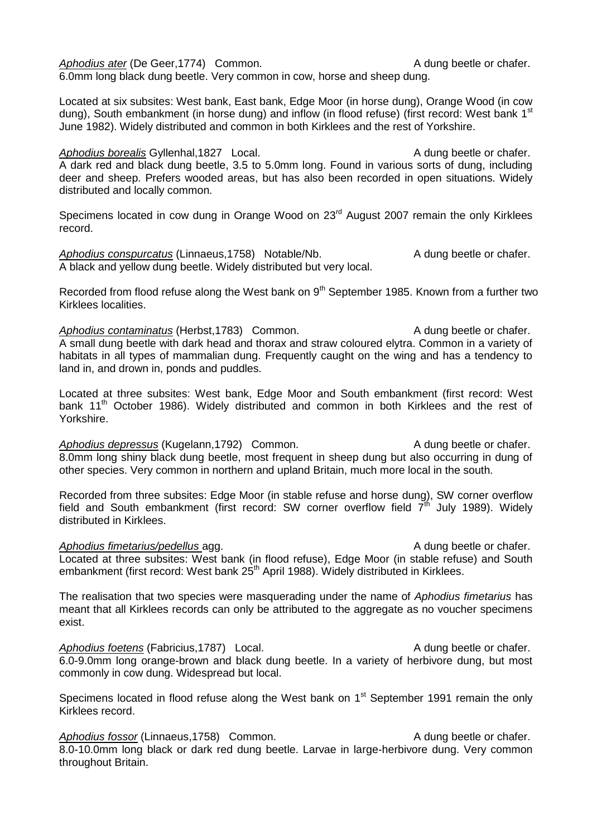Aphodius ater (De Geer.1774) Common. A dung beetle or chafer. 6.0mm long black dung beetle. Very common in cow, horse and sheep dung.

Located at six subsites: West bank, East bank, Edge Moor (in horse dung), Orange Wood (in cow dung), South embankment (in horse dung) and inflow (in flood refuse) (first record: West bank 1<sup>st</sup> June 1982). Widely distributed and common in both Kirklees and the rest of Yorkshire.

Aphodius borealis Gyllenhal,1827 Local. A dung beetle or chafer. A dark red and black dung beetle, 3.5 to 5.0mm long. Found in various sorts of dung, including deer and sheep. Prefers wooded areas, but has also been recorded in open situations. Widely distributed and locally common.

Specimens located in cow dung in Orange Wood on 23<sup>rd</sup> August 2007 remain the only Kirklees record.

Aphodius conspurcatus (Linnaeus, 1758) Notable/Nb. A dung beetle or chafer. A black and yellow dung beetle. Widely distributed but very local.

Recorded from flood refuse along the West bank on  $9<sup>th</sup>$  September 1985. Known from a further two Kirklees localities.

Aphodius contaminatus (Herbst, 1783) Common. A dung beetle or chafer. A small dung beetle with dark head and thorax and straw coloured elytra. Common in a variety of habitats in all types of mammalian dung. Frequently caught on the wing and has a tendency to land in, and drown in, ponds and puddles.

Located at three subsites: West bank, Edge Moor and South embankment (first record: West bank 11<sup>th</sup> October 1986). Widely distributed and common in both Kirklees and the rest of Yorkshire.

Aphodius depressus (Kugelann,1792) Common. A dung beetle or chafer. 8.0mm long shiny black dung beetle, most frequent in sheep dung but also occurring in dung of other species. Very common in northern and upland Britain, much more local in the south.

Recorded from three subsites: Edge Moor (in stable refuse and horse dung), SW corner overflow field and South embankment (first record: SW corner overflow field  $7<sup>th</sup>$  July 1989). Widely distributed in Kirklees.

### *Aphodius fimetarius/pedellus* agg. A dung beetle or chafer.

Located at three subsites: West bank (in flood refuse), Edge Moor (in stable refuse) and South embankment (first record: West bank 25<sup>th</sup> April 1988). Widely distributed in Kirklees.

The realisation that two species were masquerading under the name of *Aphodius fimetarius* has meant that all Kirklees records can only be attributed to the aggregate as no voucher specimens exist.

Aphodius foetens (Fabricius, 1787) Local. A dung beetle or chafer. 6.0-9.0mm long orange-brown and black dung beetle. In a variety of herbivore dung, but most commonly in cow dung. Widespread but local.

Specimens located in flood refuse along the West bank on 1<sup>st</sup> September 1991 remain the only Kirklees record.

Aphodius fossor (Linnaeus, 1758) Common. A dung beetle or chafer. 8.0-10.0mm long black or dark red dung beetle. Larvae in large-herbivore dung. Very common throughout Britain.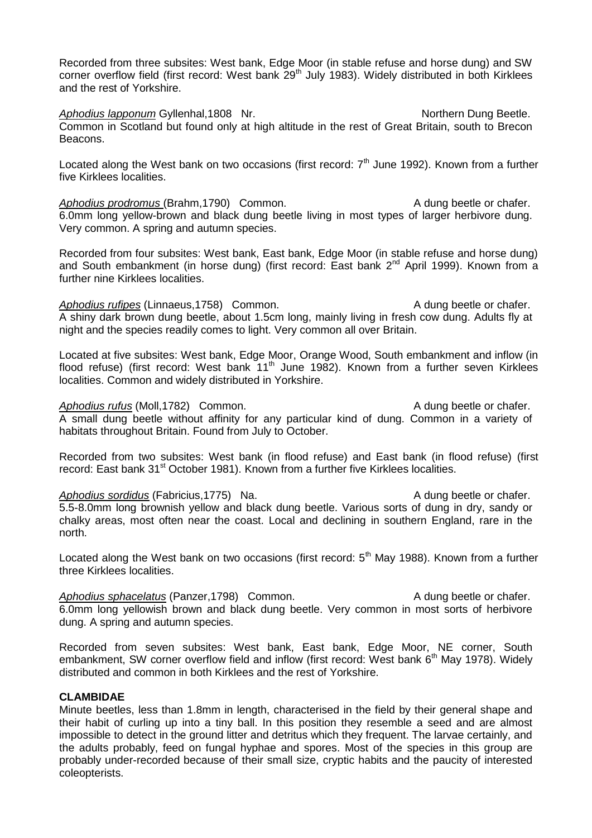Recorded from three subsites: West bank, Edge Moor (in stable refuse and horse dung) and SW corner overflow field (first record: West bank 29<sup>th</sup> July 1983). Widely distributed in both Kirklees and the rest of Yorkshire.

Aphodius lapponum Gyllenhal,1808 Nr. Northern Dung Beetle. Common in Scotland but found only at high altitude in the rest of Great Britain, south to Brecon Beacons.

Located along the West bank on two occasions (first record:  $7<sup>th</sup>$  June 1992). Known from a further five Kirklees localities.

*Aphodius prodromus* (Brahm, 1790) Common. A dung beetle or chafer. 6.0mm long yellow-brown and black dung beetle living in most types of larger herbivore dung. Very common. A spring and autumn species.

Recorded from four subsites: West bank, East bank, Edge Moor (in stable refuse and horse dung) and South embankment (in horse dung) (first record: East bank  $2^{nd}$  April 1999). Known from a further nine Kirklees localities.

Aphodius rufipes (Linnaeus, 1758) Common. A dung beetle or chafer. A shiny dark brown dung beetle, about 1.5cm long, mainly living in fresh cow dung. Adults fly at night and the species readily comes to light. Very common all over Britain.

Located at five subsites: West bank, Edge Moor, Orange Wood, South embankment and inflow (in flood refuse) (first record: West bank  $11<sup>th</sup>$  June 1982). Known from a further seven Kirklees localities. Common and widely distributed in Yorkshire.

*Aphodius rufus* (Moll,1782) Common. A dung beetle or chafer. A small dung beetle without affinity for any particular kind of dung. Common in a variety of habitats throughout Britain. Found from July to October.

Recorded from two subsites: West bank (in flood refuse) and East bank (in flood refuse) (first record: East bank 31<sup>st</sup> October 1981). Known from a further five Kirklees localities.

Aphodius sordidus (Fabricius,1775) Na. A dung beetle or chafer. 5.5-8.0mm long brownish yellow and black dung beetle. Various sorts of dung in dry, sandy or chalky areas, most often near the coast. Local and declining in southern England, rare in the north.

Located along the West bank on two occasions (first record: 5<sup>th</sup> May 1988). Known from a further three Kirklees localities.

Aphodius sphacelatus (Panzer, 1798) Common. A dung beetle or chafer. 6.0mm long yellowish brown and black dung beetle. Very common in most sorts of herbivore dung. A spring and autumn species.

Recorded from seven subsites: West bank, East bank, Edge Moor, NE corner, South embankment. SW corner overflow field and inflow (first record: West bank 6<sup>th</sup> May 1978). Widely distributed and common in both Kirklees and the rest of Yorkshire.

# **CLAMBIDAE**

Minute beetles, less than 1.8mm in length, characterised in the field by their general shape and their habit of curling up into a tiny ball. In this position they resemble a seed and are almost impossible to detect in the ground litter and detritus which they frequent. The larvae certainly, and the adults probably, feed on fungal hyphae and spores. Most of the species in this group are probably under-recorded because of their small size, cryptic habits and the paucity of interested coleopterists.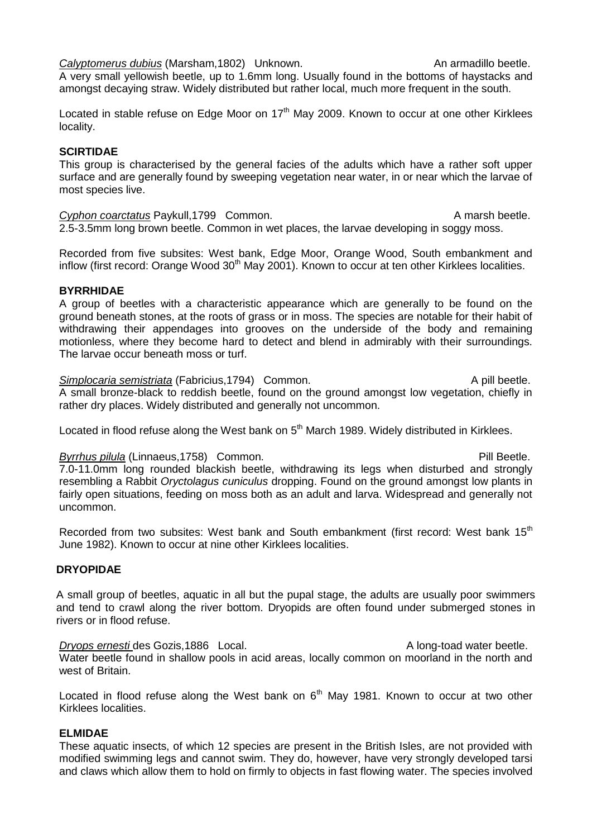Calyptomerus dubius (Marsham,1802) Unknown. An armadillo beetle. A very small yellowish beetle, up to 1.6mm long. Usually found in the bottoms of haystacks and amongst decaying straw. Widely distributed but rather local, much more frequent in the south.

Located in stable refuse on Edge Moor on  $17<sup>th</sup>$  May 2009. Known to occur at one other Kirklees locality.

# **SCIRTIDAE**

This group is characterised by the general facies of the adults which have a rather soft upper surface and are generally found by sweeping vegetation near water, in or near which the larvae of most species live.

Cyphon coarctatus Paykull,1799 Common. A marsh beetle. 2.5-3.5mm long brown beetle. Common in wet places, the larvae developing in soggy moss.

Recorded from five subsites: West bank, Edge Moor, Orange Wood, South embankment and inflow (first record: Orange Wood 30<sup>th</sup> May 2001). Known to occur at ten other Kirklees localities.

# **BYRRHIDAE**

A group of beetles with a characteristic appearance which are generally to be found on the ground beneath stones, at the roots of grass or in moss. The species are notable for their habit of withdrawing their appendages into grooves on the underside of the body and remaining motionless, where they become hard to detect and blend in admirably with their surroundings. The larvae occur beneath moss or turf.

**Simplocaria semistriata** (Fabricius, 1794) Common. A pill beetle. A small bronze-black to reddish beetle, found on the ground amongst low vegetation, chiefly in rather dry places. Widely distributed and generally not uncommon.

Located in flood refuse along the West bank on 5<sup>th</sup> March 1989. Widely distributed in Kirklees.

# Byrrhus pilula (Linnaeus, 1758) Common. **Pill Beetle.** Pill Beetle.

7.0-11.0mm long rounded blackish beetle, withdrawing its legs when disturbed and strongly resembling a Rabbit *Oryctolagus cuniculus* dropping. Found on the ground amongst low plants in fairly open situations, feeding on moss both as an adult and larva. Widespread and generally not uncommon.

Recorded from two subsites: West bank and South embankment (first record: West bank 15<sup>th</sup> June 1982). Known to occur at nine other Kirklees localities.

# **DRYOPIDAE**

A small group of beetles, aquatic in all but the pupal stage, the adults are usually poor swimmers and tend to crawl along the river bottom. Dryopids are often found under submerged stones in rivers or in flood refuse.

*Dryops ernesti* des Gozis, 1886 Local. A long-toad water beetle. Water beetle found in shallow pools in acid areas, locally common on moorland in the north and west of Britain.

Located in flood refuse along the West bank on  $6<sup>th</sup>$  May 1981. Known to occur at two other Kirklees localities.

# **ELMIDAE**

These aquatic insects, of which 12 species are present in the British Isles, are not provided with modified swimming legs and cannot swim. They do, however, have very strongly developed tarsi and claws which allow them to hold on firmly to objects in fast flowing water. The species involved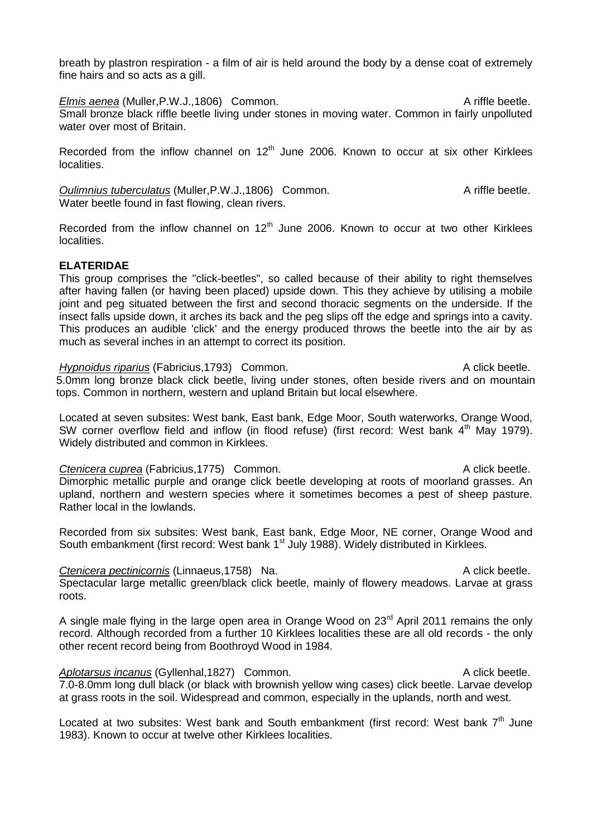breath by plastron respiration - a film of air is held around the body by a dense coat of extremely fine hairs and so acts as a gill.

*Elmis aenea* (Muller, P.W.J., 1806) Common. A riffle beetle. Small bronze black riffle beetle living under stones in moving water. Common in fairly unpolluted water over most of Britain.

Recorded from the inflow channel on  $12<sup>th</sup>$  June 2006. Known to occur at six other Kirklees localities.

**Oulimnius tuberculatus** (Muller, P.W.J., 1806) Common. A riffle beetle. Water beetle found in fast flowing, clean rivers.

Recorded from the inflow channel on  $12<sup>th</sup>$  June 2006. Known to occur at two other Kirklees localities.

### **ELATERIDAE**

This group comprises the "click-beetles", so called because of their ability to right themselves after having fallen (or having been placed) upside down. This they achieve by utilising a mobile joint and peg situated between the first and second thoracic segments on the underside. If the insect falls upside down, it arches its back and the peg slips off the edge and springs into a cavity. This produces an audible 'click' and the energy produced throws the beetle into the air by as much as several inches in an attempt to correct its position.

*Hypnoidus riparius* (Fabricius, 1793) Common. A click beetle. 5.0mm long bronze black click beetle, living under stones, often beside rivers and on mountain tops. Common in northern, western and upland Britain but local elsewhere.

Located at seven subsites: West bank, East bank, Edge Moor, South waterworks, Orange Wood, SW corner overflow field and inflow (in flood refuse) (first record: West bank 4<sup>th</sup> May 1979). Widely distributed and common in Kirklees.

**Ctenicera cuprea** (Fabricius,1775) Common. Ctenicera cuprea (Fabricius,1775) Common. Dimorphic metallic purple and orange click beetle developing at roots of moorland grasses. An upland, northern and western species where it sometimes becomes a pest of sheep pasture. Rather local in the lowlands.

Recorded from six subsites: West bank, East bank, Edge Moor, NE corner, Orange Wood and South embankment (first record: West bank 1<sup>st</sup> July 1988). Widely distributed in Kirklees.

**Ctenicera pectinicornis** (Linnaeus, 1758) Na. A click beetle. Spectacular large metallic green/black click beetle, mainly of flowery meadows. Larvae at grass roots.

A single male flying in the large open area in Orange Wood on  $23<sup>rd</sup>$  April 2011 remains the only record. Although recorded from a further 10 Kirklees localities these are all old records - the only other recent record being from Boothroyd Wood in 1984.

*Aplotarsus incanus* (Gyllenhal, 1827) Common. A click beetle. 7.0-8.0mm long dull black (or black with brownish yellow wing cases) click beetle. Larvae develop at grass roots in the soil. Widespread and common, especially in the uplands, north and west.

Located at two subsites: West bank and South embankment (first record: West bank  $7<sup>th</sup>$  June 1983). Known to occur at twelve other Kirklees localities.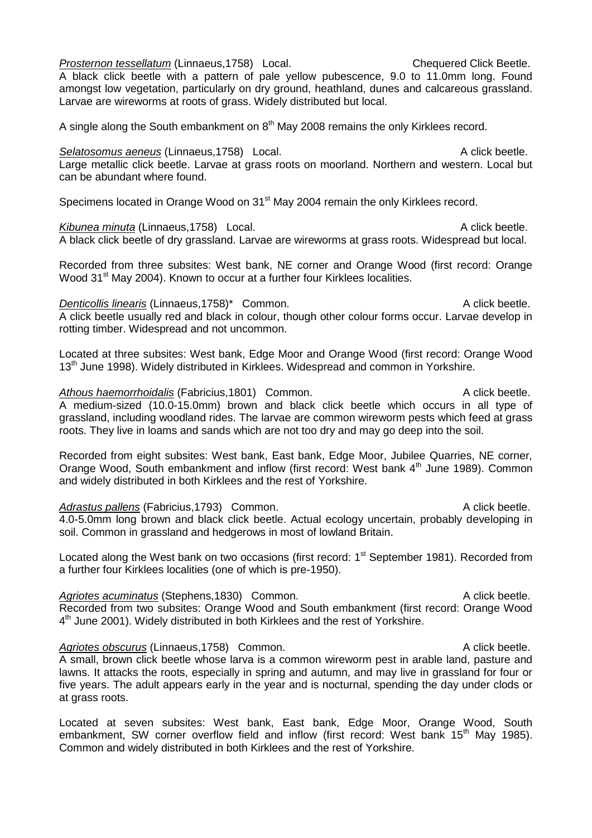amongst low vegetation, particularly on dry ground, heathland, dunes and calcareous grassland. Larvae are wireworms at roots of grass. Widely distributed but local. A single along the South embankment on  $8<sup>th</sup>$  May 2008 remains the only Kirklees record. **Selatosomus aeneus (Linnaeus,1758)** Local. **A click beetle.** A click beetle. Large metallic click beetle. Larvae at grass roots on moorland. Northern and western. Local but can be abundant where found. Specimens located in Orange Wood on 31<sup>st</sup> May 2004 remain the only Kirklees record. Kibunea minuta (Linnaeus, 1758) Local. A click beetle. A black click beetle of dry grassland. Larvae are wireworms at grass roots. Widespread but local. Recorded from three subsites: West bank, NE corner and Orange Wood (first record: Orange Wood 31<sup>st</sup> May 2004). Known to occur at a further four Kirklees localities. *Denticollis linearis* (Linnaeus, 1758)\* Common. A click beetle. A click beetle usually red and black in colour, though other colour forms occur. Larvae develop in rotting timber. Widespread and not uncommon. Located at three subsites: West bank, Edge Moor and Orange Wood (first record: Orange Wood 13<sup>th</sup> June 1998). Widely distributed in Kirklees. Widespread and common in Yorkshire.

Athous haemorrhoidalis (Fabricius, 1801) Common. **Access 1967** A click beetle. A medium-sized (10.0-15.0mm) brown and black click beetle which occurs in all type of grassland, including woodland rides. The larvae are common wireworm pests which feed at grass roots. They live in loams and sands which are not too dry and may go deep into the soil.

Recorded from eight subsites: West bank, East bank, Edge Moor, Jubilee Quarries, NE corner, Orange Wood, South embankment and inflow (first record: West bank 4<sup>th</sup> June 1989). Common and widely distributed in both Kirklees and the rest of Yorkshire.

Adrastus pallens (Fabricius,1793) Common. A click beetle. 4.0-5.0mm long brown and black click beetle. Actual ecology uncertain, probably developing in soil. Common in grassland and hedgerows in most of lowland Britain.

Located along the West bank on two occasions (first record: 1<sup>st</sup> September 1981). Recorded from a further four Kirklees localities (one of which is pre-1950).

Agriotes acuminatus (Stephens,1830) Common. A click beetle. Recorded from two subsites: Orange Wood and South embankment (first record: Orange Wood 4<sup>th</sup> June 2001). Widely distributed in both Kirklees and the rest of Yorkshire.

Agriotes obscurus (Linnaeus, 1758) Common. **A common** Common Constantinuous A click beetle. A small, brown click beetle whose larva is a common wireworm pest in arable land, pasture and lawns. It attacks the roots, especially in spring and autumn, and may live in grassland for four or five years. The adult appears early in the year and is nocturnal, spending the day under clods or at grass roots.

Located at seven subsites: West bank, East bank, Edge Moor, Orange Wood, South embankment. SW corner overflow field and inflow (first record: West bank 15<sup>th</sup> May 1985). Common and widely distributed in both Kirklees and the rest of Yorkshire.

# **Prosternon tessellatum (Linnaeus.1758)** Local. Chequered Click Beetle.

A black click beetle with a pattern of pale yellow pubescence, 9.0 to 11.0mm long. Found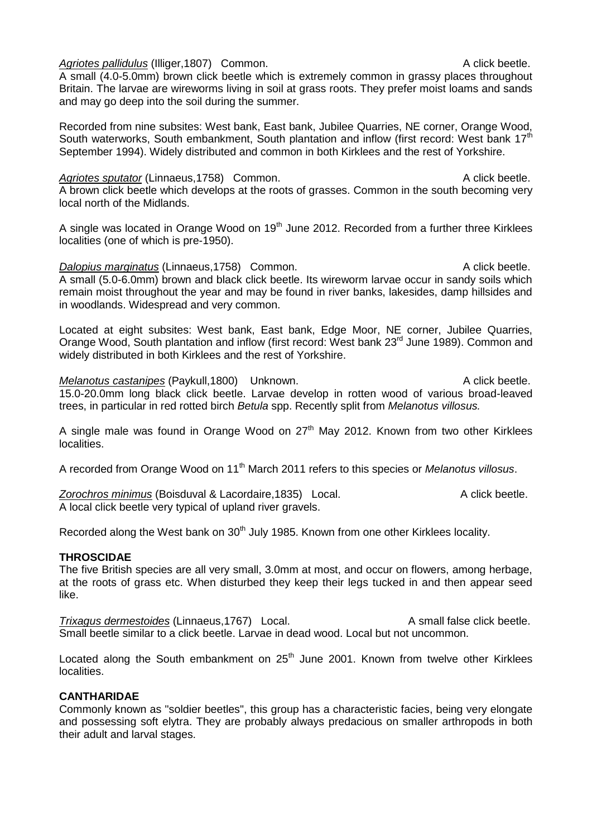## Agriotes pallidulus (Illiger,1807) Common. A click beetle.

A small (4.0-5.0mm) brown click beetle which is extremely common in grassy places throughout Britain. The larvae are wireworms living in soil at grass roots. They prefer moist loams and sands and may go deep into the soil during the summer.

Recorded from nine subsites: West bank, East bank, Jubilee Quarries, NE corner, Orange Wood, South waterworks, South embankment, South plantation and inflow (first record: West bank 17<sup>th</sup> September 1994). Widely distributed and common in both Kirklees and the rest of Yorkshire.

## Agriotes sputator (Linnaeus, 1758) Common. A click beetle.

A brown click beetle which develops at the roots of grasses. Common in the south becoming very local north of the Midlands.

A single was located in Orange Wood on  $19<sup>th</sup>$  June 2012. Recorded from a further three Kirklees localities (one of which is pre-1950).

*Dalopius marginatus* (Linnaeus, 1758) Common. A click beetle. A small (5.0-6.0mm) brown and black click beetle. Its wireworm larvae occur in sandy soils which remain moist throughout the year and may be found in river banks, lakesides, damp hillsides and in woodlands. Widespread and very common.

Located at eight subsites: West bank, East bank, Edge Moor, NE corner, Jubilee Quarries, Orange Wood, South plantation and inflow (first record: West bank 23<sup>rd</sup> June 1989). Common and widely distributed in both Kirklees and the rest of Yorkshire.

*Melanotus castanipes* (Paykull,1800) Unknown. A click beetle. 15.0-20.0mm long black click beetle. Larvae develop in rotten wood of various broad-leaved trees, in particular in red rotted birch *Betula* spp. Recently split from *Melanotus villosus.*

A single male was found in Orange Wood on  $27<sup>th</sup>$  May 2012. Known from two other Kirklees localities.

A recorded from Orange Wood on 11th March 2011 refers to this species or *Melanotus villosus*.

Zorochros minimus (Boisduval & Lacordaire, 1835) Local. A click beetle. A local click beetle very typical of upland river gravels.

Recorded along the West bank on 30<sup>th</sup> July 1985. Known from one other Kirklees locality.

# **THROSCIDAE**

The five British species are all very small, 3.0mm at most, and occur on flowers, among herbage, at the roots of grass etc. When disturbed they keep their legs tucked in and then appear seed like.

*Trixagus dermestoides* (Linnaeus, 1767) Local. A small false click beetle. Small beetle similar to a click beetle. Larvae in dead wood. Local but not uncommon.

Located along the South embankment on  $25<sup>th</sup>$  June 2001. Known from twelve other Kirklees localities.

# **CANTHARIDAE**

Commonly known as "soldier beetles", this group has a characteristic facies, being very elongate and possessing soft elytra. They are probably always predacious on smaller arthropods in both their adult and larval stages.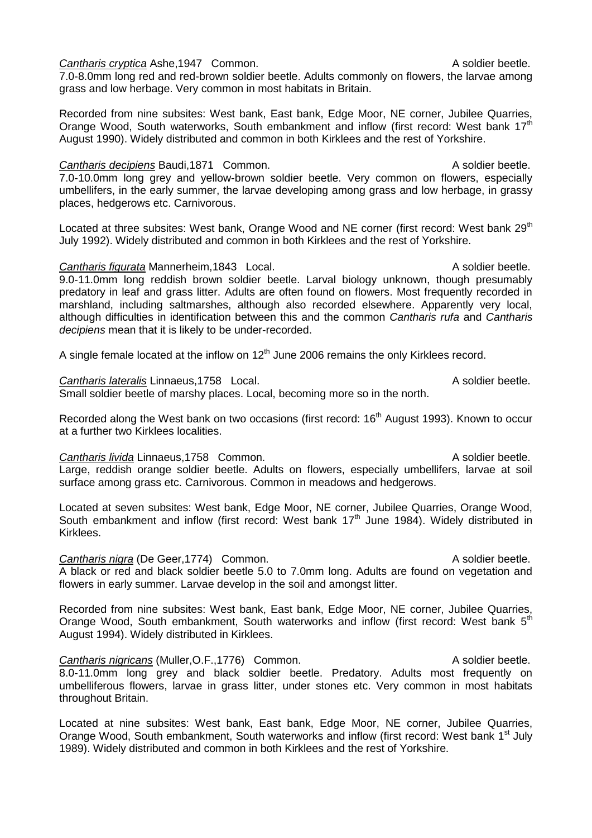#### **Cantharis cryptica Ashe.1947 Common.** Cantharis Common Cantharis Common.

7.0-8.0mm long red and red-brown soldier beetle. Adults commonly on flowers, the larvae among grass and low herbage. Very common in most habitats in Britain.

Recorded from nine subsites: West bank, East bank, Edge Moor, NE corner, Jubilee Quarries, Orange Wood, South waterworks, South embankment and inflow (first record: West bank 17<sup>th</sup> August 1990). Widely distributed and common in both Kirklees and the rest of Yorkshire.

# **Cantharis decipiens** Baudi,1871 Common. Cantharis decipiens Baudi,1871 Common.

7.0-10.0mm long grey and yellow-brown soldier beetle. Very common on flowers, especially umbellifers, in the early summer, the larvae developing among grass and low herbage, in grassy places, hedgerows etc. Carnivorous.

Located at three subsites: West bank, Orange Wood and NE corner (first record: West bank 29<sup>th</sup> July 1992). Widely distributed and common in both Kirklees and the rest of Yorkshire.

## **Cantharis figurata** Mannerheim,1843 Local. **A soldier beetle**.

9.0-11.0mm long reddish brown soldier beetle. Larval biology unknown, though presumably predatory in leaf and grass litter. Adults are often found on flowers. Most frequently recorded in marshland, including saltmarshes, although also recorded elsewhere. Apparently very local, although difficulties in identification between this and the common *Cantharis rufa* and *Cantharis decipiens* mean that it is likely to be under-recorded.

A single female located at the inflow on  $12<sup>th</sup>$  June 2006 remains the only Kirklees record.

**Cantharis lateralis Linnaeus.1758** Local. A soldier beetle.

Small soldier beetle of marshy places. Local, becoming more so in the north.

Recorded along the West bank on two occasions (first record: 16<sup>th</sup> August 1993). Known to occur at a further two Kirklees localities.

## **Cantharis livida** Linnaeus,1758 Common. Cantharis ivida Linnaeus,1758 Common.

Large, reddish orange soldier beetle. Adults on flowers, especially umbellifers, larvae at soil surface among grass etc. Carnivorous. Common in meadows and hedgerows.

Located at seven subsites: West bank, Edge Moor, NE corner, Jubilee Quarries, Orange Wood, South embankment and inflow (first record: West bank  $17<sup>th</sup>$  June 1984). Widely distributed in Kirklees.

**Cantharis nigra** (De Geer, 1774) Common. Cantharis and a soldier beetle. A black or red and black soldier beetle 5.0 to 7.0mm long. Adults are found on vegetation and flowers in early summer. Larvae develop in the soil and amongst litter.

Recorded from nine subsites: West bank, East bank, Edge Moor, NE corner, Jubilee Quarries, Orange Wood, South embankment, South waterworks and inflow (first record: West bank 5<sup>th</sup> August 1994). Widely distributed in Kirklees.

**Cantharis nigricans (Muller, O.F., 1776)** Common. A soldier beetle. 8.0-11.0mm long grey and black soldier beetle. Predatory. Adults most frequently on umbelliferous flowers, larvae in grass litter, under stones etc. Very common in most habitats throughout Britain.

Located at nine subsites: West bank, East bank, Edge Moor, NE corner, Jubilee Quarries, Orange Wood, South embankment, South waterworks and inflow (first record: West bank 1<sup>st</sup> July 1989). Widely distributed and common in both Kirklees and the rest of Yorkshire.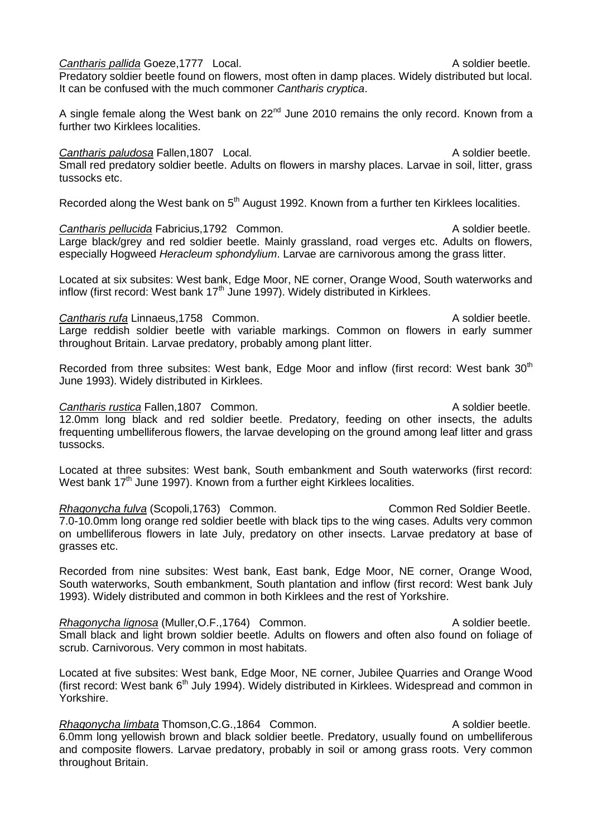**Cantharis pallida Goeze, 1777** Local. A soldier beetle. Predatory soldier beetle found on flowers, most often in damp places. Widely distributed but local. It can be confused with the much commoner *Cantharis cryptica*.

A single female along the West bank on  $22<sup>nd</sup>$  June 2010 remains the only record. Known from a further two Kirklees localities.

**Cantharis paludosa** Fallen,1807 Local. A soldier beetle. Small red predatory soldier beetle. Adults on flowers in marshy places. Larvae in soil, litter, grass tussocks etc.

Recorded along the West bank on 5<sup>th</sup> August 1992. Known from a further ten Kirklees localities.

**Cantharis pellucida** Fabricius,1792 Common. A soldier beetle. Large black/grey and red soldier beetle. Mainly grassland, road verges etc. Adults on flowers, especially Hogweed *Heracleum sphondylium*. Larvae are carnivorous among the grass litter.

Located at six subsites: West bank, Edge Moor, NE corner, Orange Wood, South waterworks and inflow (first record: West bank  $17<sup>th</sup>$  June 1997). Widely distributed in Kirklees.

**Cantharis rufa** Linnaeus,1758 Common. Cantharis rufa Linnaeus,1758 Common. Large reddish soldier beetle with variable markings. Common on flowers in early summer throughout Britain. Larvae predatory, probably among plant litter.

Recorded from three subsites: West bank, Edge Moor and inflow (first record: West bank 30<sup>th</sup> June 1993). Widely distributed in Kirklees.

**Cantharis rustica Fallen,1807 Common.** Common Cantharis A soldier beetle. 12.0mm long black and red soldier beetle. Predatory, feeding on other insects, the adults frequenting umbelliferous flowers, the larvae developing on the ground among leaf litter and grass tussocks.

Located at three subsites: West bank, South embankment and South waterworks (first record: West bank  $17<sup>th</sup>$  June 1997). Known from a further eight Kirklees localities.

**Rhagonycha fulva** (Scopoli,1763) Common. Common Red Soldier Beetle. 7.0-10.0mm long orange red soldier beetle with black tips to the wing cases. Adults very common on umbelliferous flowers in late July, predatory on other insects. Larvae predatory at base of grasses etc.

Recorded from nine subsites: West bank, East bank, Edge Moor, NE corner, Orange Wood, South waterworks, South embankment, South plantation and inflow (first record: West bank July 1993). Widely distributed and common in both Kirklees and the rest of Yorkshire.

*Rhagonycha lignosa* (Muller, O.F., 1764) Common. A soldier beetle. Small black and light brown soldier beetle. Adults on flowers and often also found on foliage of scrub. Carnivorous. Very common in most habitats.

Located at five subsites: West bank, Edge Moor, NE corner, Jubilee Quarries and Orange Wood (first record: West bank 6<sup>th</sup> July 1994). Widely distributed in Kirklees. Widespread and common in Yorkshire.

*Rhagonycha limbata* Thomson, C.G., 1864 Common. A soldier beetle. 6.0mm long yellowish brown and black soldier beetle. Predatory, usually found on umbelliferous and composite flowers. Larvae predatory, probably in soil or among grass roots. Very common throughout Britain.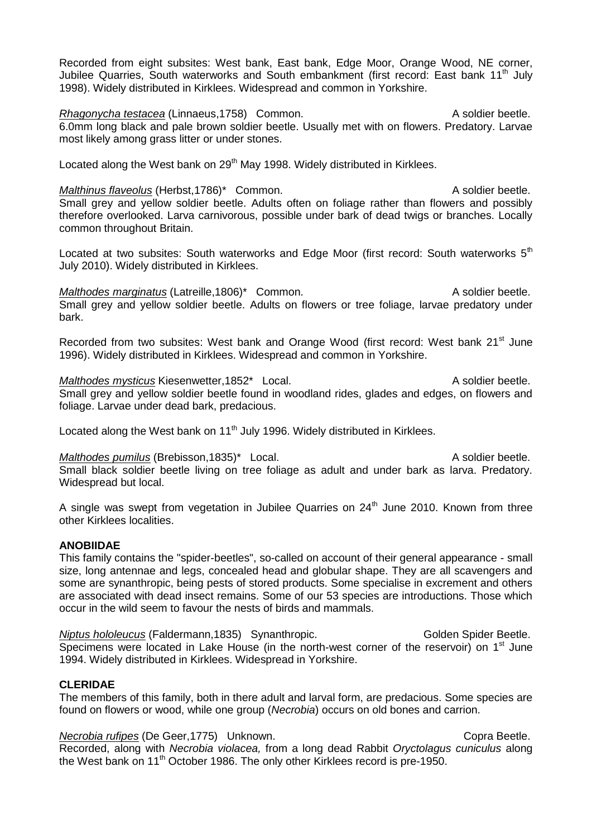Recorded from eight subsites: West bank, East bank, Edge Moor, Orange Wood, NE corner, Jubilee Quarries, South waterworks and South embankment (first record: East bank 11<sup>th</sup> July 1998). Widely distributed in Kirklees. Widespread and common in Yorkshire.

*Rhagonycha testacea* (Linnaeus, 1758) Common. A soldier beetle. 6.0mm long black and pale brown soldier beetle. Usually met with on flowers. Predatory. Larvae most likely among grass litter or under stones.

Located along the West bank on 29<sup>th</sup> May 1998. Widely distributed in Kirklees.

*Malthinus flaveolus* (Herbst,1786)\* Common. A soldier beetle. Small grey and yellow soldier beetle. Adults often on foliage rather than flowers and possibly therefore overlooked. Larva carnivorous, possible under bark of dead twigs or branches. Locally common throughout Britain.

Located at two subsites: South waterworks and Edge Moor (first record: South waterworks  $5<sup>th</sup>$ July 2010). Widely distributed in Kirklees.

*Malthodes marginatus* (Latreille,1806)\* Common. A soldier beetle. Small grey and yellow soldier beetle. Adults on flowers or tree foliage, larvae predatory under bark.

Recorded from two subsites: West bank and Orange Wood (first record: West bank 21<sup>st</sup> June 1996). Widely distributed in Kirklees. Widespread and common in Yorkshire.

*Malthodes mysticus* Kiesenwetter, 1852\* Local. A soldier beetle. Small grey and yellow soldier beetle found in woodland rides, glades and edges, on flowers and foliage. Larvae under dead bark, predacious.

Located along the West bank on 11<sup>th</sup> July 1996. Widely distributed in Kirklees.

*Malthodes pumilus* (Brebisson, 1835)\* Local. A soldier beetle. Small black soldier beetle living on tree foliage as adult and under bark as larva. Predatory. Widespread but local.

A single was swept from vegetation in Jubilee Quarries on  $24<sup>th</sup>$  June 2010. Known from three other Kirklees localities.

## **ANOBIIDAE**

This family contains the "spider-beetles", so-called on account of their general appearance - small size, long antennae and legs, concealed head and globular shape. They are all scavengers and some are synanthropic, being pests of stored products. Some specialise in excrement and others are associated with dead insect remains. Some of our 53 species are introductions. Those which occur in the wild seem to favour the nests of birds and mammals.

*Niptus hololeucus* (Faldermann, 1835) Synanthropic. Golden Spider Beetle. Specimens were located in Lake House (in the north-west corner of the reservoir) on  $1<sup>st</sup>$  June 1994. Widely distributed in Kirklees. Widespread in Yorkshire.

## **CLERIDAE**

The members of this family, both in there adult and larval form, are predacious. Some species are found on flowers or wood, while one group (*Necrobia*) occurs on old bones and carrion.

*Necrobia rufipes* (De Geer,1775) Unknown. Copra Beetle.

Recorded, along with *Necrobia violacea,* from a long dead Rabbit *Oryctolagus cuniculus* along the West bank on  $11<sup>th</sup>$  October 1986. The only other Kirklees record is pre-1950.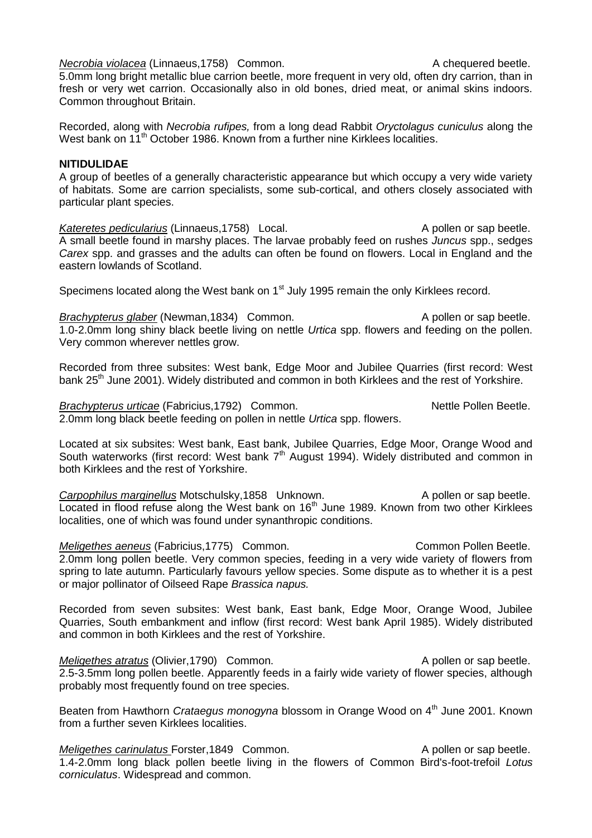5.0mm long bright metallic blue carrion beetle, more frequent in very old, often dry carrion, than in fresh or very wet carrion. Occasionally also in old bones, dried meat, or animal skins indoors. Common throughout Britain.

Recorded, along with *Necrobia rufipes,* from a long dead Rabbit *Oryctolagus cuniculus* along the West bank on 11<sup>th</sup> October 1986. Known from a further nine Kirklees localities.

# **NITIDULIDAE**

A group of beetles of a generally characteristic appearance but which occupy a very wide variety of habitats. Some are carrion specialists, some sub-cortical, and others closely associated with particular plant species.

Kateretes pedicularius (Linnaeus, 1758) Local. A pollen or sap beetle. A small beetle found in marshy places. The larvae probably feed on rushes *Juncus* spp., sedges *Carex* spp. and grasses and the adults can often be found on flowers. Local in England and the eastern lowlands of Scotland.

Specimens located along the West bank on 1<sup>st</sup> July 1995 remain the only Kirklees record.

**Brachypterus glaber** (Newman, 1834) Common. A pollen or sap beetle. 1.0-2.0mm long shiny black beetle living on nettle *Urtica* spp. flowers and feeding on the pollen. Very common wherever nettles grow.

Recorded from three subsites: West bank, Edge Moor and Jubilee Quarries (first record: West bank 25<sup>th</sup> June 2001). Widely distributed and common in both Kirklees and the rest of Yorkshire.

*Brachypterus urticae* (Fabricius, 1792) Common. Nettle Pollen Beetle. 2.0mm long black beetle feeding on pollen in nettle *Urtica* spp. flowers.

Located at six subsites: West bank, East bank, Jubilee Quarries, Edge Moor, Orange Wood and South waterworks (first record: West bank  $7<sup>th</sup>$  August 1994). Widely distributed and common in both Kirklees and the rest of Yorkshire.

**Carpophilus marginellus** Motschulsky,1858 Unknown. A pollen or sap beetle. Located in flood refuse along the West bank on 16<sup>th</sup> June 1989. Known from two other Kirklees localities, one of which was found under synanthropic conditions.

*Meligethes aeneus* (Fabricius, 1775) Common. Common Pollen Beetle. 2.0mm long pollen beetle. Very common species, feeding in a very wide variety of flowers from spring to late autumn. Particularly favours yellow species. Some dispute as to whether it is a pest or major pollinator of Oilseed Rape *Brassica napus.*

Recorded from seven subsites: West bank, East bank, Edge Moor, Orange Wood, Jubilee Quarries, South embankment and inflow (first record: West bank April 1985). Widely distributed and common in both Kirklees and the rest of Yorkshire.

*Meligethes atratus* (Olivier, 1790) Common. A pollen or sap beetle. 2.5-3.5mm long pollen beetle. Apparently feeds in a fairly wide variety of flower species, although probably most frequently found on tree species.

Beaten from Hawthorn *Crataegus monogyna* blossom in Orange Wood on 4<sup>th</sup> June 2001. Known from a further seven Kirklees localities.

*Meligethes carinulatus* Forster, 1849 Common. A pollen or sap beetle. 1.4-2.0mm long black pollen beetle living in the flowers of Common Bird's-foot-trefoil *Lotus corniculatus*. Widespread and common.

#### *Necrobia violacea* (Linnaeus, 1758) Common. A chequered beetle.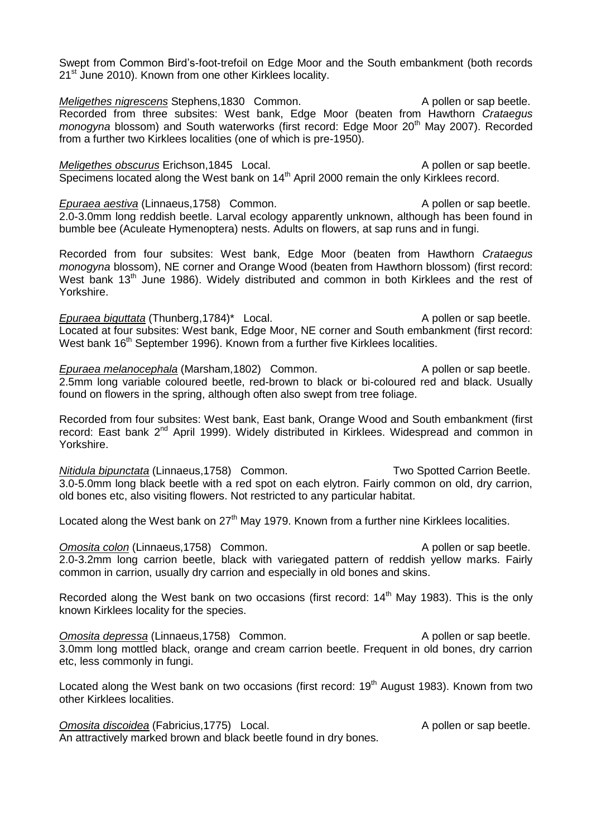Swept from Common Bird's-foot-trefoil on Edge Moor and the South embankment (both records 21<sup>st</sup> June 2010). Known from one other Kirklees locality.

*Meligethes nigrescens* Stephens,1830 Common. A pollen or sap beetle. Recorded from three subsites: West bank, Edge Moor (beaten from Hawthorn *Crataegus monogyna* blossom) and South waterworks (first record: Edge Moor 20<sup>th</sup> May 2007). Recorded from a further two Kirklees localities (one of which is pre-1950).

*Meligethes obscurus* Erichson, 1845 Local. A pollen or sap beetle. Specimens located along the West bank on 14<sup>th</sup> April 2000 remain the only Kirklees record.

*Epuraea aestiva* (Linnaeus, 1758) Common. A pollen or sap beetle. 2.0-3.0mm long reddish beetle. Larval ecology apparently unknown, although has been found in bumble bee (Aculeate Hymenoptera) nests. Adults on flowers, at sap runs and in fungi.

Recorded from four subsites: West bank, Edge Moor (beaten from Hawthorn *Crataegus monogyna* blossom), NE corner and Orange Wood (beaten from Hawthorn blossom) (first record: West bank 13<sup>th</sup> June 1986). Widely distributed and common in both Kirklees and the rest of Yorkshire.

*Epuraea biguttata* (Thunberg, 1784)<sup>\*</sup> Local. A pollen or sap beetle. Located at four subsites: West bank, Edge Moor, NE corner and South embankment (first record: West bank 16<sup>th</sup> September 1996). Known from a further five Kirklees localities.

*Epuraea melanocephala* (Marsham, 1802) Common. A pollen or sap beetle. 2.5mm long variable coloured beetle, red-brown to black or bi-coloured red and black. Usually found on flowers in the spring, although often also swept from tree foliage.

Recorded from four subsites: West bank, East bank, Orange Wood and South embankment (first record: East bank 2<sup>nd</sup> April 1999). Widely distributed in Kirklees. Widespread and common in Yorkshire.

*Nitidula bipunctata* (Linnaeus,1758) Common. Two Spotted Carrion Beetle. 3.0-5.0mm long black beetle with a red spot on each elytron. Fairly common on old, dry carrion, old bones etc, also visiting flowers. Not restricted to any particular habitat.

Located along the West bank on  $27<sup>th</sup>$  May 1979. Known from a further nine Kirklees localities.

**Omosita colon** (Linnaeus, 1758) Common. A pollen or sap beetle. 2.0-3.2mm long carrion beetle, black with variegated pattern of reddish yellow marks. Fairly common in carrion, usually dry carrion and especially in old bones and skins.

Recorded along the West bank on two occasions (first record:  $14<sup>th</sup>$  May 1983). This is the only known Kirklees locality for the species.

**Omosita depressa** (Linnaeus, 1758) Common. A pollen or sap beetle. 3.0mm long mottled black, orange and cream carrion beetle. Frequent in old bones, dry carrion etc, less commonly in fungi.

Located along the West bank on two occasions (first record: 19<sup>th</sup> August 1983). Known from two other Kirklees localities.

**Omosita discoidea** (Fabricius, 1775) Local. A pollen or sap beetle. An attractively marked brown and black beetle found in dry bones.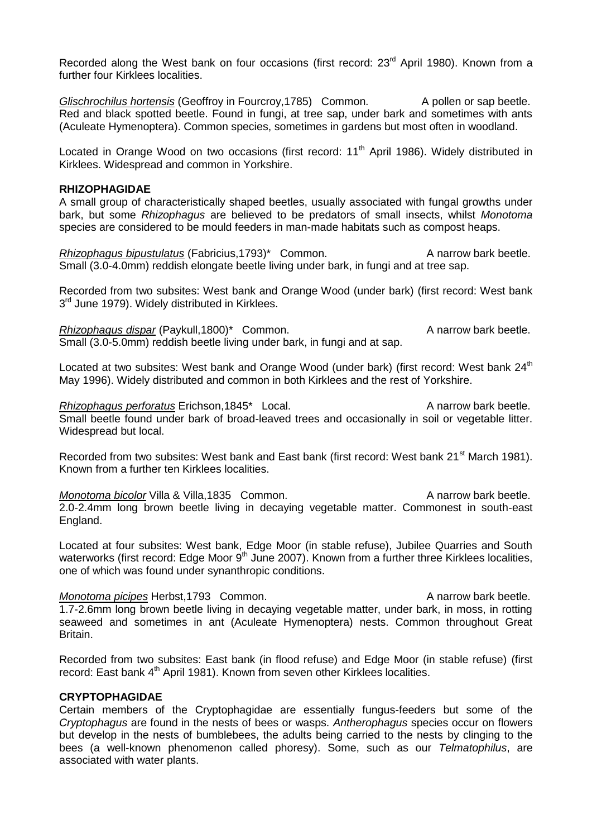Recorded along the West bank on four occasions (first record: 23<sup>rd</sup> April 1980). Known from a further four Kirklees localities.

*Glischrochilus hortensis* (Geoffroy in Fourcroy, 1785) Common. A pollen or sap beetle. Red and black spotted beetle. Found in fungi, at tree sap, under bark and sometimes with ants (Aculeate Hymenoptera). Common species, sometimes in gardens but most often in woodland.

Located in Orange Wood on two occasions (first record: 11<sup>th</sup> April 1986). Widely distributed in Kirklees. Widespread and common in Yorkshire.

#### **RHIZOPHAGIDAE**

A small group of characteristically shaped beetles, usually associated with fungal growths under bark, but some *Rhizophagus* are believed to be predators of small insects, whilst *Monotoma* species are considered to be mould feeders in man-made habitats such as compost heaps.

*Rhizophagus bipustulatus* (Fabricius, 1793)<sup>\*</sup> Common. A narrow bark beetle. Small (3.0-4.0mm) reddish elongate beetle living under bark, in fungi and at tree sap.

Recorded from two subsites: West bank and Orange Wood (under bark) (first record: West bank 3<sup>rd</sup> June 1979). Widely distributed in Kirklees.

*Rhizophagus dispar* (Paykull,1800)\* Common. A narrow bark beetle. Small (3.0-5.0mm) reddish beetle living under bark, in fungi and at sap.

Located at two subsites: West bank and Orange Wood (under bark) (first record: West bank 24<sup>th</sup> May 1996). Widely distributed and common in both Kirklees and the rest of Yorkshire.

*Rhizophagus perforatus* Erichson,1845<sup>\*</sup> Local. A narrow bark beetle. Small beetle found under bark of broad-leaved trees and occasionally in soil or vegetable litter. Widespread but local.

Recorded from two subsites: West bank and East bank (first record: West bank 21<sup>st</sup> March 1981). Known from a further ten Kirklees localities.

*Monotoma bicolor* Villa & Villa,1835 Common. A narrow bark beetle. 2.0-2.4mm long brown beetle living in decaying vegetable matter. Commonest in south-east England.

Located at four subsites: West bank, Edge Moor (in stable refuse), Jubilee Quarries and South waterworks (first record: Edge Moor  $9<sup>th</sup>$  June 2007). Known from a further three Kirklees localities, one of which was found under synanthropic conditions.

*Monotoma picipes* Herbst, 1793 Common. A narrow bark beetle. 1.7-2.6mm long brown beetle living in decaying vegetable matter, under bark, in moss, in rotting seaweed and sometimes in ant (Aculeate Hymenoptera) nests. Common throughout Great Britain.

Recorded from two subsites: East bank (in flood refuse) and Edge Moor (in stable refuse) (first record: East bank 4<sup>th</sup> April 1981). Known from seven other Kirklees localities.

# **CRYPTOPHAGIDAE**

Certain members of the Cryptophagidae are essentially fungus-feeders but some of the *Cryptophagus* are found in the nests of bees or wasps. *Antherophagus* species occur on flowers but develop in the nests of bumblebees, the adults being carried to the nests by clinging to the bees (a well-known phenomenon called phoresy). Some, such as our *Telmatophilus*, are associated with water plants.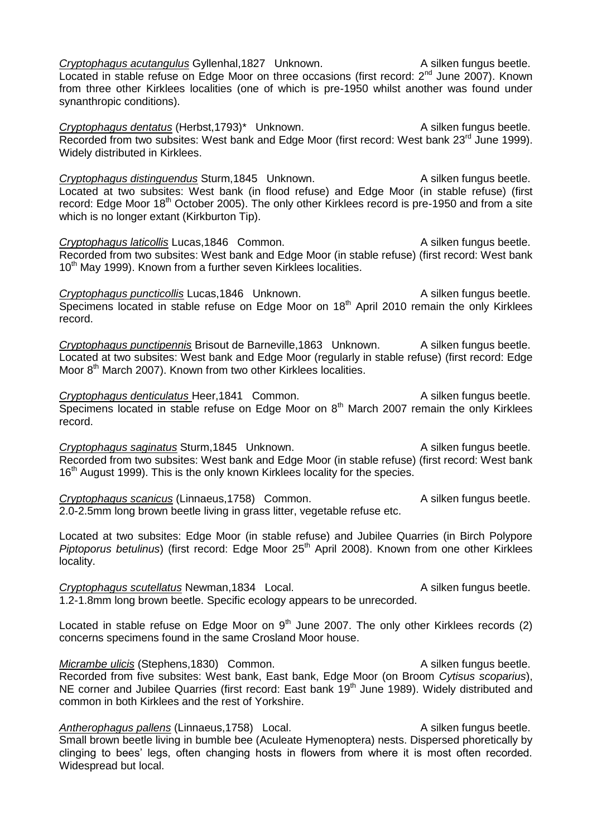*Cryptophagus acutangulus* Gyllenhal,1827 Unknown. A silken fungus beetle.  $\overline{\text{Local}}$  in stable refuse on Edge Moor on three occasions (first record:  $2^{nd}$  June 2007). Known from three other Kirklees localities (one of which is pre-1950 whilst another was found under synanthropic conditions).

*Cryptophagus dentatus* (Herbst,1793)\* Unknown. A silken fungus beetle. Recorded from two subsites: West bank and Edge Moor (first record: West bank 23<sup>rd</sup> June 1999). Widely distributed in Kirklees.

**Cryptophagus distinguendus Sturm,1845 Unknown.** A silken fungus beetle. Located at two subsites: West bank (in flood refuse) and Edge Moor (in stable refuse) (first record: Edge Moor 18<sup>th</sup> October 2005). The only other Kirklees record is pre-1950 and from a site which is no longer extant (Kirkburton Tip).

**Cryptophagus laticollis Lucas,1846 Common.** A silken fungus beetle. Recorded from two subsites: West bank and Edge Moor (in stable refuse) (first record: West bank 10<sup>th</sup> May 1999). Known from a further seven Kirklees localities.

**Cryptophagus puncticollis** Lucas, 1846 Unknown. A silken fungus beetle. Specimens located in stable refuse on Edge Moor on  $18<sup>th</sup>$  April 2010 remain the only Kirklees record.

*Cryptophagus punctipennis* Brisout de Barneville,1863 Unknown. A silken fungus beetle. Located at two subsites: West bank and Edge Moor (regularly in stable refuse) (first record: Edge Moor 8<sup>th</sup> March 2007). Known from two other Kirklees localities.

**Cryptophagus denticulatus Heer,1841 Common.** A silken fungus beetle. Specimens located in stable refuse on Edge Moor on 8<sup>th</sup> March 2007 remain the only Kirklees record.

**Cryptophagus saginatus Sturm,1845 Unknown.** A silken fungus beetle. Recorded from two subsites: West bank and Edge Moor (in stable refuse) (first record: West bank  $16<sup>th</sup>$  August 1999). This is the only known Kirklees locality for the species.

**Cryptophagus scanicus (Linnaeus, 1758)** Common. A silken fungus beetle. 2.0-2.5mm long brown beetle living in grass litter, vegetable refuse etc.

Located at two subsites: Edge Moor (in stable refuse) and Jubilee Quarries (in Birch Polypore *Piptoporus betulinus*) (first record: Edge Moor 25<sup>th</sup> April 2008). Known from one other Kirklees locality.

**Cryptophagus scutellatus Newman,1834** Local. A silken fungus beetle. 1.2-1.8mm long brown beetle. Specific ecology appears to be unrecorded.

Located in stable refuse on Edge Moor on  $9<sup>th</sup>$  June 2007. The only other Kirklees records (2) concerns specimens found in the same Crosland Moor house.

*Micrambe ulicis* (Stephens,1830) Common. A silken fungus beetle. Recorded from five subsites: West bank, East bank, Edge Moor (on Broom *Cytisus scoparius*), NE corner and Jubilee Quarries (first record: East bank 19<sup>th</sup> June 1989). Widely distributed and common in both Kirklees and the rest of Yorkshire.

Antherophagus pallens (Linnaeus, 1758) Local. A silken fungus beetle. Small brown beetle living in bumble bee (Aculeate Hymenoptera) nests. Dispersed phoretically by clinging to bees' legs, often changing hosts in flowers from where it is most often recorded. Widespread but local.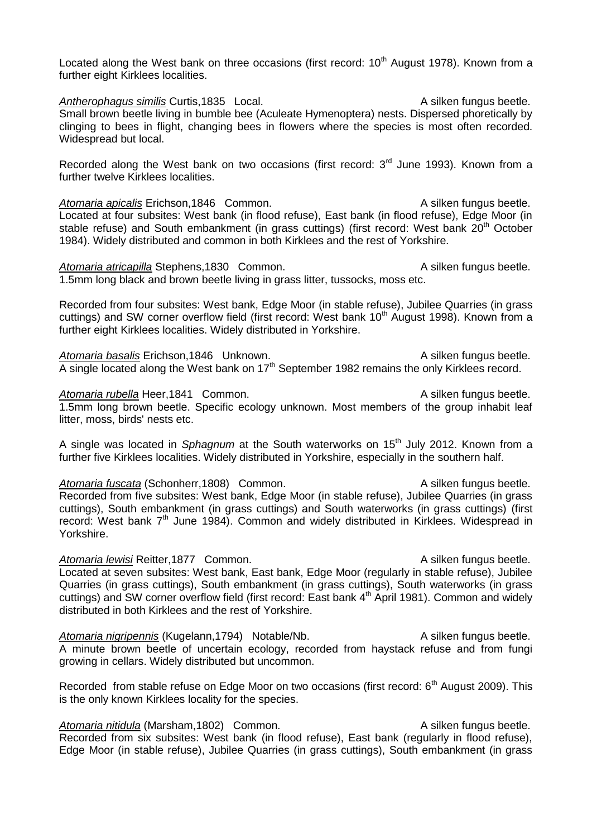Located along the West bank on three occasions (first record:  $10<sup>th</sup>$  August 1978). Known from a further eight Kirklees localities.

Antherophagus similis Curtis,1835 Local. Antherophagus beetle. Small brown beetle living in bumble bee (Aculeate Hymenoptera) nests. Dispersed phoretically by clinging to bees in flight, changing bees in flowers where the species is most often recorded. Widespread but local.

Recorded along the West bank on two occasions (first record:  $3<sup>rd</sup>$  June 1993). Known from a further twelve Kirklees localities.

*Atomaria apicalis* Erichson,1846 Common. A silken fungus beetle. Located at four subsites: West bank (in flood refuse), East bank (in flood refuse), Edge Moor (in stable refuse) and South embankment (in grass cuttings) (first record: West bank 20<sup>th</sup> October 1984). Widely distributed and common in both Kirklees and the rest of Yorkshire.

Atomaria atricapilla Stephens,1830 Common. A silken fungus beetle. 1.5mm long black and brown beetle living in grass litter, tussocks, moss etc.

Recorded from four subsites: West bank, Edge Moor (in stable refuse), Jubilee Quarries (in grass cuttings) and SW corner overflow field (first record: West bank 10<sup>th</sup> August 1998). Known from a further eight Kirklees localities. Widely distributed in Yorkshire.

Atomaria basalis Erichson, 1846 Unknown. **Atomaria basalis Erichson, 1846** Unknown. A silken fungus beetle. A single located along the West bank on  $17<sup>th</sup>$  September 1982 remains the only Kirklees record.

Atomaria rubella Heer,1841 Common. Atomaria rubella Heer,1841 Common. 1.5mm long brown beetle. Specific ecology unknown. Most members of the group inhabit leaf litter, moss, birds' nests etc.

A single was located in *Sphagnum* at the South waterworks on 15th July 2012. Known from a further five Kirklees localities. Widely distributed in Yorkshire, especially in the southern half.

Atomaria fuscata (Schonherr,1808) Common. A silken fungus beetle. Recorded from five subsites: West bank, Edge Moor (in stable refuse), Jubilee Quarries (in grass cuttings), South embankment (in grass cuttings) and South waterworks (in grass cuttings) (first record: West bank 7<sup>th</sup> June 1984). Common and widely distributed in Kirklees. Widespread in Yorkshire.

Atomaria lewisi Reitter,1877 Common. A silken fungus beetle. Located at seven subsites: West bank, East bank, Edge Moor (regularly in stable refuse), Jubilee Quarries (in grass cuttings), South embankment (in grass cuttings), South waterworks (in grass cuttings) and SW corner overflow field (first record: East bank 4<sup>th</sup> April 1981). Common and widely distributed in both Kirklees and the rest of Yorkshire.

Atomaria nigripennis (Kugelann, 1794) Notable/Nb. A silken fungus beetle. A minute brown beetle of uncertain ecology, recorded from haystack refuse and from fungi growing in cellars. Widely distributed but uncommon.

Recorded from stable refuse on Edge Moor on two occasions (first record: 6<sup>th</sup> August 2009). This is the only known Kirklees locality for the species.

*Atomaria nitidula* (Marsham, 1802) Common. A silken fungus beetle. Recorded from six subsites: West bank (in flood refuse), East bank (regularly in flood refuse), Edge Moor (in stable refuse), Jubilee Quarries (in grass cuttings), South embankment (in grass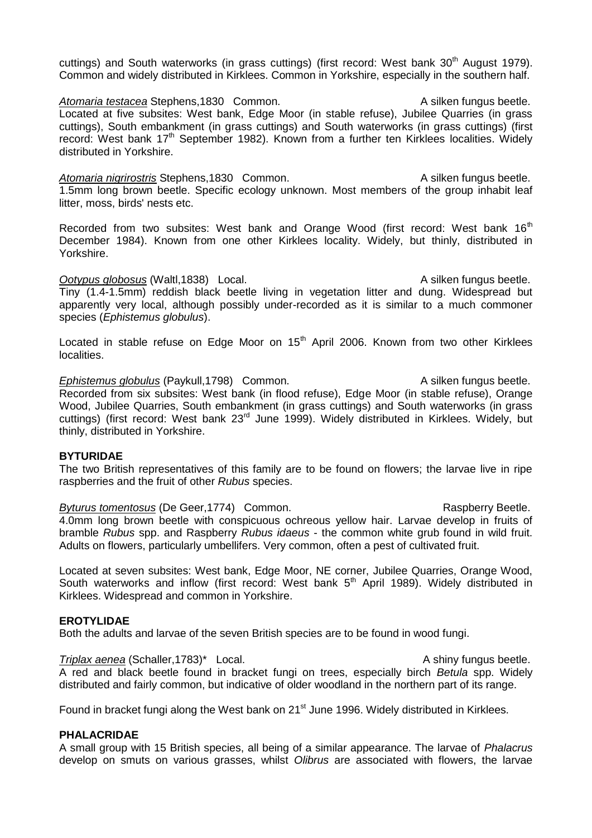cuttings) and South waterworks (in grass cuttings) (first record: West bank 30<sup>th</sup> August 1979). Common and widely distributed in Kirklees. Common in Yorkshire, especially in the southern half.

Atomaria testacea Stephens,1830 Common. A silken fungus beetle. Located at five subsites: West bank, Edge Moor (in stable refuse), Jubilee Quarries (in grass cuttings), South embankment (in grass cuttings) and South waterworks (in grass cuttings) (first record: West bank 17<sup>th</sup> September 1982). Known from a further ten Kirklees localities. Widely distributed in Yorkshire.

Atomaria nigrirostris Stephens,1830 Common. A silken fungus beetle. 1.5mm long brown beetle. Specific ecology unknown. Most members of the group inhabit leaf litter, moss, birds' nests etc.

Recorded from two subsites: West bank and Orange Wood (first record: West bank 16<sup>th</sup> December 1984). Known from one other Kirklees locality. Widely, but thinly, distributed in Yorkshire.

#### *Ootypus globosus* (Waltl,1838) Local. A silken fungus beetle.

Tiny (1.4-1.5mm) reddish black beetle living in vegetation litter and dung. Widespread but apparently very local, although possibly under-recorded as it is similar to a much commoner species (*Ephistemus globulus*).

Located in stable refuse on Edge Moor on  $15<sup>th</sup>$  April 2006. Known from two other Kirklees localities.

*Ephistemus globulus* (Paykull, 1798) Common. A silken fungus beetle. Recorded from six subsites: West bank (in flood refuse), Edge Moor (in stable refuse), Orange Wood, Jubilee Quarries, South embankment (in grass cuttings) and South waterworks (in grass cuttings) (first record: West bank 23<sup>rd</sup> June 1999). Widely distributed in Kirklees. Widely, but thinly, distributed in Yorkshire.

## **BYTURIDAE**

The two British representatives of this family are to be found on flowers; the larvae live in ripe raspberries and the fruit of other *Rubus* species.

*Byturus tomentosus* (De Geer, 1774) Common. The result of the Raspberry Beetle. 4.0mm long brown beetle with conspicuous ochreous yellow hair. Larvae develop in fruits of bramble *Rubus* spp. and Raspberry *Rubus idaeus* - the common white grub found in wild fruit. Adults on flowers, particularly umbellifers. Very common, often a pest of cultivated fruit.

Located at seven subsites: West bank, Edge Moor, NE corner, Jubilee Quarries, Orange Wood, South waterworks and inflow (first record: West bank 5<sup>th</sup> April 1989). Widely distributed in Kirklees. Widespread and common in Yorkshire.

## **EROTYLIDAE**

Both the adults and larvae of the seven British species are to be found in wood fungi.

*Triplax aenea* (Schaller, 1783)\* Local. A shiny fungus beetle. A red and black beetle found in bracket fungi on trees, especially birch *Betula* spp. Widely distributed and fairly common, but indicative of older woodland in the northern part of its range.

Found in bracket fungi along the West bank on 21<sup>st</sup> June 1996. Widely distributed in Kirklees.

## **PHALACRIDAE**

A small group with 15 British species, all being of a similar appearance. The larvae of *Phalacrus* develop on smuts on various grasses, whilst *Olibrus* are associated with flowers, the larvae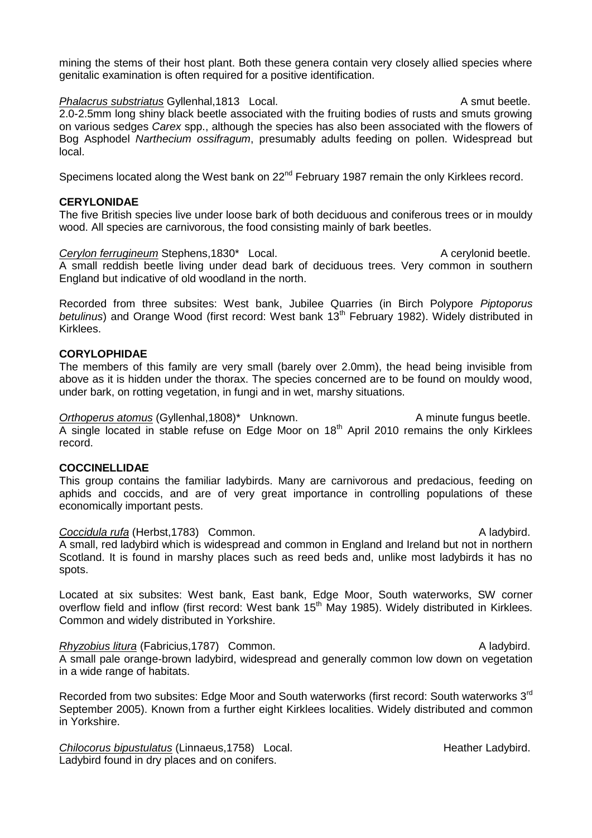mining the stems of their host plant. Both these genera contain very closely allied species where genitalic examination is often required for a positive identification.

**Phalacrus substriatus** Gyllenhal,1813 Local. A smut beetle. 2.0-2.5mm long shiny black beetle associated with the fruiting bodies of rusts and smuts growing on various sedges *Carex* spp., although the species has also been associated with the flowers of Bog Asphodel *Narthecium ossifragum*, presumably adults feeding on pollen. Widespread but local.

Specimens located along the West bank on 22<sup>nd</sup> February 1987 remain the only Kirklees record.

## **CERYLONIDAE**

The five British species live under loose bark of both deciduous and coniferous trees or in mouldy wood. All species are carnivorous, the food consisting mainly of bark beetles.

**Cerylon ferrugineum** Stephens,1830\* Local. **A cerylonid beetle.** A cerylonid beetle. A small reddish beetle living under dead bark of deciduous trees. Very common in southern England but indicative of old woodland in the north.

Recorded from three subsites: West bank, Jubilee Quarries (in Birch Polypore *Piptoporus*  betulinus) and Orange Wood (first record: West bank 13<sup>th</sup> February 1982). Widely distributed in Kirklees.

# **CORYLOPHIDAE**

The members of this family are very small (barely over 2.0mm), the head being invisible from above as it is hidden under the thorax. The species concerned are to be found on mouldy wood, under bark, on rotting vegetation, in fungi and in wet, marshy situations.

Orthoperus atomus (Gyllenhal,1808)<sup>\*</sup> Unknown. A minute fungus beetle. A single located in stable refuse on Edge Moor on 18<sup>th</sup> April 2010 remains the only Kirklees record.

## **COCCINELLIDAE**

This group contains the familiar ladybirds. Many are carnivorous and predacious, feeding on aphids and coccids, and are of very great importance in controlling populations of these economically important pests.

**Coccidula rufa** (Herbst,1783) Common. A ladybird. A small, red ladybird which is widespread and common in England and Ireland but not in northern Scotland. It is found in marshy places such as reed beds and, unlike most ladybirds it has no spots.

Located at six subsites: West bank, East bank, Edge Moor, South waterworks, SW corner overflow field and inflow (first record: West bank 15<sup>th</sup> May 1985). Widely distributed in Kirklees. Common and widely distributed in Yorkshire.

*Rhyzobius litura* (Fabricius, 1787) Common. A ladybird. A small pale orange-brown ladybird, widespread and generally common low down on vegetation in a wide range of habitats.

Recorded from two subsites: Edge Moor and South waterworks (first record: South waterworks 3<sup>rd</sup> September 2005). Known from a further eight Kirklees localities. Widely distributed and common in Yorkshire.

**Chilocorus bipustulatus (Linnaeus, 1758)** Local. **Heather Ladybird.** Heather Ladybird. Ladybird found in dry places and on conifers.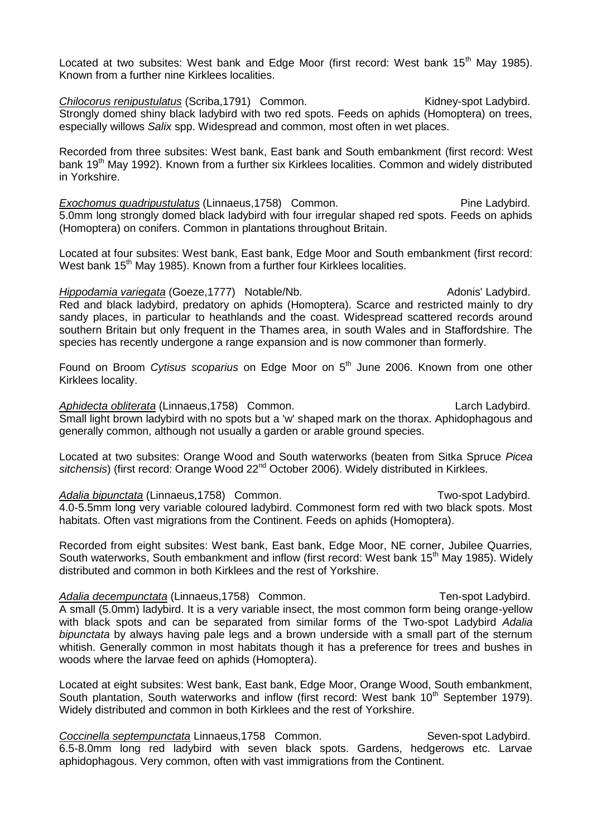Located at two subsites: West bank and Edge Moor (first record: West bank 15<sup>th</sup> May 1985). Known from a further nine Kirklees localities.

**Chilocorus renipustulatus** (Scriba, 1791) Common. Kidney-spot Ladybird. Strongly domed shiny black ladybird with two red spots. Feeds on aphids (Homoptera) on trees, especially willows *Salix* spp. Widespread and common, most often in wet places.

Recorded from three subsites: West bank, East bank and South embankment (first record: West bank 19<sup>th</sup> May 1992). Known from a further six Kirklees localities. Common and widely distributed in Yorkshire.

**Exochomus quadripustulatus (Linnaeus, 1758)** Common. Pine Ladybird. 5.0mm long strongly domed black ladybird with four irregular shaped red spots. Feeds on aphids (Homoptera) on conifers. Common in plantations throughout Britain.

Located at four subsites: West bank, East bank, Edge Moor and South embankment (first record: West bank  $15<sup>th</sup>$  May 1985). Known from a further four Kirklees localities.

*Hippodamia variegata* (Goeze, 1777) Notable/Nb. Adonis' Ladybird. Red and black ladybird, predatory on aphids (Homoptera). Scarce and restricted mainly to dry sandy places, in particular to heathlands and the coast. Widespread scattered records around southern Britain but only frequent in the Thames area, in south Wales and in Staffordshire. The species has recently undergone a range expansion and is now commoner than formerly.

Found on Broom *Cytisus scoparius* on Edge Moor on 5<sup>th</sup> June 2006. Known from one other Kirklees locality.

Aphidecta obliterata (Linnaeus, 1758) Common. Common. Larch Ladybird. Small light brown ladybird with no spots but a 'w' shaped mark on the thorax. Aphidophagous and generally common, although not usually a garden or arable ground species.

Located at two subsites: Orange Wood and South waterworks (beaten from Sitka Spruce *Picea*  sitchensis) (first record: Orange Wood 22<sup>nd</sup> October 2006). Widely distributed in Kirklees.

Adalia bipunctata (Linnaeus, 1758) Common. Two-spot Ladybird. 4.0-5.5mm long very variable coloured ladybird. Commonest form red with two black spots. Most habitats. Often vast migrations from the Continent. Feeds on aphids (Homoptera).

Recorded from eight subsites: West bank, East bank, Edge Moor, NE corner, Jubilee Quarries, South waterworks, South embankment and inflow (first record: West bank 15<sup>th</sup> May 1985). Widely distributed and common in both Kirklees and the rest of Yorkshire.

Adalia decempunctata (Linnaeus, 1758) Common. Ten-spot Ladybird. A small (5.0mm) ladybird. It is a very variable insect, the most common form being orange-yellow with black spots and can be separated from similar forms of the Two-spot Ladybird *Adalia bipunctata* by always having pale legs and a brown underside with a small part of the sternum whitish. Generally common in most habitats though it has a preference for trees and bushes in woods where the larvae feed on aphids (Homoptera).

Located at eight subsites: West bank, East bank, Edge Moor, Orange Wood, South embankment, South plantation, South waterworks and inflow (first record: West bank 10<sup>th</sup> September 1979). Widely distributed and common in both Kirklees and the rest of Yorkshire.

**Coccinella septempunctata Linnaeus, 1758 Common.** Seven-spot Ladybird. 6.5-8.0mm long red ladybird with seven black spots. Gardens, hedgerows etc. Larvae aphidophagous. Very common, often with vast immigrations from the Continent.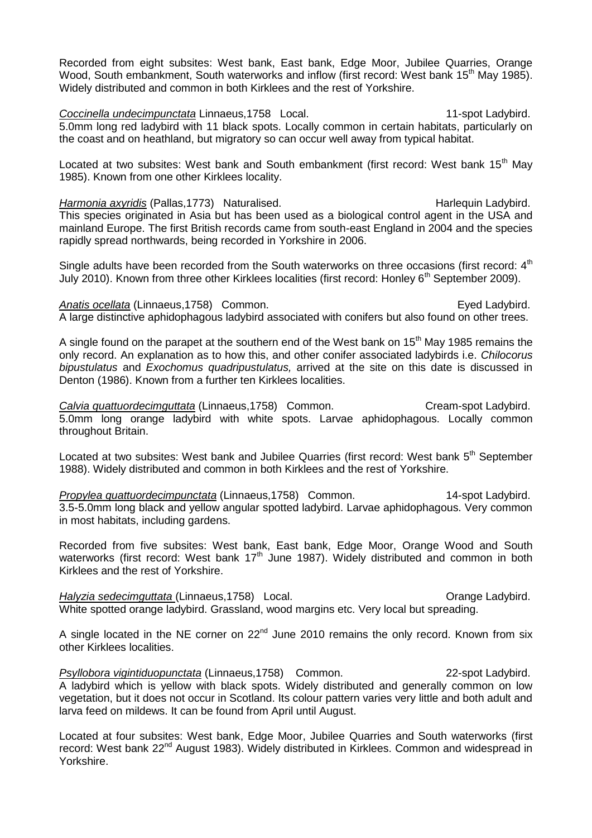Recorded from eight subsites: West bank, East bank, Edge Moor, Jubilee Quarries, Orange Wood, South embankment, South waterworks and inflow (first record: West bank  $15<sup>th</sup>$  May 1985). Widely distributed and common in both Kirklees and the rest of Yorkshire.

**Coccinella undecimpunctata Linnaeus,1758 Local.** 11-spot Ladybird. 5.0mm long red ladybird with 11 black spots. Locally common in certain habitats, particularly on the coast and on heathland, but migratory so can occur well away from typical habitat.

Located at two subsites: West bank and South embankment (first record: West bank 15<sup>th</sup> May 1985). Known from one other Kirklees locality.

*Harmonia axyridis* (Pallas, 1773) Naturalised. Harlequin Ladybird. Harlequin Ladybird. This species originated in Asia but has been used as a biological control agent in the USA and mainland Europe. The first British records came from south-east England in 2004 and the species rapidly spread northwards, being recorded in Yorkshire in 2006.

Single adults have been recorded from the South waterworks on three occasions (first record:  $4<sup>th</sup>$ July 2010). Known from three other Kirklees localities (first record: Honley 6<sup>th</sup> September 2009).

Anatis ocellata (Linnaeus, 1758) Common. **Example 2018** Eved Ladybird. A large distinctive aphidophagous ladybird associated with conifers but also found on other trees.

A single found on the parapet at the southern end of the West bank on  $15<sup>th</sup>$  May 1985 remains the only record. An explanation as to how this, and other conifer associated ladybirds i.e. *Chilocorus bipustulatus* and *Exochomus quadripustulatus,* arrived at the site on this date is discussed in Denton (1986). Known from a further ten Kirklees localities.

**Calvia quattuordecimguttata** (Linnaeus, 1758) Common. Cream-spot Ladybird. 5.0mm long orange ladybird with white spots. Larvae aphidophagous. Locally common throughout Britain.

Located at two subsites: West bank and Jubilee Quarries (first record: West bank 5<sup>th</sup> September 1988). Widely distributed and common in both Kirklees and the rest of Yorkshire.

*Propylea quattuordecimpunctata* (Linnaeus,1758) Common. 14-spot Ladybird. 3.5-5.0mm long black and yellow angular spotted ladybird. Larvae aphidophagous. Very common in most habitats, including gardens.

Recorded from five subsites: West bank, East bank, Edge Moor, Orange Wood and South waterworks (first record: West bank 17<sup>th</sup> June 1987). Widely distributed and common in both Kirklees and the rest of Yorkshire.

*Halyzia sedecimquttata* (Linnaeus, 1758) Local. Change Ladybird. **Orange Ladybird.** White spotted orange ladybird. Grassland, wood margins etc. Very local but spreading.

A single located in the NE corner on  $22<sup>nd</sup>$  June 2010 remains the only record. Known from six other Kirklees localities.

*Psyllobora vigintiduopunctata* (Linnaeus,1758) Common. 22-spot Ladybird. A ladybird which is yellow with black spots. Widely distributed and generally common on low vegetation, but it does not occur in Scotland. Its colour pattern varies very little and both adult and larva feed on mildews. It can be found from April until August.

Located at four subsites: West bank, Edge Moor, Jubilee Quarries and South waterworks (first record: West bank 22<sup>nd</sup> August 1983). Widely distributed in Kirklees. Common and widespread in Yorkshire.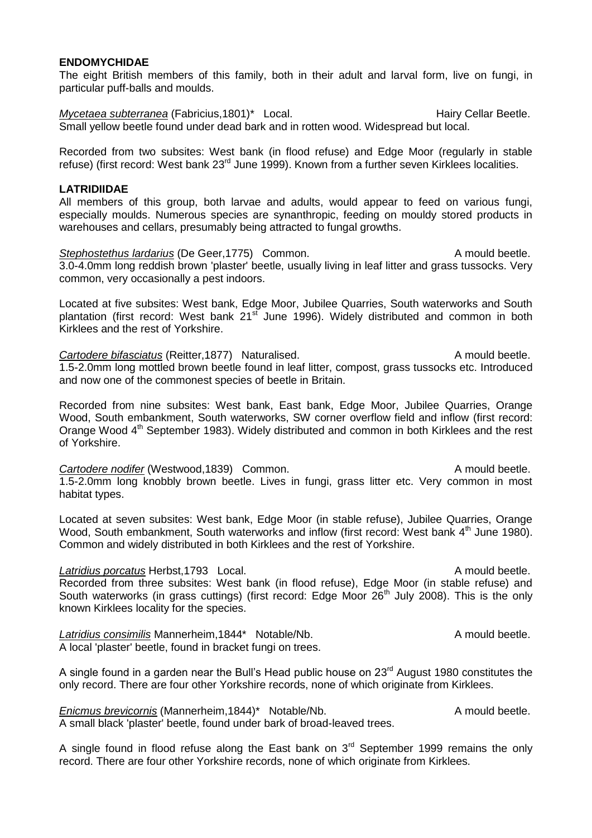## **ENDOMYCHIDAE**

The eight British members of this family, both in their adult and larval form, live on fungi, in particular puff-balls and moulds.

*Mycetaea subterranea* (Fabricius, 1801)<sup>\*</sup> Local. Hairy Cellar Beetle. Small yellow beetle found under dead bark and in rotten wood. Widespread but local.

Recorded from two subsites: West bank (in flood refuse) and Edge Moor (regularly in stable refuse) (first record: West bank 23<sup>rd</sup> June 1999). Known from a further seven Kirklees localities.

#### **LATRIDIIDAE**

All members of this group, both larvae and adults, would appear to feed on various fungi, especially moulds. Numerous species are synanthropic, feeding on mouldy stored products in warehouses and cellars, presumably being attracted to fungal growths.

**Stephostethus lardarius** (De Geer, 1775) Common. A mould beetle. 3.0-4.0mm long reddish brown 'plaster' beetle, usually living in leaf litter and grass tussocks. Very common, very occasionally a pest indoors.

Located at five subsites: West bank, Edge Moor, Jubilee Quarries, South waterworks and South plantation (first record: West bank  $21<sup>st</sup>$  June 1996). Widely distributed and common in both Kirklees and the rest of Yorkshire.

**Cartodere bifasciatus (Reitter, 1877)** Naturalised. A mould beetle. 1.5-2.0mm long mottled brown beetle found in leaf litter, compost, grass tussocks etc. Introduced and now one of the commonest species of beetle in Britain.

Recorded from nine subsites: West bank, East bank, Edge Moor, Jubilee Quarries, Orange Wood, South embankment, South waterworks, SW corner overflow field and inflow (first record: Orange Wood 4<sup>th</sup> September 1983). Widely distributed and common in both Kirklees and the rest of Yorkshire.

**Cartodere nodifer** (Westwood,1839) Common. Cartodere hould beetle. 1.5-2.0mm long knobbly brown beetle. Lives in fungi, grass litter etc. Very common in most habitat types.

Located at seven subsites: West bank, Edge Moor (in stable refuse), Jubilee Quarries, Orange Wood, South embankment, South waterworks and inflow (first record: West bank 4<sup>th</sup> June 1980). Common and widely distributed in both Kirklees and the rest of Yorkshire.

## **Latridius porcatus** Herbst,1793 Local. **A** mould beetle.

Recorded from three subsites: West bank (in flood refuse), Edge Moor (in stable refuse) and South waterworks (in grass cuttings) (first record: Edge Moor  $26<sup>th</sup>$  July 2008). This is the only known Kirklees locality for the species.

Latridius consimilis Mannerheim, 1844\* Notable/Nb. A mould beetle. A local 'plaster' beetle, found in bracket fungi on trees.

A single found in a garden near the Bull's Head public house on  $23<sup>rd</sup>$  August 1980 constitutes the only record. There are four other Yorkshire records, none of which originate from Kirklees.

*Enicmus brevicornis* (Mannerheim, 1844)<sup>\*</sup> Notable/Nb. A mould beetle. A small black 'plaster' beetle, found under bark of broad-leaved trees.

A single found in flood refuse along the East bank on  $3<sup>rd</sup>$  September 1999 remains the only record. There are four other Yorkshire records, none of which originate from Kirklees.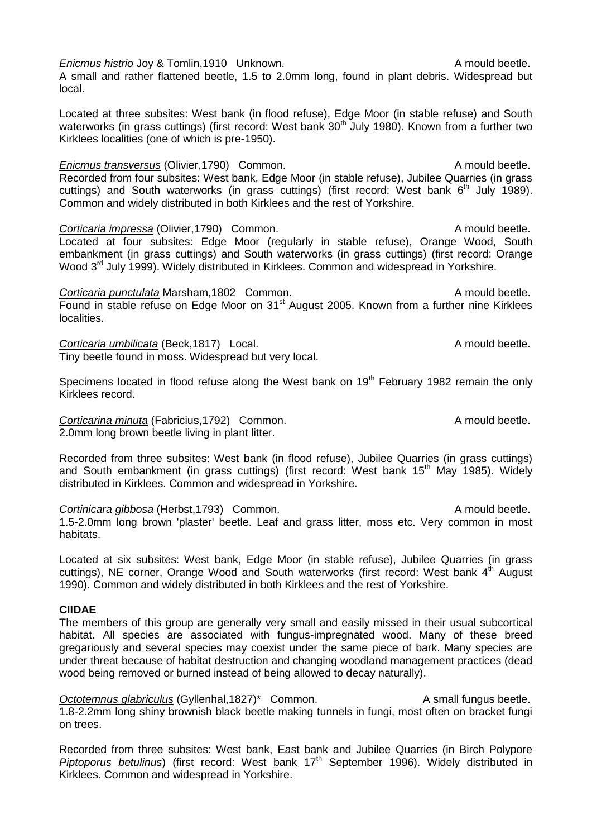**Enicmus histrio Joy & Tomlin,1910 Unknown.** A mould beetle. A small and rather flattened beetle, 1.5 to 2.0mm long, found in plant debris. Widespread but local.

Located at three subsites: West bank (in flood refuse), Edge Moor (in stable refuse) and South waterworks (in grass cuttings) (first record: West bank 30<sup>th</sup> July 1980). Known from a further two Kirklees localities (one of which is pre-1950).

*Enicmus transversus* (Olivier, 1790) Common. A mould beetle. Recorded from four subsites: West bank, Edge Moor (in stable refuse), Jubilee Quarries (in grass cuttings) and South waterworks (in grass cuttings) (first record: West bank  $6<sup>th</sup>$  July 1989). Common and widely distributed in both Kirklees and the rest of Yorkshire.

**Corticaria impressa** (Olivier, 1790) Common. A mould beetle. Located at four subsites: Edge Moor (regularly in stable refuse), Orange Wood, South embankment (in grass cuttings) and South waterworks (in grass cuttings) (first record: Orange Wood 3<sup>rd</sup> July 1999). Widely distributed in Kirklees. Common and widespread in Yorkshire.

**Corticaria punctulata Marsham,1802 Common.** A mould beetle. Found in stable refuse on Edge Moor on 31<sup>st</sup> August 2005. Known from a further nine Kirklees localities.

**Corticaria umbilicata (Beck,1817)** Local. **A mould beetle.** A mould beetle. Tiny beetle found in moss. Widespread but very local.

Specimens located in flood refuse along the West bank on 19<sup>th</sup> February 1982 remain the only Kirklees record.

**Corticarina minuta** (Fabricius, 1792) Common. A mould beetle. 2.0mm long brown beetle living in plant litter.

Recorded from three subsites: West bank (in flood refuse), Jubilee Quarries (in grass cuttings) and South embankment (in grass cuttings) (first record: West bank 15<sup>th</sup> May 1985). Widely distributed in Kirklees. Common and widespread in Yorkshire.

**Cortinicara gibbosa** (Herbst,1793) Common. A mould beetle. 1.5-2.0mm long brown 'plaster' beetle. Leaf and grass litter, moss etc. Very common in most habitats.

Located at six subsites: West bank, Edge Moor (in stable refuse), Jubilee Quarries (in grass cuttings), NE corner, Orange Wood and South waterworks (first record: West bank 4<sup>th</sup> August 1990). Common and widely distributed in both Kirklees and the rest of Yorkshire.

## **CIIDAE**

The members of this group are generally very small and easily missed in their usual subcortical habitat. All species are associated with fungus-impregnated wood. Many of these breed gregariously and several species may coexist under the same piece of bark. Many species are under threat because of habitat destruction and changing woodland management practices (dead wood being removed or burned instead of being allowed to decay naturally).

Octotemnus glabriculus (Gyllenhal,1827)<sup>\*</sup> Common. A small fungus beetle. 1.8-2.2mm long shiny brownish black beetle making tunnels in fungi, most often on bracket fungi on trees.

Recorded from three subsites: West bank, East bank and Jubilee Quarries (in Birch Polypore *Piptoporus betulinus*) (first record: West bank 17<sup>th</sup> September 1996). Widely distributed in Kirklees. Common and widespread in Yorkshire.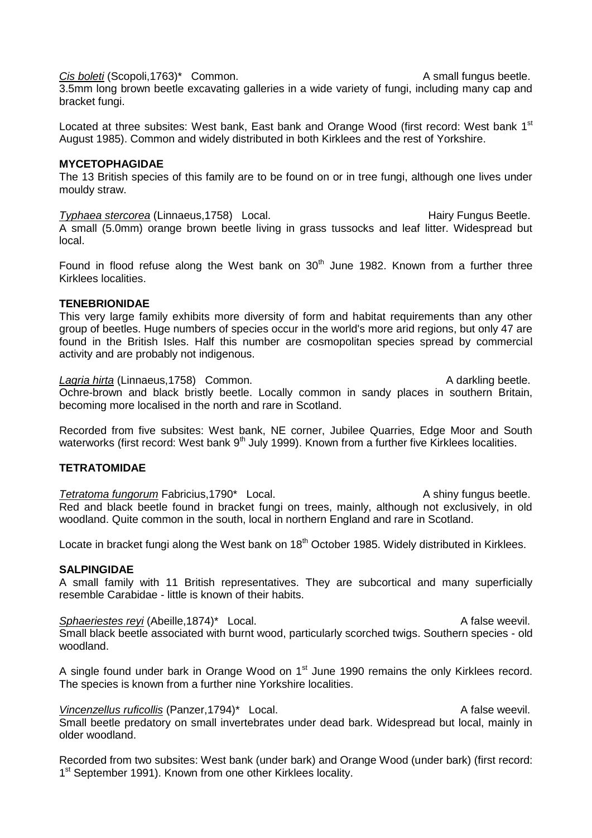Cis boleti (Scopoli,1763)<sup>\*</sup> Common. A small fungus beetle.

3.5mm long brown beetle excavating galleries in a wide variety of fungi, including many cap and bracket fungi.

Located at three subsites: West bank, East bank and Orange Wood (first record: West bank 1<sup>st</sup> August 1985). Common and widely distributed in both Kirklees and the rest of Yorkshire.

## **MYCETOPHAGIDAE**

The 13 British species of this family are to be found on or in tree fungi, although one lives under mouldy straw.

**Typhaea stercorea (Linnaeus, 1758)** Local. **Hairy Fungus Beetle.** Hairy Fungus Beetle. A small (5.0mm) orange brown beetle living in grass tussocks and leaf litter. Widespread but local.

Found in flood refuse along the West bank on  $30<sup>th</sup>$  June 1982. Known from a further three Kirklees localities.

# **TENEBRIONIDAE**

This very large family exhibits more diversity of form and habitat requirements than any other group of beetles. Huge numbers of species occur in the world's more arid regions, but only 47 are found in the British Isles. Half this number are cosmopolitan species spread by commercial activity and are probably not indigenous.

Lagria hirta (Linnaeus, 1758) Common. A darkling beetle. Ochre-brown and black bristly beetle. Locally common in sandy places in southern Britain, becoming more localised in the north and rare in Scotland.

Recorded from five subsites: West bank, NE corner, Jubilee Quarries, Edge Moor and South waterworks (first record: West bank  $9<sup>th</sup>$  July 1999). Known from a further five Kirklees localities.

# **TETRATOMIDAE**

**Tetratoma fungorum Fabricius,1790\*** Local. **A shiny fungus beetle.** A shiny fungus beetle. Red and black beetle found in bracket fungi on trees, mainly, although not exclusively, in old woodland. Quite common in the south, local in northern England and rare in Scotland.

Locate in bracket fungi along the West bank on 18<sup>th</sup> October 1985. Widely distributed in Kirklees.

## **SALPINGIDAE**

A small family with 11 British representatives. They are subcortical and many superficially resemble Carabidae - little is known of their habits.

*Sphaeriestes reyi* (Abeille,1874)\* Local. A false weevil. Small black beetle associated with burnt wood, particularly scorched twigs. Southern species - old woodland.

A single found under bark in Orange Wood on  $1<sup>st</sup>$  June 1990 remains the only Kirklees record. The species is known from a further nine Yorkshire localities.

Vincenzellus ruficollis (Panzer, 1794)<sup>\*</sup> Local. A false weevil. Small beetle predatory on small invertebrates under dead bark. Widespread but local, mainly in older woodland.

Recorded from two subsites: West bank (under bark) and Orange Wood (under bark) (first record: 1<sup>st</sup> September 1991). Known from one other Kirklees locality.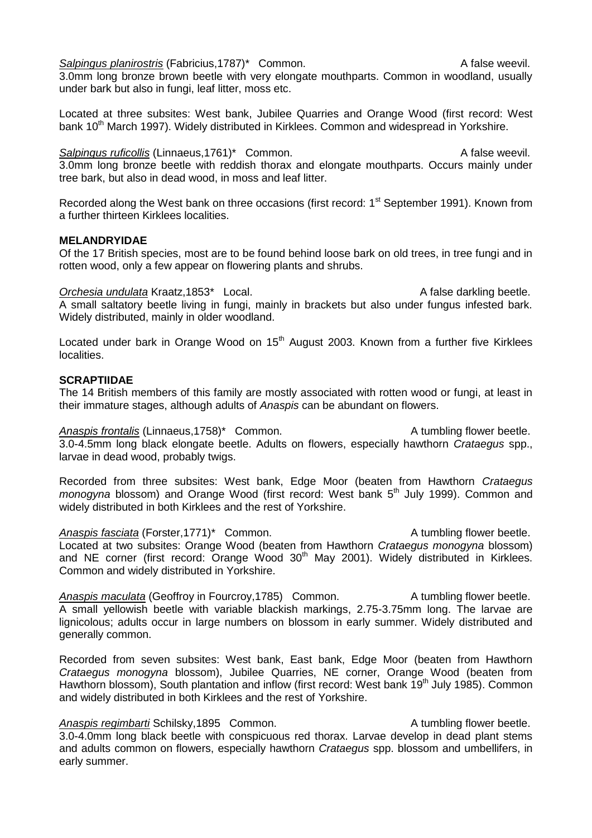Salpingus planirostris (Fabricius, 1787)<sup>\*</sup> Common. A false weevil.

3.0mm long bronze brown beetle with very elongate mouthparts. Common in woodland, usually under bark but also in fungi, leaf litter, moss etc.

Located at three subsites: West bank, Jubilee Quarries and Orange Wood (first record: West bank 10<sup>th</sup> March 1997). Widely distributed in Kirklees. Common and widespread in Yorkshire.

**Salpingus ruficollis** (Linnaeus, 1761)<sup>\*</sup> Common. A false weevil. 3.0mm long bronze beetle with reddish thorax and elongate mouthparts. Occurs mainly under tree bark, but also in dead wood, in moss and leaf litter.

Recorded along the West bank on three occasions (first record: 1<sup>st</sup> September 1991). Known from a further thirteen Kirklees localities.

## **MELANDRYIDAE**

Of the 17 British species, most are to be found behind loose bark on old trees, in tree fungi and in rotten wood, only a few appear on flowering plants and shrubs.

**Orchesia undulata Kraatz, 1853\*** Local. A false darkling beetle. A small saltatory beetle living in fungi, mainly in brackets but also under fungus infested bark. Widely distributed, mainly in older woodland.

Located under bark in Orange Wood on  $15<sup>th</sup>$  August 2003. Known from a further five Kirklees localities.

# **SCRAPTIIDAE**

The 14 British members of this family are mostly associated with rotten wood or fungi, at least in their immature stages, although adults of *Anaspis* can be abundant on flowers.

Anaspis frontalis (Linnaeus, 1758)<sup>\*</sup> Common. A tumbling flower beetle. 3.0-4.5mm long black elongate beetle. Adults on flowers, especially hawthorn *Crataegus* spp., larvae in dead wood, probably twigs.

Recorded from three subsites: West bank, Edge Moor (beaten from Hawthorn *Crataegus monogyna* blossom) and Orange Wood (first record: West bank 5<sup>th</sup> July 1999). Common and widely distributed in both Kirklees and the rest of Yorkshire.

Anaspis fasciata (Forster.1771)<sup>\*</sup> Common. A tumbling flower beetle. Located at two subsites: Orange Wood (beaten from Hawthorn *Crataegus monogyna* blossom) and NE corner (first record: Orange Wood 30<sup>th</sup> May 2001). Widely distributed in Kirklees. Common and widely distributed in Yorkshire.

*Anaspis maculata* (Geoffroy in Fourcroy, 1785) Common. A tumbling flower beetle. A small yellowish beetle with variable blackish markings, 2.75-3.75mm long. The larvae are lignicolous; adults occur in large numbers on blossom in early summer. Widely distributed and generally common.

Recorded from seven subsites: West bank, East bank, Edge Moor (beaten from Hawthorn *Crataegus monogyna* blossom), Jubilee Quarries, NE corner, Orange Wood (beaten from Hawthorn blossom), South plantation and inflow (first record: West bank 19<sup>th</sup> July 1985). Common and widely distributed in both Kirklees and the rest of Yorkshire.

**Anaspis regimbarti** Schilsky,1895 Common. A tumbling flower beetle. 3.0-4.0mm long black beetle with conspicuous red thorax. Larvae develop in dead plant stems and adults common on flowers, especially hawthorn *Crataegus* spp. blossom and umbellifers, in early summer.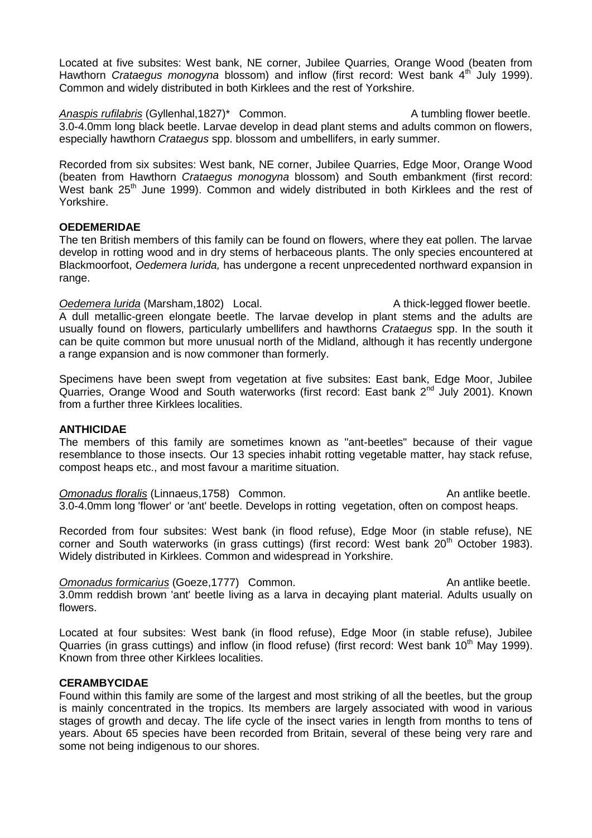Located at five subsites: West bank, NE corner, Jubilee Quarries, Orange Wood (beaten from Hawthorn *Crataegus monogyna* blossom) and inflow (first record: West bank 4<sup>th</sup> July 1999). Common and widely distributed in both Kirklees and the rest of Yorkshire.

Anaspis rufilabris (Gyllenhal,1827)<sup>\*</sup> Common. A tumbling flower beetle. 3.0-4.0mm long black beetle. Larvae develop in dead plant stems and adults common on flowers, especially hawthorn *Crataegus* spp. blossom and umbellifers, in early summer.

Recorded from six subsites: West bank, NE corner, Jubilee Quarries, Edge Moor, Orange Wood (beaten from Hawthorn *Crataegus monogyna* blossom) and South embankment (first record: West bank 25<sup>th</sup> June 1999). Common and widely distributed in both Kirklees and the rest of Yorkshire.

# **OEDEMERIDAE**

The ten British members of this family can be found on flowers, where they eat pollen. The larvae develop in rotting wood and in dry stems of herbaceous plants. The only species encountered at Blackmoorfoot, *Oedemera lurida,* has undergone a recent unprecedented northward expansion in range.

*Oedemera lurida* (Marsham, 1802) Local. A thick-legged flower beetle. A dull metallic-green elongate beetle. The larvae develop in plant stems and the adults are usually found on flowers, particularly umbellifers and hawthorns *Crataegus* spp. In the south it can be quite common but more unusual north of the Midland, although it has recently undergone a range expansion and is now commoner than formerly.

Specimens have been swept from vegetation at five subsites: East bank, Edge Moor, Jubilee Quarries, Orange Wood and South waterworks (first record: East bank 2nd July 2001). Known from a further three Kirklees localities.

## **ANTHICIDAE**

The members of this family are sometimes known as "ant-beetles" because of their vague resemblance to those insects. Our 13 species inhabit rotting vegetable matter, hay stack refuse, compost heaps etc., and most favour a maritime situation.

**Omonadus floralis (Linnaeus,1758)** Common. An antlike beetle. 3.0-4.0mm long 'flower' or 'ant' beetle. Develops in rotting vegetation, often on compost heaps.

Recorded from four subsites: West bank (in flood refuse), Edge Moor (in stable refuse), NE corner and South waterworks (in grass cuttings) (first record: West bank 20<sup>th</sup> October 1983). Widely distributed in Kirklees. Common and widespread in Yorkshire.

**Omonadus formicarius (Goeze, 1777)** Common. An antlike beetle. 3.0mm reddish brown 'ant' beetle living as a larva in decaying plant material. Adults usually on flowers.

Located at four subsites: West bank (in flood refuse), Edge Moor (in stable refuse), Jubilee Quarries (in grass cuttings) and inflow (in flood refuse) (first record: West bank 10<sup>th</sup> May 1999). Known from three other Kirklees localities.

## **CERAMBYCIDAE**

Found within this family are some of the largest and most striking of all the beetles, but the group is mainly concentrated in the tropics. Its members are largely associated with wood in various stages of growth and decay. The life cycle of the insect varies in length from months to tens of years. About 65 species have been recorded from Britain, several of these being very rare and some not being indigenous to our shores.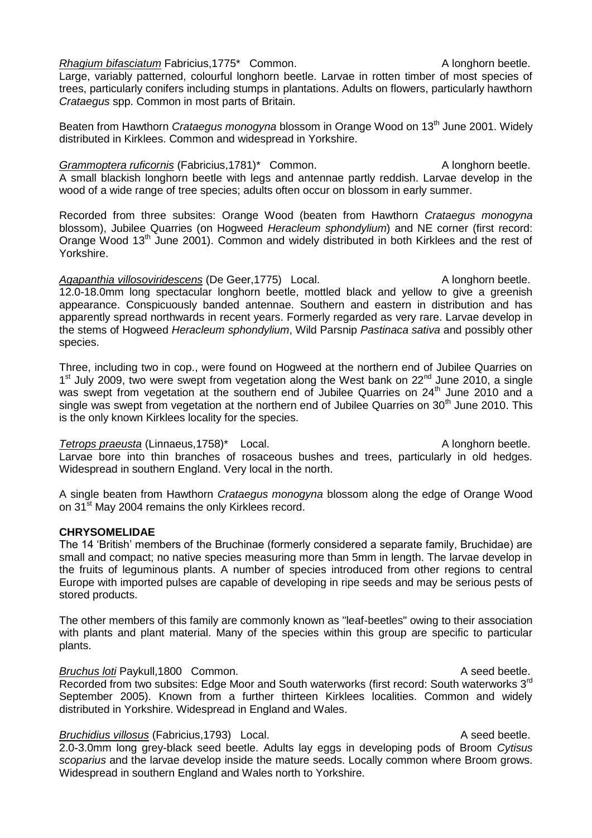#### *Rhagium bifasciatum* Fabricius,1775\* Common. A longhorn beetle.

Large, variably patterned, colourful longhorn beetle. Larvae in rotten timber of most species of trees, particularly conifers including stumps in plantations. Adults on flowers, particularly hawthorn *Crataegus* spp. Common in most parts of Britain.

Beaten from Hawthorn *Crataegus monogyna* blossom in Orange Wood on 13<sup>th</sup> June 2001. Widely distributed in Kirklees. Common and widespread in Yorkshire.

Grammoptera ruficornis (Fabricius, 1781)<sup>\*</sup> Common. A longhorn beetle. A small blackish longhorn beetle with legs and antennae partly reddish. Larvae develop in the wood of a wide range of tree species; adults often occur on blossom in early summer.

Recorded from three subsites: Orange Wood (beaten from Hawthorn *Crataegus monogyna*  blossom), Jubilee Quarries (on Hogweed *Heracleum sphondylium*) and NE corner (first record: Orange Wood 13<sup>th</sup> June 2001). Common and widely distributed in both Kirklees and the rest of Yorkshire.

Agapanthia villosoviridescens (De Geer, 1775) Local. A longhorn beetle. 12.0-18.0mm long spectacular longhorn beetle, mottled black and yellow to give a greenish appearance. Conspicuously banded antennae. Southern and eastern in distribution and has apparently spread northwards in recent years. Formerly regarded as very rare. Larvae develop in the stems of Hogweed *Heracleum sphondylium*, Wild Parsnip *Pastinaca sativa* and possibly other species.

Three, including two in cop., were found on Hogweed at the northern end of Jubilee Quarries on 1<sup>st</sup> July 2009, two were swept from vegetation along the West bank on 22<sup>nd</sup> June 2010, a single was swept from vegetation at the southern end of Jubilee Quarries on 24<sup>th</sup> June 2010 and a single was swept from vegetation at the northern end of Jubilee Quarries on  $30<sup>th</sup>$  June 2010. This is the only known Kirklees locality for the species.

*Tetrops praeusta* (Linnaeus, 1758)\* Local. A longhorn beetle. Larvae bore into thin branches of rosaceous bushes and trees, particularly in old hedges. Widespread in southern England. Very local in the north.

A single beaten from Hawthorn *Crataegus monogyna* blossom along the edge of Orange Wood on 31<sup>st</sup> May 2004 remains the only Kirklees record.

## **CHRYSOMELIDAE**

The 14 'British' members of the Bruchinae (formerly considered a separate family, Bruchidae) are small and compact; no native species measuring more than 5mm in length. The larvae develop in the fruits of leguminous plants. A number of species introduced from other regions to central Europe with imported pulses are capable of developing in ripe seeds and may be serious pests of stored products.

The other members of this family are commonly known as "leaf-beetles" owing to their association with plants and plant material. Many of the species within this group are specific to particular plants.

#### **Bruchus loti Paykull,1800 Common.** A seed beetle.

Recorded from two subsites: Edge Moor and South waterworks (first record: South waterworks 3<sup>rd</sup> September 2005). Known from a further thirteen Kirklees localities. Common and widely distributed in Yorkshire. Widespread in England and Wales.

## *Bruchidius villosus* (Fabricius, 1793) Local. A seed beetle.

2.0-3.0mm long grey-black seed beetle. Adults lay eggs in developing pods of Broom *Cytisus scoparius* and the larvae develop inside the mature seeds. Locally common where Broom grows. Widespread in southern England and Wales north to Yorkshire.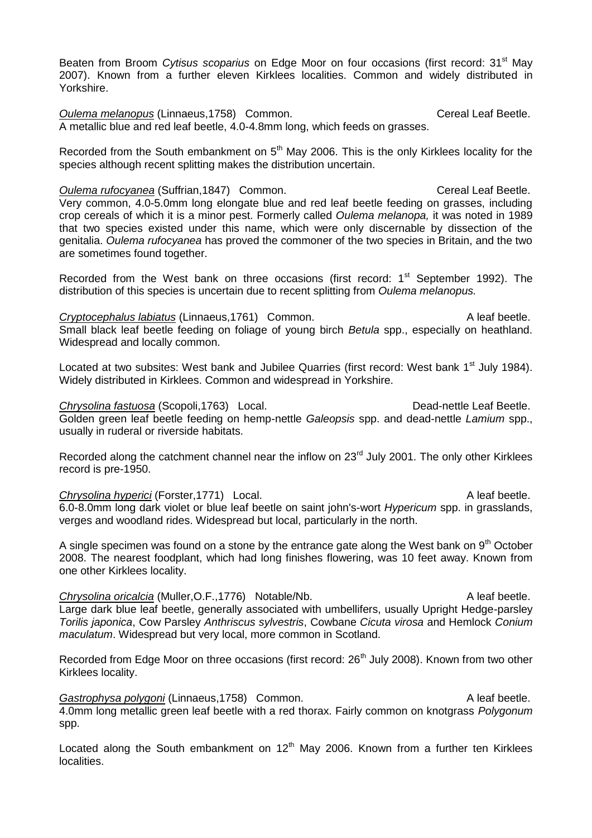Beaten from Broom *Cytisus scoparius* on Edge Moor on four occasions (first record: 31<sup>st</sup> May 2007). Known from a further eleven Kirklees localities. Common and widely distributed in Yorkshire.

**Oulema melanopus (Linnaeus, 1758)** Common. Cereal Leaf Beetle. A metallic blue and red leaf beetle, 4.0-4.8mm long, which feeds on grasses.

Recorded from the South embankment on  $5<sup>th</sup>$  May 2006. This is the only Kirklees locality for the species although recent splitting makes the distribution uncertain.

**Oulema rufocyanea** (Suffrian,1847) Common. Cereal Leaf Beetle.

Very common, 4.0-5.0mm long elongate blue and red leaf beetle feeding on grasses, including crop cereals of which it is a minor pest. Formerly called *Oulema melanopa,* it was noted in 1989 that two species existed under this name, which were only discernable by dissection of the genitalia. *Oulema rufocyanea* has proved the commoner of the two species in Britain, and the two are sometimes found together.

Recorded from the West bank on three occasions (first record:  $1<sup>st</sup>$  September 1992). The distribution of this species is uncertain due to recent splitting from *Oulema melanopus.*

**Cryptocephalus labiatus** (Linnaeus, 1761) Common. A leaf beetle. Small black leaf beetle feeding on foliage of young birch *Betula* spp., especially on heathland. Widespread and locally common.

Located at two subsites: West bank and Jubilee Quarries (first record: West bank 1<sup>st</sup> July 1984). Widely distributed in Kirklees. Common and widespread in Yorkshire.

**Chrysolina fastuosa** (Scopoli,1763) Local. Dead-nettle Leaf Beetle. Golden green leaf beetle feeding on hemp-nettle *Galeopsis* spp. and dead-nettle *Lamium* spp., usually in ruderal or riverside habitats.

Recorded along the catchment channel near the inflow on 23<sup>rd</sup> July 2001. The only other Kirklees record is pre-1950.

**Chrysolina hyperici** (Forster,1771) Local. **A leaf beetle** A leaf beetle. 6.0-8.0mm long dark violet or blue leaf beetle on saint john's-wort *Hypericum* spp. in grasslands, verges and woodland rides. Widespread but local, particularly in the north.

A single specimen was found on a stone by the entrance gate along the West bank on  $9<sup>th</sup>$  October 2008. The nearest foodplant, which had long finishes flowering, was 10 feet away. Known from one other Kirklees locality.

**Chrysolina oricalcia** (Muller, O.F., 1776) Notable/Nb. A leaf beetle. Large dark blue leaf beetle, generally associated with umbellifers, usually Upright Hedge-parsley *Torilis japonica*, Cow Parsley *Anthriscus sylvestris*, Cowbane *Cicuta virosa* and Hemlock *Conium maculatum*. Widespread but very local, more common in Scotland.

Recorded from Edge Moor on three occasions (first record: 26<sup>th</sup> July 2008). Known from two other Kirklees locality.

Gastrophysa polygoni (Linnaeus,1758) Common. **A leaf beetle** A leaf beetle. 4.0mm long metallic green leaf beetle with a red thorax. Fairly common on knotgrass *Polygonum* spp.

Located along the South embankment on  $12<sup>th</sup>$  May 2006. Known from a further ten Kirklees localities.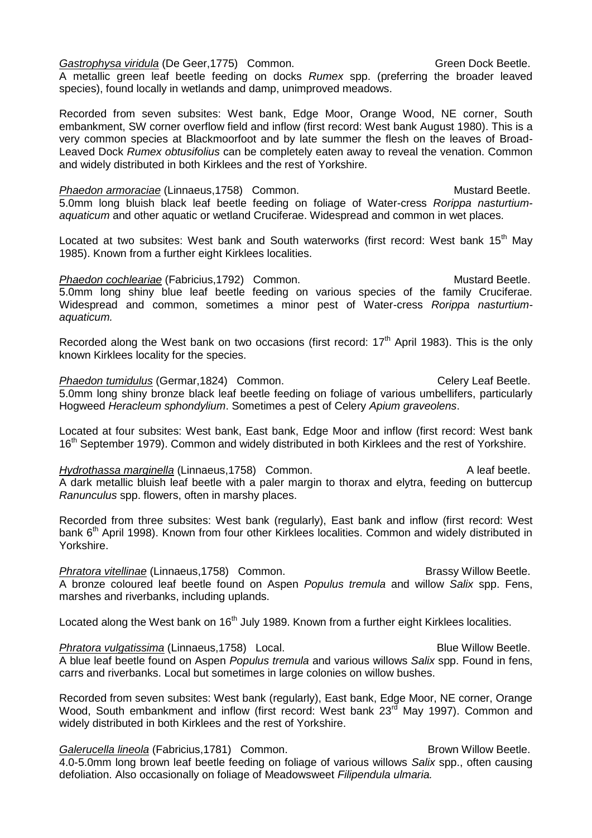Gastrophysa viridula (De Geer, 1775) Common. **Gastrophysa Canada Contract Common**. Green Dock Beetle.

A metallic green leaf beetle feeding on docks *Rumex* spp. (preferring the broader leaved species), found locally in wetlands and damp, unimproved meadows.

Recorded from seven subsites: West bank, Edge Moor, Orange Wood, NE corner, South embankment, SW corner overflow field and inflow (first record: West bank August 1980). This is a very common species at Blackmoorfoot and by late summer the flesh on the leaves of Broad-Leaved Dock *Rumex obtusifolius* can be completely eaten away to reveal the venation. Common and widely distributed in both Kirklees and the rest of Yorkshire.

**Phaedon armoraciae** (Linnaeus, 1758) Common. Commone and the Mustard Beetle. 5.0mm long bluish black leaf beetle feeding on foliage of Water-cress *Rorippa nasturtiumaquaticum* and other aquatic or wetland Cruciferae. Widespread and common in wet places.

Located at two subsites: West bank and South waterworks (first record: West bank 15<sup>th</sup> May 1985). Known from a further eight Kirklees localities.

**Phaedon cochleariae (Fabricius, 1792) Common.** Mustard Beetle. Mustard Beetle. 5.0mm long shiny blue leaf beetle feeding on various species of the family Cruciferae. Widespread and common, sometimes a minor pest of Water-cress *Rorippa nasturtiumaquaticum.*

Recorded along the West bank on two occasions (first record:  $17<sup>th</sup>$  April 1983). This is the only known Kirklees locality for the species.

**Phaedon tumidulus (Germar, 1824) Common.** Common Celery Leaf Beetle. 5.0mm long shiny bronze black leaf beetle feeding on foliage of various umbellifers, particularly Hogweed *Heracleum sphondylium*. Sometimes a pest of Celery *Apium graveolens*.

Located at four subsites: West bank, East bank, Edge Moor and inflow (first record: West bank 16<sup>th</sup> September 1979). Common and widely distributed in both Kirklees and the rest of Yorkshire.

*Hydrothassa marginella* (Linnaeus, 1758) Common. A leaf beetle. A dark metallic bluish leaf beetle with a paler margin to thorax and elytra, feeding on buttercup *Ranunculus* spp. flowers, often in marshy places.

Recorded from three subsites: West bank (regularly), East bank and inflow (first record: West bank 6<sup>th</sup> April 1998). Known from four other Kirklees localities. Common and widely distributed in Yorkshire.

**Phratora vitellinae (Linnaeus,1758)** Common. **Brassy Willow Beetle.** Brassy Willow Beetle. A bronze coloured leaf beetle found on Aspen *Populus tremula* and willow *Salix* spp. Fens, marshes and riverbanks, including uplands.

Located along the West bank on  $16<sup>th</sup>$  July 1989. Known from a further eight Kirklees localities.

*Phratora vulgatissima* (Linnaeus, 1758) Local. **Blue Willow Beetle.** Blue Willow Beetle. A blue leaf beetle found on Aspen *Populus tremula* and various willows *Salix* spp. Found in fens, carrs and riverbanks. Local but sometimes in large colonies on willow bushes.

Recorded from seven subsites: West bank (regularly), East bank, Edge Moor, NE corner, Orange Wood, South embankment and inflow (first record: West bank 23<sup>rd</sup> May 1997). Common and widely distributed in both Kirklees and the rest of Yorkshire.

**Galerucella lineola** (Fabricius, 1781) Common. **Brown Willow Beetle.** Brown Willow Beetle. 4.0-5.0mm long brown leaf beetle feeding on foliage of various willows *Salix* spp., often causing defoliation. Also occasionally on foliage of Meadowsweet *Filipendula ulmaria.*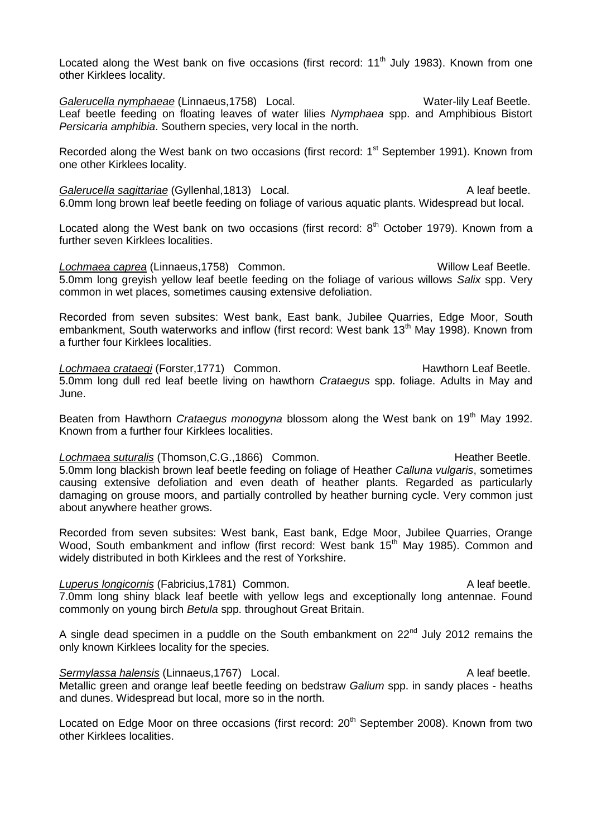Located along the West bank on five occasions (first record:  $11<sup>th</sup>$  July 1983). Known from one other Kirklees locality.

Galerucella nymphaeae (Linnaeus, 1758) Local. Water-lily Leaf Beetle. Leaf beetle feeding on floating leaves of water lilies *Nymphaea* spp. and Amphibious Bistort *Persicaria amphibia*. Southern species, very local in the north.

Recorded along the West bank on two occasions (first record: 1<sup>st</sup> September 1991). Known from one other Kirklees locality.

**Galerucella sagittariae** (Gyllenhal,1813) Local. Calerucella sagittariae (Gyllenhal,1813) Local. 6.0mm long brown leaf beetle feeding on foliage of various aquatic plants. Widespread but local.

Located along the West bank on two occasions (first record:  $8<sup>th</sup>$  October 1979). Known from a further seven Kirklees localities.

*Lochmaea caprea* (Linnaeus,1758) Common. Willow Leaf Beetle. 5.0mm long greyish yellow leaf beetle feeding on the foliage of various willows *Salix* spp. Very common in wet places, sometimes causing extensive defoliation.

Recorded from seven subsites: West bank, East bank, Jubilee Quarries, Edge Moor, South embankment, South waterworks and inflow (first record: West bank 13<sup>th</sup> May 1998). Known from a further four Kirklees localities.

Lochmaea crataegi (Forster, 1771) Common. **Example 20 Franch Hawthorn Leaf Beetle.** 5.0mm long dull red leaf beetle living on hawthorn *Crataegus* spp. foliage. Adults in May and June.

Beaten from Hawthorn *Crataegus monogyna* blossom along the West bank on 19<sup>th</sup> May 1992. Known from a further four Kirklees localities.

Lochmaea suturalis (Thomson, C.G., 1866) Common. **Example 20 Footballs** Heather Beetle. 5.0mm long blackish brown leaf beetle feeding on foliage of Heather *Calluna vulgaris*, sometimes causing extensive defoliation and even death of heather plants. Regarded as particularly damaging on grouse moors, and partially controlled by heather burning cycle. Very common just about anywhere heather grows.

Recorded from seven subsites: West bank, East bank, Edge Moor, Jubilee Quarries, Orange Wood, South embankment and inflow (first record: West bank 15<sup>th</sup> May 1985). Common and widely distributed in both Kirklees and the rest of Yorkshire.

## **Luperus longicornis (Fabricius, 1781) Common.** A leaf beetle. 7.0mm long shiny black leaf beetle with yellow legs and exceptionally long antennae. Found commonly on young birch *Betula* spp. throughout Great Britain.

A single dead specimen in a puddle on the South embankment on  $22<sup>nd</sup>$  July 2012 remains the only known Kirklees locality for the species.

**Sermylassa halensis (Linnaeus, 1767)** Local. A leaf beetle. Metallic green and orange leaf beetle feeding on bedstraw *Galium* spp. in sandy places - heaths and dunes. Widespread but local, more so in the north.

Located on Edge Moor on three occasions (first record: 20<sup>th</sup> September 2008). Known from two other Kirklees localities.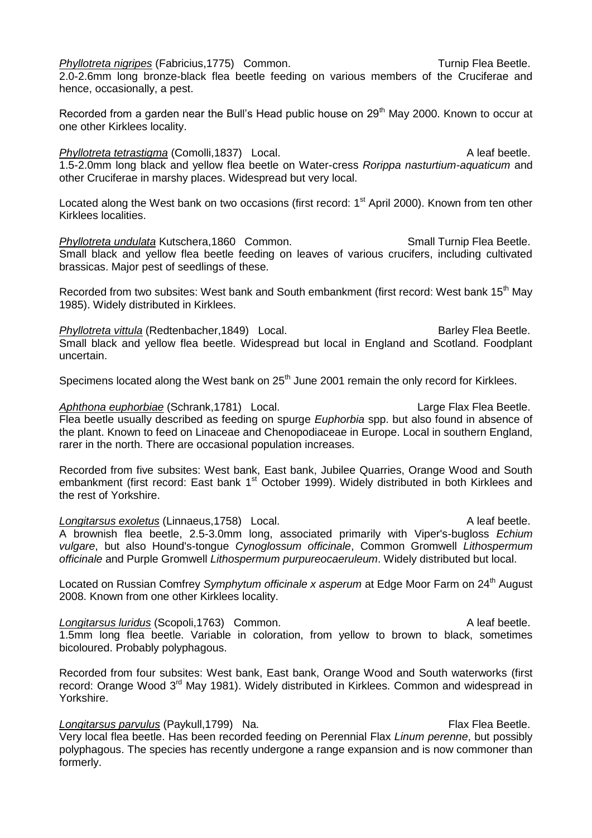*Phyllotreta nigripes* (Fabricius,1775) Common. Turnip Flea Beetle. 2.0-2.6mm long bronze-black flea beetle feeding on various members of the Cruciferae and hence, occasionally, a pest.

Recorded from a garden near the Bull's Head public house on  $29<sup>th</sup>$  May 2000. Known to occur at one other Kirklees locality.

*Phyllotreta tetrastigma* (Comolli,1837) Local. A leaf beetle. 1.5-2.0mm long black and yellow flea beetle on Water-cress *Rorippa nasturtium-aquaticum* and other Cruciferae in marshy places. Widespread but very local.

Located along the West bank on two occasions (first record: 1<sup>st</sup> April 2000). Known from ten other Kirklees localities.

**Phyllotreta undulata Kutschera,1860 Common.** Small Turnip Flea Beetle. Small black and yellow flea beetle feeding on leaves of various crucifers, including cultivated brassicas. Major pest of seedlings of these.

Recorded from two subsites: West bank and South embankment (first record: West bank 15<sup>th</sup> May 1985). Widely distributed in Kirklees.

**Phyllotreta vittula** (Redtenbacher, 1849) Local. Barley Flea Beetle. Small black and yellow flea beetle. Widespread but local in England and Scotland. Foodplant uncertain.

Specimens located along the West bank on 25<sup>th</sup> June 2001 remain the only record for Kirklees.

Aphthona euphorbiae (Schrank,1781) Local. Large Flax Flea Beetle. Flea beetle usually described as feeding on spurge *Euphorbia* spp. but also found in absence of the plant. Known to feed on Linaceae and Chenopodiaceae in Europe. Local in southern England, rarer in the north. There are occasional population increases.

Recorded from five subsites: West bank, East bank, Jubilee Quarries, Orange Wood and South embankment (first record: East bank 1<sup>st</sup> October 1999). Widely distributed in both Kirklees and the rest of Yorkshire.

*Longitarsus exoletus* (Linnaeus, 1758) Local. A leaf beetle. A brownish flea beetle, 2.5-3.0mm long, associated primarily with Viper's-bugloss *Echium vulgare*, but also Hound's-tongue *Cynoglossum officinale*, Common Gromwell *Lithospermum officinale* and Purple Gromwell *Lithospermum purpureocaeruleum*. Widely distributed but local.

Located on Russian Comfrey *Symphytum officinale x asperum* at Edge Moor Farm on 24<sup>th</sup> August 2008. Known from one other Kirklees locality.

**Longitarsus luridus** (Scopoli, 1763) Common. A leaf beetle. 1.5mm long flea beetle. Variable in coloration, from yellow to brown to black, sometimes bicoloured. Probably polyphagous.

Recorded from four subsites: West bank, East bank, Orange Wood and South waterworks (first record: Orange Wood 3<sup>rd</sup> May 1981). Widely distributed in Kirklees. Common and widespread in Yorkshire.

*Longitarsus parvulus* (Paykull,1799) Na. Flax Flea Beetle.

Very local flea beetle. Has been recorded feeding on Perennial Flax *Linum perenne*, but possibly polyphagous. The species has recently undergone a range expansion and is now commoner than formerly.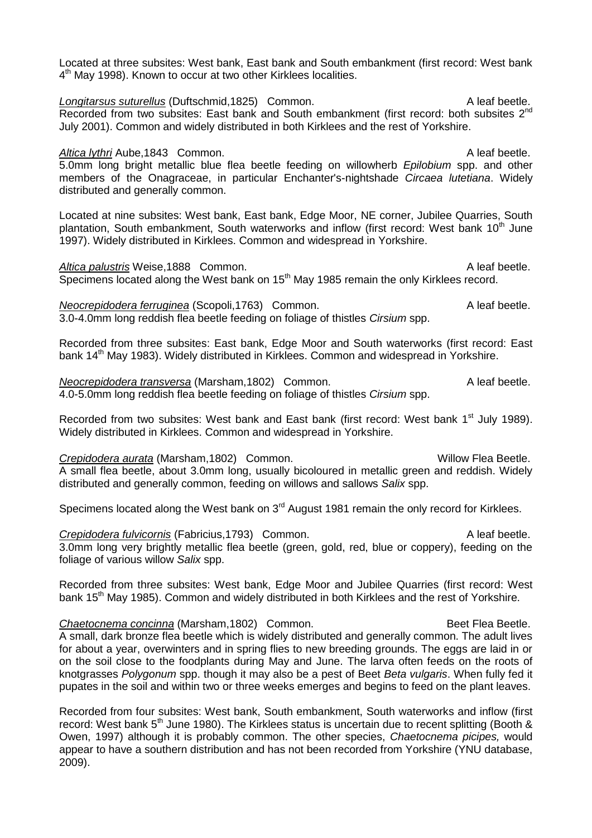Located at three subsites: West bank, East bank and South embankment (first record: West bank 4<sup>th</sup> May 1998). Known to occur at two other Kirklees localities.

**Longitarsus suturellus** (Duftschmid,1825) Common. A leaf beetle. Recorded from two subsites: East bank and South embankment (first record: both subsites 2<sup>nd</sup> July 2001). Common and widely distributed in both Kirklees and the rest of Yorkshire.

Altica lythri Aube,1843 Common. A leaf beetle. 5.0mm long bright metallic blue flea beetle feeding on willowherb *Epilobium* spp. and other members of the Onagraceae, in particular Enchanter's-nightshade *Circaea lutetiana*. Widely distributed and generally common.

Located at nine subsites: West bank, East bank, Edge Moor, NE corner, Jubilee Quarries, South plantation, South embankment, South waterworks and inflow (first record: West bank 10<sup>th</sup> June 1997). Widely distributed in Kirklees. Common and widespread in Yorkshire.

Altica palustris Weise, 1888 Common. A leaf beetle. Specimens located along the West bank on 15<sup>th</sup> May 1985 remain the only Kirklees record.

*Neocrepidodera ferruginea* (Scopoli,1763) Common. A leaf beetle. 3.0-4.0mm long reddish flea beetle feeding on foliage of thistles *Cirsium* spp.

Recorded from three subsites: East bank, Edge Moor and South waterworks (first record: East bank 14<sup>th</sup> May 1983). Widely distributed in Kirklees. Common and widespread in Yorkshire.

*Neocrepidodera transversa* (Marsham,1802) Common. A leaf beetle. 4.0-5.0mm long reddish flea beetle feeding on foliage of thistles *Cirsium* spp.

Recorded from two subsites: West bank and East bank (first record: West bank 1<sup>st</sup> July 1989). Widely distributed in Kirklees. Common and widespread in Yorkshire.

**Crepidodera aurata** (Marsham,1802) Common. Willow Flea Beetle. A small flea beetle, about 3.0mm long, usually bicoloured in metallic green and reddish. Widely distributed and generally common, feeding on willows and sallows *Salix* spp.

Specimens located along the West bank on  $3<sup>rd</sup>$  August 1981 remain the only record for Kirklees.

**Crepidodera fulvicornis (Fabricius,1793)** Common. A leaf beetle. 3.0mm long very brightly metallic flea beetle (green, gold, red, blue or coppery), feeding on the foliage of various willow *Salix* spp.

Recorded from three subsites: West bank, Edge Moor and Jubilee Quarries (first record: West bank 15<sup>th</sup> May 1985). Common and widely distributed in both Kirklees and the rest of Yorkshire.

**Chaetocnema concinna** (Marsham, 1802) Common. **Beet Flea Beetle.** Beet Flea Beetle. A small, dark bronze flea beetle which is widely distributed and generally common. The adult lives for about a year, overwinters and in spring flies to new breeding grounds. The eggs are laid in or on the soil close to the foodplants during May and June. The larva often feeds on the roots of knotgrasses *Polygonum* spp. though it may also be a pest of Beet *Beta vulgaris*. When fully fed it pupates in the soil and within two or three weeks emerges and begins to feed on the plant leaves.

Recorded from four subsites: West bank, South embankment, South waterworks and inflow (first record: West bank 5<sup>th</sup> June 1980). The Kirklees status is uncertain due to recent splitting (Booth & Owen, 1997) although it is probably common. The other species, *Chaetocnema picipes,* would appear to have a southern distribution and has not been recorded from Yorkshire (YNU database, 2009).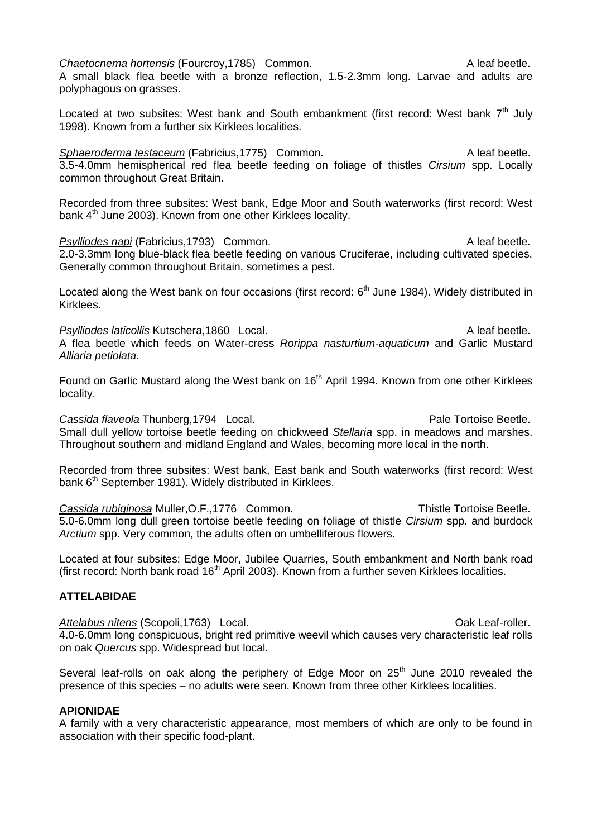## **Chaetocnema hortensis (Fourcroy, 1785)** Common. Chaetocnema A leaf beetle.

A small black flea beetle with a bronze reflection, 1.5-2.3mm long. Larvae and adults are polyphagous on grasses.

Located at two subsites: West bank and South embankment (first record: West bank  $7<sup>th</sup>$  July 1998). Known from a further six Kirklees localities.

**Sphaeroderma testaceum** (Fabricius, 1775) Common. A leaf beetle. 3.5-4.0mm hemispherical red flea beetle feeding on foliage of thistles *Cirsium* spp. Locally common throughout Great Britain.

Recorded from three subsites: West bank, Edge Moor and South waterworks (first record: West bank 4<sup>th</sup> June 2003). Known from one other Kirklees locality.

**Psylliodes napi** (Fabricius,1793) Common. A leaf beetle. 2.0-3.3mm long blue-black flea beetle feeding on various Cruciferae, including cultivated species. Generally common throughout Britain, sometimes a pest.

Located along the West bank on four occasions (first record:  $6<sup>th</sup>$  June 1984). Widely distributed in Kirklees.

**Psylliodes laticollis Kutschera,1860 Local.** A leaf beetle. A flea beetle which feeds on Water-cress *Rorippa nasturtium-aquaticum* and Garlic Mustard *Alliaria petiolata.*

Found on Garlic Mustard along the West bank on 16<sup>th</sup> April 1994. Known from one other Kirklees locality.

**Cassida flaveola Thunberg, 1794** Local. Cassida flaveola Thunberg, 1794 Local. Small dull yellow tortoise beetle feeding on chickweed *Stellaria* spp. in meadows and marshes. Throughout southern and midland England and Wales, becoming more local in the north.

Recorded from three subsites: West bank, East bank and South waterworks (first record: West bank 6<sup>th</sup> September 1981). Widely distributed in Kirklees.

**Cassida rubiginosa** Muller, O.F., 1776 Common. Thistle Tortoise Beetle. 5.0-6.0mm long dull green tortoise beetle feeding on foliage of thistle *Cirsium* spp. and burdock *Arctium* spp. Very common, the adults often on umbelliferous flowers.

Located at four subsites: Edge Moor, Jubilee Quarries, South embankment and North bank road (first record: North bank road  $16<sup>th</sup>$  April 2003). Known from a further seven Kirklees localities.

# **ATTELABIDAE**

Attelabus nitens (Scopoli,1763) Local. **Attelabus nitens** (Scopoli,1763) Local. 4.0-6.0mm long conspicuous, bright red primitive weevil which causes very characteristic leaf rolls on oak *Quercus* spp. Widespread but local.

Several leaf-rolls on oak along the periphery of Edge Moor on 25<sup>th</sup> June 2010 revealed the presence of this species – no adults were seen. Known from three other Kirklees localities.

## **APIONIDAE**

A family with a very characteristic appearance, most members of which are only to be found in association with their specific food-plant.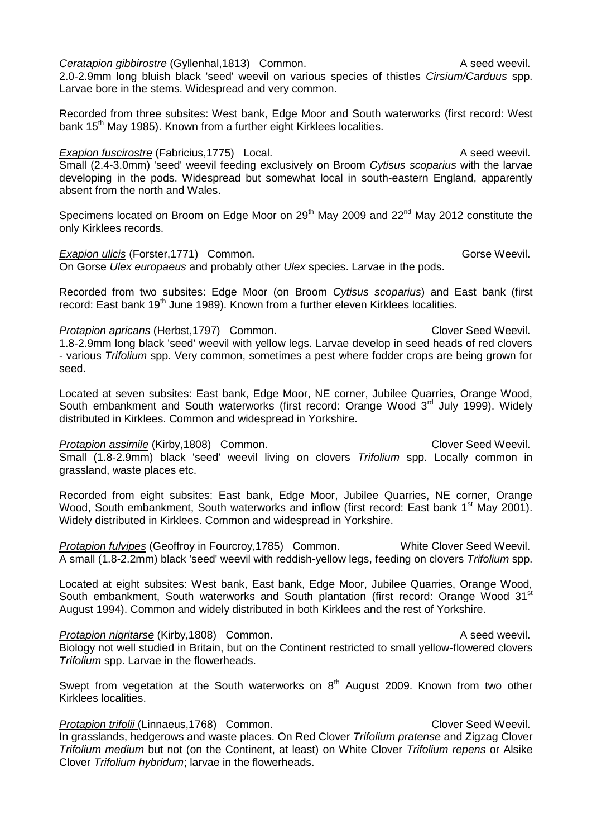**Ceratapion gibbirostre (Gyllenhal, 1813)** Common. Common and the seed weevil. 2.0-2.9mm long bluish black 'seed' weevil on various species of thistles *Cirsium/Carduus* spp. Larvae bore in the stems. Widespread and very common.

Recorded from three subsites: West bank, Edge Moor and South waterworks (first record: West bank 15<sup>th</sup> May 1985). Known from a further eight Kirklees localities.

# **Exapion fuscirostre** (Fabricius, 1775) Local. A seed weevil.

Small (2.4-3.0mm) 'seed' weevil feeding exclusively on Broom *Cytisus scoparius* with the larvae developing in the pods. Widespread but somewhat local in south-eastern England, apparently absent from the north and Wales.

Specimens located on Broom on Edge Moor on 29<sup>th</sup> May 2009 and 22<sup>nd</sup> May 2012 constitute the only Kirklees records.

# **Exapion ulicis** (Forster, 1771) Common. Common Conselled and Corse Weevil.

On Gorse *Ulex europaeus* and probably other *Ulex* species. Larvae in the pods.

Recorded from two subsites: Edge Moor (on Broom *Cytisus scoparius*) and East bank (first record: East bank 19<sup>th</sup> June 1989). Known from a further eleven Kirklees localities.

## **Protapion apricans (Herbst, 1797) Common.** Change of Clover Seed Weevil.

1.8-2.9mm long black 'seed' weevil with yellow legs. Larvae develop in seed heads of red clovers - various *Trifolium* spp. Very common, sometimes a pest where fodder crops are being grown for seed.

Located at seven subsites: East bank, Edge Moor, NE corner, Jubilee Quarries, Orange Wood, South embankment and South waterworks (first record: Orange Wood  $3<sup>rd</sup>$  July 1999). Widely distributed in Kirklees. Common and widespread in Yorkshire.

**Protapion assimile** (Kirby,1808) Common. Clover Seed Weevil. Small (1.8-2.9mm) black 'seed' weevil living on clovers *Trifolium* spp. Locally common in grassland, waste places etc.

Recorded from eight subsites: East bank, Edge Moor, Jubilee Quarries, NE corner, Orange Wood, South embankment, South waterworks and inflow (first record: East bank 1<sup>st</sup> May 2001). Widely distributed in Kirklees. Common and widespread in Yorkshire.

*Protapion fulvipes* (Geoffroy in Fourcroy,1785) Common. White Clover Seed Weevil. A small (1.8-2.2mm) black 'seed' weevil with reddish-yellow legs, feeding on clovers *Trifolium* spp.

Located at eight subsites: West bank, East bank, Edge Moor, Jubilee Quarries, Orange Wood, South embankment, South waterworks and South plantation (first record: Orange Wood 31<sup>st</sup> August 1994). Common and widely distributed in both Kirklees and the rest of Yorkshire.

**Protapion nigritarse (Kirby, 1808)** Common. A seed weevil. Biology not well studied in Britain, but on the Continent restricted to small yellow-flowered clovers *Trifolium* spp. Larvae in the flowerheads.

Swept from vegetation at the South waterworks on  $8<sup>th</sup>$  August 2009. Known from two other Kirklees localities.

**Protapion trifolii (Linnaeus, 1768)** Common. Clover Seed Weevil. In grasslands, hedgerows and waste places. On Red Clover *Trifolium pratense* and Zigzag Clover *Trifolium medium* but not (on the Continent, at least) on White Clover *Trifolium repens* or Alsike Clover *Trifolium hybridum*; larvae in the flowerheads.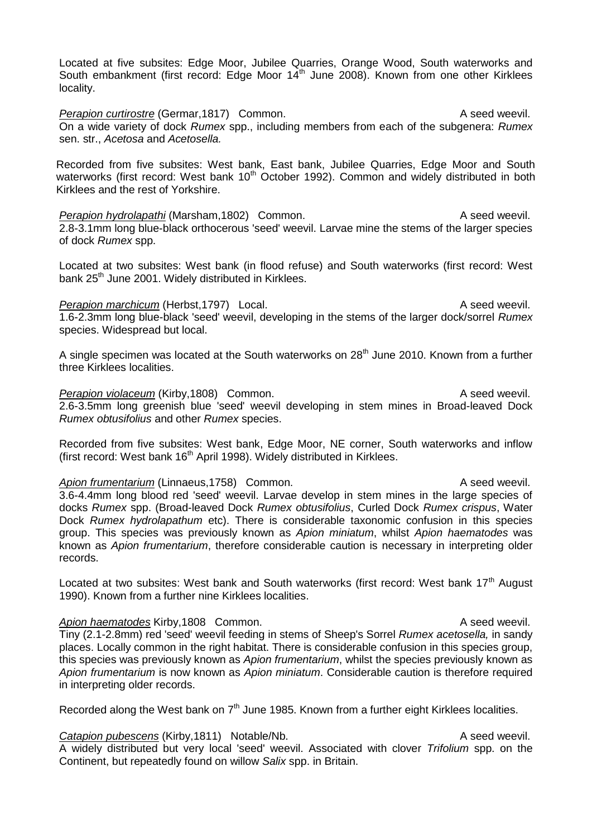Located at five subsites: Edge Moor, Jubilee Quarries, Orange Wood, South waterworks and South embankment (first record: Edge Moor 14<sup>th</sup> June 2008). Known from one other Kirklees locality.

**Perapion curtirostre (Germar, 1817)** Common. A seed weevil. On a wide variety of dock *Rumex* spp., including members from each of the subgenera: *Rumex*  sen. str., *Acetosa* and *Acetosella.*

Recorded from five subsites: West bank, East bank, Jubilee Quarries, Edge Moor and South waterworks (first record: West bank 10<sup>th</sup> October 1992). Common and widely distributed in both Kirklees and the rest of Yorkshire.

*Perapion hydrolapathi* (Marsham,1802) Common. A seed weevil. 2.8-3.1mm long blue-black orthocerous 'seed' weevil. Larvae mine the stems of the larger species of dock *Rumex* spp.

Located at two subsites: West bank (in flood refuse) and South waterworks (first record: West bank 25<sup>th</sup> June 2001. Widely distributed in Kirklees.

#### *Perapion marchicum* (Herbst,1797) Local. A seed weevil.

1.6-2.3mm long blue-black 'seed' weevil, developing in the stems of the larger dock/sorrel *Rumex*  species. Widespread but local.

A single specimen was located at the South waterworks on  $28<sup>th</sup>$  June 2010. Known from a further three Kirklees localities.

#### *Perapion violaceum* (Kirby,1808) Common. A seed weevil.

2.6-3.5mm long greenish blue 'seed' weevil developing in stem mines in Broad-leaved Dock *Rumex obtusifolius* and other *Rumex* species.

Recorded from five subsites: West bank, Edge Moor, NE corner, South waterworks and inflow (first record: West bank  $16<sup>th</sup>$  April 1998). Widely distributed in Kirklees.

## Apion frumentarium (Linnaeus, 1758) Common. A seed weevil.

3.6-4.4mm long blood red 'seed' weevil. Larvae develop in stem mines in the large species of docks *Rumex* spp. (Broad-leaved Dock *Rumex obtusifolius*, Curled Dock *Rumex crispus*, Water Dock *Rumex hydrolapathum* etc). There is considerable taxonomic confusion in this species group. This species was previously known as *Apion miniatum*, whilst *Apion haematodes* was known as *Apion frumentarium*, therefore considerable caution is necessary in interpreting older records.

Located at two subsites: West bank and South waterworks (first record: West bank 17<sup>th</sup> August 1990). Known from a further nine Kirklees localities.

Apion haematodes Kirby,1808 Common. A seed weevil. Tiny (2.1-2.8mm) red 'seed' weevil feeding in stems of Sheep's Sorrel *Rumex acetosella,* in sandy places. Locally common in the right habitat. There is considerable confusion in this species group, this species was previously known as *Apion frumentarium*, whilst the species previously known as *Apion frumentarium* is now known as *Apion miniatum*. Considerable caution is therefore required in interpreting older records.

Recorded along the West bank on 7<sup>th</sup> June 1985. Known from a further eight Kirklees localities.

**Catapion pubescens** (Kirby, 1811) Notable/Nb. A seed weevil. A widely distributed but very local 'seed' weevil. Associated with clover *Trifolium* spp. on the Continent, but repeatedly found on willow *Salix* spp. in Britain.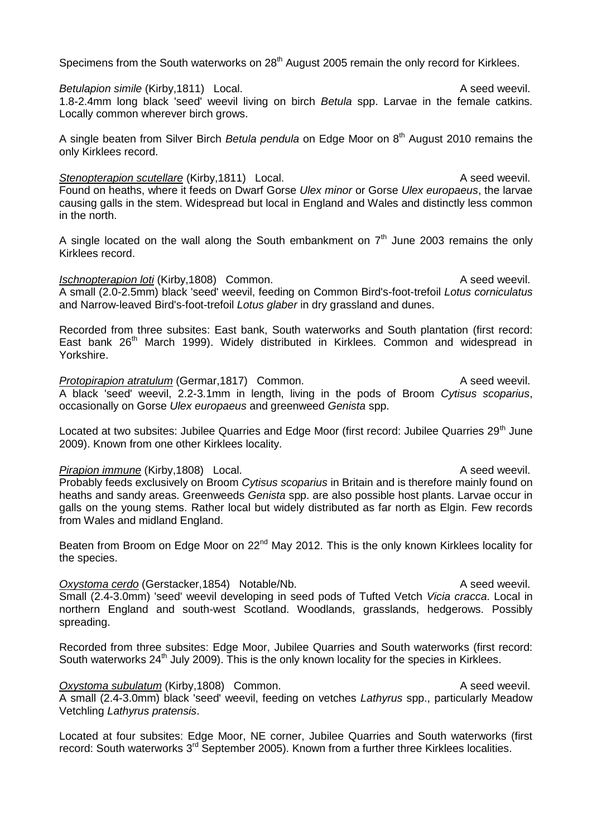Specimens from the South waterworks on 28<sup>th</sup> August 2005 remain the only record for Kirklees.

*Betulapion simile* (Kirby, 1811) Local. A seed weevil. 1.8-2.4mm long black 'seed' weevil living on birch *Betula* spp. Larvae in the female catkins. Locally common wherever birch grows.

A single beaten from Silver Birch *Betula pendula* on Edge Moor on 8<sup>th</sup> August 2010 remains the only Kirklees record.

**Stenopterapion scutellare** (Kirby, 1811) Local. A seed weevil. Found on heaths, where it feeds on Dwarf Gorse *Ulex minor* or Gorse *Ulex europaeus*, the larvae causing galls in the stem. Widespread but local in England and Wales and distinctly less common in the north.

A single located on the wall along the South embankment on  $7<sup>th</sup>$  June 2003 remains the only Kirklees record.

*Ischnopterapion loti* (Kirby,1808) Common. A seed weevil. A small (2.0-2.5mm) black 'seed' weevil, feeding on Common Bird's-foot-trefoil *Lotus corniculatus* and Narrow-leaved Bird's-foot-trefoil *Lotus glaber* in dry grassland and dunes.

Recorded from three subsites: East bank, South waterworks and South plantation (first record: East bank 26<sup>th</sup> March 1999). Widely distributed in Kirklees. Common and widespread in Yorkshire.

**Protopirapion atratulum** (Germar, 1817) Common. A seed weevil. A black 'seed' weevil, 2.2-3.1mm in length, living in the pods of Broom *Cytisus scoparius*, occasionally on Gorse *Ulex europaeus* and greenweed *Genista* spp.

Located at two subsites: Jubilee Quarries and Edge Moor (first record: Jubilee Quarries 29<sup>th</sup> June 2009). Known from one other Kirklees locality.

#### *Pirapion immune* (Kirby, 1808) Local. A seed weevil.

Probably feeds exclusively on Broom *Cytisus scoparius* in Britain and is therefore mainly found on heaths and sandy areas. Greenweeds *Genista* spp. are also possible host plants. Larvae occur in galls on the young stems. Rather local but widely distributed as far north as Elgin. Few records from Wales and midland England.

Beaten from Broom on Edge Moor on 22<sup>nd</sup> May 2012. This is the only known Kirklees locality for the species.

**Oxystoma cerdo** (Gerstacker, 1854) Notable/Nb. A seed weevil. Small (2.4-3.0mm) 'seed' weevil developing in seed pods of Tufted Vetch *Vicia cracca*. Local in northern England and south-west Scotland. Woodlands, grasslands, hedgerows. Possibly spreading.

Recorded from three subsites: Edge Moor, Jubilee Quarries and South waterworks (first record: South waterworks 24<sup>th</sup> July 2009). This is the only known locality for the species in Kirklees.

**Oxystoma subulatum** (Kirby,1808) Common. A seed weevil. A small (2.4-3.0mm) black 'seed' weevil, feeding on vetches *Lathyrus* spp., particularly Meadow Vetchling *Lathyrus pratensis*.

Located at four subsites: Edge Moor, NE corner, Jubilee Quarries and South waterworks (first record: South waterworks 3<sup>rd</sup> September 2005). Known from a further three Kirklees localities.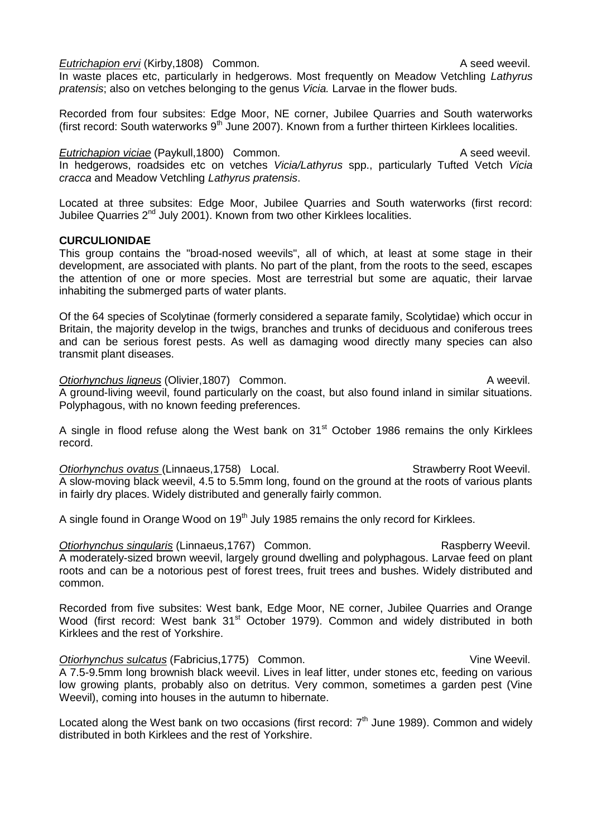#### *Eutrichapion ervi* (Kirby, 1808) Common. A seed weevil.

In waste places etc, particularly in hedgerows. Most frequently on Meadow Vetchling *Lathyrus pratensis*; also on vetches belonging to the genus *Vicia.* Larvae in the flower buds.

Recorded from four subsites: Edge Moor, NE corner, Jubilee Quarries and South waterworks (first record: South waterworks  $9<sup>th</sup>$  June 2007). Known from a further thirteen Kirklees localities.

*Eutrichapion viciae* (Paykull,1800) Common. A seed weevil. In hedgerows, roadsides etc on vetches *Vicia/Lathyrus* spp., particularly Tufted Vetch *Vicia cracca* and Meadow Vetchling *Lathyrus pratensis*.

Located at three subsites: Edge Moor, Jubilee Quarries and South waterworks (first record: Jubilee Quarries 2<sup>nd</sup> July 2001). Known from two other Kirklees localities.

## **CURCULIONIDAE**

This group contains the "broad-nosed weevils", all of which, at least at some stage in their development, are associated with plants. No part of the plant, from the roots to the seed, escapes the attention of one or more species. Most are terrestrial but some are aquatic, their larvae inhabiting the submerged parts of water plants.

Of the 64 species of Scolytinae (formerly considered a separate family, Scolytidae) which occur in Britain, the majority develop in the twigs, branches and trunks of deciduous and coniferous trees and can be serious forest pests. As well as damaging wood directly many species can also transmit plant diseases.

**Otiorhynchus ligneus** (Olivier, 1807) Common. **A** weevil. A ground-living weevil, found particularly on the coast, but also found inland in similar situations. Polyphagous, with no known feeding preferences.

A single in flood refuse along the West bank on 31<sup>st</sup> October 1986 remains the only Kirklees record.

**Otiorhynchus ovatus (Linnaeus, 1758)** Local. Strawberry Root Weevil. A slow-moving black weevil, 4.5 to 5.5mm long, found on the ground at the roots of various plants in fairly dry places. Widely distributed and generally fairly common.

A single found in Orange Wood on 19<sup>th</sup> July 1985 remains the only record for Kirklees.

**Otiorhynchus singularis** (Linnaeus, 1767) Common. The results of the Raspberry Weevil. A moderately-sized brown weevil, largely ground dwelling and polyphagous. Larvae feed on plant roots and can be a notorious pest of forest trees, fruit trees and bushes. Widely distributed and common.

Recorded from five subsites: West bank, Edge Moor, NE corner, Jubilee Quarries and Orange Wood (first record: West bank 31<sup>st</sup> October 1979). Common and widely distributed in both Kirklees and the rest of Yorkshire.

*Otiorhynchus sulcatus* (Fabricius, 1775) Common. Common. Vine Weevil. A 7.5-9.5mm long brownish black weevil. Lives in leaf litter, under stones etc, feeding on various low growing plants, probably also on detritus. Very common, sometimes a garden pest (Vine Weevil), coming into houses in the autumn to hibernate.

Located along the West bank on two occasions (first record:  $7<sup>th</sup>$  June 1989). Common and widely distributed in both Kirklees and the rest of Yorkshire.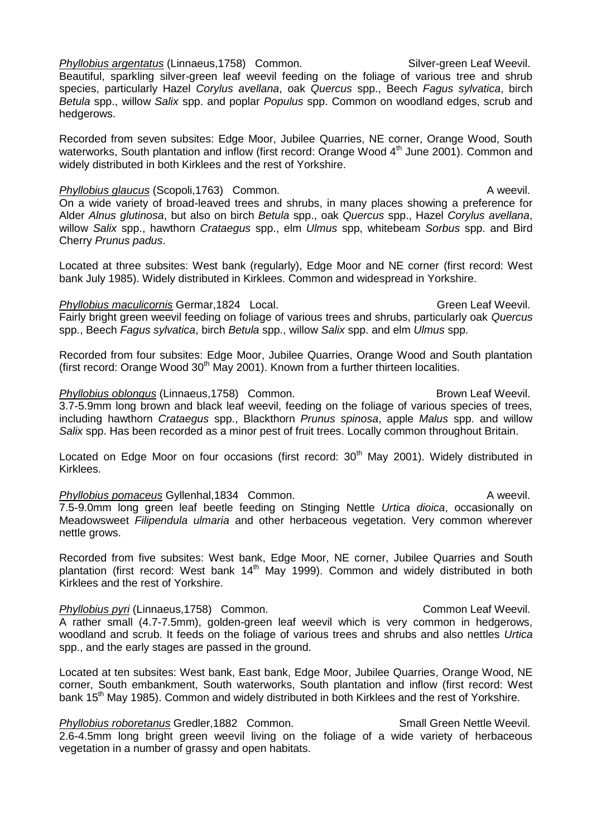*Phyllobius argentatus* (Linnaeus,1758) Common. Silver-green Leaf Weevil.

Beautiful, sparkling silver-green leaf weevil feeding on the foliage of various tree and shrub species, particularly Hazel *Corylus avellana*, oak *Quercus* spp., Beech *Fagus sylvatica*, birch *Betula* spp., willow *Salix* spp. and poplar *Populus* spp. Common on woodland edges, scrub and hedgerows.

Recorded from seven subsites: Edge Moor, Jubilee Quarries, NE corner, Orange Wood, South waterworks, South plantation and inflow (first record: Orange Wood  $4<sup>th</sup>$  June 2001). Common and widely distributed in both Kirklees and the rest of Yorkshire.

## **Phyllobius glaucus** (Scopoli,1763) Common. A weevil.

On a wide variety of broad-leaved trees and shrubs, in many places showing a preference for Alder *Alnus glutinosa*, but also on birch *Betula* spp., oak *Quercus* spp., Hazel *Corylus avellana*, willow *Salix* spp., hawthorn *Crataegus* spp., elm *Ulmus* spp, whitebeam *Sorbus* spp. and Bird Cherry *Prunus padus*.

Located at three subsites: West bank (regularly), Edge Moor and NE corner (first record: West bank July 1985). Widely distributed in Kirklees. Common and widespread in Yorkshire.

## *Phyllobius maculicornis* Germar, 1824 Local. Compared the control of Green Leaf Weevil.

Fairly bright green weevil feeding on foliage of various trees and shrubs, particularly oak *Quercus* spp., Beech *Fagus sylvatica*, birch *Betula* spp., willow *Salix* spp. and elm *Ulmus* spp.

Recorded from four subsites: Edge Moor, Jubilee Quarries, Orange Wood and South plantation (first record: Orange Wood  $30<sup>th</sup>$  May 2001). Known from a further thirteen localities.

#### *Phyllobius oblongus* (Linnaeus, 1758) Common. Common. Brown Leaf Weevil.

3.7-5.9mm long brown and black leaf weevil, feeding on the foliage of various species of trees, including hawthorn *Crataegus* spp., Blackthorn *Prunus spinosa*, apple *Malus* spp. and willow *Salix* spp. Has been recorded as a minor pest of fruit trees. Locally common throughout Britain.

Located on Edge Moor on four occasions (first record: 30<sup>th</sup> May 2001). Widely distributed in Kirklees.

**Phyllobius pomaceus** Gyllenhal,1834 Common. A weevil. 7.5-9.0mm long green leaf beetle feeding on Stinging Nettle *Urtica dioica*, occasionally on Meadowsweet *Filipendula ulmaria* and other herbaceous vegetation. Very common wherever nettle grows.

Recorded from five subsites: West bank, Edge Moor, NE corner, Jubilee Quarries and South plantation (first record: West bank  $14<sup>th</sup>$  May 1999). Common and widely distributed in both Kirklees and the rest of Yorkshire.

**Phyllobius pyri (Linnaeus, 1758)** Common. Common Leaf Weevil. A rather small (4.7-7.5mm), golden-green leaf weevil which is very common in hedgerows, woodland and scrub. It feeds on the foliage of various trees and shrubs and also nettles *Urtica* spp., and the early stages are passed in the ground.

Located at ten subsites: West bank, East bank, Edge Moor, Jubilee Quarries, Orange Wood, NE corner, South embankment, South waterworks, South plantation and inflow (first record: West bank 15<sup>th</sup> May 1985). Common and widely distributed in both Kirklees and the rest of Yorkshire.

**Phyllobius roboretanus Gredler, 1882 Common.** Small Green Nettle Weevil. 2.6-4.5mm long bright green weevil living on the foliage of a wide variety of herbaceous vegetation in a number of grassy and open habitats.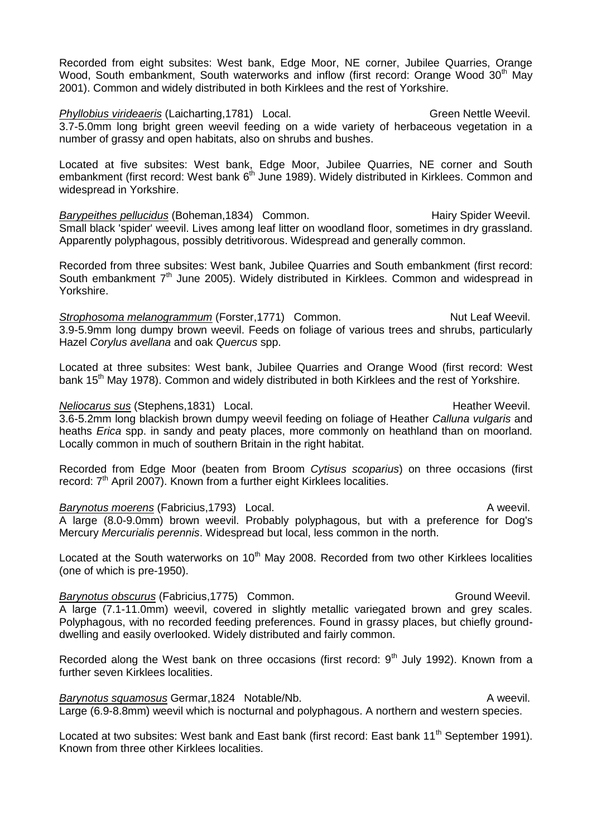Recorded from eight subsites: West bank, Edge Moor, NE corner, Jubilee Quarries, Orange Wood, South embankment, South waterworks and inflow (first record: Orange Wood 30<sup>th</sup> May 2001). Common and widely distributed in both Kirklees and the rest of Yorkshire.

*Phyllobius virideaeris* (Laicharting, 1781) Local. Chronic Christian Green Nettle Weevil. 3.7-5.0mm long bright green weevil feeding on a wide variety of herbaceous vegetation in a number of grassy and open habitats, also on shrubs and bushes.

Located at five subsites: West bank, Edge Moor, Jubilee Quarries, NE corner and South embankment (first record: West bank 6<sup>th</sup> June 1989). Widely distributed in Kirklees. Common and widespread in Yorkshire.

Barypeithes pellucidus (Boheman, 1834) Common. The example of the Hairy Spider Weevil. Small black 'spider' weevil. Lives among leaf litter on woodland floor, sometimes in dry grassland. Apparently polyphagous, possibly detritivorous. Widespread and generally common.

Recorded from three subsites: West bank, Jubilee Quarries and South embankment (first record: South embankment 7<sup>th</sup> June 2005). Widely distributed in Kirklees. Common and widespread in Yorkshire.

**Strophosoma melanogrammum (Forster, 1771) Common.** Nut Leaf Weevil. 3.9-5.9mm long dumpy brown weevil. Feeds on foliage of various trees and shrubs, particularly Hazel *Corylus avellana* and oak *Quercus* spp.

Located at three subsites: West bank, Jubilee Quarries and Orange Wood (first record: West bank 15<sup>th</sup> May 1978). Common and widely distributed in both Kirklees and the rest of Yorkshire.

#### *Neliocarus sus* (Stephens,1831) Local. And the method of the Heather Weevil.

3.6-5.2mm long blackish brown dumpy weevil feeding on foliage of Heather *Calluna vulgaris* and heaths *Erica* spp. in sandy and peaty places, more commonly on heathland than on moorland. Locally common in much of southern Britain in the right habitat.

Recorded from Edge Moor (beaten from Broom *Cytisus scoparius*) on three occasions (first record:  $7<sup>th</sup>$  April 2007). Known from a further eight Kirklees localities.

**Barynotus moerens** (Fabricius, 1793) Local. **A** weevil. A large (8.0-9.0mm) brown weevil. Probably polyphagous, but with a preference for Dog's Mercury *Mercurialis perennis*. Widespread but local, less common in the north.

Located at the South waterworks on  $10<sup>th</sup>$  May 2008. Recorded from two other Kirklees localities (one of which is pre-1950).

**Barynotus obscurus (Fabricius, 1775) Common.** Common. Ground Weevil. A large (7.1-11.0mm) weevil, covered in slightly metallic variegated brown and grey scales. Polyphagous, with no recorded feeding preferences. Found in grassy places, but chiefly grounddwelling and easily overlooked. Widely distributed and fairly common.

Recorded along the West bank on three occasions (first record:  $9<sup>th</sup>$  July 1992). Known from a further seven Kirklees localities.

*Barynotus squamosus* Germar, 1824 Notable/Nb. **A** weevil. Large (6.9-8.8mm) weevil which is nocturnal and polyphagous. A northern and western species.

Located at two subsites: West bank and East bank (first record: East bank 11<sup>th</sup> September 1991). Known from three other Kirklees localities.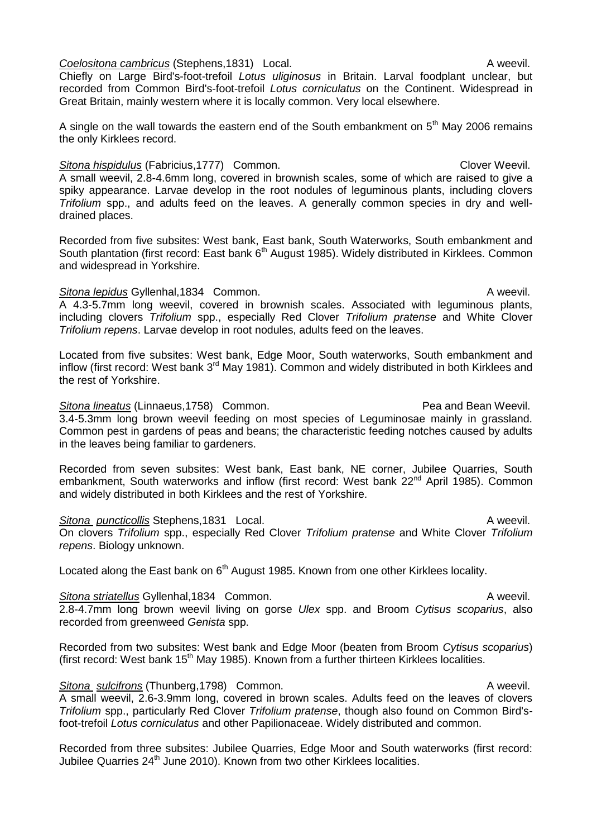# *Coelositona cambricus* (Stephens,1831) Local. A weevil.

Chiefly on Large Bird's-foot-trefoil *Lotus uliginosus* in Britain. Larval foodplant unclear, but recorded from Common Bird's-foot-trefoil *Lotus corniculatus* on the Continent. Widespread in Great Britain, mainly western where it is locally common. Very local elsewhere.

A single on the wall towards the eastern end of the South embankment on  $5<sup>th</sup>$  May 2006 remains the only Kirklees record.

## **Sitona hispidulus** (Fabricius, 1777) Common. Clover Weevil. A small weevil, 2.8-4.6mm long, covered in brownish scales, some of which are raised to give a spiky appearance. Larvae develop in the root nodules of leguminous plants, including clovers *Trifolium* spp., and adults feed on the leaves. A generally common species in dry and welldrained places.

Recorded from five subsites: West bank, East bank, South Waterworks, South embankment and South plantation (first record: East bank  $6<sup>th</sup>$  August 1985). Widely distributed in Kirklees. Common and widespread in Yorkshire.

## **Sitona lepidus Gyllenhal,1834 Common.** Common and Common and Community and Community A weevil.

A 4.3-5.7mm long weevil, covered in brownish scales. Associated with leguminous plants, including clovers *Trifolium* spp., especially Red Clover *Trifolium pratense* and White Clover *Trifolium repens*. Larvae develop in root nodules, adults feed on the leaves.

Located from five subsites: West bank, Edge Moor, South waterworks, South embankment and inflow (first record: West bank 3<sup>rd</sup> May 1981). Common and widely distributed in both Kirklees and the rest of Yorkshire.

**Sitona lineatus (Linnaeus, 1758)** Common. Common Common Pea and Bean Weevil. 3.4-5.3mm long brown weevil feeding on most species of Leguminosae mainly in grassland. Common pest in gardens of peas and beans; the characteristic feeding notches caused by adults in the leaves being familiar to gardeners.

Recorded from seven subsites: West bank, East bank, NE corner, Jubilee Quarries, South embankment, South waterworks and inflow (first record: West bank 22<sup>nd</sup> April 1985). Common and widely distributed in both Kirklees and the rest of Yorkshire.

**Sitona puncticollis** Stephens,1831 Local. **A** weevil. On clovers *Trifolium* spp., especially Red Clover *Trifolium pratense* and White Clover *Trifolium repens*. Biology unknown.

Located along the East bank on 6<sup>th</sup> August 1985. Known from one other Kirklees locality.

## **Sitona striatellus** Gyllenhal,1834 Common. **A** weevil. 2.8-4.7mm long brown weevil living on gorse *Ulex* spp. and Broom *Cytisus scoparius*, also recorded from greenweed *Genista* spp.

Recorded from two subsites: West bank and Edge Moor (beaten from Broom *Cytisus scoparius*) (first record: West bank 15<sup>th</sup> May 1985). Known from a further thirteen Kirklees localities.

# **Sitona sulcifrons** (Thunberg, 1798) Common. **A** weevil.

A small weevil, 2.6-3.9mm long, covered in brown scales. Adults feed on the leaves of clovers *Trifolium* spp., particularly Red Clover *Trifolium pratense*, though also found on Common Bird'sfoot-trefoil *Lotus corniculatus* and other Papilionaceae. Widely distributed and common.

Recorded from three subsites: Jubilee Quarries, Edge Moor and South waterworks (first record: Jubilee Quarries 24<sup>th</sup> June 2010). Known from two other Kirklees localities.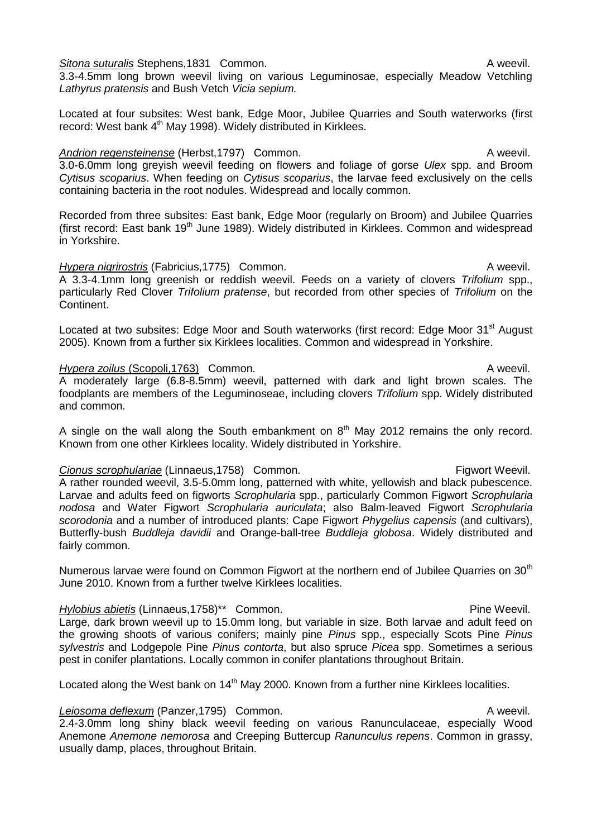**Sitona suturalis Stephens.1831 Common.** A weevil.

3.3-4.5mm long brown weevil living on various Leguminosae, especially Meadow Vetchling *Lathyrus pratensis* and Bush Vetch *Vicia sepium.*

Located at four subsites: West bank, Edge Moor, Jubilee Quarries and South waterworks (first record: West bank 4<sup>th</sup> May 1998). Widely distributed in Kirklees.

## Andrion regensteinense (Herbst, 1797) Common. A weevil.

3.0-6.0mm long greyish weevil feeding on flowers and foliage of gorse *Ulex* spp. and Broom *Cytisus scoparius*. When feeding on *Cytisus scoparius*, the larvae feed exclusively on the cells containing bacteria in the root nodules. Widespread and locally common.

Recorded from three subsites: East bank, Edge Moor (regularly on Broom) and Jubilee Quarries (first record: East bank 19<sup>th</sup> June 1989). Widely distributed in Kirklees. Common and widespread in Yorkshire.

#### *Hypera nigrirostris* (Fabricius, 1775) Common. A weevil.

A 3.3-4.1mm long greenish or reddish weevil. Feeds on a variety of clovers *Trifolium* spp., particularly Red Clover *Trifolium pratense*, but recorded from other species of *Trifolium* on the Continent.

Located at two subsites: Edge Moor and South waterworks (first record: Edge Moor 31<sup>st</sup> August 2005). Known from a further six Kirklees localities. Common and widespread in Yorkshire.

#### *Hypera zoilus* (Scopoli,1763) Common. A weevil.

A moderately large (6.8-8.5mm) weevil, patterned with dark and light brown scales. The foodplants are members of the Leguminoseae, including clovers *Trifolium* spp. Widely distributed and common.

A single on the wall along the South embankment on  $8<sup>th</sup>$  May 2012 remains the only record. Known from one other Kirklees locality. Widely distributed in Yorkshire.

## **Cionus scrophulariae (Linnaeus, 1758)** Common. The example of the scrophulariae (Linnaeus, 1758) Common.

A rather rounded weevil, 3.5-5.0mm long, patterned with white, yellowish and black pubescence. Larvae and adults feed on figworts *Scrophularia* spp., particularly Common Figwort *Scrophularia nodosa* and Water Figwort *Scrophularia auriculata*; also Balm-leaved Figwort *Scrophularia scorodonia* and a number of introduced plants: Cape Figwort *Phygelius capensis* (and cultivars), Butterfly-bush *Buddleja davidii* and Orange-ball-tree *Buddleja globosa*. Widely distributed and fairly common.

Numerous larvae were found on Common Figwort at the northern end of Jubilee Quarries on 30<sup>th</sup> June 2010. Known from a further twelve Kirklees localities.

## *Hylobius abietis* (Linnaeus, 1758)\*\* Common. And the example of the Weevil.

Large, dark brown weevil up to 15.0mm long, but variable in size. Both larvae and adult feed on the growing shoots of various conifers; mainly pine *Pinus* spp., especially Scots Pine *Pinus sylvestris* and Lodgepole Pine *Pinus contorta*, but also spruce *Picea* spp. Sometimes a serious pest in conifer plantations. Locally common in conifer plantations throughout Britain.

Located along the West bank on 14<sup>th</sup> May 2000. Known from a further nine Kirklees localities.

# **Leiosoma deflexum** (Panzer,1795) Common. A weevil.

2.4-3.0mm long shiny black weevil feeding on various Ranunculaceae, especially Wood Anemone *Anemone nemorosa* and Creeping Buttercup *Ranunculus repens*. Common in grassy, usually damp, places, throughout Britain.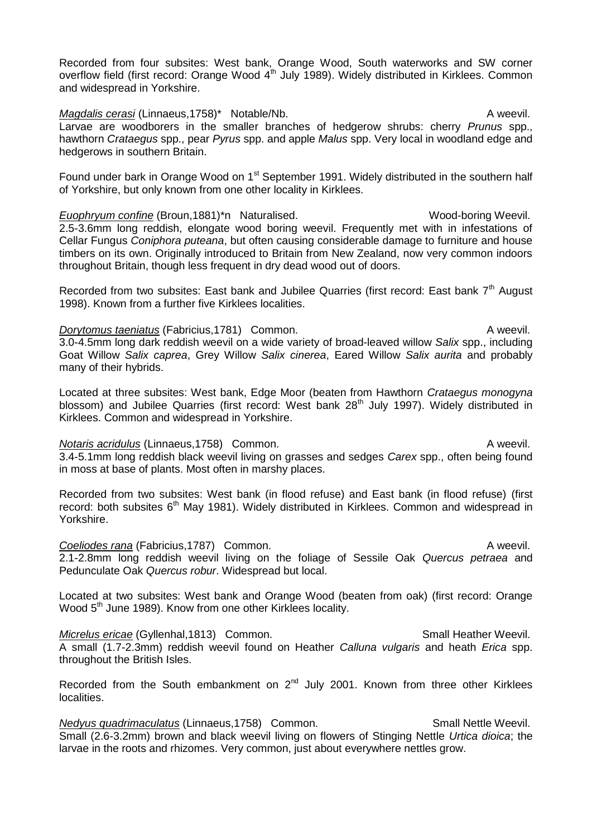Recorded from four subsites: West bank, Orange Wood, South waterworks and SW corner overflow field (first record: Orange Wood 4<sup>th</sup> July 1989). Widely distributed in Kirklees. Common and widespread in Yorkshire.

*Magdalis cerasi* (Linnaeus, 1758)\* Notable/Nb. A weevil. Larvae are woodborers in the smaller branches of hedgerow shrubs: cherry *Prunus* spp., hawthorn *Crataegus* spp., pear *Pyrus* spp. and apple *Malus* spp. Very local in woodland edge and hedgerows in southern Britain.

Found under bark in Orange Wood on 1<sup>st</sup> September 1991. Widely distributed in the southern half of Yorkshire, but only known from one other locality in Kirklees.

Euophryum confine (Broun,1881)\*n Naturalised. Wood-boring Weevil. 2.5-3.6mm long reddish, elongate wood boring weevil. Frequently met with in infestations of Cellar Fungus *Coniphora puteana*, but often causing considerable damage to furniture and house timbers on its own. Originally introduced to Britain from New Zealand, now very common indoors throughout Britain, though less frequent in dry dead wood out of doors.

Recorded from two subsites: East bank and Jubilee Quarries (first record: East bank  $7<sup>th</sup>$  August 1998). Known from a further five Kirklees localities.

## **Dorytomus taeniatus (Fabricius, 1781) Common.** A weevil. 3.0-4.5mm long dark reddish weevil on a wide variety of broad-leaved willow *Salix* spp., including Goat Willow *Salix caprea*, Grey Willow *Salix cinerea*, Eared Willow *Salix aurita* and probably many of their hybrids.

Located at three subsites: West bank, Edge Moor (beaten from Hawthorn *Crataegus monogyna*  blossom) and Jubilee Quarries (first record: West bank 28<sup>th</sup> July 1997). Widely distributed in Kirklees. Common and widespread in Yorkshire.

## *Notaris acridulus* (Linnaeus, 1758) Common. A weevil.

3.4-5.1mm long reddish black weevil living on grasses and sedges *Carex* spp., often being found in moss at base of plants. Most often in marshy places.

Recorded from two subsites: West bank (in flood refuse) and East bank (in flood refuse) (first record: both subsites  $6<sup>th</sup>$  May 1981). Widely distributed in Kirklees. Common and widespread in Yorkshire.

## **Coeliodes rana** (Fabricius, 1787) Common. **A** weevil.

2.1-2.8mm long reddish weevil living on the foliage of Sessile Oak *Quercus petraea* and Pedunculate Oak *Quercus robur*. Widespread but local.

Located at two subsites: West bank and Orange Wood (beaten from oak) (first record: Orange Wood 5<sup>th</sup> June 1989). Know from one other Kirklees locality.

*Micrelus ericae* (Gyllenhal, 1813) Common. Small Heather Weevil. A small (1.7-2.3mm) reddish weevil found on Heather *Calluna vulgaris* and heath *Erica* spp. throughout the British Isles.

Recorded from the South embankment on  $2^{nd}$  July 2001. Known from three other Kirklees localities.

*Nedyus quadrimaculatus* (Linnaeus, 1758) Common. Small Nettle Weevil. Small (2.6-3.2mm) brown and black weevil living on flowers of Stinging Nettle *Urtica dioica*; the larvae in the roots and rhizomes. Very common, just about everywhere nettles grow.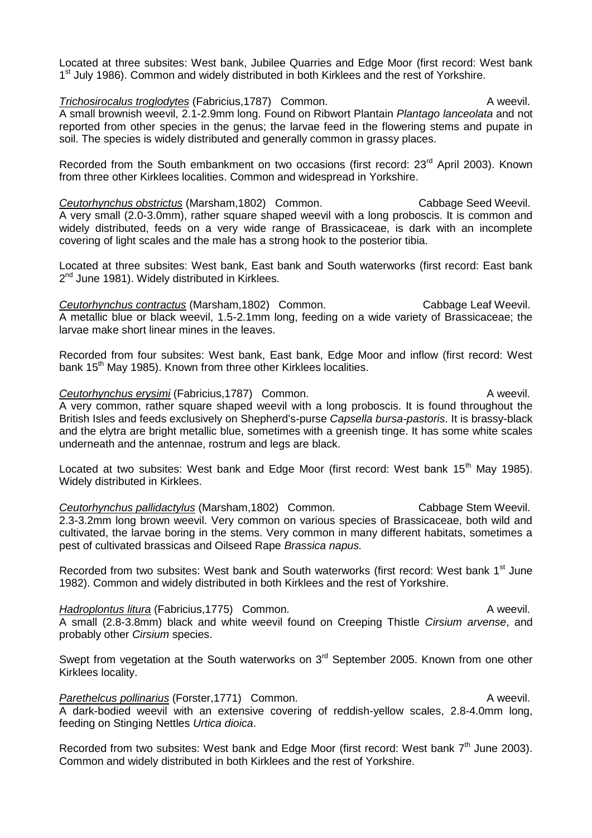Located at three subsites: West bank, Jubilee Quarries and Edge Moor (first record: West bank 1<sup>st</sup> July 1986). Common and widely distributed in both Kirklees and the rest of Yorkshire.

**Trichosirocalus troglodytes** (Fabricius, 1787) Common. A weevil. A small brownish weevil, 2.1-2.9mm long. Found on Ribwort Plantain *Plantago lanceolata* and not reported from other species in the genus; the larvae feed in the flowering stems and pupate in soil. The species is widely distributed and generally common in grassy places.

Recorded from the South embankment on two occasions (first record: 23<sup>rd</sup> April 2003). Known from three other Kirklees localities. Common and widespread in Yorkshire.

*Ceutorhynchus obstrictus* (Marsham,1802) Common. Cabbage Seed Weevil. A very small (2.0-3.0mm), rather square shaped weevil with a long proboscis. It is common and widely distributed, feeds on a very wide range of Brassicaceae, is dark with an incomplete covering of light scales and the male has a strong hook to the posterior tibia.

Located at three subsites: West bank, East bank and South waterworks (first record: East bank 2<sup>nd</sup> June 1981). Widely distributed in Kirklees.

*Ceutorhynchus contractus* (Marsham,1802) Common. Cabbage Leaf Weevil. A metallic blue or black weevil, 1.5-2.1mm long, feeding on a wide variety of Brassicaceae; the larvae make short linear mines in the leaves.

Recorded from four subsites: West bank, East bank, Edge Moor and inflow (first record: West bank 15<sup>th</sup> May 1985). Known from three other Kirklees localities.

## **Ceutorhynchus erysimi (Fabricius, 1787)** Common. Common and the servil. A very common, rather square shaped weevil with a long proboscis. It is found throughout the British Isles and feeds exclusively on Shepherd's-purse *Capsella bursa-pastoris*. It is brassy-black and the elytra are bright metallic blue, sometimes with a greenish tinge. It has some white scales underneath and the antennae, rostrum and legs are black.

Located at two subsites: West bank and Edge Moor (first record: West bank 15<sup>th</sup> Mav 1985). Widely distributed in Kirklees.

**Ceutorhynchus pallidactylus** (Marsham, 1802) Common. Cabbage Stem Weevil. 2.3-3.2mm long brown weevil. Very common on various species of Brassicaceae, both wild and cultivated, the larvae boring in the stems. Very common in many different habitats, sometimes a pest of cultivated brassicas and Oilseed Rape *Brassica napus.*

Recorded from two subsites: West bank and South waterworks (first record: West bank 1<sup>st</sup> June 1982). Common and widely distributed in both Kirklees and the rest of Yorkshire.

## *Hadroplontus litura* (Fabricius, 1775) Common. A weevil. A small (2.8-3.8mm) black and white weevil found on Creeping Thistle *Cirsium arvense*, and probably other *Cirsium* species.

Swept from vegetation at the South waterworks on  $3<sup>rd</sup>$  September 2005. Known from one other Kirklees locality.

## Parethelcus pollinarius (Forster, 1771) Common. **A methelcus** A weevil. A dark-bodied weevil with an extensive covering of reddish-yellow scales, 2.8-4.0mm long, feeding on Stinging Nettles *Urtica dioica*.

Recorded from two subsites: West bank and Edge Moor (first record: West bank  $7<sup>th</sup>$  June 2003). Common and widely distributed in both Kirklees and the rest of Yorkshire.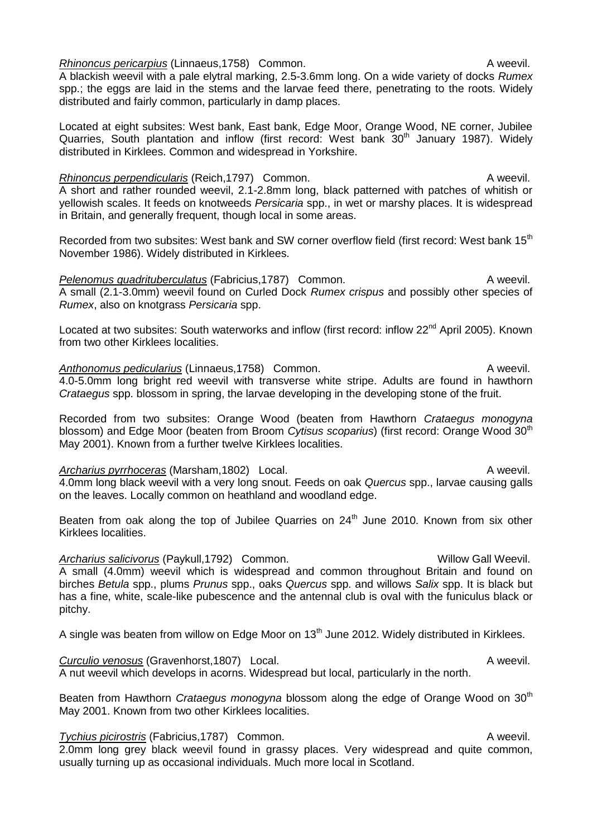*Rhinoncus pericarpius* (Linnaeus, 1758) Common. A weevil.

A blackish weevil with a pale elytral marking, 2.5-3.6mm long. On a wide variety of docks *Rumex*  spp.; the eggs are laid in the stems and the larvae feed there, penetrating to the roots. Widely distributed and fairly common, particularly in damp places.

Located at eight subsites: West bank, East bank, Edge Moor, Orange Wood, NE corner, Jubilee Quarries, South plantation and inflow (first record: West bank 30<sup>th</sup> January 1987). Widely distributed in Kirklees. Common and widespread in Yorkshire.

*Rhinoncus perpendicularis* (Reich,1797) Common. A weevil. A short and rather rounded weevil, 2.1-2.8mm long, black patterned with patches of whitish or yellowish scales. It feeds on knotweeds *Persicaria* spp., in wet or marshy places. It is widespread in Britain, and generally frequent, though local in some areas.

Recorded from two subsites: West bank and SW corner overflow field (first record: West bank 15<sup>th</sup>) November 1986). Widely distributed in Kirklees.

Pelenomus quadrituberculatus (Fabricius, 1787) Common. A weevil. A small (2.1-3.0mm) weevil found on Curled Dock *Rumex crispus* and possibly other species of *Rumex*, also on knotgrass *Persicaria* spp.

Located at two subsites: South waterworks and inflow (first record: inflow 22<sup>nd</sup> April 2005). Known from two other Kirklees localities.

Anthonomus pedicularius (Linnaeus, 1758) Common. **Anthonomus pedicularius** (Linnaeus, 1758) Common. 4.0-5.0mm long bright red weevil with transverse white stripe. Adults are found in hawthorn *Crataegus* spp. blossom in spring, the larvae developing in the developing stone of the fruit.

Recorded from two subsites: Orange Wood (beaten from Hawthorn *Crataegus monogyna*  blossom) and Edge Moor (beaten from Broom *Cytisus scoparius*) (first record: Orange Wood 30<sup>th</sup> May 2001). Known from a further twelve Kirklees localities.

Archarius pyrrhoceras (Marsham,1802) Local. A weevil. 4.0mm long black weevil with a very long snout. Feeds on oak *Quercus* spp., larvae causing galls on the leaves. Locally common on heathland and woodland edge.

Beaten from oak along the top of Jubilee Quarries on  $24<sup>th</sup>$  June 2010. Known from six other Kirklees localities.

Archarius salicivorus (Paykull,1792) Common. Willow Gall Weevil. A small (4.0mm) weevil which is widespread and common throughout Britain and found on birches *Betula* spp., plums *Prunus* spp., oaks *Quercus* spp. and willows *Salix* spp. It is black but has a fine, white, scale-like pubescence and the antennal club is oval with the funiculus black or pitchy.

A single was beaten from willow on Edge Moor on  $13<sup>th</sup>$  June 2012. Widely distributed in Kirklees.

**Curculio venosus (Gravenhorst,1807)** Local. **A weevil.** A weevil. A nut weevil which develops in acorns. Widespread but local, particularly in the north.

Beaten from Hawthorn *Crataegus monogyna* blossom along the edge of Orange Wood on 30<sup>th</sup> May 2001. Known from two other Kirklees localities.

*Tychius picirostris* (Fabricius,1787) Common. A weevil.

2.0mm long grey black weevil found in grassy places. Very widespread and quite common, usually turning up as occasional individuals. Much more local in Scotland.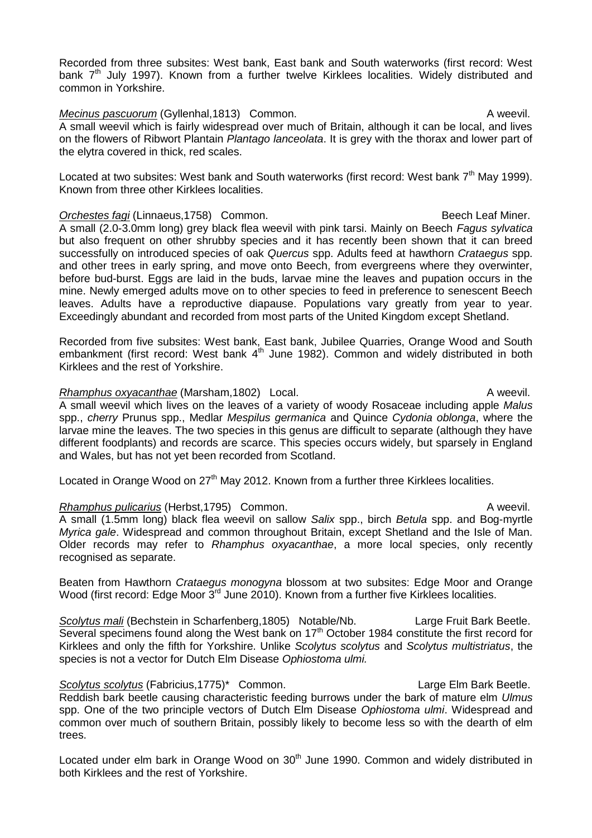Recorded from three subsites: West bank, East bank and South waterworks (first record: West bank  $7<sup>th</sup>$  July 1997). Known from a further twelve Kirklees localities. Widely distributed and common in Yorkshire.

*Mecinus pascuorum* (Gyllenhal,1813) Common. A weevil. A small weevil which is fairly widespread over much of Britain, although it can be local, and lives on the flowers of Ribwort Plantain *Plantago lanceolata*. It is grey with the thorax and lower part of the elytra covered in thick, red scales.

Located at two subsites: West bank and South waterworks (first record: West bank  $7<sup>th</sup>$  Mav 1999). Known from three other Kirklees localities.

**Orchestes fagi (Linnaeus, 1758)** Common. Common Common Common Beech Leaf Miner. A small (2.0-3.0mm long) grey black flea weevil with pink tarsi. Mainly on Beech *Fagus sylvatica* but also frequent on other shrubby species and it has recently been shown that it can breed successfully on introduced species of oak *Quercus* spp. Adults feed at hawthorn *Crataegus* spp. and other trees in early spring, and move onto Beech, from evergreens where they overwinter, before bud-burst. Eggs are laid in the buds, larvae mine the leaves and pupation occurs in the mine. Newly emerged adults move on to other species to feed in preference to senescent Beech leaves. Adults have a reproductive diapause. Populations vary greatly from year to year. Exceedingly abundant and recorded from most parts of the United Kingdom except Shetland.

Recorded from five subsites: West bank, East bank, Jubilee Quarries, Orange Wood and South embankment (first record: West bank  $4<sup>th</sup>$  June 1982). Common and widely distributed in both Kirklees and the rest of Yorkshire.

## *Rhamphus oxyacanthae* (Marsham, 1802) Local. A weevil.

A small weevil which lives on the leaves of a variety of woody Rosaceae including apple *Malus* spp., *cherry* Prunus spp., Medlar *Mespilus germanica* and Quince *Cydonia oblonga*, where the larvae mine the leaves. The two species in this genus are difficult to separate (although they have different foodplants) and records are scarce. This species occurs widely, but sparsely in England and Wales, but has not yet been recorded from Scotland.

Located in Orange Wood on 27<sup>th</sup> May 2012. Known from a further three Kirklees localities.

## *Rhamphus pulicarius* (Herbst, 1795) Common. A weevil.

A small (1.5mm long) black flea weevil on sallow *Salix* spp., birch *Betula* spp. and Bog-myrtle *Myrica gale*. Widespread and common throughout Britain, except Shetland and the Isle of Man. Older records may refer to *Rhamphus oxyacanthae*, a more local species, only recently recognised as separate.

Beaten from Hawthorn *Crataegus monogyna* blossom at two subsites: Edge Moor and Orange Wood (first record: Edge Moor 3<sup>rd</sup> June 2010). Known from a further five Kirklees localities.

*Scolytus mali* (Bechstein in Scharfenberg,1805) Notable/Nb. Large Fruit Bark Beetle. Several specimens found along the West bank on 17<sup>th</sup> October 1984 constitute the first record for Kirklees and only the fifth for Yorkshire. Unlike *Scolytus scolytus* and *Scolytus multistriatus*, the species is not a vector for Dutch Elm Disease *Ophiostoma ulmi.*

Scolytus scolytus (Fabricius,1775)\* Common. Large Elm Bark Beetle. Reddish bark beetle causing characteristic feeding burrows under the bark of mature elm *Ulmus*  spp. One of the two principle vectors of Dutch Elm Disease *Ophiostoma ulmi*. Widespread and common over much of southern Britain, possibly likely to become less so with the dearth of elm trees.

Located under elm bark in Orange Wood on 30<sup>th</sup> June 1990. Common and widely distributed in both Kirklees and the rest of Yorkshire.